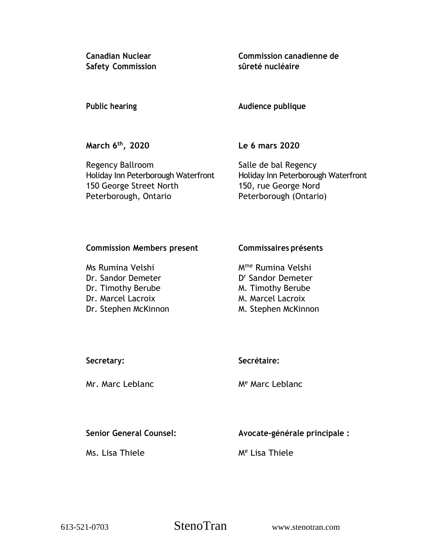**Safety Commission sûreté nucléaire**

**Canadian Nuclear Commission canadienne de**

**Public hearing Audience publique**

**March 6 th**

**, 2020 Le 6 mars 2020**

Regency Ballroom Salle de bal Regency Holiday Inn Peterborough Waterfront Holiday Inn Peterborough Waterfront 150 George Street North 150, rue George Nord Peterborough, Ontario Peterborough (Ontario)

## **Commission Members present Commissaires présents**

Dr. Sandor Demeter Dr. Timothy Berube M. Timothy Berube Dr. Marcel Lacroix M. Marcel Lacroix Dr. Stephen McKinnon M. Stephen McKinnon

Ms Rumina Velshi Mme Rumina Velshi D<sup>r</sup> Sandor Demeter

# **Secretary: Secrétaire:**

Mr. Marc Leblanc Me Marc Leblanc

**Senior General Counsel: Avocate-générale principale :**

Ms. Lisa Thiele Me Lisa Thiele

613-521-0703 StenoTran www.stenotran.com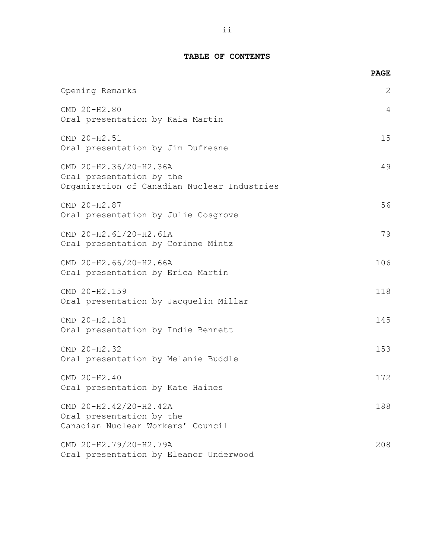## **TABLE OF CONTENTS**

|                                                                                                   | <b>PAGE</b> |
|---------------------------------------------------------------------------------------------------|-------------|
| Opening Remarks                                                                                   | 2           |
| CMD 20-H2.80<br>Oral presentation by Kaia Martin                                                  | 4           |
| CMD 20-H2.51<br>Oral presentation by Jim Dufresne                                                 | 15          |
| CMD 20-H2.36/20-H2.36A<br>Oral presentation by the<br>Organization of Canadian Nuclear Industries | 49          |
| CMD 20-H2.87<br>Oral presentation by Julie Cosgrove                                               | 56          |
| CMD 20-H2.61/20-H2.61A<br>Oral presentation by Corinne Mintz                                      | 79          |
| CMD 20-H2.66/20-H2.66A<br>Oral presentation by Erica Martin                                       | 106         |
| CMD 20-H2.159<br>Oral presentation by Jacquelin Millar                                            | 118         |
| CMD 20-H2.181<br>Oral presentation by Indie Bennett                                               | 145         |
| CMD 20-H2.32<br>Oral presentation by Melanie Buddle                                               | 153         |
| CMD 20-H2.40<br>Oral presentation by Kate Haines                                                  | 172         |
| CMD 20-H2.42/20-H2.42A<br>Oral presentation by the<br>Canadian Nuclear Workers' Council           | 188         |
| CMD 20-H2.79/20-H2.79A<br>Oral presentation by Eleanor Underwood                                  | 208         |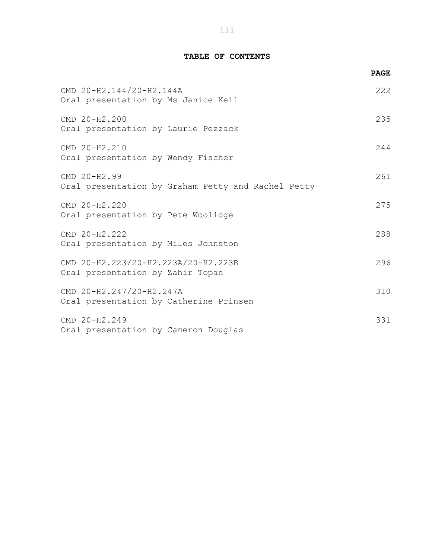## **TABLE OF CONTENTS**

|                                                                         | <b>PAGE</b> |
|-------------------------------------------------------------------------|-------------|
| CMD 20-H2.144/20-H2.144A<br>Oral presentation by Ms Janice Keil         | 222         |
| CMD 20-H2.200<br>Oral presentation by Laurie Pezzack                    | 235         |
| CMD 20-H2.210<br>Oral presentation by Wendy Fischer                     | 244         |
| CMD 20-H2.99<br>Oral presentation by Graham Petty and Rachel Petty      | 261         |
| CMD 20-H2.220<br>Oral presentation by Pete Woolidge                     | 275         |
| CMD 20-H2.222<br>Oral presentation by Miles Johnston                    | 288         |
| CMD 20-H2.223/20-H2.223A/20-H2.223B<br>Oral presentation by Zahir Topan | 296         |
| CMD 20-H2.247/20-H2.247A<br>Oral presentation by Catherine Prinsen      | 310         |
| CMD 20-H2.249<br>Oral presentation by Cameron Douglas                   | 331         |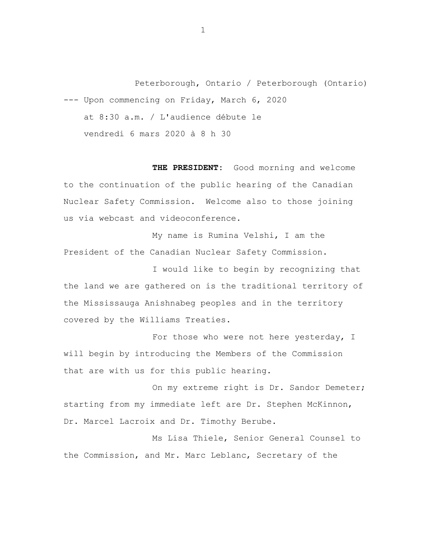Peterborough, Ontario / Peterborough (Ontario) --- Upon commencing on Friday, March 6, 2020 at 8:30 a.m. / L'audience débute le vendredi 6 mars 2020 à 8 h 30

**THE PRESIDENT:** Good morning and welcome to the continuation of the public hearing of the Canadian Nuclear Safety Commission. Welcome also to those joining us via webcast and videoconference.

My name is Rumina Velshi, I am the President of the Canadian Nuclear Safety Commission.

I would like to begin by recognizing that the land we are gathered on is the traditional territory of the Mississauga Anishnabeg peoples and in the territory covered by the Williams Treaties.

For those who were not here yesterday, I will begin by introducing the Members of the Commission that are with us for this public hearing.

On my extreme right is Dr. Sandor Demeter; starting from my immediate left are Dr. Stephen McKinnon, Dr. Marcel Lacroix and Dr. Timothy Berube.

Ms Lisa Thiele, Senior General Counsel to the Commission, and Mr. Marc Leblanc, Secretary of the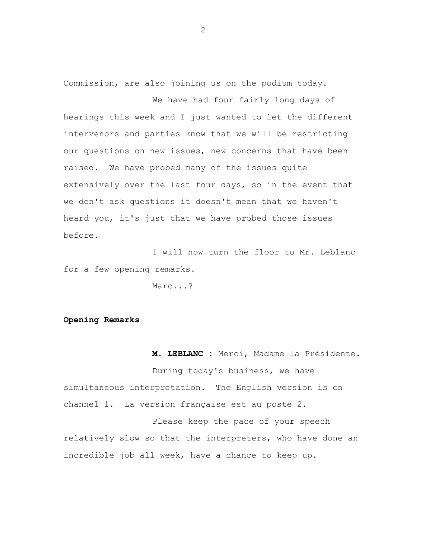Commission, are also joining us on the podium today.

We have had four fairly long days of hearings this week and I just wanted to let the different intervenors and parties know that we will be restricting our questions on new issues, new concerns that have been raised. We have probed many of the issues quite extensively over the last four days, so in the event that we don't ask questions it doesn't mean that we haven't heard you, it's just that we have probed those issues before.

I will now turn the floor to Mr. Leblanc for a few opening remarks.

Marc...?

### **Opening Remarks**

**M. LEBLANC :** Merci, Madame la Présidente.

During today's business, we have simultaneous interpretation. The English version is on channel 1. La version française est au poste 2.

Please keep the pace of your speech relatively slow so that the interpreters, who have done an incredible job all week, have a chance to keep up.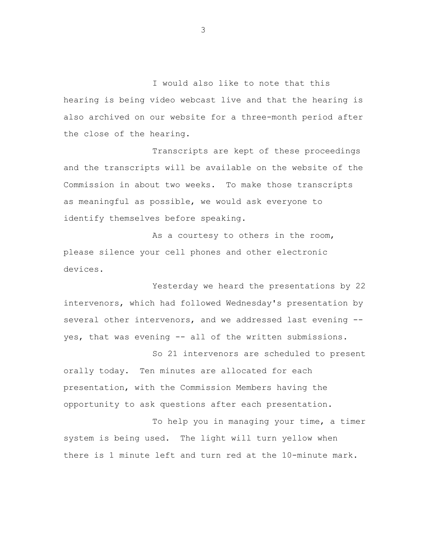I would also like to note that this hearing is being video webcast live and that the hearing is also archived on our website for a three-month period after the close of the hearing.

Transcripts are kept of these proceedings and the transcripts will be available on the website of the Commission in about two weeks. To make those transcripts as meaningful as possible, we would ask everyone to identify themselves before speaking.

As a courtesy to others in the room, please silence your cell phones and other electronic devices.

Yesterday we heard the presentations by 22 intervenors, which had followed Wednesday's presentation by several other intervenors, and we addressed last evening - yes, that was evening -- all of the written submissions.

So 21 intervenors are scheduled to present orally today. Ten minutes are allocated for each presentation, with the Commission Members having the opportunity to ask questions after each presentation.

To help you in managing your time, a timer system is being used. The light will turn yellow when there is 1 minute left and turn red at the 10-minute mark.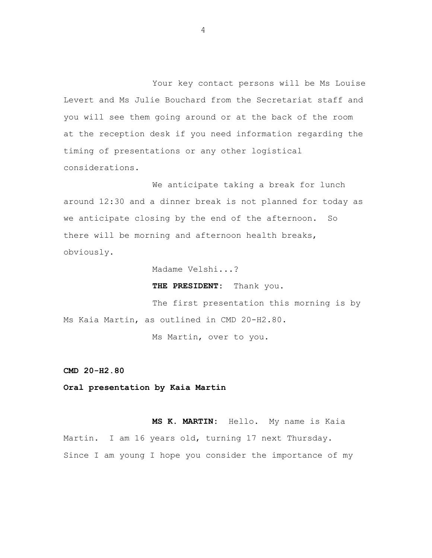Your key contact persons will be Ms Louise Levert and Ms Julie Bouchard from the Secretariat staff and you will see them going around or at the back of the room at the reception desk if you need information regarding the timing of presentations or any other logistical considerations.

We anticipate taking a break for lunch around 12:30 and a dinner break is not planned for today as we anticipate closing by the end of the afternoon. So there will be morning and afternoon health breaks, obviously.

Madame Velshi...?

**THE PRESIDENT:** Thank you.

The first presentation this morning is by Ms Kaia Martin, as outlined in CMD 20-H2.80.

Ms Martin, over to you.

**CMD 20-H2.80**

**Oral presentation by Kaia Martin**

**MS K. MARTIN:** Hello. My name is Kaia Martin. I am 16 years old, turning 17 next Thursday. Since I am young I hope you consider the importance of my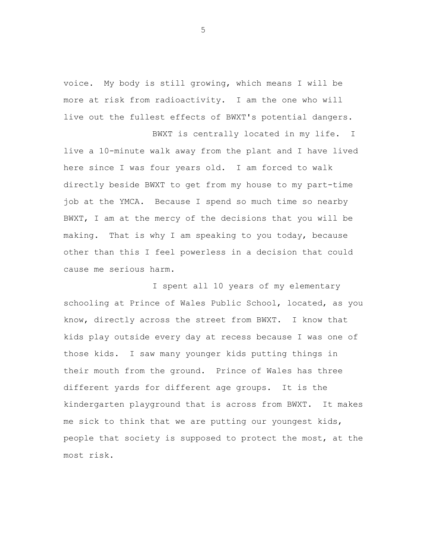voice. My body is still growing, which means I will be more at risk from radioactivity. I am the one who will live out the fullest effects of BWXT's potential dangers.

BWXT is centrally located in my life. I live a 10-minute walk away from the plant and I have lived here since I was four years old. I am forced to walk directly beside BWXT to get from my house to my part-time job at the YMCA. Because I spend so much time so nearby BWXT, I am at the mercy of the decisions that you will be making. That is why I am speaking to you today, because other than this I feel powerless in a decision that could cause me serious harm.

I spent all 10 years of my elementary schooling at Prince of Wales Public School, located, as you know, directly across the street from BWXT. I know that kids play outside every day at recess because I was one of those kids. I saw many younger kids putting things in their mouth from the ground. Prince of Wales has three different yards for different age groups. It is the kindergarten playground that is across from BWXT. It makes me sick to think that we are putting our youngest kids, people that society is supposed to protect the most, at the most risk.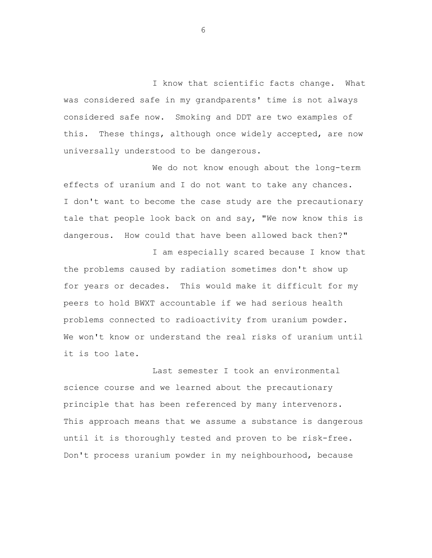I know that scientific facts change. What was considered safe in my grandparents' time is not always considered safe now. Smoking and DDT are two examples of this. These things, although once widely accepted, are now universally understood to be dangerous.

We do not know enough about the long-term effects of uranium and I do not want to take any chances. I don't want to become the case study are the precautionary tale that people look back on and say, "We now know this is dangerous. How could that have been allowed back then?"

I am especially scared because I know that the problems caused by radiation sometimes don't show up for years or decades. This would make it difficult for my peers to hold BWXT accountable if we had serious health problems connected to radioactivity from uranium powder. We won't know or understand the real risks of uranium until it is too late.

Last semester I took an environmental science course and we learned about the precautionary principle that has been referenced by many intervenors. This approach means that we assume a substance is dangerous until it is thoroughly tested and proven to be risk-free. Don't process uranium powder in my neighbourhood, because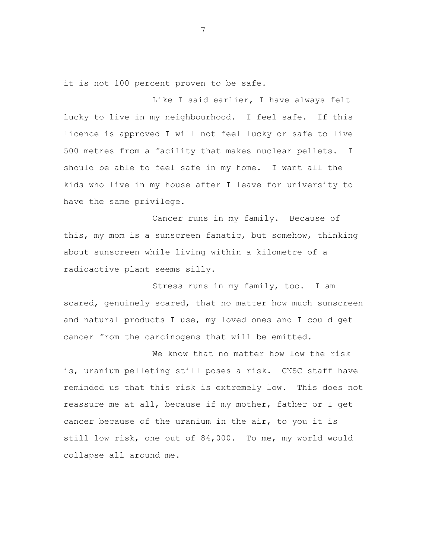it is not 100 percent proven to be safe.

Like I said earlier, I have always felt lucky to live in my neighbourhood. I feel safe. If this licence is approved I will not feel lucky or safe to live 500 metres from a facility that makes nuclear pellets. I should be able to feel safe in my home. I want all the kids who live in my house after I leave for university to have the same privilege.

Cancer runs in my family. Because of this, my mom is a sunscreen fanatic, but somehow, thinking about sunscreen while living within a kilometre of a radioactive plant seems silly.

Stress runs in my family, too. I am scared, genuinely scared, that no matter how much sunscreen and natural products I use, my loved ones and I could get cancer from the carcinogens that will be emitted.

We know that no matter how low the risk is, uranium pelleting still poses a risk. CNSC staff have reminded us that this risk is extremely low. This does not reassure me at all, because if my mother, father or I get cancer because of the uranium in the air, to you it is still low risk, one out of 84,000. To me, my world would collapse all around me.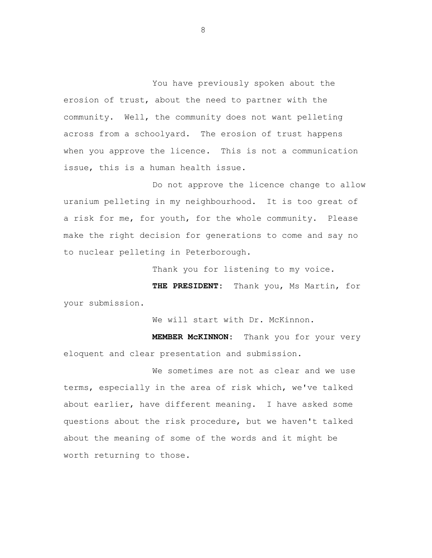You have previously spoken about the erosion of trust, about the need to partner with the community. Well, the community does not want pelleting across from a schoolyard. The erosion of trust happens when you approve the licence. This is not a communication issue, this is a human health issue.

Do not approve the licence change to allow uranium pelleting in my neighbourhood. It is too great of a risk for me, for youth, for the whole community. Please make the right decision for generations to come and say no to nuclear pelleting in Peterborough.

Thank you for listening to my voice.

**THE PRESIDENT:** Thank you, Ms Martin, for your submission.

We will start with Dr. McKinnon.

**MEMBER McKINNON:** Thank you for your very eloquent and clear presentation and submission.

We sometimes are not as clear and we use terms, especially in the area of risk which, we've talked about earlier, have different meaning. I have asked some questions about the risk procedure, but we haven't talked about the meaning of some of the words and it might be worth returning to those.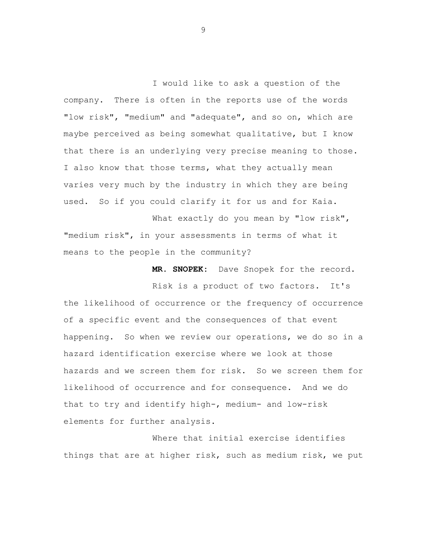I would like to ask a question of the company. There is often in the reports use of the words "low risk", "medium" and "adequate", and so on, which are maybe perceived as being somewhat qualitative, but I know that there is an underlying very precise meaning to those. I also know that those terms, what they actually mean varies very much by the industry in which they are being used. So if you could clarify it for us and for Kaia.

What exactly do you mean by "low risk", "medium risk", in your assessments in terms of what it means to the people in the community?

**MR. SNOPEK:** Dave Snopek for the record.

Risk is a product of two factors. It's the likelihood of occurrence or the frequency of occurrence of a specific event and the consequences of that event happening. So when we review our operations, we do so in a hazard identification exercise where we look at those hazards and we screen them for risk. So we screen them for likelihood of occurrence and for consequence. And we do that to try and identify high-, medium- and low-risk elements for further analysis.

Where that initial exercise identifies things that are at higher risk, such as medium risk, we put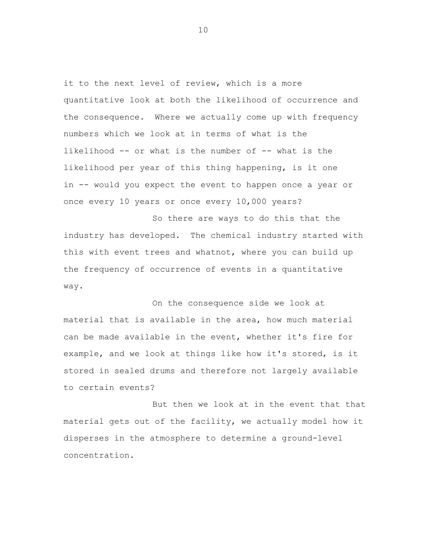it to the next level of review, which is a more quantitative look at both the likelihood of occurrence and the consequence. Where we actually come up with frequency numbers which we look at in terms of what is the likelihood -- or what is the number of -- what is the likelihood per year of this thing happening, is it one in -- would you expect the event to happen once a year or once every 10 years or once every 10,000 years?

So there are ways to do this that the industry has developed. The chemical industry started with this with event trees and whatnot, where you can build up the frequency of occurrence of events in a quantitative way.

On the consequence side we look at material that is available in the area, how much material can be made available in the event, whether it's fire for example, and we look at things like how it's stored, is it stored in sealed drums and therefore not largely available to certain events?

But then we look at in the event that that material gets out of the facility, we actually model how it disperses in the atmosphere to determine a ground-level concentration.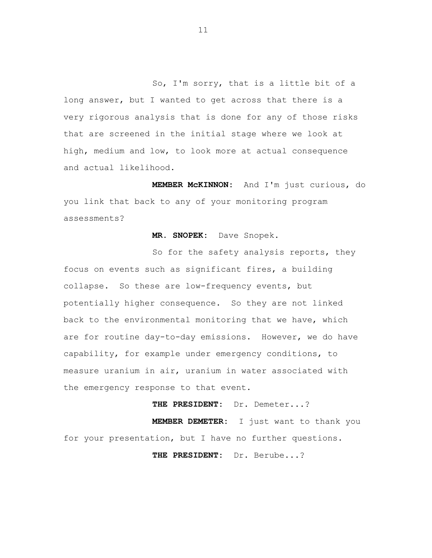So, I'm sorry, that is a little bit of a long answer, but I wanted to get across that there is a very rigorous analysis that is done for any of those risks that are screened in the initial stage where we look at high, medium and low, to look more at actual consequence and actual likelihood.

**MEMBER McKINNON:** And I'm just curious, do you link that back to any of your monitoring program assessments?

### **MR. SNOPEK:** Dave Snopek.

So for the safety analysis reports, they focus on events such as significant fires, a building collapse. So these are low-frequency events, but potentially higher consequence. So they are not linked back to the environmental monitoring that we have, which are for routine day-to-day emissions. However, we do have capability, for example under emergency conditions, to measure uranium in air, uranium in water associated with the emergency response to that event.

**THE PRESIDENT:** Dr. Demeter...?

**MEMBER DEMETER:** I just want to thank you for your presentation, but I have no further questions.

**THE PRESIDENT:** Dr. Berube...?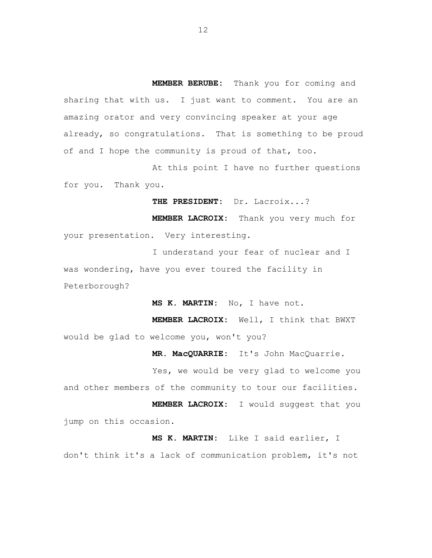**MEMBER BERUBE:** Thank you for coming and sharing that with us. I just want to comment. You are an amazing orator and very convincing speaker at your age already, so congratulations. That is something to be proud of and I hope the community is proud of that, too.

At this point I have no further questions for you. Thank you.

**THE PRESIDENT:** Dr. Lacroix...?

**MEMBER LACROIX:** Thank you very much for your presentation. Very interesting.

I understand your fear of nuclear and I was wondering, have you ever toured the facility in Peterborough?

**MS K. MARTIN:** No, I have not.

**MEMBER LACROIX:** Well, I think that BWXT would be glad to welcome you, won't you?

**MR. MacQUARRIE:** It's John MacQuarrie.

Yes, we would be very glad to welcome you and other members of the community to tour our facilities.

**MEMBER LACROIX:** I would suggest that you jump on this occasion.

**MS K. MARTIN:** Like I said earlier, I don't think it's a lack of communication problem, it's not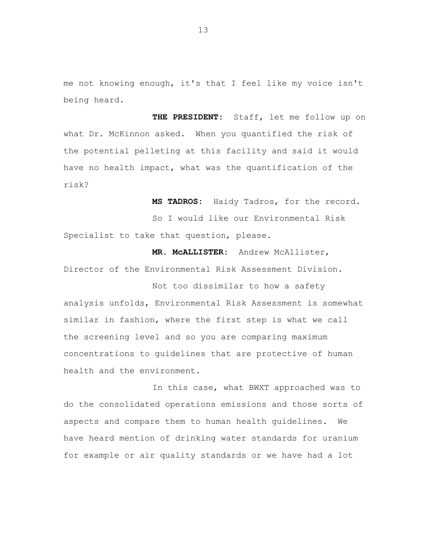me not knowing enough, it's that I feel like my voice isn't being heard.

**THE PRESIDENT:** Staff, let me follow up on what Dr. McKinnon asked. When you quantified the risk of the potential pelleting at this facility and said it would have no health impact, what was the quantification of the risk?

**MS TADROS:** Haidy Tadros, for the record.

So I would like our Environmental Risk Specialist to take that question, please.

**MR. McALLISTER:** Andrew McAllister, Director of the Environmental Risk Assessment Division.

Not too dissimilar to how a safety analysis unfolds, Environmental Risk Assessment is somewhat similar in fashion, where the first step is what we call the screening level and so you are comparing maximum concentrations to guidelines that are protective of human health and the environment.

In this case, what BWXT approached was to do the consolidated operations emissions and those sorts of aspects and compare them to human health guidelines. We have heard mention of drinking water standards for uranium for example or air quality standards or we have had a lot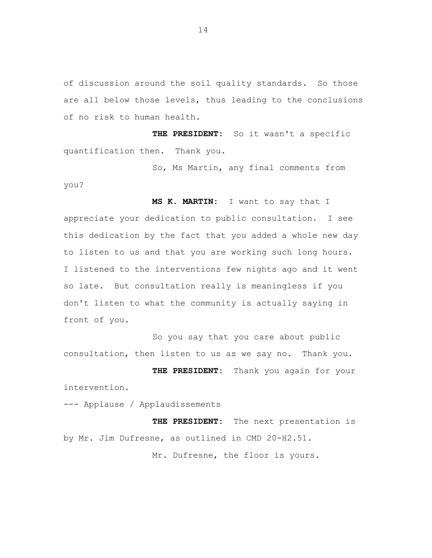of discussion around the soil quality standards. So those are all below those levels, thus leading to the conclusions of no risk to human health.

**THE PRESIDENT:** So it wasn't a specific quantification then. Thank you.

So, Ms Martin, any final comments from you?

**MS K. MARTIN:** I want to say that I appreciate your dedication to public consultation. I see this dedication by the fact that you added a whole new day to listen to us and that you are working such long hours. I listened to the interventions few nights ago and it went so late. But consultation really is meaningless if you don't listen to what the community is actually saying in front of you.

So you say that you care about public consultation, then listen to us as we say no. Thank you.

**THE PRESIDENT:** Thank you again for your intervention.

--- Applause / Applaudissements

**THE PRESIDENT:** The next presentation is by Mr. Jim Dufresne, as outlined in CMD 20-H2.51.

Mr. Dufresne, the floor is yours.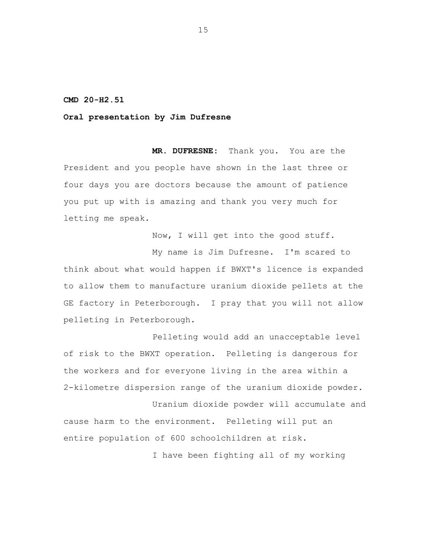### **CMD 20-H2.51**

### **Oral presentation by Jim Dufresne**

**MR. DUFRESNE:** Thank you. You are the President and you people have shown in the last three or four days you are doctors because the amount of patience you put up with is amazing and thank you very much for letting me speak.

Now, I will get into the good stuff.

My name is Jim Dufresne. I'm scared to think about what would happen if BWXT's licence is expanded to allow them to manufacture uranium dioxide pellets at the GE factory in Peterborough. I pray that you will not allow pelleting in Peterborough.

Pelleting would add an unacceptable level of risk to the BWXT operation. Pelleting is dangerous for the workers and for everyone living in the area within a 2-kilometre dispersion range of the uranium dioxide powder.

Uranium dioxide powder will accumulate and cause harm to the environment. Pelleting will put an entire population of 600 schoolchildren at risk.

I have been fighting all of my working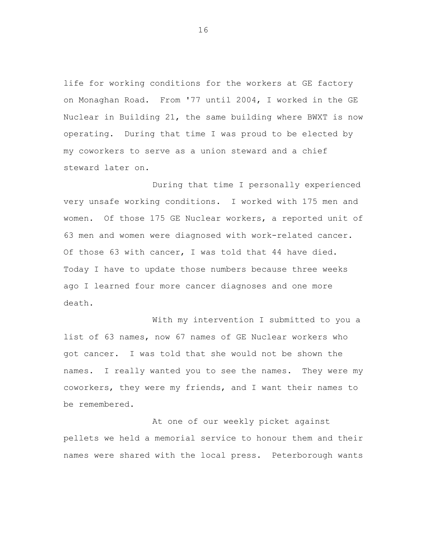life for working conditions for the workers at GE factory on Monaghan Road. From '77 until 2004, I worked in the GE Nuclear in Building 21, the same building where BWXT is now operating. During that time I was proud to be elected by my coworkers to serve as a union steward and a chief steward later on.

During that time I personally experienced very unsafe working conditions. I worked with 175 men and women. Of those 175 GE Nuclear workers, a reported unit of 63 men and women were diagnosed with work-related cancer. Of those 63 with cancer, I was told that 44 have died. Today I have to update those numbers because three weeks ago I learned four more cancer diagnoses and one more death.

With my intervention I submitted to you a list of 63 names, now 67 names of GE Nuclear workers who got cancer. I was told that she would not be shown the names. I really wanted you to see the names. They were my coworkers, they were my friends, and I want their names to be remembered.

At one of our weekly picket against pellets we held a memorial service to honour them and their names were shared with the local press. Peterborough wants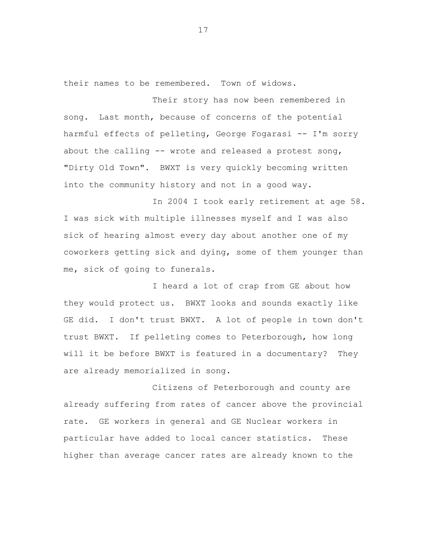their names to be remembered. Town of widows.

Their story has now been remembered in song. Last month, because of concerns of the potential harmful effects of pelleting, George Fogarasi -- I'm sorry about the calling -- wrote and released a protest song, "Dirty Old Town". BWXT is very quickly becoming written into the community history and not in a good way.

In 2004 I took early retirement at age 58. I was sick with multiple illnesses myself and I was also sick of hearing almost every day about another one of my coworkers getting sick and dying, some of them younger than me, sick of going to funerals.

I heard a lot of crap from GE about how they would protect us. BWXT looks and sounds exactly like GE did. I don't trust BWXT. A lot of people in town don't trust BWXT. If pelleting comes to Peterborough, how long will it be before BWXT is featured in a documentary? They are already memorialized in song.

Citizens of Peterborough and county are already suffering from rates of cancer above the provincial rate. GE workers in general and GE Nuclear workers in particular have added to local cancer statistics. These higher than average cancer rates are already known to the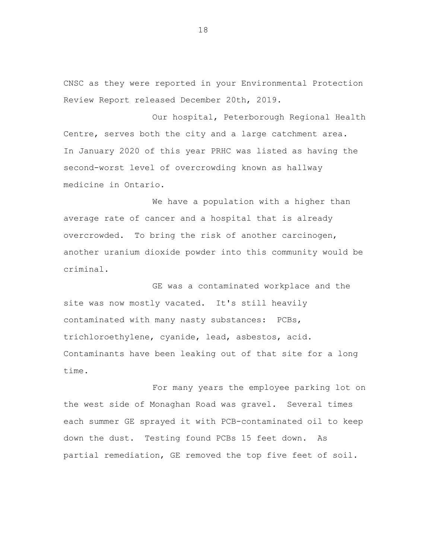CNSC as they were reported in your Environmental Protection Review Report released December 20th, 2019.

Our hospital, Peterborough Regional Health Centre, serves both the city and a large catchment area. In January 2020 of this year PRHC was listed as having the second-worst level of overcrowding known as hallway medicine in Ontario.

We have a population with a higher than average rate of cancer and a hospital that is already overcrowded. To bring the risk of another carcinogen, another uranium dioxide powder into this community would be criminal.

GE was a contaminated workplace and the site was now mostly vacated. It's still heavily contaminated with many nasty substances: PCBs, trichloroethylene, cyanide, lead, asbestos, acid. Contaminants have been leaking out of that site for a long time.

For many years the employee parking lot on the west side of Monaghan Road was gravel. Several times each summer GE sprayed it with PCB-contaminated oil to keep down the dust. Testing found PCBs 15 feet down. As partial remediation, GE removed the top five feet of soil.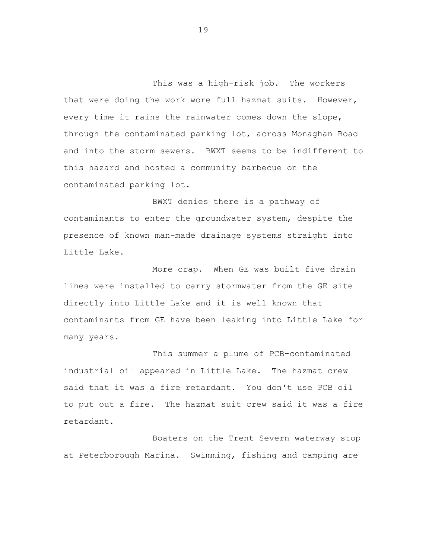This was a high-risk job. The workers that were doing the work wore full hazmat suits. However, every time it rains the rainwater comes down the slope, through the contaminated parking lot, across Monaghan Road and into the storm sewers. BWXT seems to be indifferent to this hazard and hosted a community barbecue on the contaminated parking lot.

BWXT denies there is a pathway of contaminants to enter the groundwater system, despite the presence of known man-made drainage systems straight into Little Lake.

More crap. When GE was built five drain lines were installed to carry stormwater from the GE site directly into Little Lake and it is well known that contaminants from GE have been leaking into Little Lake for many years.

This summer a plume of PCB-contaminated industrial oil appeared in Little Lake. The hazmat crew said that it was a fire retardant. You don't use PCB oil to put out a fire. The hazmat suit crew said it was a fire retardant.

Boaters on the Trent Severn waterway stop at Peterborough Marina. Swimming, fishing and camping are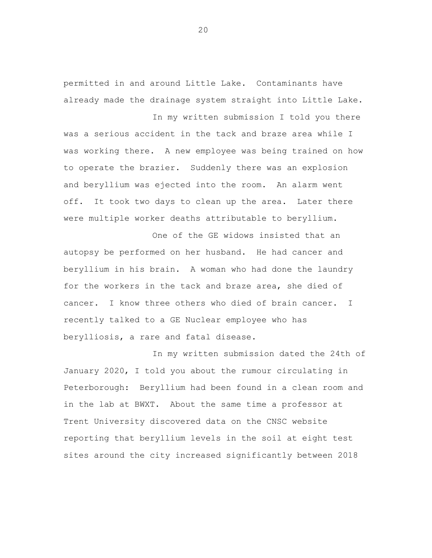permitted in and around Little Lake. Contaminants have already made the drainage system straight into Little Lake.

In my written submission I told you there was a serious accident in the tack and braze area while I was working there. A new employee was being trained on how to operate the brazier. Suddenly there was an explosion and beryllium was ejected into the room. An alarm went off. It took two days to clean up the area. Later there were multiple worker deaths attributable to beryllium.

One of the GE widows insisted that an autopsy be performed on her husband. He had cancer and beryllium in his brain. A woman who had done the laundry for the workers in the tack and braze area, she died of cancer. I know three others who died of brain cancer. I recently talked to a GE Nuclear employee who has berylliosis, a rare and fatal disease.

In my written submission dated the 24th of January 2020, I told you about the rumour circulating in Peterborough: Beryllium had been found in a clean room and in the lab at BWXT. About the same time a professor at Trent University discovered data on the CNSC website reporting that beryllium levels in the soil at eight test sites around the city increased significantly between 2018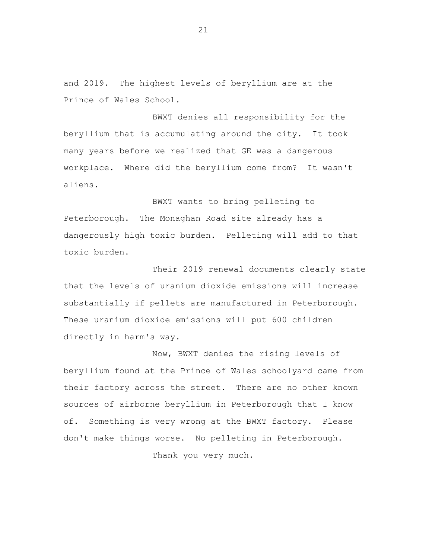and 2019. The highest levels of beryllium are at the Prince of Wales School.

BWXT denies all responsibility for the beryllium that is accumulating around the city. It took many years before we realized that GE was a dangerous workplace. Where did the beryllium come from? It wasn't aliens.

BWXT wants to bring pelleting to Peterborough. The Monaghan Road site already has a dangerously high toxic burden. Pelleting will add to that toxic burden.

Their 2019 renewal documents clearly state that the levels of uranium dioxide emissions will increase substantially if pellets are manufactured in Peterborough. These uranium dioxide emissions will put 600 children directly in harm's way.

Now, BWXT denies the rising levels of beryllium found at the Prince of Wales schoolyard came from their factory across the street. There are no other known sources of airborne beryllium in Peterborough that I know of. Something is very wrong at the BWXT factory. Please don't make things worse. No pelleting in Peterborough.

Thank you very much.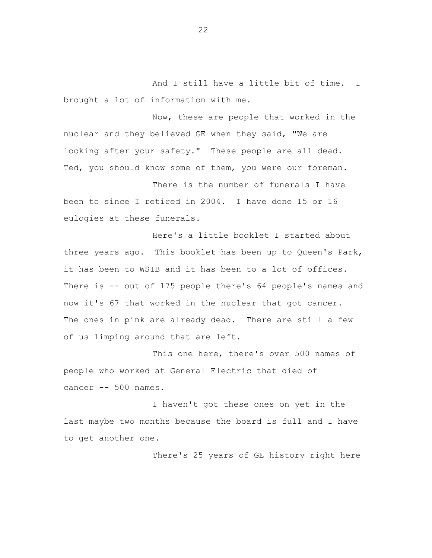And I still have a little bit of time. I brought a lot of information with me.

Now, these are people that worked in the nuclear and they believed GE when they said, "We are looking after your safety." These people are all dead. Ted, you should know some of them, you were our foreman.

There is the number of funerals I have been to since I retired in 2004. I have done 15 or 16 eulogies at these funerals.

Here's a little booklet I started about three years ago. This booklet has been up to Queen's Park, it has been to WSIB and it has been to a lot of offices. There is -- out of 175 people there's 64 people's names and now it's 67 that worked in the nuclear that got cancer. The ones in pink are already dead. There are still a few of us limping around that are left.

This one here, there's over 500 names of people who worked at General Electric that died of cancer -- 500 names.

I haven't got these ones on yet in the last maybe two months because the board is full and I have to get another one.

There's 25 years of GE history right here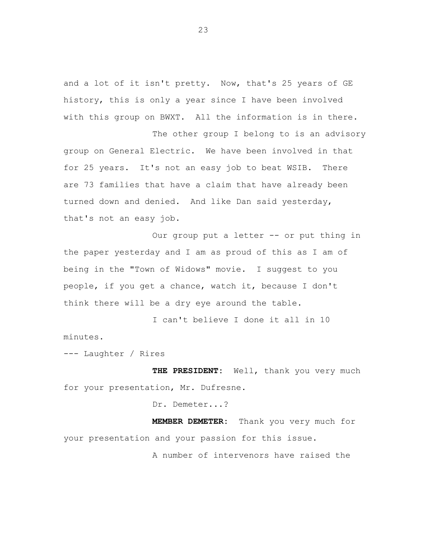and a lot of it isn't pretty. Now, that's 25 years of GE history, this is only a year since I have been involved with this group on BWXT. All the information is in there.

The other group I belong to is an advisory group on General Electric. We have been involved in that for 25 years. It's not an easy job to beat WSIB. There are 73 families that have a claim that have already been turned down and denied. And like Dan said yesterday, that's not an easy job.

Our group put a letter -- or put thing in the paper yesterday and I am as proud of this as I am of being in the "Town of Widows" movie. I suggest to you people, if you get a chance, watch it, because I don't think there will be a dry eye around the table.

I can't believe I done it all in 10 minutes.

--- Laughter / Rires

**THE PRESIDENT:** Well, thank you very much for your presentation, Mr. Dufresne.

Dr. Demeter...?

**MEMBER DEMETER:** Thank you very much for your presentation and your passion for this issue.

A number of intervenors have raised the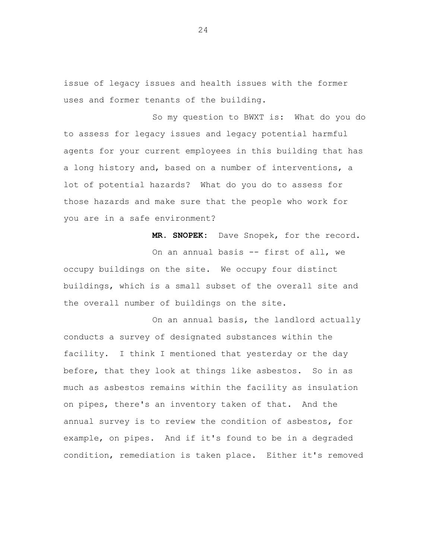issue of legacy issues and health issues with the former uses and former tenants of the building.

So my question to BWXT is: What do you do to assess for legacy issues and legacy potential harmful agents for your current employees in this building that has a long history and, based on a number of interventions, a lot of potential hazards? What do you do to assess for those hazards and make sure that the people who work for you are in a safe environment?

**MR. SNOPEK:** Dave Snopek, for the record. On an annual basis -- first of all, we occupy buildings on the site. We occupy four distinct buildings, which is a small subset of the overall site and the overall number of buildings on the site.

On an annual basis, the landlord actually conducts a survey of designated substances within the facility. I think I mentioned that yesterday or the day before, that they look at things like asbestos. So in as much as asbestos remains within the facility as insulation on pipes, there's an inventory taken of that. And the annual survey is to review the condition of asbestos, for example, on pipes. And if it's found to be in a degraded condition, remediation is taken place. Either it's removed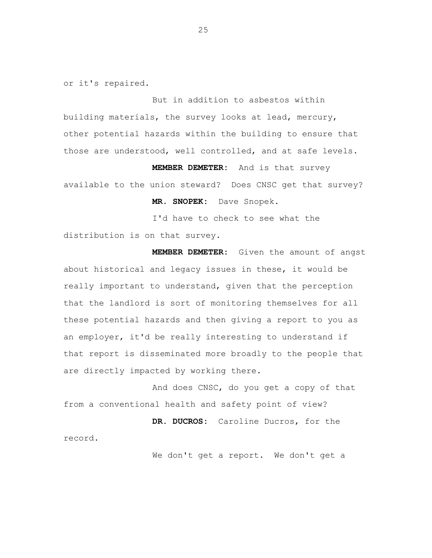or it's repaired.

But in addition to asbestos within building materials, the survey looks at lead, mercury, other potential hazards within the building to ensure that those are understood, well controlled, and at safe levels.

**MEMBER DEMETER:** And is that survey available to the union steward? Does CNSC get that survey?

**MR. SNOPEK:** Dave Snopek.

I'd have to check to see what the distribution is on that survey.

**MEMBER DEMETER:** Given the amount of angst about historical and legacy issues in these, it would be really important to understand, given that the perception that the landlord is sort of monitoring themselves for all these potential hazards and then giving a report to you as an employer, it'd be really interesting to understand if that report is disseminated more broadly to the people that are directly impacted by working there.

And does CNSC, do you get a copy of that from a conventional health and safety point of view?

**DR. DUCROS:** Caroline Ducros, for the record.

We don't get a report. We don't get a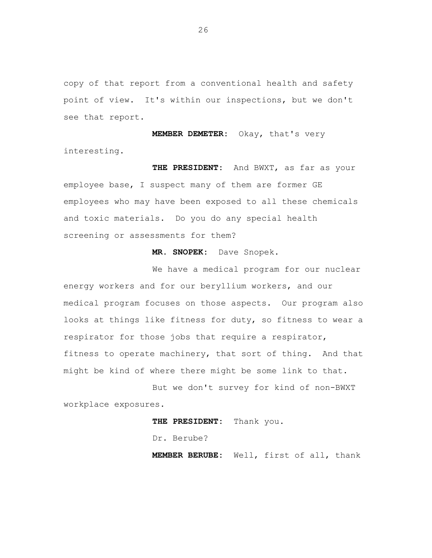copy of that report from a conventional health and safety point of view. It's within our inspections, but we don't see that report.

**MEMBER DEMETER:** Okay, that's very interesting.

**THE PRESIDENT:** And BWXT, as far as your employee base, I suspect many of them are former GE employees who may have been exposed to all these chemicals and toxic materials. Do you do any special health screening or assessments for them?

## **MR. SNOPEK:** Dave Snopek.

We have a medical program for our nuclear energy workers and for our beryllium workers, and our medical program focuses on those aspects. Our program also looks at things like fitness for duty, so fitness to wear a respirator for those jobs that require a respirator, fitness to operate machinery, that sort of thing. And that might be kind of where there might be some link to that.

But we don't survey for kind of non-BWXT workplace exposures.

**THE PRESIDENT:** Thank you.

Dr. Berube?

**MEMBER BERUBE:** Well, first of all, thank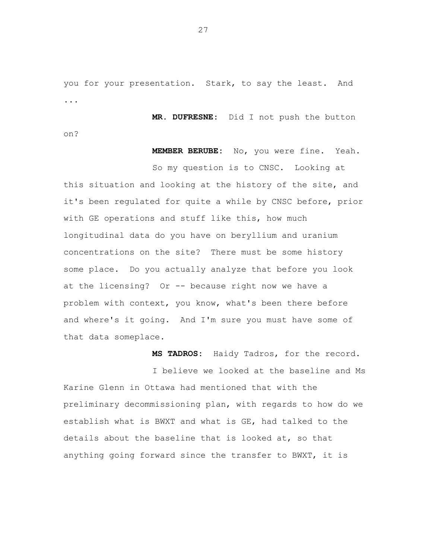you for your presentation. Stark, to say the least. And ...

**MR. DUFRESNE:** Did I not push the button

on?

## **MEMBER BERUBE:** No, you were fine. Yeah.

So my question is to CNSC. Looking at this situation and looking at the history of the site, and it's been regulated for quite a while by CNSC before, prior with GE operations and stuff like this, how much longitudinal data do you have on beryllium and uranium concentrations on the site? There must be some history some place. Do you actually analyze that before you look at the licensing? Or -- because right now we have a problem with context, you know, what's been there before and where's it going. And I'm sure you must have some of that data someplace.

**MS TADROS:** Haidy Tadros, for the record.

I believe we looked at the baseline and Ms Karine Glenn in Ottawa had mentioned that with the preliminary decommissioning plan, with regards to how do we establish what is BWXT and what is GE, had talked to the details about the baseline that is looked at, so that anything going forward since the transfer to BWXT, it is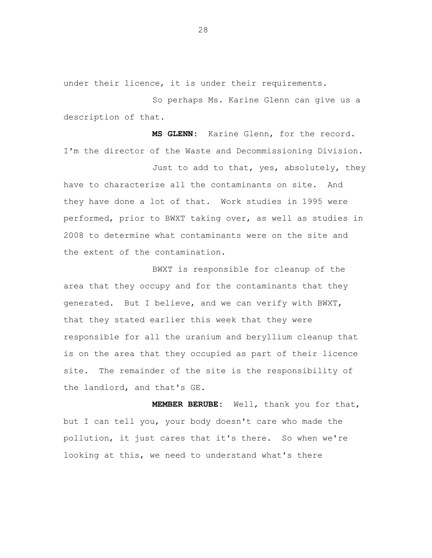under their licence, it is under their requirements.

So perhaps Ms. Karine Glenn can give us a description of that.

**MS GLENN:** Karine Glenn, for the record. I'm the director of the Waste and Decommissioning Division.

Just to add to that, yes, absolutely, they have to characterize all the contaminants on site. And they have done a lot of that. Work studies in 1995 were performed, prior to BWXT taking over, as well as studies in 2008 to determine what contaminants were on the site and the extent of the contamination.

BWXT is responsible for cleanup of the area that they occupy and for the contaminants that they generated. But I believe, and we can verify with BWXT, that they stated earlier this week that they were responsible for all the uranium and beryllium cleanup that is on the area that they occupied as part of their licence site. The remainder of the site is the responsibility of the landlord, and that's GE.

**MEMBER BERUBE:** Well, thank you for that, but I can tell you, your body doesn't care who made the pollution, it just cares that it's there. So when we're looking at this, we need to understand what's there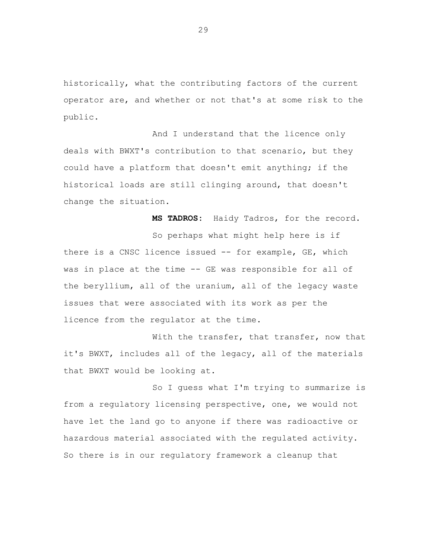historically, what the contributing factors of the current operator are, and whether or not that's at some risk to the public.

And I understand that the licence only deals with BWXT's contribution to that scenario, but they could have a platform that doesn't emit anything; if the historical loads are still clinging around, that doesn't change the situation.

**MS TADROS:** Haidy Tadros, for the record.

So perhaps what might help here is if there is a CNSC licence issued -- for example, GE, which was in place at the time -- GE was responsible for all of the beryllium, all of the uranium, all of the legacy waste issues that were associated with its work as per the licence from the regulator at the time.

With the transfer, that transfer, now that it's BWXT, includes all of the legacy, all of the materials that BWXT would be looking at.

So I guess what I'm trying to summarize is from a regulatory licensing perspective, one, we would not have let the land go to anyone if there was radioactive or hazardous material associated with the regulated activity. So there is in our regulatory framework a cleanup that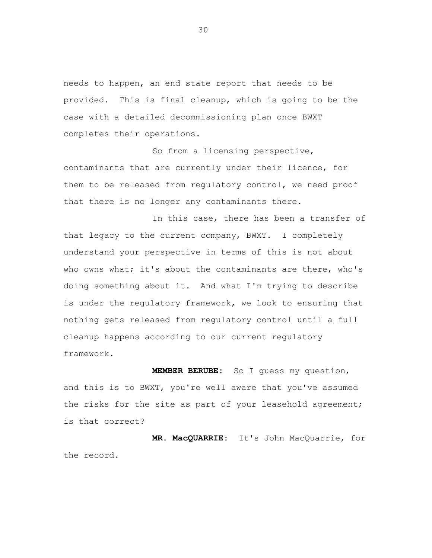needs to happen, an end state report that needs to be provided. This is final cleanup, which is going to be the case with a detailed decommissioning plan once BWXT completes their operations.

So from a licensing perspective, contaminants that are currently under their licence, for them to be released from regulatory control, we need proof that there is no longer any contaminants there.

In this case, there has been a transfer of that legacy to the current company, BWXT. I completely understand your perspective in terms of this is not about who owns what; it's about the contaminants are there, who's doing something about it. And what I'm trying to describe is under the regulatory framework, we look to ensuring that nothing gets released from regulatory control until a full cleanup happens according to our current regulatory framework.

**MEMBER BERUBE:** So I guess my question, and this is to BWXT, you're well aware that you've assumed the risks for the site as part of your leasehold agreement; is that correct?

**MR. MacQUARRIE:** It's John MacQuarrie, for the record.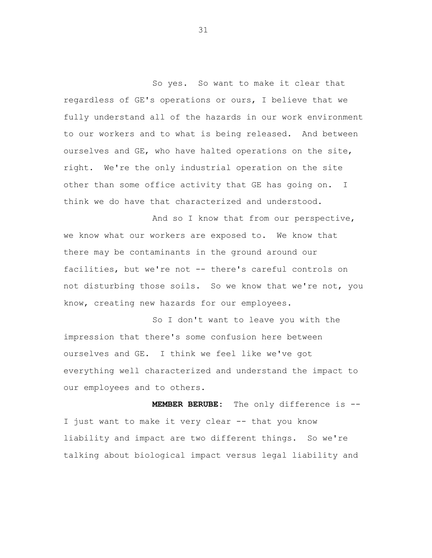So yes. So want to make it clear that regardless of GE's operations or ours, I believe that we fully understand all of the hazards in our work environment to our workers and to what is being released. And between ourselves and GE, who have halted operations on the site, right. We're the only industrial operation on the site other than some office activity that GE has going on. I think we do have that characterized and understood.

And so I know that from our perspective, we know what our workers are exposed to. We know that there may be contaminants in the ground around our facilities, but we're not -- there's careful controls on not disturbing those soils. So we know that we're not, you know, creating new hazards for our employees.

So I don't want to leave you with the impression that there's some confusion here between ourselves and GE. I think we feel like we've got everything well characterized and understand the impact to our employees and to others.

**MEMBER BERUBE:** The only difference is -- I just want to make it very clear -- that you know liability and impact are two different things. So we're talking about biological impact versus legal liability and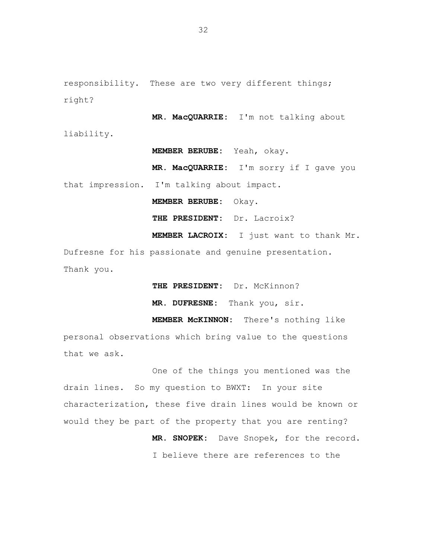responsibility. These are two very different things; right?

**MR. MacQUARRIE:** I'm not talking about liability.

**MEMBER BERUBE:** Yeah, okay.

**MR. MacQUARRIE:** I'm sorry if I gave you that impression. I'm talking about impact.

**MEMBER BERUBE:** Okay.

**THE PRESIDENT:** Dr. Lacroix?

**MEMBER LACROIX:** I just want to thank Mr. Dufresne for his passionate and genuine presentation. Thank you.

THE PRESIDENT: Dr. McKinnon?

**MR. DUFRESNE:** Thank you, sir.

**MEMBER McKINNON:** There's nothing like personal observations which bring value to the questions that we ask.

One of the things you mentioned was the drain lines. So my question to BWXT: In your site characterization, these five drain lines would be known or would they be part of the property that you are renting?

**MR. SNOPEK:** Dave Snopek, for the record. I believe there are references to the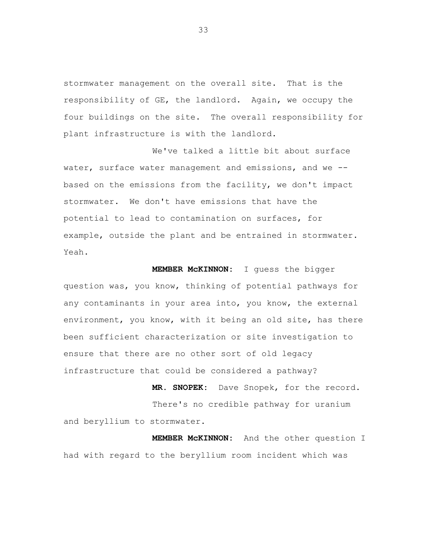stormwater management on the overall site. That is the responsibility of GE, the landlord. Again, we occupy the four buildings on the site. The overall responsibility for plant infrastructure is with the landlord.

We've talked a little bit about surface water, surface water management and emissions, and we - based on the emissions from the facility, we don't impact stormwater. We don't have emissions that have the potential to lead to contamination on surfaces, for example, outside the plant and be entrained in stormwater. Yeah.

**MEMBER McKINNON:** I guess the bigger question was, you know, thinking of potential pathways for any contaminants in your area into, you know, the external environment, you know, with it being an old site, has there been sufficient characterization or site investigation to ensure that there are no other sort of old legacy infrastructure that could be considered a pathway?

**MR. SNOPEK:** Dave Snopek, for the record. There's no credible pathway for uranium and beryllium to stormwater.

**MEMBER McKINNON:** And the other question I had with regard to the beryllium room incident which was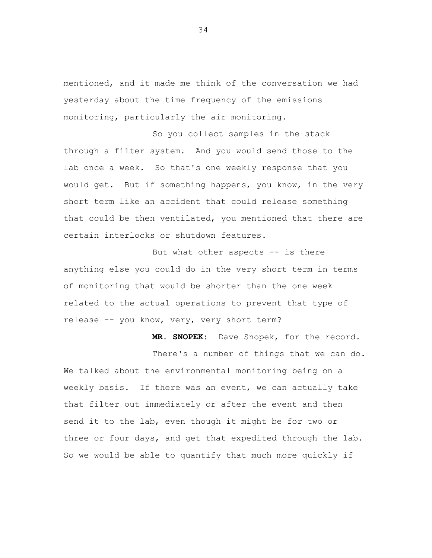mentioned, and it made me think of the conversation we had yesterday about the time frequency of the emissions monitoring, particularly the air monitoring.

So you collect samples in the stack through a filter system. And you would send those to the lab once a week. So that's one weekly response that you would get. But if something happens, you know, in the very short term like an accident that could release something that could be then ventilated, you mentioned that there are certain interlocks or shutdown features.

But what other aspects -- is there anything else you could do in the very short term in terms of monitoring that would be shorter than the one week related to the actual operations to prevent that type of release -- you know, very, very short term?

**MR. SNOPEK:** Dave Snopek, for the record.

There's a number of things that we can do. We talked about the environmental monitoring being on a weekly basis. If there was an event, we can actually take that filter out immediately or after the event and then send it to the lab, even though it might be for two or three or four days, and get that expedited through the lab. So we would be able to quantify that much more quickly if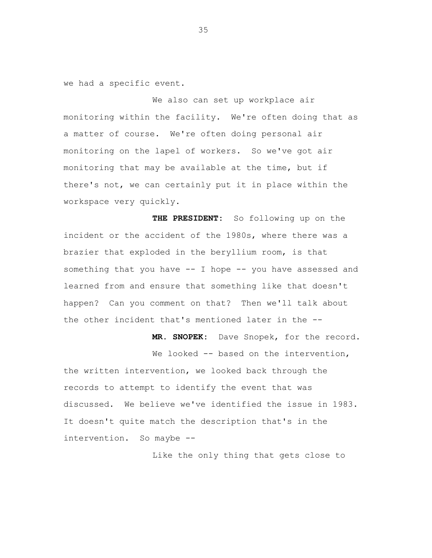we had a specific event.

We also can set up workplace air monitoring within the facility. We're often doing that as a matter of course. We're often doing personal air monitoring on the lapel of workers. So we've got air monitoring that may be available at the time, but if there's not, we can certainly put it in place within the workspace very quickly.

**THE PRESIDENT:** So following up on the incident or the accident of the 1980s, where there was a brazier that exploded in the beryllium room, is that something that you have -- I hope -- you have assessed and learned from and ensure that something like that doesn't happen? Can you comment on that? Then we'll talk about the other incident that's mentioned later in the --

**MR. SNOPEK:** Dave Snopek, for the record.

We looked -- based on the intervention, the written intervention, we looked back through the records to attempt to identify the event that was discussed. We believe we've identified the issue in 1983. It doesn't quite match the description that's in the intervention. So maybe --

Like the only thing that gets close to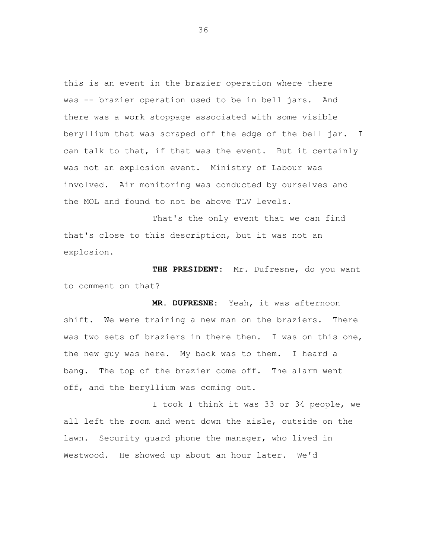this is an event in the brazier operation where there was -- brazier operation used to be in bell jars. And there was a work stoppage associated with some visible beryllium that was scraped off the edge of the bell jar. I can talk to that, if that was the event. But it certainly was not an explosion event. Ministry of Labour was involved. Air monitoring was conducted by ourselves and the MOL and found to not be above TLV levels.

That's the only event that we can find that's close to this description, but it was not an explosion.

**THE PRESIDENT:** Mr. Dufresne, do you want to comment on that?

**MR. DUFRESNE:** Yeah, it was afternoon shift. We were training a new man on the braziers. There was two sets of braziers in there then. I was on this one, the new guy was here. My back was to them. I heard a bang. The top of the brazier come off. The alarm went off, and the beryllium was coming out.

I took I think it was 33 or 34 people, we all left the room and went down the aisle, outside on the lawn. Security guard phone the manager, who lived in Westwood. He showed up about an hour later. We'd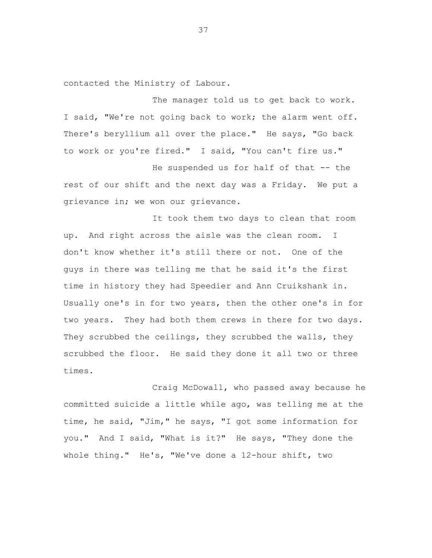contacted the Ministry of Labour.

The manager told us to get back to work. I said, "We're not going back to work; the alarm went off. There's beryllium all over the place." He says, "Go back to work or you're fired." I said, "You can't fire us."

He suspended us for half of that -- the rest of our shift and the next day was a Friday. We put a grievance in; we won our grievance.

It took them two days to clean that room up. And right across the aisle was the clean room. I don't know whether it's still there or not. One of the guys in there was telling me that he said it's the first time in history they had Speedier and Ann Cruikshank in. Usually one's in for two years, then the other one's in for two years. They had both them crews in there for two days. They scrubbed the ceilings, they scrubbed the walls, they scrubbed the floor. He said they done it all two or three times.

Craig McDowall, who passed away because he committed suicide a little while ago, was telling me at the time, he said, "Jim," he says, "I got some information for you." And I said, "What is it?" He says, "They done the whole thing." He's, "We've done a 12-hour shift, two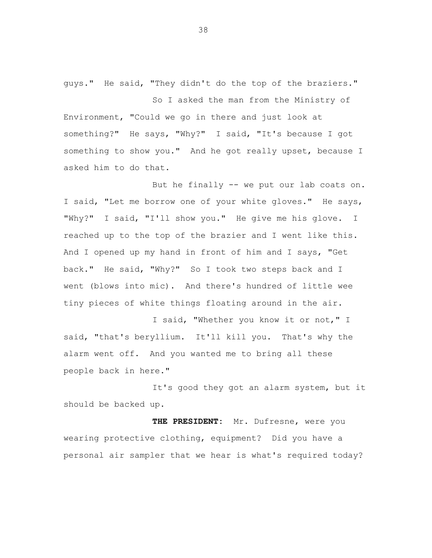guys." He said, "They didn't do the top of the braziers."

So I asked the man from the Ministry of Environment, "Could we go in there and just look at something?" He says, "Why?" I said, "It's because I got something to show you." And he got really upset, because I asked him to do that.

But he finally -- we put our lab coats on. I said, "Let me borrow one of your white gloves." He says, "Why?" I said, "I'll show you." He give me his glove. I reached up to the top of the brazier and I went like this. And I opened up my hand in front of him and I says, "Get back." He said, "Why?" So I took two steps back and I went (blows into mic). And there's hundred of little wee tiny pieces of white things floating around in the air.

I said, "Whether you know it or not," I said, "that's beryllium. It'll kill you. That's why the alarm went off. And you wanted me to bring all these people back in here."

It's good they got an alarm system, but it should be backed up.

**THE PRESIDENT:** Mr. Dufresne, were you wearing protective clothing, equipment? Did you have a personal air sampler that we hear is what's required today?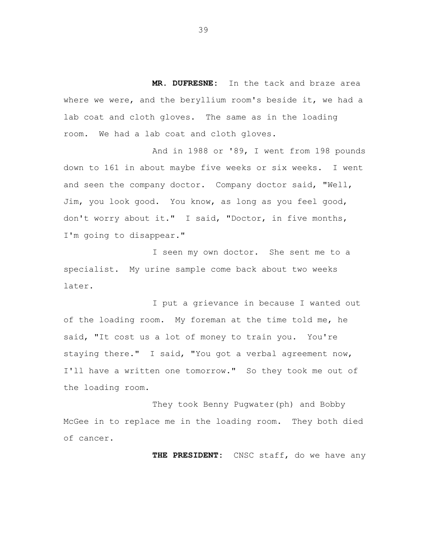**MR. DUFRESNE:** In the tack and braze area where we were, and the beryllium room's beside it, we had a lab coat and cloth gloves. The same as in the loading room. We had a lab coat and cloth gloves.

And in 1988 or '89, I went from 198 pounds down to 161 in about maybe five weeks or six weeks. I went and seen the company doctor. Company doctor said, "Well, Jim, you look good. You know, as long as you feel good, don't worry about it." I said, "Doctor, in five months, I'm going to disappear."

I seen my own doctor. She sent me to a specialist. My urine sample come back about two weeks later.

I put a grievance in because I wanted out of the loading room. My foreman at the time told me, he said, "It cost us a lot of money to train you. You're staying there." I said, "You got a verbal agreement now, I'll have a written one tomorrow." So they took me out of the loading room.

They took Benny Pugwater(ph) and Bobby McGee in to replace me in the loading room. They both died of cancer.

**THE PRESIDENT:** CNSC staff, do we have any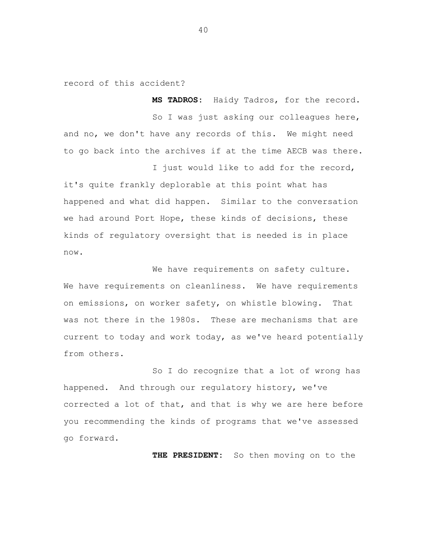record of this accident?

**MS TADROS:** Haidy Tadros, for the record. So I was just asking our colleagues here, and no, we don't have any records of this. We might need to go back into the archives if at the time AECB was there. I just would like to add for the record,

it's quite frankly deplorable at this point what has happened and what did happen. Similar to the conversation we had around Port Hope, these kinds of decisions, these kinds of regulatory oversight that is needed is in place now.

We have requirements on safety culture. We have requirements on cleanliness. We have requirements on emissions, on worker safety, on whistle blowing. That was not there in the 1980s. These are mechanisms that are current to today and work today, as we've heard potentially from others.

So I do recognize that a lot of wrong has happened. And through our regulatory history, we've corrected a lot of that, and that is why we are here before you recommending the kinds of programs that we've assessed go forward.

**THE PRESIDENT:** So then moving on to the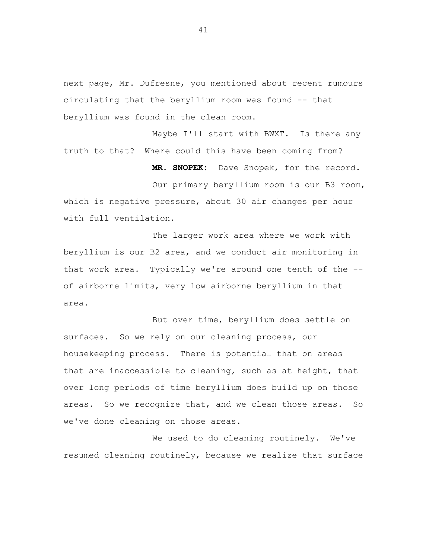next page, Mr. Dufresne, you mentioned about recent rumours circulating that the beryllium room was found -- that beryllium was found in the clean room.

Maybe I'll start with BWXT. Is there any truth to that? Where could this have been coming from?

**MR. SNOPEK:** Dave Snopek, for the record.

Our primary beryllium room is our B3 room, which is negative pressure, about 30 air changes per hour with full ventilation.

The larger work area where we work with beryllium is our B2 area, and we conduct air monitoring in that work area. Typically we're around one tenth of the - of airborne limits, very low airborne beryllium in that area.

But over time, beryllium does settle on surfaces. So we rely on our cleaning process, our housekeeping process. There is potential that on areas that are inaccessible to cleaning, such as at height, that over long periods of time beryllium does build up on those areas. So we recognize that, and we clean those areas. So we've done cleaning on those areas.

We used to do cleaning routinely. We've resumed cleaning routinely, because we realize that surface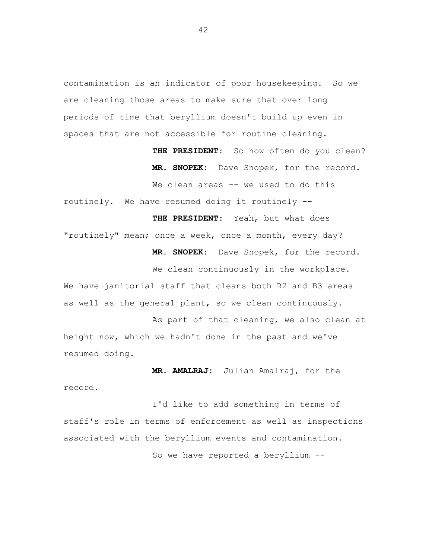contamination is an indicator of poor housekeeping. So we are cleaning those areas to make sure that over long periods of time that beryllium doesn't build up even in spaces that are not accessible for routine cleaning.

> **THE PRESIDENT:** So how often do you clean? **MR. SNOPEK:** Dave Snopek, for the record.

We clean areas -- we used to do this

routinely. We have resumed doing it routinely --

**THE PRESIDENT:** Yeah, but what does "routinely" mean; once a week, once a month, every day? **MR. SNOPEK:** Dave Snopek, for the record.

We clean continuously in the workplace. We have janitorial staff that cleans both R2 and B3 areas as well as the general plant, so we clean continuously.

As part of that cleaning, we also clean at height now, which we hadn't done in the past and we've resumed doing.

**MR. AMALRAJ:** Julian Amalraj, for the record.

I'd like to add something in terms of staff's role in terms of enforcement as well as inspections associated with the beryllium events and contamination. So we have reported a beryllium --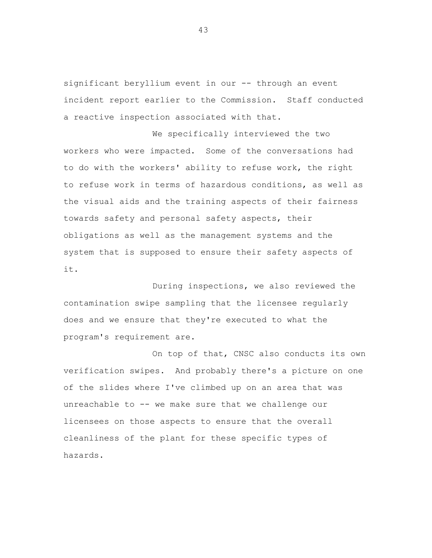significant beryllium event in our -- through an event incident report earlier to the Commission. Staff conducted a reactive inspection associated with that.

We specifically interviewed the two workers who were impacted. Some of the conversations had to do with the workers' ability to refuse work, the right to refuse work in terms of hazardous conditions, as well as the visual aids and the training aspects of their fairness towards safety and personal safety aspects, their obligations as well as the management systems and the system that is supposed to ensure their safety aspects of it.

During inspections, we also reviewed the contamination swipe sampling that the licensee regularly does and we ensure that they're executed to what the program's requirement are.

On top of that, CNSC also conducts its own verification swipes. And probably there's a picture on one of the slides where I've climbed up on an area that was unreachable to -- we make sure that we challenge our licensees on those aspects to ensure that the overall cleanliness of the plant for these specific types of hazards.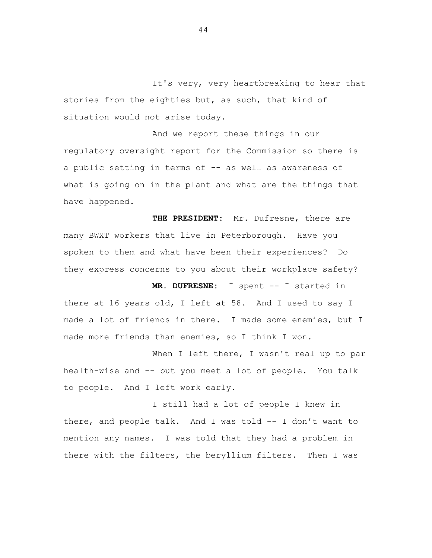It's very, very heartbreaking to hear that stories from the eighties but, as such, that kind of situation would not arise today.

And we report these things in our regulatory oversight report for the Commission so there is a public setting in terms of -- as well as awareness of what is going on in the plant and what are the things that have happened.

**THE PRESIDENT:** Mr. Dufresne, there are many BWXT workers that live in Peterborough. Have you spoken to them and what have been their experiences? Do they express concerns to you about their workplace safety?

**MR. DUFRESNE:** I spent -- I started in there at 16 years old, I left at 58. And I used to say I made a lot of friends in there. I made some enemies, but I made more friends than enemies, so I think I won.

When I left there, I wasn't real up to par health-wise and -- but you meet a lot of people. You talk to people. And I left work early.

I still had a lot of people I knew in there, and people talk. And I was told -- I don't want to mention any names. I was told that they had a problem in there with the filters, the beryllium filters. Then I was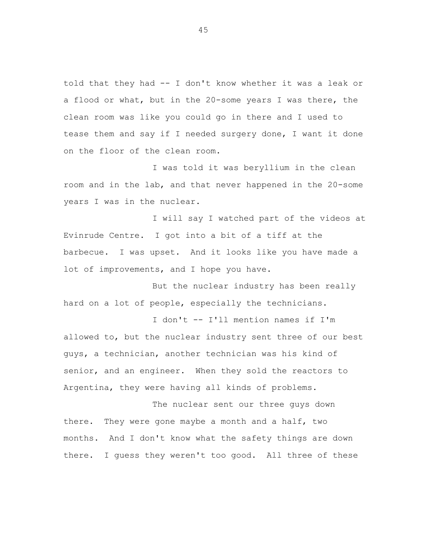told that they had -- I don't know whether it was a leak or a flood or what, but in the 20-some years I was there, the clean room was like you could go in there and I used to tease them and say if I needed surgery done, I want it done on the floor of the clean room.

I was told it was beryllium in the clean room and in the lab, and that never happened in the 20-some years I was in the nuclear.

I will say I watched part of the videos at Evinrude Centre. I got into a bit of a tiff at the barbecue. I was upset. And it looks like you have made a lot of improvements, and I hope you have.

But the nuclear industry has been really hard on a lot of people, especially the technicians.

I don't -- I'll mention names if I'm allowed to, but the nuclear industry sent three of our best guys, a technician, another technician was his kind of senior, and an engineer. When they sold the reactors to Argentina, they were having all kinds of problems.

The nuclear sent our three guys down there. They were gone maybe a month and a half, two months. And I don't know what the safety things are down there. I guess they weren't too good. All three of these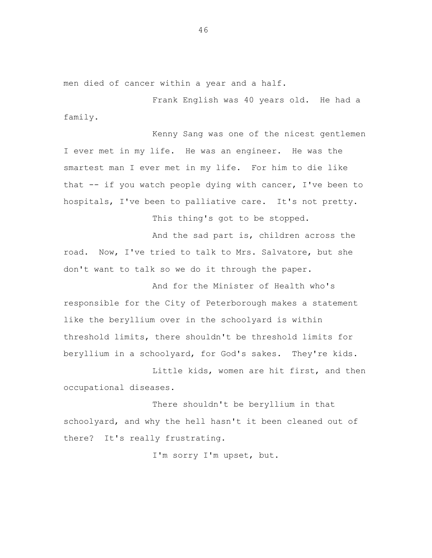men died of cancer within a year and a half.

Frank English was 40 years old. He had a family.

Kenny Sang was one of the nicest gentlemen I ever met in my life. He was an engineer. He was the smartest man I ever met in my life. For him to die like that  $-$  if you watch people dying with cancer, I've been to hospitals, I've been to palliative care. It's not pretty.

This thing's got to be stopped.

And the sad part is, children across the road. Now, I've tried to talk to Mrs. Salvatore, but she don't want to talk so we do it through the paper.

And for the Minister of Health who's responsible for the City of Peterborough makes a statement like the beryllium over in the schoolyard is within threshold limits, there shouldn't be threshold limits for beryllium in a schoolyard, for God's sakes. They're kids.

Little kids, women are hit first, and then occupational diseases.

There shouldn't be beryllium in that schoolyard, and why the hell hasn't it been cleaned out of there? It's really frustrating.

I'm sorry I'm upset, but.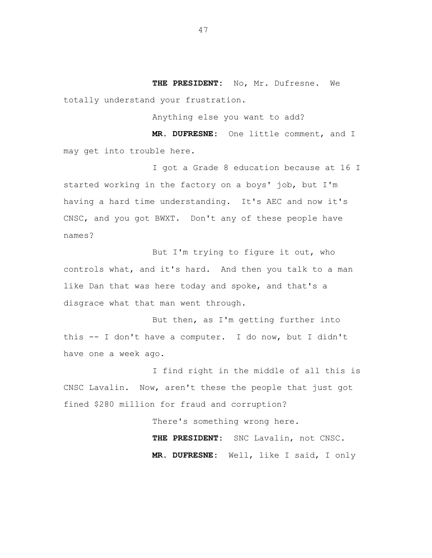**THE PRESIDENT:** No, Mr. Dufresne. We totally understand your frustration.

Anything else you want to add?

**MR. DUFRESNE:** One little comment, and I may get into trouble here.

I got a Grade 8 education because at 16 I started working in the factory on a boys' job, but I'm having a hard time understanding. It's AEC and now it's CNSC, and you got BWXT. Don't any of these people have names?

But I'm trying to figure it out, who controls what, and it's hard. And then you talk to a man like Dan that was here today and spoke, and that's a disgrace what that man went through.

But then, as I'm getting further into this -- I don't have a computer. I do now, but I didn't have one a week ago.

I find right in the middle of all this is CNSC Lavalin. Now, aren't these the people that just got fined \$280 million for fraud and corruption?

> There's something wrong here. **THE PRESIDENT:** SNC Lavalin, not CNSC. **MR. DUFRESNE:** Well, like I said, I only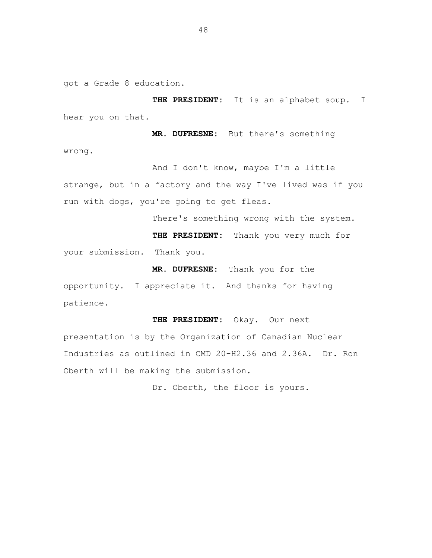got a Grade 8 education.

**THE PRESIDENT:** It is an alphabet soup. I hear you on that.

**MR. DUFRESNE:** But there's something wrong.

And I don't know, maybe I'm a little strange, but in a factory and the way I've lived was if you run with dogs, you're going to get fleas.

There's something wrong with the system.

**THE PRESIDENT:** Thank you very much for your submission. Thank you.

**MR. DUFRESNE:** Thank you for the

opportunity. I appreciate it. And thanks for having patience.

**THE PRESIDENT:** Okay. Our next presentation is by the Organization of Canadian Nuclear Industries as outlined in CMD 20-H2.36 and 2.36A. Dr. Ron Oberth will be making the submission.

Dr. Oberth, the floor is yours.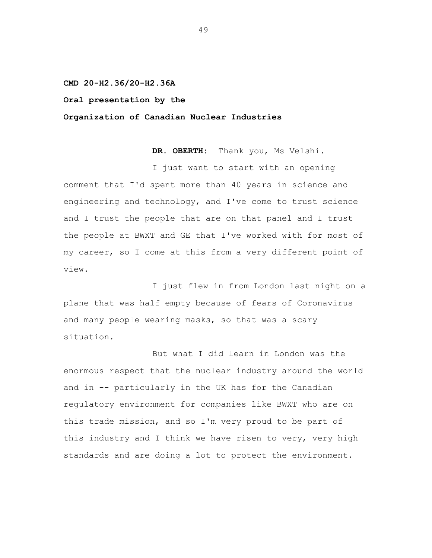**CMD 20-H2.36/20-H2.36A**

## **Oral presentation by the**

**Organization of Canadian Nuclear Industries**

**DR. OBERTH:** Thank you, Ms Velshi.

I just want to start with an opening comment that I'd spent more than 40 years in science and engineering and technology, and I've come to trust science and I trust the people that are on that panel and I trust the people at BWXT and GE that I've worked with for most of my career, so I come at this from a very different point of view.

I just flew in from London last night on a plane that was half empty because of fears of Coronavirus and many people wearing masks, so that was a scary situation.

But what I did learn in London was the enormous respect that the nuclear industry around the world and in -- particularly in the UK has for the Canadian regulatory environment for companies like BWXT who are on this trade mission, and so I'm very proud to be part of this industry and I think we have risen to very, very high standards and are doing a lot to protect the environment.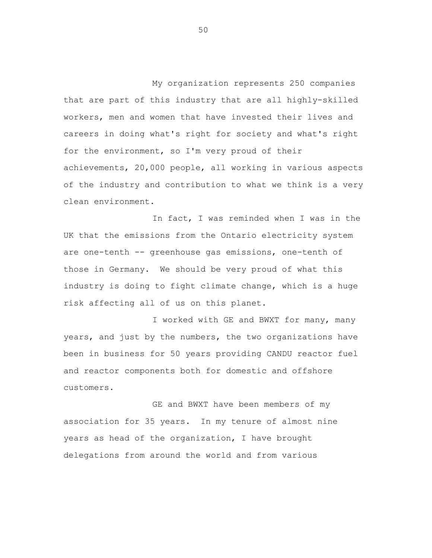My organization represents 250 companies that are part of this industry that are all highly-skilled workers, men and women that have invested their lives and careers in doing what's right for society and what's right for the environment, so I'm very proud of their achievements, 20,000 people, all working in various aspects of the industry and contribution to what we think is a very clean environment.

In fact, I was reminded when I was in the UK that the emissions from the Ontario electricity system are one-tenth -- greenhouse gas emissions, one-tenth of those in Germany. We should be very proud of what this industry is doing to fight climate change, which is a huge risk affecting all of us on this planet.

I worked with GE and BWXT for many, many years, and just by the numbers, the two organizations have been in business for 50 years providing CANDU reactor fuel and reactor components both for domestic and offshore customers.

GE and BWXT have been members of my association for 35 years. In my tenure of almost nine years as head of the organization, I have brought delegations from around the world and from various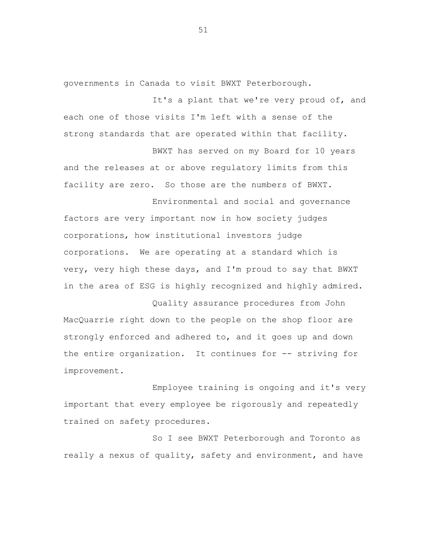governments in Canada to visit BWXT Peterborough.

It's a plant that we're very proud of, and each one of those visits I'm left with a sense of the strong standards that are operated within that facility.

BWXT has served on my Board for 10 years and the releases at or above regulatory limits from this facility are zero. So those are the numbers of BWXT.

Environmental and social and governance factors are very important now in how society judges corporations, how institutional investors judge corporations. We are operating at a standard which is very, very high these days, and I'm proud to say that BWXT in the area of ESG is highly recognized and highly admired.

Quality assurance procedures from John MacQuarrie right down to the people on the shop floor are strongly enforced and adhered to, and it goes up and down the entire organization. It continues for -- striving for improvement.

Employee training is ongoing and it's very important that every employee be rigorously and repeatedly trained on safety procedures.

So I see BWXT Peterborough and Toronto as really a nexus of quality, safety and environment, and have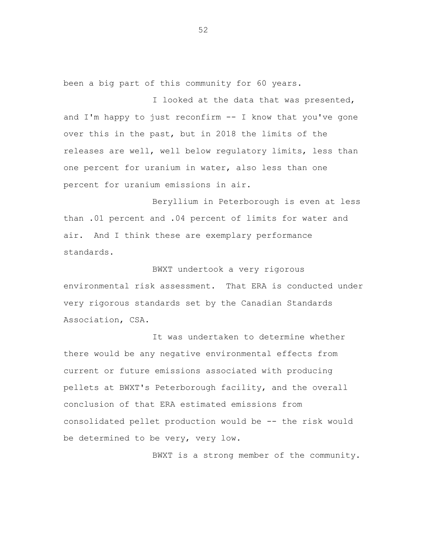been a big part of this community for 60 years.

I looked at the data that was presented, and I'm happy to just reconfirm -- I know that you've gone over this in the past, but in 2018 the limits of the releases are well, well below regulatory limits, less than one percent for uranium in water, also less than one percent for uranium emissions in air.

Beryllium in Peterborough is even at less than .01 percent and .04 percent of limits for water and air. And I think these are exemplary performance standards.

BWXT undertook a very rigorous environmental risk assessment. That ERA is conducted under very rigorous standards set by the Canadian Standards Association, CSA.

It was undertaken to determine whether there would be any negative environmental effects from current or future emissions associated with producing pellets at BWXT's Peterborough facility, and the overall conclusion of that ERA estimated emissions from consolidated pellet production would be -- the risk would be determined to be very, very low.

BWXT is a strong member of the community.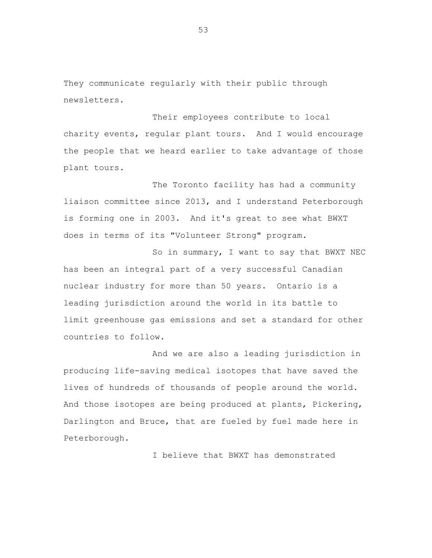They communicate regularly with their public through newsletters.

Their employees contribute to local charity events, regular plant tours. And I would encourage the people that we heard earlier to take advantage of those plant tours.

The Toronto facility has had a community liaison committee since 2013, and I understand Peterborough is forming one in 2003. And it's great to see what BWXT does in terms of its "Volunteer Strong" program.

So in summary, I want to say that BWXT NEC has been an integral part of a very successful Canadian nuclear industry for more than 50 years. Ontario is a leading jurisdiction around the world in its battle to limit greenhouse gas emissions and set a standard for other countries to follow.

And we are also a leading jurisdiction in producing life-saving medical isotopes that have saved the lives of hundreds of thousands of people around the world. And those isotopes are being produced at plants, Pickering, Darlington and Bruce, that are fueled by fuel made here in Peterborough.

I believe that BWXT has demonstrated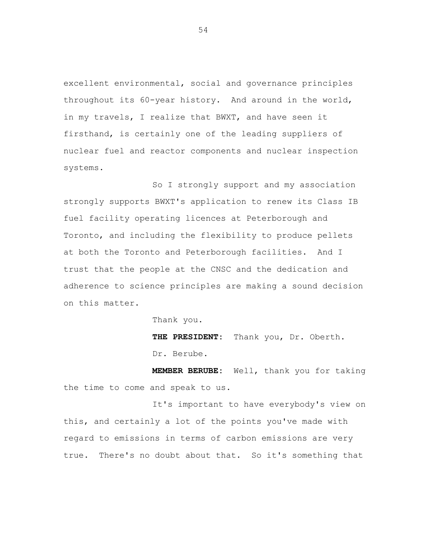excellent environmental, social and governance principles throughout its 60-year history. And around in the world, in my travels, I realize that BWXT, and have seen it firsthand, is certainly one of the leading suppliers of nuclear fuel and reactor components and nuclear inspection systems.

So I strongly support and my association strongly supports BWXT's application to renew its Class IB fuel facility operating licences at Peterborough and Toronto, and including the flexibility to produce pellets at both the Toronto and Peterborough facilities. And I trust that the people at the CNSC and the dedication and adherence to science principles are making a sound decision on this matter.

Thank you.

**THE PRESIDENT:** Thank you, Dr. Oberth. Dr. Berube.

**MEMBER BERUBE:** Well, thank you for taking the time to come and speak to us.

It's important to have everybody's view on this, and certainly a lot of the points you've made with regard to emissions in terms of carbon emissions are very true. There's no doubt about that. So it's something that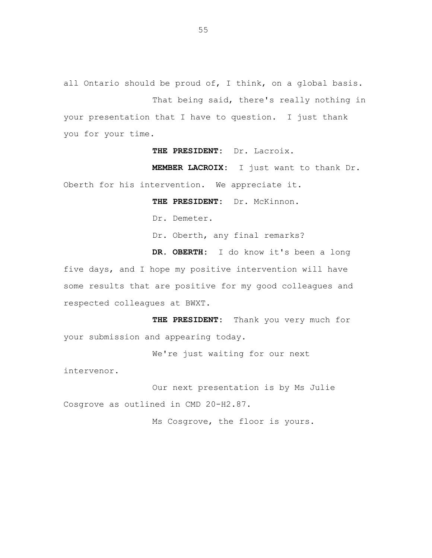all Ontario should be proud of, I think, on a global basis. That being said, there's really nothing in your presentation that I have to question. I just thank you for your time.

**THE PRESIDENT:** Dr. Lacroix.

**MEMBER LACROIX:** I just want to thank Dr. Oberth for his intervention. We appreciate it.

**THE PRESIDENT:** Dr. McKinnon.

Dr. Demeter.

Dr. Oberth, any final remarks?

**DR. OBERTH:** I do know it's been a long

five days, and I hope my positive intervention will have some results that are positive for my good colleagues and respected colleagues at BWXT.

**THE PRESIDENT:** Thank you very much for your submission and appearing today.

We're just waiting for our next

intervenor.

Our next presentation is by Ms Julie Cosgrove as outlined in CMD 20-H2.87.

Ms Cosgrove, the floor is yours.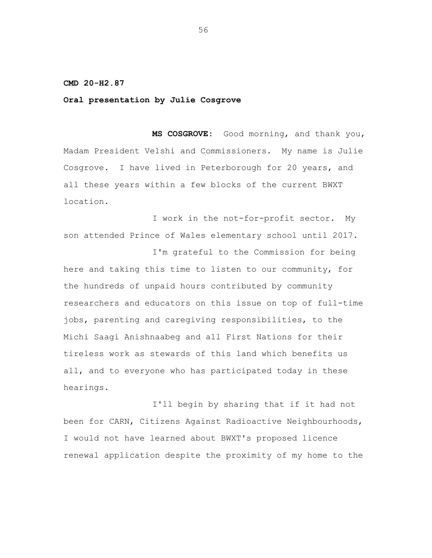**CMD 20-H2.87**

**Oral presentation by Julie Cosgrove**

**MS COSGROVE:** Good morning, and thank you, Madam President Velshi and Commissioners. My name is Julie Cosgrove. I have lived in Peterborough for 20 years, and all these years within a few blocks of the current BWXT location.

I work in the not-for-profit sector. My son attended Prince of Wales elementary school until 2017.

I'm grateful to the Commission for being here and taking this time to listen to our community, for the hundreds of unpaid hours contributed by community researchers and educators on this issue on top of full-time jobs, parenting and caregiving responsibilities, to the Michi Saagi Anishnaabeg and all First Nations for their tireless work as stewards of this land which benefits us all, and to everyone who has participated today in these hearings.

I'll begin by sharing that if it had not been for CARN, Citizens Against Radioactive Neighbourhoods, I would not have learned about BWXT's proposed licence renewal application despite the proximity of my home to the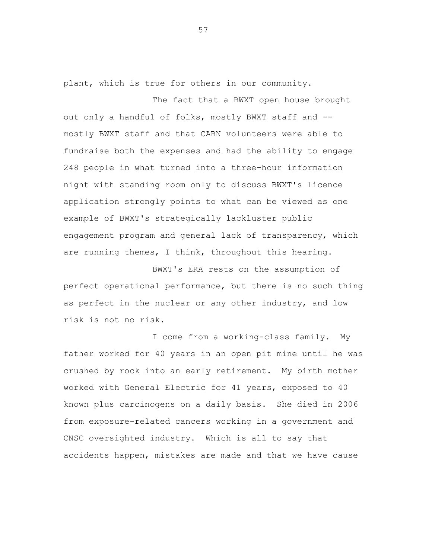plant, which is true for others in our community.

The fact that a BWXT open house brought out only a handful of folks, mostly BWXT staff and - mostly BWXT staff and that CARN volunteers were able to fundraise both the expenses and had the ability to engage 248 people in what turned into a three-hour information night with standing room only to discuss BWXT's licence application strongly points to what can be viewed as one example of BWXT's strategically lackluster public engagement program and general lack of transparency, which are running themes, I think, throughout this hearing.

BWXT's ERA rests on the assumption of perfect operational performance, but there is no such thing as perfect in the nuclear or any other industry, and low risk is not no risk.

I come from a working-class family. My father worked for 40 years in an open pit mine until he was crushed by rock into an early retirement. My birth mother worked with General Electric for 41 years, exposed to 40 known plus carcinogens on a daily basis. She died in 2006 from exposure-related cancers working in a government and CNSC oversighted industry. Which is all to say that accidents happen, mistakes are made and that we have cause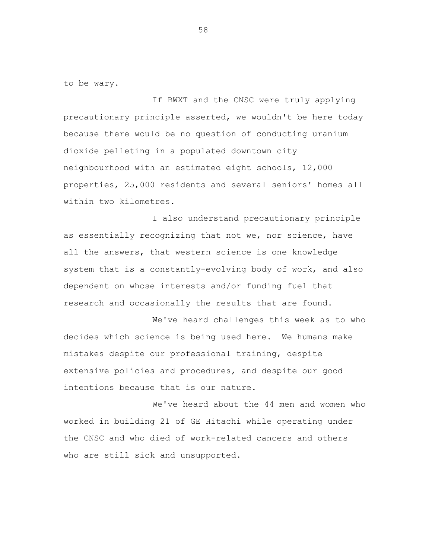to be wary.

If BWXT and the CNSC were truly applying precautionary principle asserted, we wouldn't be here today because there would be no question of conducting uranium dioxide pelleting in a populated downtown city neighbourhood with an estimated eight schools, 12,000 properties, 25,000 residents and several seniors' homes all within two kilometres.

I also understand precautionary principle as essentially recognizing that not we, nor science, have all the answers, that western science is one knowledge system that is a constantly-evolving body of work, and also dependent on whose interests and/or funding fuel that research and occasionally the results that are found.

We've heard challenges this week as to who decides which science is being used here. We humans make mistakes despite our professional training, despite extensive policies and procedures, and despite our good intentions because that is our nature.

We've heard about the 44 men and women who worked in building 21 of GE Hitachi while operating under the CNSC and who died of work-related cancers and others who are still sick and unsupported.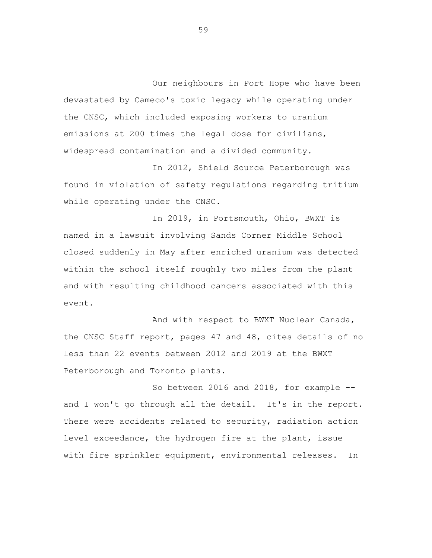Our neighbours in Port Hope who have been devastated by Cameco's toxic legacy while operating under the CNSC, which included exposing workers to uranium emissions at 200 times the legal dose for civilians, widespread contamination and a divided community.

In 2012, Shield Source Peterborough was found in violation of safety regulations regarding tritium while operating under the CNSC.

In 2019, in Portsmouth, Ohio, BWXT is named in a lawsuit involving Sands Corner Middle School closed suddenly in May after enriched uranium was detected within the school itself roughly two miles from the plant and with resulting childhood cancers associated with this event.

And with respect to BWXT Nuclear Canada, the CNSC Staff report, pages 47 and 48, cites details of no less than 22 events between 2012 and 2019 at the BWXT Peterborough and Toronto plants.

So between 2016 and 2018, for example - and I won't go through all the detail. It's in the report. There were accidents related to security, radiation action level exceedance, the hydrogen fire at the plant, issue with fire sprinkler equipment, environmental releases. In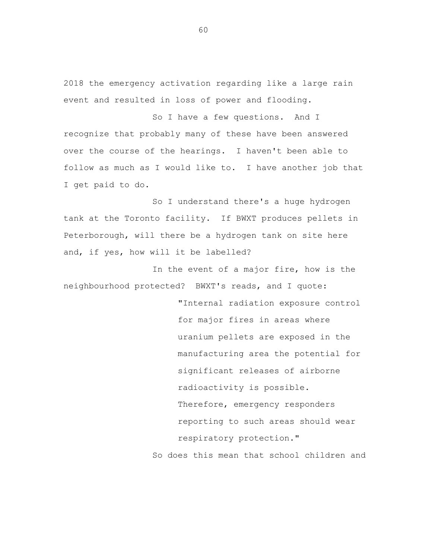2018 the emergency activation regarding like a large rain event and resulted in loss of power and flooding.

So I have a few questions. And I recognize that probably many of these have been answered over the course of the hearings. I haven't been able to follow as much as I would like to. I have another job that I get paid to do.

So I understand there's a huge hydrogen tank at the Toronto facility. If BWXT produces pellets in Peterborough, will there be a hydrogen tank on site here and, if yes, how will it be labelled?

In the event of a major fire, how is the neighbourhood protected? BWXT's reads, and I quote:

> "Internal radiation exposure control for major fires in areas where uranium pellets are exposed in the manufacturing area the potential for significant releases of airborne radioactivity is possible. Therefore, emergency responders reporting to such areas should wear respiratory protection."

So does this mean that school children and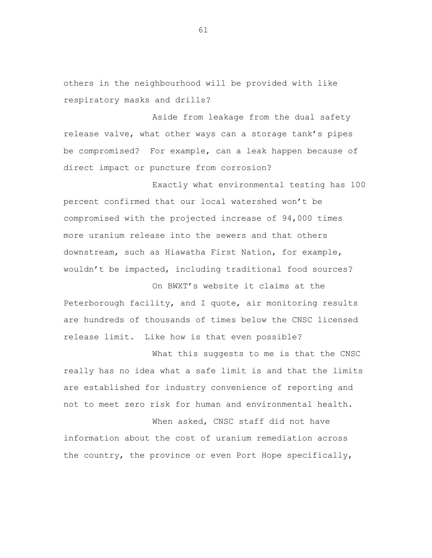others in the neighbourhood will be provided with like respiratory masks and drills?

Aside from leakage from the dual safety release valve, what other ways can a storage tank's pipes be compromised? For example, can a leak happen because of direct impact or puncture from corrosion?

Exactly what environmental testing has 100 percent confirmed that our local watershed won't be compromised with the projected increase of 94,000 times more uranium release into the sewers and that others downstream, such as Hiawatha First Nation, for example, wouldn't be impacted, including traditional food sources?

On BWXT's website it claims at the Peterborough facility, and I quote, air monitoring results are hundreds of thousands of times below the CNSC licensed release limit. Like how is that even possible?

What this suggests to me is that the CNSC really has no idea what a safe limit is and that the limits are established for industry convenience of reporting and not to meet zero risk for human and environmental health.

When asked, CNSC staff did not have information about the cost of uranium remediation across the country, the province or even Port Hope specifically,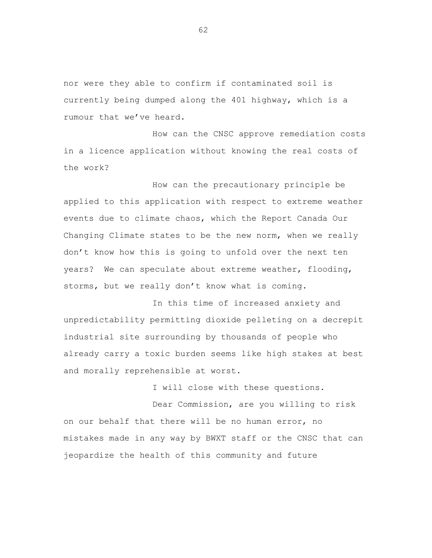nor were they able to confirm if contaminated soil is currently being dumped along the 401 highway, which is a rumour that we've heard.

How can the CNSC approve remediation costs in a licence application without knowing the real costs of the work?

How can the precautionary principle be applied to this application with respect to extreme weather events due to climate chaos, which the Report Canada Our Changing Climate states to be the new norm, when we really don't know how this is going to unfold over the next ten years? We can speculate about extreme weather, flooding, storms, but we really don't know what is coming.

In this time of increased anxiety and unpredictability permitting dioxide pelleting on a decrepit industrial site surrounding by thousands of people who already carry a toxic burden seems like high stakes at best and morally reprehensible at worst.

I will close with these questions.

Dear Commission, are you willing to risk on our behalf that there will be no human error, no mistakes made in any way by BWXT staff or the CNSC that can jeopardize the health of this community and future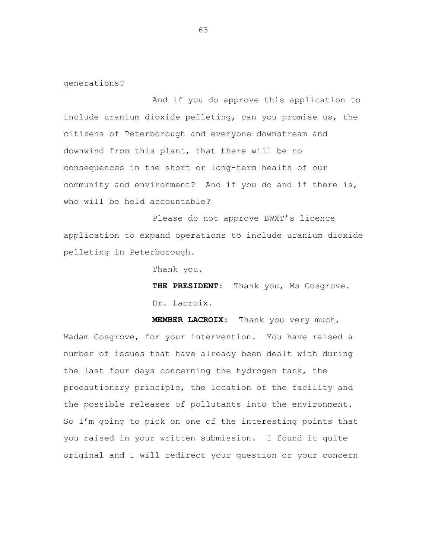generations?

And if you do approve this application to include uranium dioxide pelleting, can you promise us, the citizens of Peterborough and everyone downstream and downwind from this plant, that there will be no consequences in the short or long-term health of our community and environment? And if you do and if there is, who will be held accountable?

Please do not approve BWXT's licence application to expand operations to include uranium dioxide pelleting in Peterborough.

Thank you.

THE PRESIDENT: Thank you, Ms Cosgrove. Dr. Lacroix.

**MEMBER LACROIX:** Thank you very much, Madam Cosgrove, for your intervention. You have raised a number of issues that have already been dealt with during the last four days concerning the hydrogen tank, the precautionary principle, the location of the facility and the possible releases of pollutants into the environment. So I'm going to pick on one of the interesting points that you raised in your written submission. I found it quite original and I will redirect your question or your concern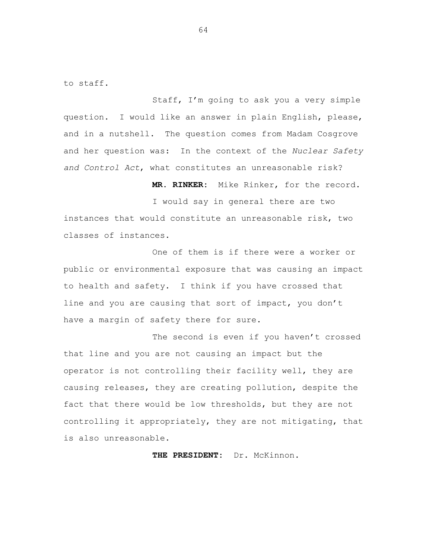to staff.

Staff, I'm going to ask you a very simple question. I would like an answer in plain English, please, and in a nutshell. The question comes from Madam Cosgrove and her question was: In the context of the *Nuclear Safety and Control Act*, what constitutes an unreasonable risk?

**MR. RINKER:** Mike Rinker, for the record.

I would say in general there are two instances that would constitute an unreasonable risk, two classes of instances.

One of them is if there were a worker or public or environmental exposure that was causing an impact to health and safety. I think if you have crossed that line and you are causing that sort of impact, you don't have a margin of safety there for sure.

The second is even if you haven't crossed that line and you are not causing an impact but the operator is not controlling their facility well, they are causing releases, they are creating pollution, despite the fact that there would be low thresholds, but they are not controlling it appropriately, they are not mitigating, that is also unreasonable.

**THE PRESIDENT:** Dr. McKinnon.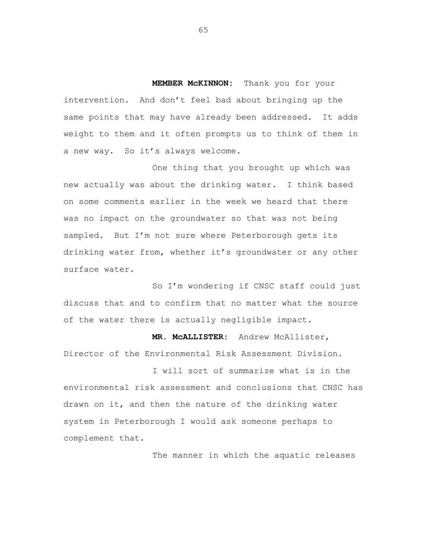**MEMBER McKINNON:** Thank you for your intervention. And don't feel bad about bringing up the same points that may have already been addressed. It adds weight to them and it often prompts us to think of them in a new way. So it's always welcome.

One thing that you brought up which was new actually was about the drinking water. I think based on some comments earlier in the week we heard that there was no impact on the groundwater so that was not being sampled. But I'm not sure where Peterborough gets its drinking water from, whether it's groundwater or any other surface water.

So I'm wondering if CNSC staff could just discuss that and to confirm that no matter what the source of the water there is actually negligible impact.

**MR. McALLISTER:** Andrew McAllister, Director of the Environmental Risk Assessment Division.

I will sort of summarize what is in the environmental risk assessment and conclusions that CNSC has drawn on it, and then the nature of the drinking water system in Peterborough I would ask someone perhaps to complement that.

The manner in which the aquatic releases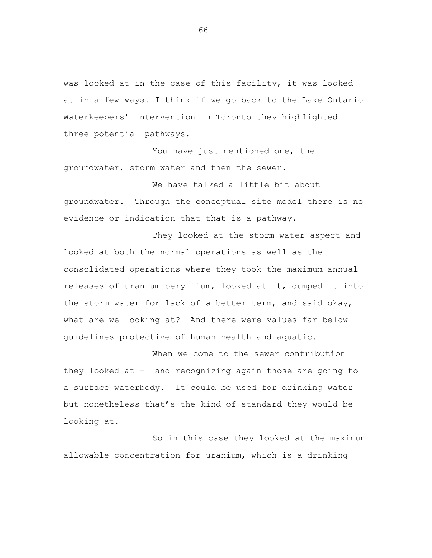was looked at in the case of this facility, it was looked at in a few ways. I think if we go back to the Lake Ontario Waterkeepers' intervention in Toronto they highlighted three potential pathways.

You have just mentioned one, the groundwater, storm water and then the sewer.

We have talked a little bit about groundwater. Through the conceptual site model there is no evidence or indication that that is a pathway.

They looked at the storm water aspect and looked at both the normal operations as well as the consolidated operations where they took the maximum annual releases of uranium beryllium, looked at it, dumped it into the storm water for lack of a better term, and said okay, what are we looking at? And there were values far below guidelines protective of human health and aquatic.

When we come to the sewer contribution they looked at -– and recognizing again those are going to a surface waterbody. It could be used for drinking water but nonetheless that's the kind of standard they would be looking at.

So in this case they looked at the maximum allowable concentration for uranium, which is a drinking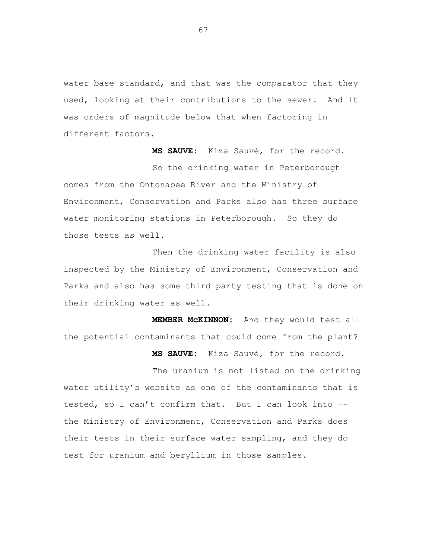water base standard, and that was the comparator that they used, looking at their contributions to the sewer. And it was orders of magnitude below that when factoring in different factors.

**MS SAUVE:** Kiza Sauvé, for the record. So the drinking water in Peterborough comes from the Ontonabee River and the Ministry of Environment, Conservation and Parks also has three surface water monitoring stations in Peterborough. So they do those tests as well.

Then the drinking water facility is also inspected by the Ministry of Environment, Conservation and Parks and also has some third party testing that is done on their drinking water as well.

**MEMBER McKINNON:** And they would test all the potential contaminants that could come from the plant?

**MS SAUVE:** Kiza Sauvé, for the record.

The uranium is not listed on the drinking water utility's website as one of the contaminants that is tested, so I can't confirm that. But I can look into – the Ministry of Environment, Conservation and Parks does their tests in their surface water sampling, and they do test for uranium and beryllium in those samples.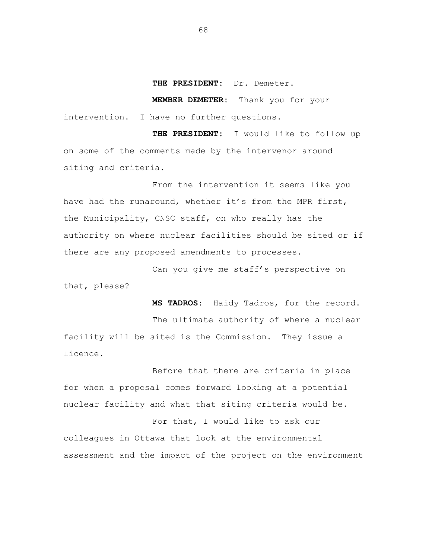## **THE PRESIDENT:** Dr. Demeter.

**MEMBER DEMETER:** Thank you for your intervention. I have no further questions.

**THE PRESIDENT:** I would like to follow up on some of the comments made by the intervenor around siting and criteria.

From the intervention it seems like you have had the runaround, whether it's from the MPR first, the Municipality, CNSC staff, on who really has the authority on where nuclear facilities should be sited or if there are any proposed amendments to processes.

Can you give me staff's perspective on that, please?

**MS TADROS:** Haidy Tadros, for the record. The ultimate authority of where a nuclear facility will be sited is the Commission. They issue a licence.

Before that there are criteria in place for when a proposal comes forward looking at a potential nuclear facility and what that siting criteria would be. For that, I would like to ask our

colleagues in Ottawa that look at the environmental assessment and the impact of the project on the environment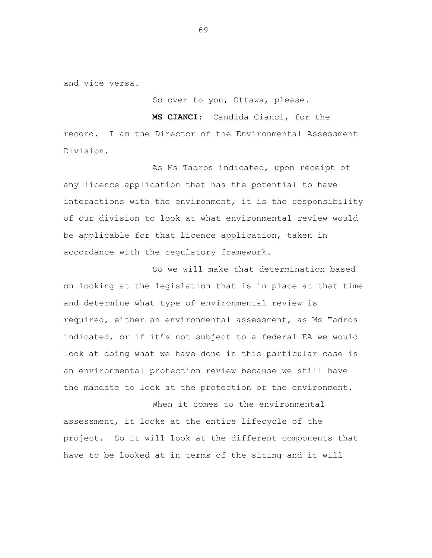and vice versa.

So over to you, Ottawa, please.

**MS CIANCI:** Candida Cianci, for the record. I am the Director of the Environmental Assessment Division.

As Ms Tadros indicated, upon receipt of any licence application that has the potential to have interactions with the environment, it is the responsibility of our division to look at what environmental review would be applicable for that licence application, taken in accordance with the regulatory framework.

So we will make that determination based on looking at the legislation that is in place at that time and determine what type of environmental review is required, either an environmental assessment, as Ms Tadros indicated, or if it's not subject to a federal EA we would look at doing what we have done in this particular case is an environmental protection review because we still have the mandate to look at the protection of the environment.

When it comes to the environmental assessment, it looks at the entire lifecycle of the project. So it will look at the different components that have to be looked at in terms of the siting and it will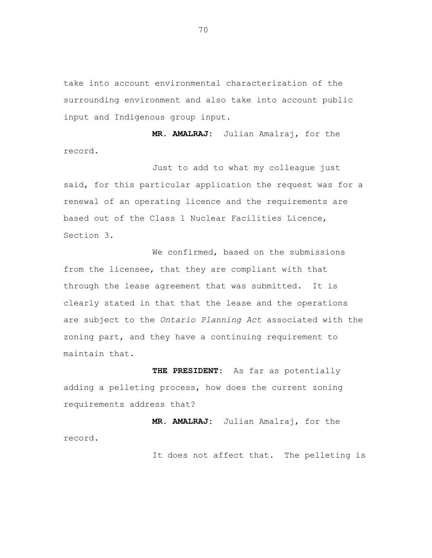take into account environmental characterization of the surrounding environment and also take into account public input and Indigenous group input.

**MR. AMALRAJ:** Julian Amalraj, for the record.

Just to add to what my colleague just said, for this particular application the request was for a renewal of an operating licence and the requirements are based out of the Class 1 Nuclear Facilities Licence, Section 3.

We confirmed, based on the submissions from the licensee, that they are compliant with that through the lease agreement that was submitted. It is clearly stated in that that the lease and the operations are subject to the *Ontario Planning Act* associated with the zoning part, and they have a continuing requirement to maintain that.

**THE PRESIDENT:** As far as potentially adding a pelleting process, how does the current zoning requirements address that?

**MR. AMALRAJ:** Julian Amalraj, for the record.

It does not affect that. The pelleting is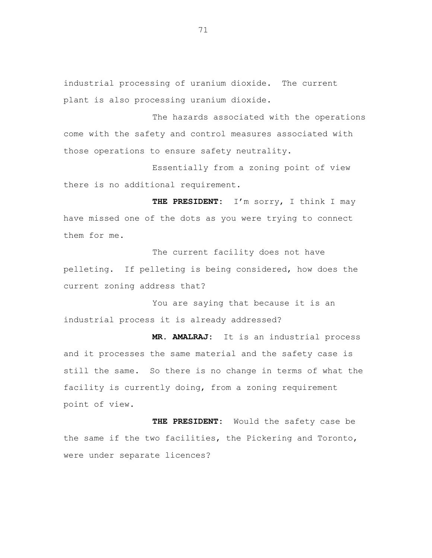industrial processing of uranium dioxide. The current plant is also processing uranium dioxide.

The hazards associated with the operations come with the safety and control measures associated with those operations to ensure safety neutrality.

Essentially from a zoning point of view there is no additional requirement.

**THE PRESIDENT:** I'm sorry, I think I may have missed one of the dots as you were trying to connect them for me.

The current facility does not have pelleting. If pelleting is being considered, how does the current zoning address that?

You are saying that because it is an industrial process it is already addressed?

**MR. AMALRAJ:** It is an industrial process and it processes the same material and the safety case is still the same. So there is no change in terms of what the facility is currently doing, from a zoning requirement point of view.

**THE PRESIDENT:** Would the safety case be the same if the two facilities, the Pickering and Toronto, were under separate licences?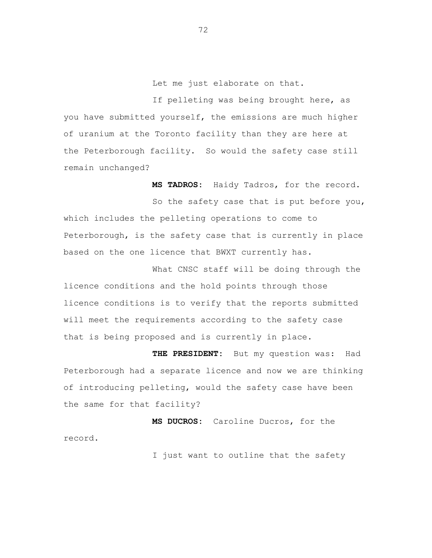Let me just elaborate on that.

If pelleting was being brought here, as you have submitted yourself, the emissions are much higher of uranium at the Toronto facility than they are here at the Peterborough facility. So would the safety case still remain unchanged?

**MS TADROS:** Haidy Tadros, for the record. So the safety case that is put before you, which includes the pelleting operations to come to Peterborough, is the safety case that is currently in place based on the one licence that BWXT currently has.

What CNSC staff will be doing through the licence conditions and the hold points through those licence conditions is to verify that the reports submitted will meet the requirements according to the safety case that is being proposed and is currently in place.

**THE PRESIDENT:** But my question was: Had Peterborough had a separate licence and now we are thinking of introducing pelleting, would the safety case have been the same for that facility?

**MS DUCROS:** Caroline Ducros, for the record.

I just want to outline that the safety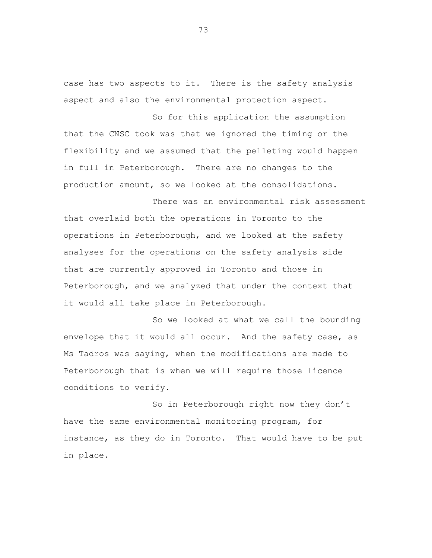case has two aspects to it. There is the safety analysis aspect and also the environmental protection aspect.

So for this application the assumption that the CNSC took was that we ignored the timing or the flexibility and we assumed that the pelleting would happen in full in Peterborough. There are no changes to the production amount, so we looked at the consolidations.

There was an environmental risk assessment that overlaid both the operations in Toronto to the operations in Peterborough, and we looked at the safety analyses for the operations on the safety analysis side that are currently approved in Toronto and those in Peterborough, and we analyzed that under the context that it would all take place in Peterborough.

So we looked at what we call the bounding envelope that it would all occur. And the safety case, as Ms Tadros was saying, when the modifications are made to Peterborough that is when we will require those licence conditions to verify.

So in Peterborough right now they don't have the same environmental monitoring program, for instance, as they do in Toronto. That would have to be put in place.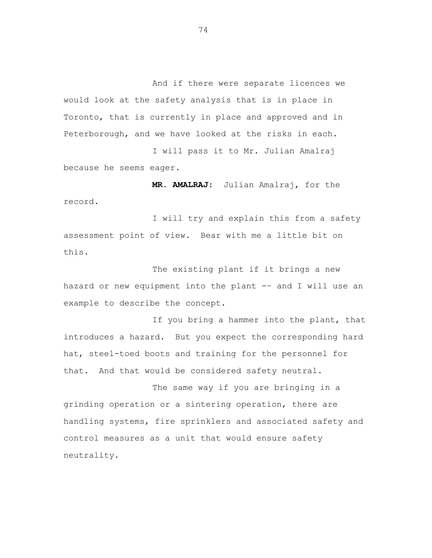And if there were separate licences we would look at the safety analysis that is in place in Toronto, that is currently in place and approved and in Peterborough, and we have looked at the risks in each.

I will pass it to Mr. Julian Amalraj because he seems eager.

**MR. AMALRAJ:** Julian Amalraj, for the record.

I will try and explain this from a safety assessment point of view. Bear with me a little bit on this.

The existing plant if it brings a new hazard or new equipment into the plant -– and I will use an example to describe the concept.

If you bring a hammer into the plant, that introduces a hazard. But you expect the corresponding hard hat, steel-toed boots and training for the personnel for that. And that would be considered safety neutral.

The same way if you are bringing in a grinding operation or a sintering operation, there are handling systems, fire sprinklers and associated safety and control measures as a unit that would ensure safety neutrality.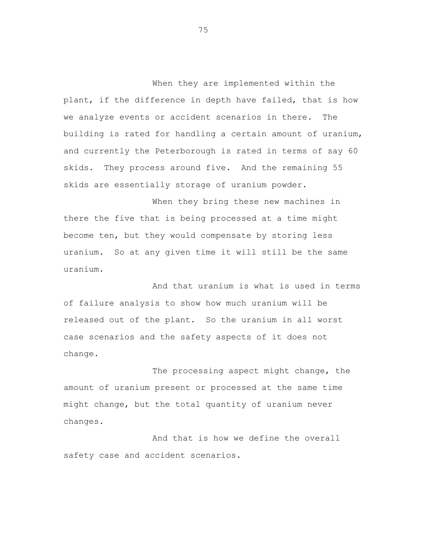When they are implemented within the plant, if the difference in depth have failed, that is how we analyze events or accident scenarios in there. The building is rated for handling a certain amount of uranium, and currently the Peterborough is rated in terms of say 60 skids. They process around five. And the remaining 55 skids are essentially storage of uranium powder.

When they bring these new machines in there the five that is being processed at a time might become ten, but they would compensate by storing less uranium. So at any given time it will still be the same uranium.

And that uranium is what is used in terms of failure analysis to show how much uranium will be released out of the plant. So the uranium in all worst case scenarios and the safety aspects of it does not change.

The processing aspect might change, the amount of uranium present or processed at the same time might change, but the total quantity of uranium never changes.

And that is how we define the overall safety case and accident scenarios.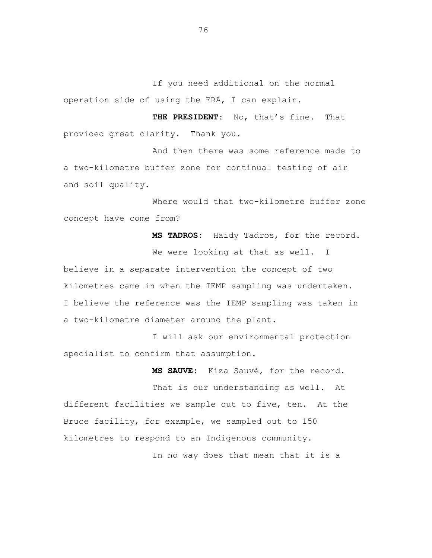If you need additional on the normal operation side of using the ERA, I can explain.

**THE PRESIDENT:** No, that's fine. That provided great clarity. Thank you.

And then there was some reference made to a two-kilometre buffer zone for continual testing of air and soil quality.

Where would that two-kilometre buffer zone concept have come from?

**MS TADROS:** Haidy Tadros, for the record. We were looking at that as well. I believe in a separate intervention the concept of two kilometres came in when the IEMP sampling was undertaken. I believe the reference was the IEMP sampling was taken in a two-kilometre diameter around the plant.

I will ask our environmental protection specialist to confirm that assumption.

**MS SAUVE:** Kiza Sauvé, for the record.

That is our understanding as well. At different facilities we sample out to five, ten. At the Bruce facility, for example, we sampled out to 150 kilometres to respond to an Indigenous community.

In no way does that mean that it is a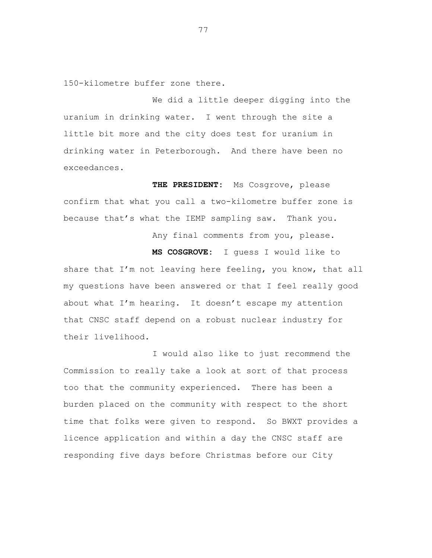150-kilometre buffer zone there.

We did a little deeper digging into the uranium in drinking water. I went through the site a little bit more and the city does test for uranium in drinking water in Peterborough. And there have been no exceedances.

**THE PRESIDENT:** Ms Cosgrove, please confirm that what you call a two-kilometre buffer zone is because that's what the IEMP sampling saw. Thank you.

Any final comments from you, please.

**MS COSGROVE:** I guess I would like to share that I'm not leaving here feeling, you know, that all my questions have been answered or that I feel really good about what I'm hearing. It doesn't escape my attention that CNSC staff depend on a robust nuclear industry for their livelihood.

I would also like to just recommend the Commission to really take a look at sort of that process too that the community experienced. There has been a burden placed on the community with respect to the short time that folks were given to respond. So BWXT provides a licence application and within a day the CNSC staff are responding five days before Christmas before our City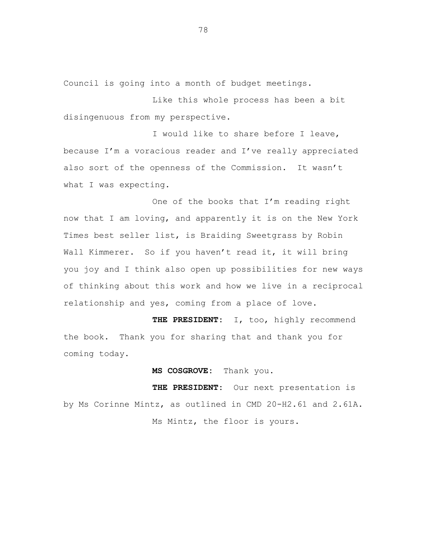Council is going into a month of budget meetings.

Like this whole process has been a bit disingenuous from my perspective.

I would like to share before I leave, because I'm a voracious reader and I've really appreciated also sort of the openness of the Commission. It wasn't what I was expecting.

One of the books that I'm reading right now that I am loving, and apparently it is on the New York Times best seller list, is Braiding Sweetgrass by Robin Wall Kimmerer. So if you haven't read it, it will bring you joy and I think also open up possibilities for new ways of thinking about this work and how we live in a reciprocal relationship and yes, coming from a place of love.

**THE PRESIDENT:** I, too, highly recommend the book. Thank you for sharing that and thank you for coming today.

**MS COSGROVE:** Thank you.

**THE PRESIDENT:** Our next presentation is by Ms Corinne Mintz, as outlined in CMD 20-H2.61 and 2.61A. Ms Mintz, the floor is yours.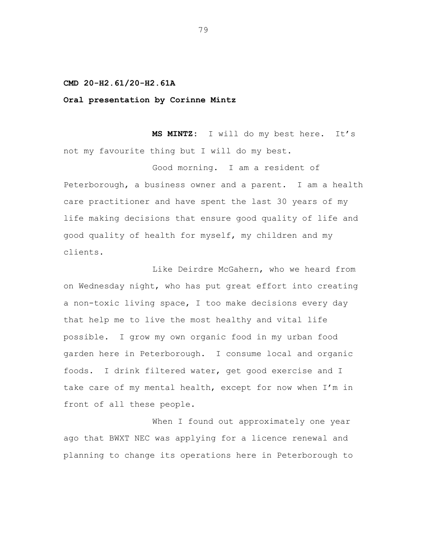## **CMD 20-H2.61/20-H2.61A**

## **Oral presentation by Corinne Mintz**

**MS MINTZ:** I will do my best here. It's not my favourite thing but I will do my best.

Good morning. I am a resident of Peterborough, a business owner and a parent. I am a health care practitioner and have spent the last 30 years of my life making decisions that ensure good quality of life and good quality of health for myself, my children and my clients.

Like Deirdre McGahern, who we heard from on Wednesday night, who has put great effort into creating a non-toxic living space, I too make decisions every day that help me to live the most healthy and vital life possible. I grow my own organic food in my urban food garden here in Peterborough. I consume local and organic foods. I drink filtered water, get good exercise and I take care of my mental health, except for now when I'm in front of all these people.

When I found out approximately one year ago that BWXT NEC was applying for a licence renewal and planning to change its operations here in Peterborough to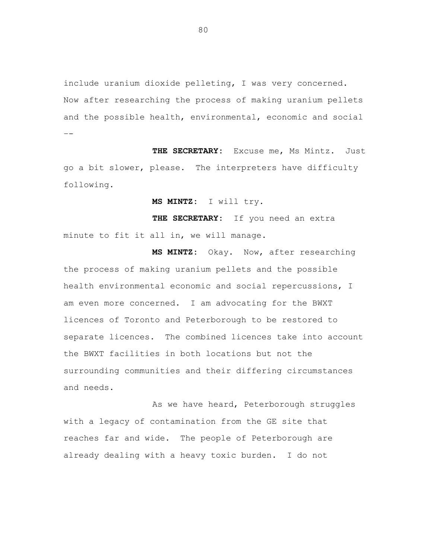include uranium dioxide pelleting, I was very concerned. Now after researching the process of making uranium pellets and the possible health, environmental, economic and social –-

THE SECRETARY: Excuse me, Ms Mintz. Just go a bit slower, please. The interpreters have difficulty following.

**MS MINTZ:** I will try.

**THE SECRETARY:** If you need an extra minute to fit it all in, we will manage.

**MS MINTZ:** Okay. Now, after researching the process of making uranium pellets and the possible health environmental economic and social repercussions, I am even more concerned. I am advocating for the BWXT licences of Toronto and Peterborough to be restored to separate licences. The combined licences take into account the BWXT facilities in both locations but not the surrounding communities and their differing circumstances and needs.

As we have heard, Peterborough struggles with a legacy of contamination from the GE site that reaches far and wide. The people of Peterborough are already dealing with a heavy toxic burden. I do not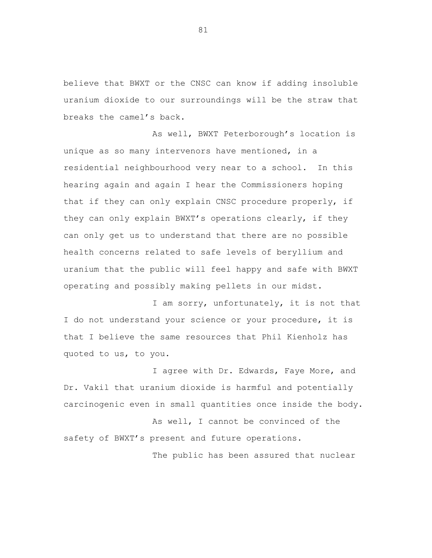believe that BWXT or the CNSC can know if adding insoluble uranium dioxide to our surroundings will be the straw that breaks the camel's back.

As well, BWXT Peterborough's location is unique as so many intervenors have mentioned, in a residential neighbourhood very near to a school. In this hearing again and again I hear the Commissioners hoping that if they can only explain CNSC procedure properly, if they can only explain BWXT's operations clearly, if they can only get us to understand that there are no possible health concerns related to safe levels of beryllium and uranium that the public will feel happy and safe with BWXT operating and possibly making pellets in our midst.

I am sorry, unfortunately, it is not that I do not understand your science or your procedure, it is that I believe the same resources that Phil Kienholz has quoted to us, to you.

I agree with Dr. Edwards, Faye More, and Dr. Vakil that uranium dioxide is harmful and potentially carcinogenic even in small quantities once inside the body.

As well, I cannot be convinced of the safety of BWXT's present and future operations.

The public has been assured that nuclear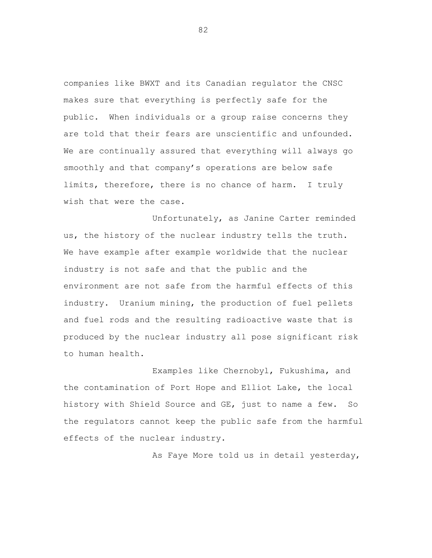companies like BWXT and its Canadian regulator the CNSC makes sure that everything is perfectly safe for the public. When individuals or a group raise concerns they are told that their fears are unscientific and unfounded. We are continually assured that everything will always go smoothly and that company's operations are below safe limits, therefore, there is no chance of harm. I truly wish that were the case.

Unfortunately, as Janine Carter reminded us, the history of the nuclear industry tells the truth. We have example after example worldwide that the nuclear industry is not safe and that the public and the environment are not safe from the harmful effects of this industry. Uranium mining, the production of fuel pellets and fuel rods and the resulting radioactive waste that is produced by the nuclear industry all pose significant risk to human health.

Examples like Chernobyl, Fukushima, and the contamination of Port Hope and Elliot Lake, the local history with Shield Source and GE, just to name a few. So the regulators cannot keep the public safe from the harmful effects of the nuclear industry.

As Faye More told us in detail yesterday,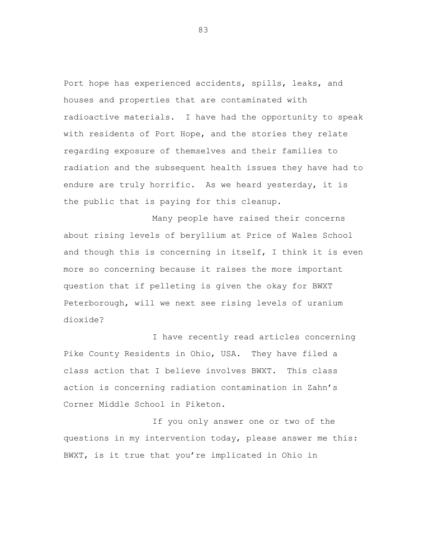Port hope has experienced accidents, spills, leaks, and houses and properties that are contaminated with radioactive materials. I have had the opportunity to speak with residents of Port Hope, and the stories they relate regarding exposure of themselves and their families to radiation and the subsequent health issues they have had to endure are truly horrific. As we heard yesterday, it is the public that is paying for this cleanup.

Many people have raised their concerns about rising levels of beryllium at Price of Wales School and though this is concerning in itself, I think it is even more so concerning because it raises the more important question that if pelleting is given the okay for BWXT Peterborough, will we next see rising levels of uranium dioxide?

I have recently read articles concerning Pike County Residents in Ohio, USA. They have filed a class action that I believe involves BWXT. This class action is concerning radiation contamination in Zahn's Corner Middle School in Piketon.

If you only answer one or two of the questions in my intervention today, please answer me this: BWXT, is it true that you're implicated in Ohio in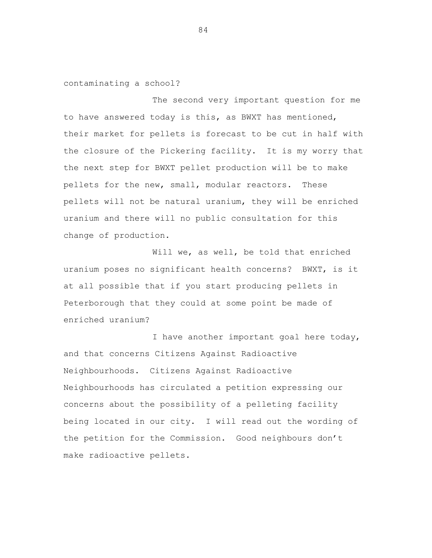contaminating a school?

The second very important question for me to have answered today is this, as BWXT has mentioned, their market for pellets is forecast to be cut in half with the closure of the Pickering facility. It is my worry that the next step for BWXT pellet production will be to make pellets for the new, small, modular reactors. These pellets will not be natural uranium, they will be enriched uranium and there will no public consultation for this change of production.

Will we, as well, be told that enriched uranium poses no significant health concerns? BWXT, is it at all possible that if you start producing pellets in Peterborough that they could at some point be made of enriched uranium?

I have another important goal here today, and that concerns Citizens Against Radioactive Neighbourhoods. Citizens Against Radioactive Neighbourhoods has circulated a petition expressing our concerns about the possibility of a pelleting facility being located in our city. I will read out the wording of the petition for the Commission. Good neighbours don't make radioactive pellets.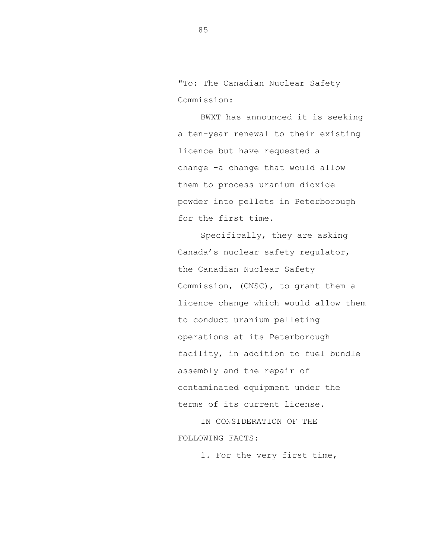"To: The Canadian Nuclear Safety Commission:

BWXT has announced it is seeking a ten-year renewal to their existing licence but have requested a change -a change that would allow them to process uranium dioxide powder into pellets in Peterborough for the first time.

Specifically, they are asking Canada's nuclear safety regulator, the Canadian Nuclear Safety Commission, (CNSC), to grant them a licence change which would allow them to conduct uranium pelleting operations at its Peterborough facility, in addition to fuel bundle assembly and the repair of contaminated equipment under the terms of its current license.

IN CONSIDERATION OF THE FOLLOWING FACTS:

1. For the very first time,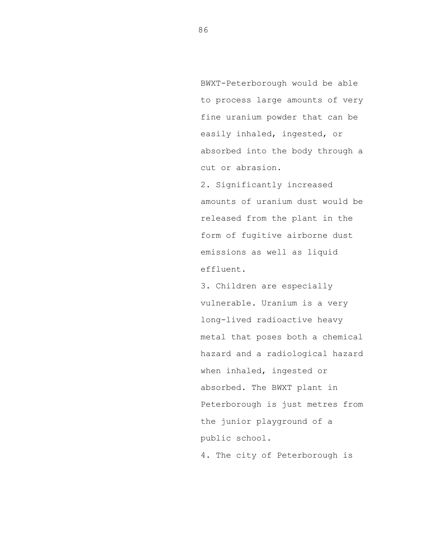BWXT-Peterborough would be able to process large amounts of very fine uranium powder that can be easily inhaled, ingested, or absorbed into the body through a cut or abrasion.

2. Significantly increased amounts of uranium dust would be released from the plant in the form of fugitive airborne dust emissions as well as liquid effluent.

3. Children are especially vulnerable. Uranium is a very long-lived radioactive heavy metal that poses both a chemical hazard and a radiological hazard when inhaled, ingested or absorbed. The BWXT plant in Peterborough is just metres from the junior playground of a public school. 4. The city of Peterborough is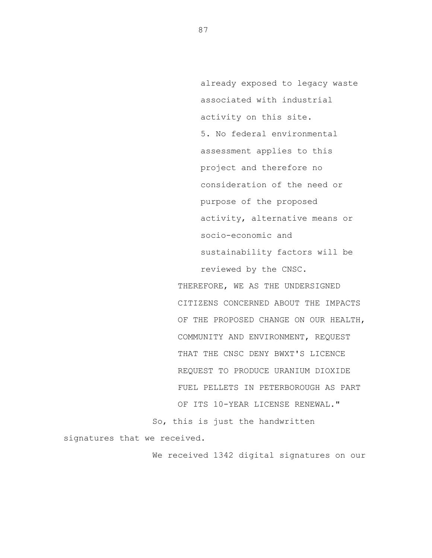already exposed to legacy waste associated with industrial activity on this site. 5. No federal environmental assessment applies to this project and therefore no consideration of the need or purpose of the proposed activity, alternative means or socio-economic and sustainability factors will be reviewed by the CNSC.

THEREFORE, WE AS THE UNDERSIGNED CITIZENS CONCERNED ABOUT THE IMPACTS OF THE PROPOSED CHANGE ON OUR HEALTH, COMMUNITY AND ENVIRONMENT, REQUEST THAT THE CNSC DENY BWXT'S LICENCE REQUEST TO PRODUCE URANIUM DIOXIDE FUEL PELLETS IN PETERBOROUGH AS PART OF ITS 10-YEAR LICENSE RENEWAL."

So, this is just the handwritten

signatures that we received.

We received 1342 digital signatures on our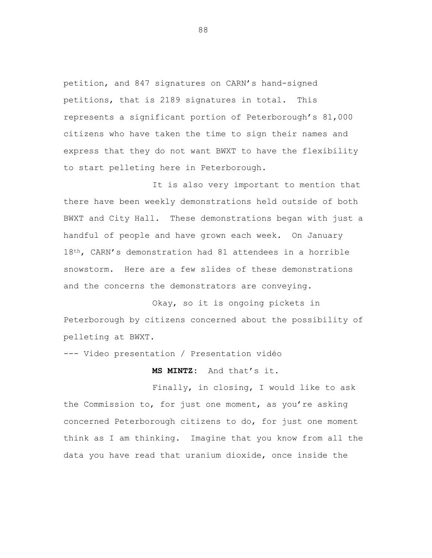petition, and 847 signatures on CARN's hand-signed petitions, that is 2189 signatures in total. This represents a significant portion of Peterborough's 81,000 citizens who have taken the time to sign their names and express that they do not want BWXT to have the flexibility to start pelleting here in Peterborough.

It is also very important to mention that there have been weekly demonstrations held outside of both BWXT and City Hall. These demonstrations began with just a handful of people and have grown each week. On January 18<sup>th</sup>, CARN's demonstration had 81 attendees in a horrible snowstorm. Here are a few slides of these demonstrations and the concerns the demonstrators are conveying.

Okay, so it is ongoing pickets in Peterborough by citizens concerned about the possibility of pelleting at BWXT.

--- Video presentation / Presentation vidéo

**MS MINTZ:** And that's it.

Finally, in closing, I would like to ask the Commission to, for just one moment, as you're asking concerned Peterborough citizens to do, for just one moment think as I am thinking. Imagine that you know from all the data you have read that uranium dioxide, once inside the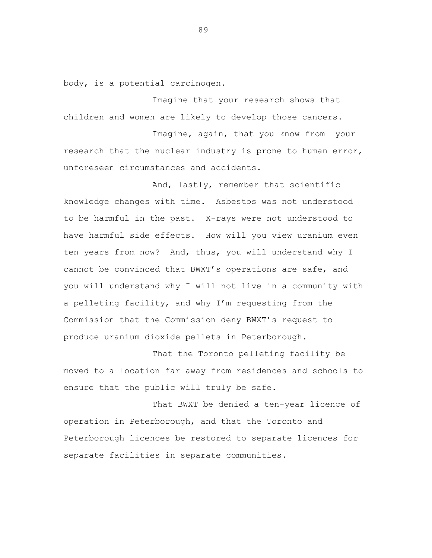body, is a potential carcinogen.

Imagine that your research shows that children and women are likely to develop those cancers.

Imagine, again, that you know from your research that the nuclear industry is prone to human error, unforeseen circumstances and accidents.

And, lastly, remember that scientific knowledge changes with time. Asbestos was not understood to be harmful in the past. X-rays were not understood to have harmful side effects. How will you view uranium even ten years from now? And, thus, you will understand why I cannot be convinced that BWXT's operations are safe, and you will understand why I will not live in a community with a pelleting facility, and why I'm requesting from the Commission that the Commission deny BWXT's request to produce uranium dioxide pellets in Peterborough.

That the Toronto pelleting facility be moved to a location far away from residences and schools to ensure that the public will truly be safe.

That BWXT be denied a ten-year licence of operation in Peterborough, and that the Toronto and Peterborough licences be restored to separate licences for separate facilities in separate communities.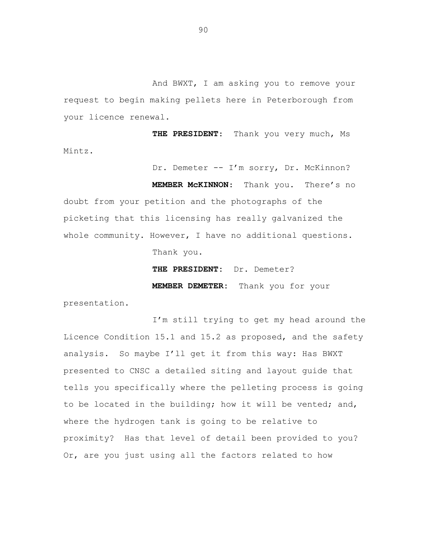And BWXT, I am asking you to remove your request to begin making pellets here in Peterborough from your licence renewal.

**THE PRESIDENT**: Thank you very much, Ms Mintz.

Dr. Demeter -- I'm sorry, Dr. McKinnon?

**MEMBER McKINNON**: Thank you. There's no doubt from your petition and the photographs of the picketing that this licensing has really galvanized the whole community. However, I have no additional questions. Thank you.

> **THE PRESIDENT:** Dr. Demeter? **MEMBER DEMETER:** Thank you for your

presentation.

I'm still trying to get my head around the Licence Condition 15.1 and 15.2 as proposed, and the safety analysis. So maybe I'll get it from this way: Has BWXT presented to CNSC a detailed siting and layout guide that tells you specifically where the pelleting process is going to be located in the building; how it will be vented; and, where the hydrogen tank is going to be relative to proximity? Has that level of detail been provided to you? Or, are you just using all the factors related to how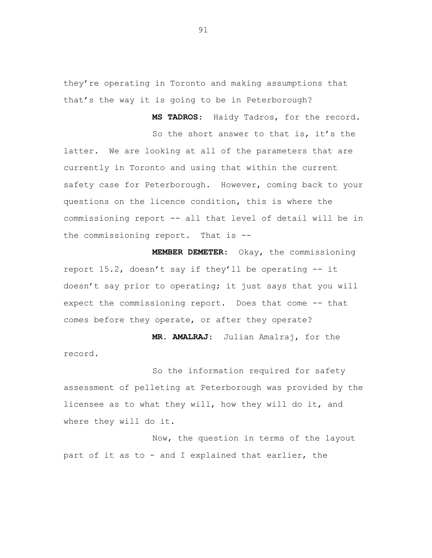they're operating in Toronto and making assumptions that that's the way it is going to be in Peterborough?

**MS TADROS**: Haidy Tadros, for the record.

So the short answer to that is, it's the latter. We are looking at all of the parameters that are currently in Toronto and using that within the current safety case for Peterborough. However, coming back to your questions on the licence condition, this is where the commissioning report -- all that level of detail will be in the commissioning report. That is --

**MEMBER DEMETER**: Okay, the commissioning report 15.2, doesn't say if they'll be operating -- it doesn't say prior to operating; it just says that you will expect the commissioning report. Does that come -- that comes before they operate, or after they operate?

**MR. AMALRAJ**: Julian Amalraj, for the record.

So the information required for safety assessment of pelleting at Peterborough was provided by the licensee as to what they will, how they will do it, and where they will do it.

Now, the question in terms of the layout part of it as to - and I explained that earlier, the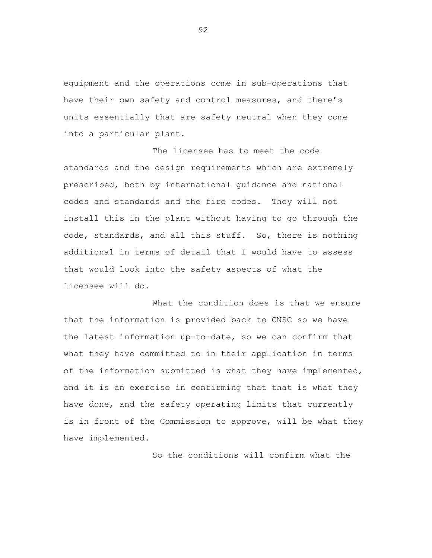equipment and the operations come in sub-operations that have their own safety and control measures, and there's units essentially that are safety neutral when they come into a particular plant.

The licensee has to meet the code standards and the design requirements which are extremely prescribed, both by international guidance and national codes and standards and the fire codes. They will not install this in the plant without having to go through the code, standards, and all this stuff. So, there is nothing additional in terms of detail that I would have to assess that would look into the safety aspects of what the licensee will do.

What the condition does is that we ensure that the information is provided back to CNSC so we have the latest information up-to-date, so we can confirm that what they have committed to in their application in terms of the information submitted is what they have implemented, and it is an exercise in confirming that that is what they have done, and the safety operating limits that currently is in front of the Commission to approve, will be what they have implemented.

So the conditions will confirm what the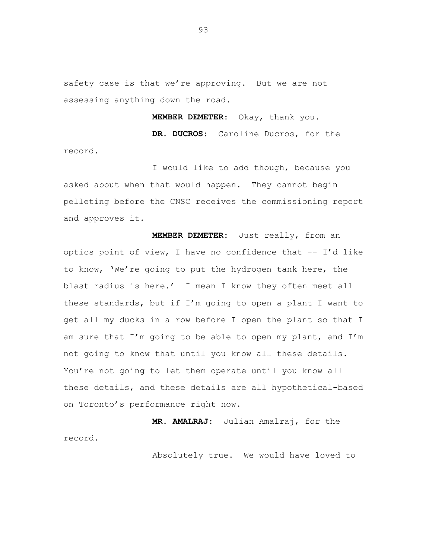safety case is that we're approving. But we are not assessing anything down the road.

**MEMBER DEMETER**: Okay, thank you.

**DR. DUCROS**: Caroline Ducros, for the record.

I would like to add though, because you asked about when that would happen. They cannot begin pelleting before the CNSC receives the commissioning report and approves it.

**MEMBER DEMETER**: Just really, from an optics point of view, I have no confidence that -- I'd like to know, 'We're going to put the hydrogen tank here, the blast radius is here.' I mean I know they often meet all these standards, but if I'm going to open a plant I want to get all my ducks in a row before I open the plant so that I am sure that I'm going to be able to open my plant, and I'm not going to know that until you know all these details. You're not going to let them operate until you know all these details, and these details are all hypothetical-based on Toronto's performance right now.

**MR. AMALRAJ**: Julian Amalraj, for the record.

Absolutely true. We would have loved to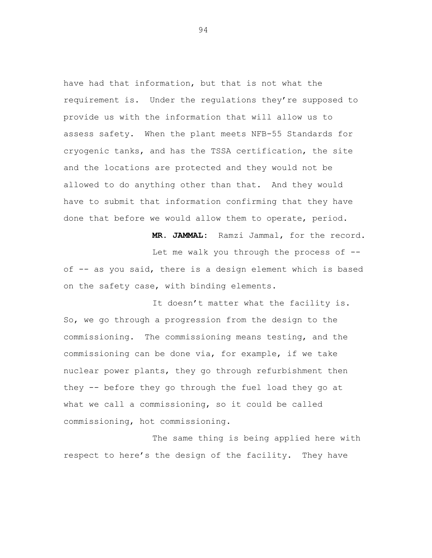have had that information, but that is not what the requirement is. Under the regulations they're supposed to provide us with the information that will allow us to assess safety. When the plant meets NFB-55 Standards for cryogenic tanks, and has the TSSA certification, the site and the locations are protected and they would not be allowed to do anything other than that. And they would have to submit that information confirming that they have done that before we would allow them to operate, period.

Let me walk you through the process of - of -- as you said, there is a design element which is based on the safety case, with binding elements.

**MR. JAMMAL:** Ramzi Jammal, for the record.

It doesn't matter what the facility is. So, we go through a progression from the design to the commissioning. The commissioning means testing, and the commissioning can be done via, for example, if we take nuclear power plants, they go through refurbishment then they -- before they go through the fuel load they go at what we call a commissioning, so it could be called commissioning, hot commissioning.

The same thing is being applied here with respect to here's the design of the facility. They have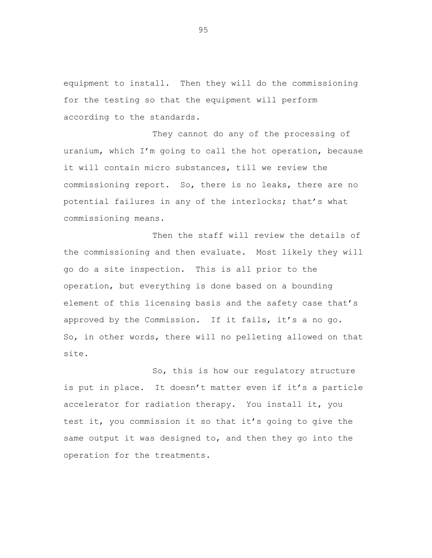equipment to install. Then they will do the commissioning for the testing so that the equipment will perform according to the standards.

They cannot do any of the processing of uranium, which I'm going to call the hot operation, because it will contain micro substances, till we review the commissioning report. So, there is no leaks, there are no potential failures in any of the interlocks; that's what commissioning means.

Then the staff will review the details of the commissioning and then evaluate. Most likely they will go do a site inspection. This is all prior to the operation, but everything is done based on a bounding element of this licensing basis and the safety case that's approved by the Commission. If it fails, it's a no go. So, in other words, there will no pelleting allowed on that site.

So, this is how our regulatory structure is put in place. It doesn't matter even if it's a particle accelerator for radiation therapy. You install it, you test it, you commission it so that it's going to give the same output it was designed to, and then they go into the operation for the treatments.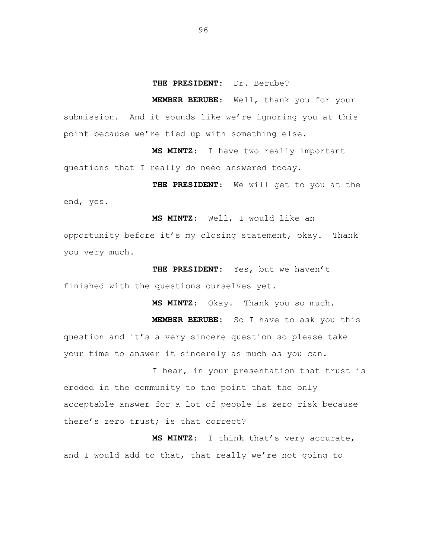## **THE PRESIDENT**: Dr. Berube?

**MEMBER BERUBE**: Well, thank you for your submission. And it sounds like we're ignoring you at this point because we're tied up with something else.

**MS MINTZ**: I have two really important questions that I really do need answered today.

**THE PRESIDENT**: We will get to you at the end, yes.

**MS MINTZ**: Well, I would like an

opportunity before it's my closing statement, okay. Thank you very much.

**THE PRESIDENT**: Yes, but we haven't finished with the questions ourselves yet.

**MS MINTZ**: Okay. Thank you so much.

**MEMBER BERUBE:** So I have to ask you this question and it's a very sincere question so please take your time to answer it sincerely as much as you can.

I hear, in your presentation that trust is eroded in the community to the point that the only acceptable answer for a lot of people is zero risk because there's zero trust; is that correct?

**MS MINTZ**: I think that's very accurate, and I would add to that, that really we're not going to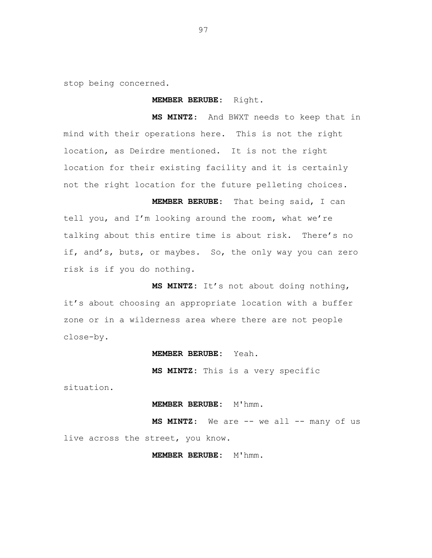stop being concerned.

**MEMBER BERUBE**: Right.

**MS MINTZ**: And BWXT needs to keep that in mind with their operations here. This is not the right location, as Deirdre mentioned. It is not the right location for their existing facility and it is certainly not the right location for the future pelleting choices.

**MEMBER BERUBE**: That being said, I can tell you, and I'm looking around the room, what we're talking about this entire time is about risk. There's no if, and's, buts, or maybes. So, the only way you can zero risk is if you do nothing.

**MS MINTZ:** It's not about doing nothing, it's about choosing an appropriate location with a buffer zone or in a wilderness area where there are not people close-by.

### **MEMBER BERUBE:** Yeah.

**MS MINTZ:** This is a very specific

situation.

### **MEMBER BERUBE: M'hmm.**

MS MINTZ: We are -- we all -- many of us live across the street, you know.

**MEMBER BERUBE:** M'hmm.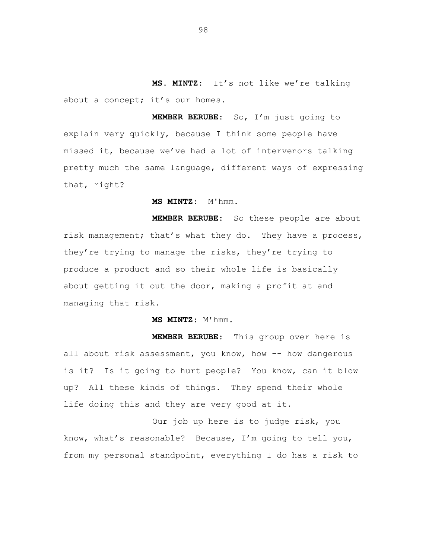**MS. MINTZ**: It's not like we're talking about a concept; it's our homes.

**MEMBER BERUBE**: So, I'm just going to explain very quickly, because I think some people have missed it, because we've had a lot of intervenors talking pretty much the same language, different ways of expressing that, right?

# **MS MINTZ**: M'hmm.

**MEMBER BERUBE**: So these people are about risk management; that's what they do. They have a process, they're trying to manage the risks, they're trying to produce a product and so their whole life is basically about getting it out the door, making a profit at and managing that risk.

**MS MINTZ**: M'hmm.

**MEMBER BERUBE**: This group over here is all about risk assessment, you know, how -- how dangerous is it? Is it going to hurt people? You know, can it blow up? All these kinds of things. They spend their whole life doing this and they are very good at it.

Our job up here is to judge risk, you know, what's reasonable? Because, I'm going to tell you, from my personal standpoint, everything I do has a risk to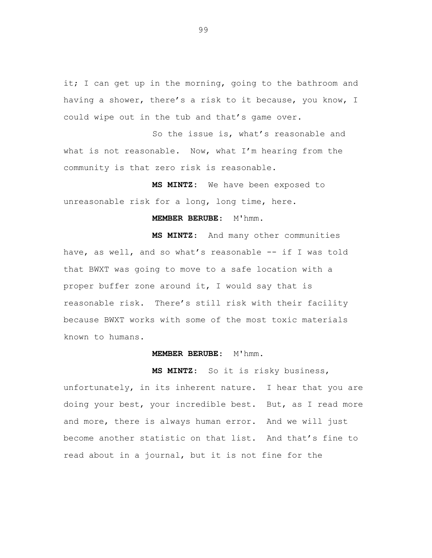it; I can get up in the morning, going to the bathroom and having a shower, there's a risk to it because, you know, I could wipe out in the tub and that's game over.

So the issue is, what's reasonable and what is not reasonable. Now, what I'm hearing from the community is that zero risk is reasonable.

**MS MINTZ:** We have been exposed to unreasonable risk for a long, long time, here.

# **MEMBER BERUBE: M'hmm.**

**MS MINTZ**: And many other communities have, as well, and so what's reasonable -- if I was told that BWXT was going to move to a safe location with a proper buffer zone around it, I would say that is reasonable risk. There's still risk with their facility because BWXT works with some of the most toxic materials known to humans.

#### **MEMBER BERUBE**: M'hmm.

**MS MINTZ**: So it is risky business, unfortunately, in its inherent nature. I hear that you are doing your best, your incredible best. But, as I read more and more, there is always human error. And we will just become another statistic on that list. And that's fine to read about in a journal, but it is not fine for the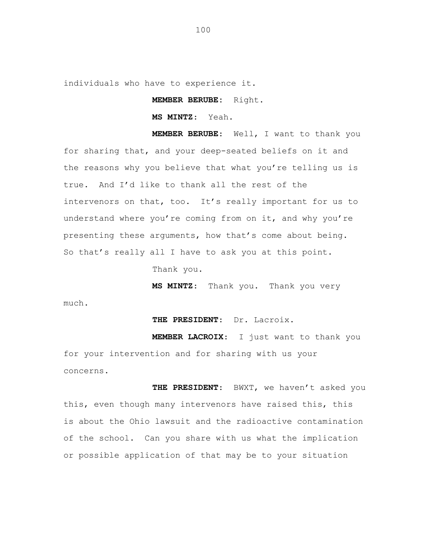individuals who have to experience it.

**MEMBER BERUBE:** Right.

**MS MINTZ**: Yeah.

**MEMBER BERUBE**: Well, I want to thank you for sharing that, and your deep-seated beliefs on it and the reasons why you believe that what you're telling us is true. And I'd like to thank all the rest of the intervenors on that, too. It's really important for us to understand where you're coming from on it, and why you're presenting these arguments, how that's come about being. So that's really all I have to ask you at this point.

Thank you.

**MS MINTZ**: Thank you. Thank you very

much.

**THE PRESIDENT**: Dr. Lacroix.

**MEMBER LACROIX**: I just want to thank you for your intervention and for sharing with us your concerns.

**THE PRESIDENT**: BWXT, we haven't asked you this, even though many intervenors have raised this, this is about the Ohio lawsuit and the radioactive contamination of the school. Can you share with us what the implication or possible application of that may be to your situation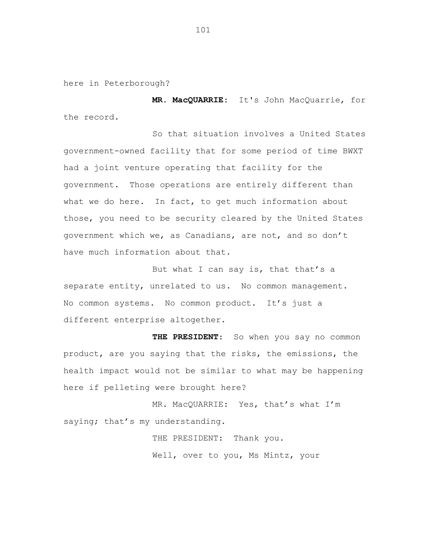here in Peterborough?

**MR. MacQUARRIE**: It's John MacQuarrie, for the record.

So that situation involves a United States government-owned facility that for some period of time BWXT had a joint venture operating that facility for the government. Those operations are entirely different than what we do here. In fact, to get much information about those, you need to be security cleared by the United States government which we, as Canadians, are not, and so don't have much information about that.

But what I can say is, that that's a separate entity, unrelated to us. No common management. No common systems. No common product. It's just a different enterprise altogether.

**THE PRESIDENT**: So when you say no common product, are you saying that the risks, the emissions, the health impact would not be similar to what may be happening here if pelleting were brought here?

MR. MacQUARRIE: Yes, that's what I'm saying; that's my understanding.

> THE PRESIDENT: Thank you. Well, over to you, Ms Mintz, your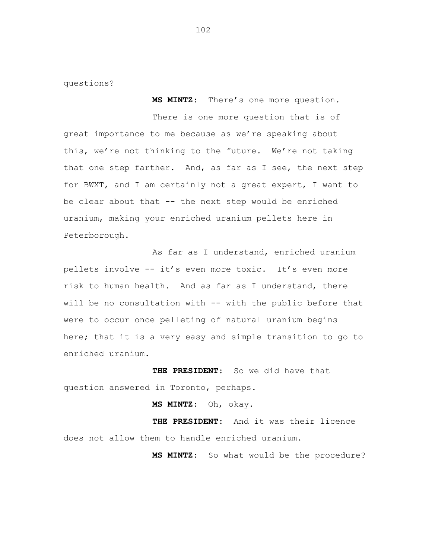questions?

**MS MINTZ**: There's one more question.

There is one more question that is of great importance to me because as we're speaking about this, we're not thinking to the future. We're not taking that one step farther. And, as far as I see, the next step for BWXT, and I am certainly not a great expert, I want to be clear about that -- the next step would be enriched uranium, making your enriched uranium pellets here in Peterborough.

As far as I understand, enriched uranium pellets involve -- it's even more toxic. It's even more risk to human health. And as far as I understand, there will be no consultation with -- with the public before that were to occur once pelleting of natural uranium begins here; that it is a very easy and simple transition to go to enriched uranium.

**THE PRESIDENT**: So we did have that question answered in Toronto, perhaps.

**MS MINTZ**: Oh, okay.

**THE PRESIDENT**: And it was their licence does not allow them to handle enriched uranium.

**MS MINTZ**: So what would be the procedure?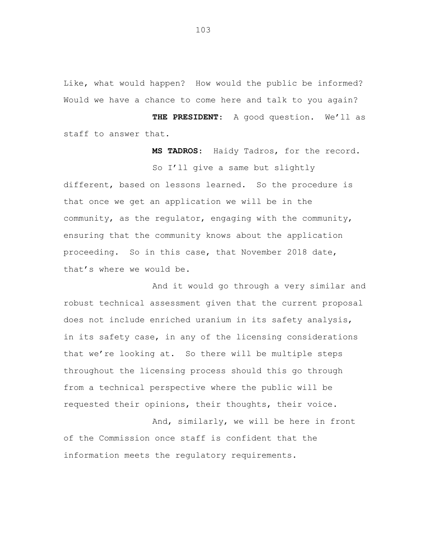Like, what would happen? How would the public be informed? Would we have a chance to come here and talk to you again?

**THE PRESIDENT**: A good question. We'll as staff to answer that.

**MS TADROS**: Haidy Tadros, for the record. So I'll give a same but slightly different, based on lessons learned. So the procedure is that once we get an application we will be in the community, as the regulator, engaging with the community, ensuring that the community knows about the application proceeding. So in this case, that November 2018 date, that's where we would be.

And it would go through a very similar and robust technical assessment given that the current proposal does not include enriched uranium in its safety analysis, in its safety case, in any of the licensing considerations that we're looking at. So there will be multiple steps throughout the licensing process should this go through from a technical perspective where the public will be requested their opinions, their thoughts, their voice.

And, similarly, we will be here in front of the Commission once staff is confident that the information meets the regulatory requirements.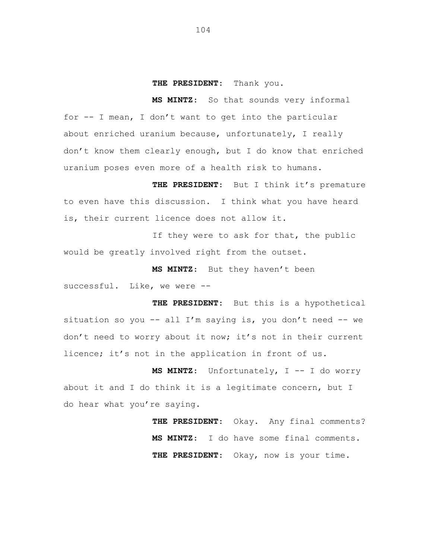#### **THE PRESIDENT**: Thank you.

**MS MINTZ**: So that sounds very informal for -- I mean, I don't want to get into the particular about enriched uranium because, unfortunately, I really don't know them clearly enough, but I do know that enriched uranium poses even more of a health risk to humans.

**THE PRESIDENT**: But I think it's premature to even have this discussion. I think what you have heard is, their current licence does not allow it.

If they were to ask for that, the public would be greatly involved right from the outset.

**MS MINTZ**: But they haven't been successful. Like, we were --

**THE PRESIDENT**: But this is a hypothetical situation so you  $--$  all I'm saying is, you don't need  $--$  we don't need to worry about it now; it's not in their current licence; it's not in the application in front of us.

**MS MINTZ**: Unfortunately, I -- I do worry about it and I do think it is a legitimate concern, but I do hear what you're saying.

> **THE PRESIDENT**: Okay. Any final comments? **MS MINTZ**: I do have some final comments. **THE PRESIDENT**: Okay, now is your time.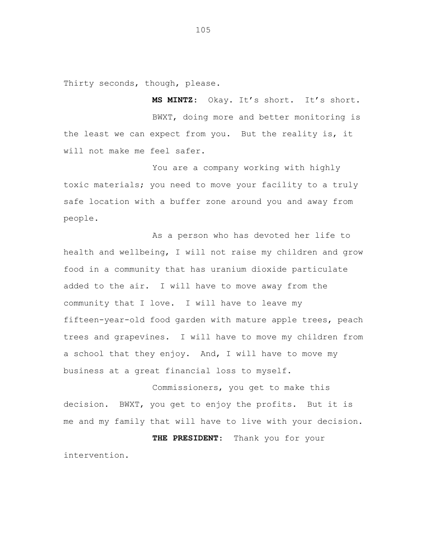Thirty seconds, though, please.

**MS MINTZ**: Okay. It's short. It's short. BWXT, doing more and better monitoring is the least we can expect from you. But the reality is, it will not make me feel safer.

You are a company working with highly toxic materials; you need to move your facility to a truly safe location with a buffer zone around you and away from people.

As a person who has devoted her life to health and wellbeing, I will not raise my children and grow food in a community that has uranium dioxide particulate added to the air. I will have to move away from the community that I love. I will have to leave my fifteen-year-old food garden with mature apple trees, peach trees and grapevines. I will have to move my children from a school that they enjoy. And, I will have to move my business at a great financial loss to myself.

Commissioners, you get to make this decision. BWXT, you get to enjoy the profits. But it is me and my family that will have to live with your decision. **THE PRESIDENT**: Thank you for your intervention.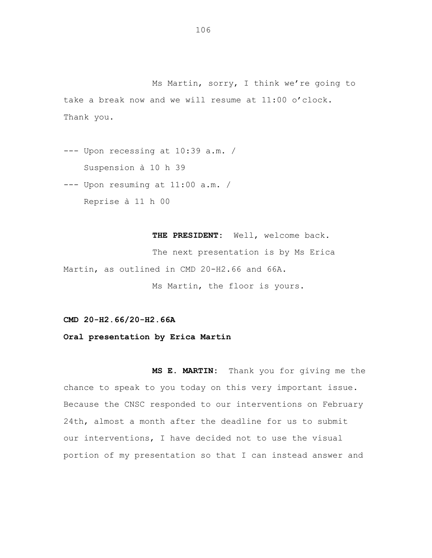Ms Martin, sorry, I think we're going to take a break now and we will resume at 11:00 o'clock. Thank you.

--- Upon recessing at 10:39 a.m. / Suspension à 10 h 39

--- Upon resuming at 11:00 a.m. /

Reprise à 11 h 00

THE PRESIDENT: Well, welcome back. The next presentation is by Ms Erica Martin, as outlined in CMD 20-H2.66 and 66A. Ms Martin, the floor is yours.

**CMD 20-H2.66/20-H2.66A**

**Oral presentation by Erica Martin**

**MS E. MARTIN:** Thank you for giving me the chance to speak to you today on this very important issue. Because the CNSC responded to our interventions on February 24th, almost a month after the deadline for us to submit our interventions, I have decided not to use the visual portion of my presentation so that I can instead answer and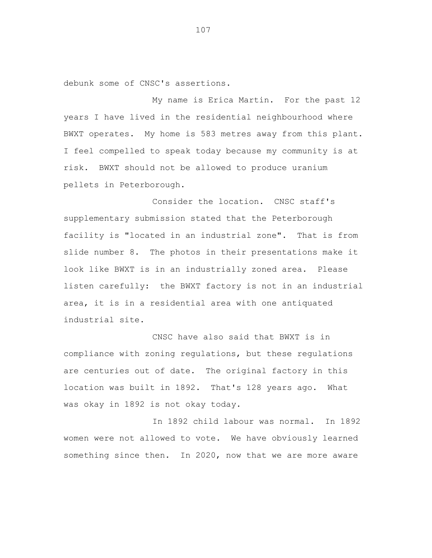debunk some of CNSC's assertions.

My name is Erica Martin. For the past 12 years I have lived in the residential neighbourhood where BWXT operates. My home is 583 metres away from this plant. I feel compelled to speak today because my community is at risk. BWXT should not be allowed to produce uranium pellets in Peterborough.

Consider the location. CNSC staff's supplementary submission stated that the Peterborough facility is "located in an industrial zone". That is from slide number 8. The photos in their presentations make it look like BWXT is in an industrially zoned area. Please listen carefully: the BWXT factory is not in an industrial area, it is in a residential area with one antiquated industrial site.

CNSC have also said that BWXT is in compliance with zoning regulations, but these regulations are centuries out of date. The original factory in this location was built in 1892. That's 128 years ago. What was okay in 1892 is not okay today.

In 1892 child labour was normal. In 1892 women were not allowed to vote. We have obviously learned something since then. In 2020, now that we are more aware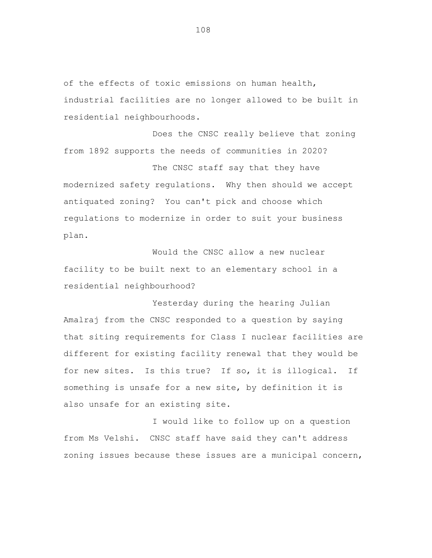of the effects of toxic emissions on human health, industrial facilities are no longer allowed to be built in residential neighbourhoods.

Does the CNSC really believe that zoning from 1892 supports the needs of communities in 2020?

The CNSC staff say that they have modernized safety regulations. Why then should we accept antiquated zoning? You can't pick and choose which regulations to modernize in order to suit your business plan.

Would the CNSC allow a new nuclear facility to be built next to an elementary school in a residential neighbourhood?

Yesterday during the hearing Julian Amalraj from the CNSC responded to a question by saying that siting requirements for Class I nuclear facilities are different for existing facility renewal that they would be for new sites. Is this true? If so, it is illogical. If something is unsafe for a new site, by definition it is also unsafe for an existing site.

I would like to follow up on a question from Ms Velshi. CNSC staff have said they can't address zoning issues because these issues are a municipal concern,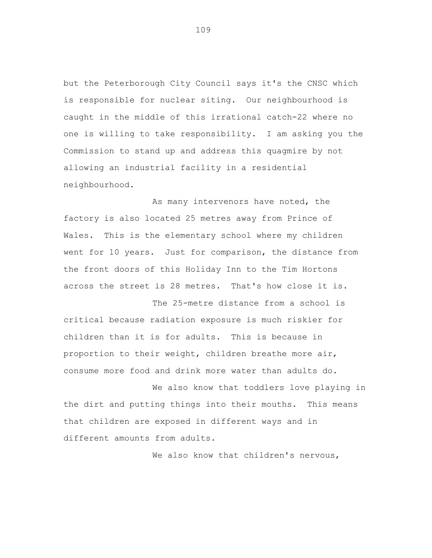but the Peterborough City Council says it's the CNSC which is responsible for nuclear siting. Our neighbourhood is caught in the middle of this irrational catch-22 where no one is willing to take responsibility. I am asking you the Commission to stand up and address this quagmire by not allowing an industrial facility in a residential neighbourhood.

As many intervenors have noted, the factory is also located 25 metres away from Prince of Wales. This is the elementary school where my children went for 10 years. Just for comparison, the distance from the front doors of this Holiday Inn to the Tim Hortons across the street is 28 metres. That's how close it is.

The 25-metre distance from a school is critical because radiation exposure is much riskier for children than it is for adults. This is because in proportion to their weight, children breathe more air, consume more food and drink more water than adults do.

We also know that toddlers love playing in the dirt and putting things into their mouths. This means that children are exposed in different ways and in different amounts from adults.

We also know that children's nervous,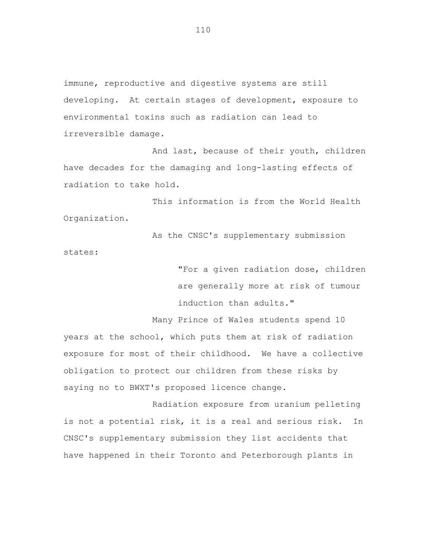immune, reproductive and digestive systems are still developing. At certain stages of development, exposure to environmental toxins such as radiation can lead to irreversible damage.

And last, because of their youth, children have decades for the damaging and long-lasting effects of radiation to take hold.

This information is from the World Health Organization.

As the CNSC's supplementary submission states:

> "For a given radiation dose, children are generally more at risk of tumour induction than adults."

Many Prince of Wales students spend 10 years at the school, which puts them at risk of radiation exposure for most of their childhood. We have a collective obligation to protect our children from these risks by saying no to BWXT's proposed licence change.

Radiation exposure from uranium pelleting is not a potential risk, it is a real and serious risk. In CNSC's supplementary submission they list accidents that have happened in their Toronto and Peterborough plants in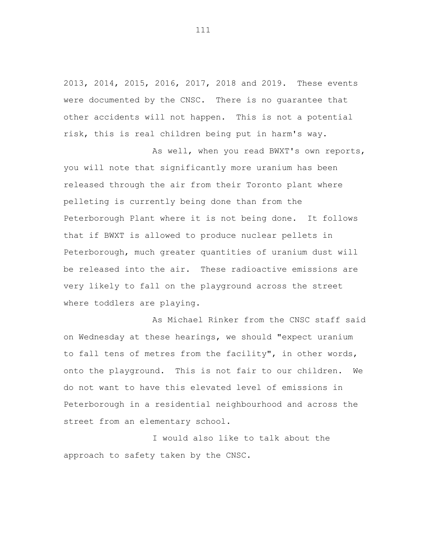2013, 2014, 2015, 2016, 2017, 2018 and 2019. These events were documented by the CNSC. There is no guarantee that other accidents will not happen. This is not a potential risk, this is real children being put in harm's way.

As well, when you read BWXT's own reports, you will note that significantly more uranium has been released through the air from their Toronto plant where pelleting is currently being done than from the Peterborough Plant where it is not being done. It follows that if BWXT is allowed to produce nuclear pellets in Peterborough, much greater quantities of uranium dust will be released into the air. These radioactive emissions are very likely to fall on the playground across the street where toddlers are playing.

As Michael Rinker from the CNSC staff said on Wednesday at these hearings, we should "expect uranium to fall tens of metres from the facility", in other words, onto the playground. This is not fair to our children. We do not want to have this elevated level of emissions in Peterborough in a residential neighbourhood and across the street from an elementary school.

I would also like to talk about the approach to safety taken by the CNSC.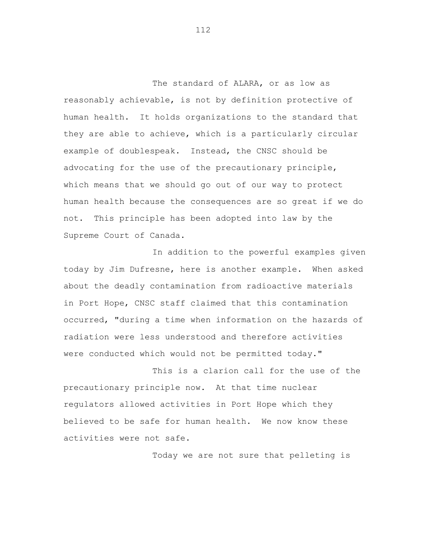The standard of ALARA, or as low as reasonably achievable, is not by definition protective of human health. It holds organizations to the standard that they are able to achieve, which is a particularly circular example of doublespeak. Instead, the CNSC should be advocating for the use of the precautionary principle, which means that we should go out of our way to protect human health because the consequences are so great if we do not. This principle has been adopted into law by the Supreme Court of Canada.

In addition to the powerful examples given today by Jim Dufresne, here is another example. When asked about the deadly contamination from radioactive materials in Port Hope, CNSC staff claimed that this contamination occurred, "during a time when information on the hazards of radiation were less understood and therefore activities were conducted which would not be permitted today."

This is a clarion call for the use of the precautionary principle now. At that time nuclear regulators allowed activities in Port Hope which they believed to be safe for human health. We now know these activities were not safe.

Today we are not sure that pelleting is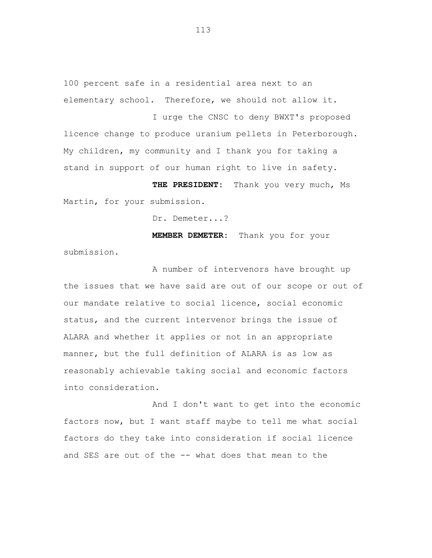100 percent safe in a residential area next to an elementary school. Therefore, we should not allow it.

I urge the CNSC to deny BWXT's proposed licence change to produce uranium pellets in Peterborough. My children, my community and I thank you for taking a stand in support of our human right to live in safety.

**THE PRESIDENT:** Thank you very much, Ms Martin, for your submission.

Dr. Demeter...?

**MEMBER DEMETER:** Thank you for your submission.

A number of intervenors have brought up the issues that we have said are out of our scope or out of our mandate relative to social licence, social economic status, and the current intervenor brings the issue of ALARA and whether it applies or not in an appropriate manner, but the full definition of ALARA is as low as reasonably achievable taking social and economic factors into consideration.

And I don't want to get into the economic factors now, but I want staff maybe to tell me what social factors do they take into consideration if social licence and SES are out of the -- what does that mean to the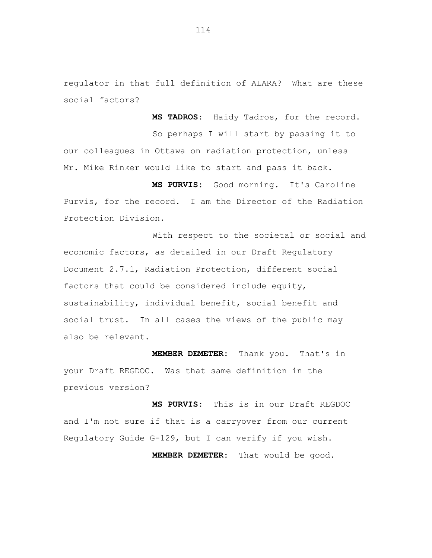regulator in that full definition of ALARA? What are these social factors?

**MS TADROS:** Haidy Tadros, for the record. So perhaps I will start by passing it to our colleagues in Ottawa on radiation protection, unless Mr. Mike Rinker would like to start and pass it back.

**MS PURVIS:** Good morning. It's Caroline Purvis, for the record. I am the Director of the Radiation Protection Division.

With respect to the societal or social and economic factors, as detailed in our Draft Regulatory Document 2.7.1, Radiation Protection, different social factors that could be considered include equity, sustainability, individual benefit, social benefit and social trust. In all cases the views of the public may also be relevant.

**MEMBER DEMETER:** Thank you. That's in your Draft REGDOC. Was that same definition in the previous version?

**MS PURVIS:** This is in our Draft REGDOC and I'm not sure if that is a carryover from our current Regulatory Guide G-129, but I can verify if you wish.

**MEMBER DEMETER:** That would be good.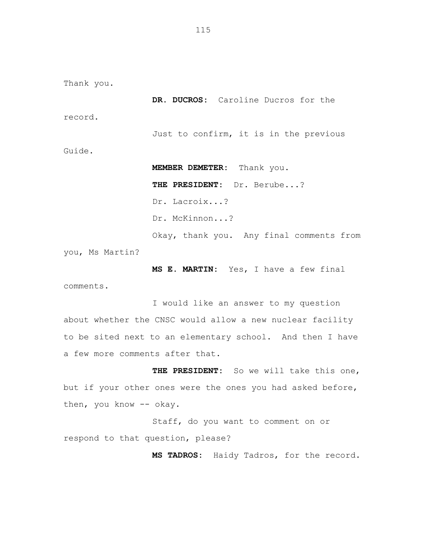Thank you.

**DR. DUCROS:** Caroline Ducros for the

record.

Guide.

Just to confirm, it is in the previous

**MEMBER DEMETER:** Thank you. **THE PRESIDENT:** Dr. Berube...? Dr. Lacroix...? Dr. McKinnon...? Okay, thank you. Any final comments from

you, Ms Martin?

comments.

**MS E. MARTIN:** Yes, I have a few final

I would like an answer to my question about whether the CNSC would allow a new nuclear facility to be sited next to an elementary school. And then I have a few more comments after that.

THE PRESIDENT: So we will take this one, but if your other ones were the ones you had asked before, then, you know -- okay.

Staff, do you want to comment on or respond to that question, please?

**MS TADROS:** Haidy Tadros, for the record.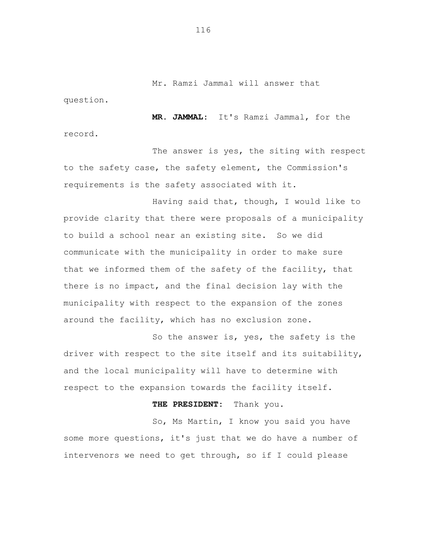Mr. Ramzi Jammal will answer that

question.

**MR. JAMMAL:** It's Ramzi Jammal, for the record.

The answer is yes, the siting with respect to the safety case, the safety element, the Commission's requirements is the safety associated with it.

Having said that, though, I would like to provide clarity that there were proposals of a municipality to build a school near an existing site. So we did communicate with the municipality in order to make sure that we informed them of the safety of the facility, that there is no impact, and the final decision lay with the municipality with respect to the expansion of the zones around the facility, which has no exclusion zone.

So the answer is, yes, the safety is the driver with respect to the site itself and its suitability, and the local municipality will have to determine with respect to the expansion towards the facility itself.

**THE PRESIDENT:** Thank you.

So, Ms Martin, I know you said you have some more questions, it's just that we do have a number of intervenors we need to get through, so if I could please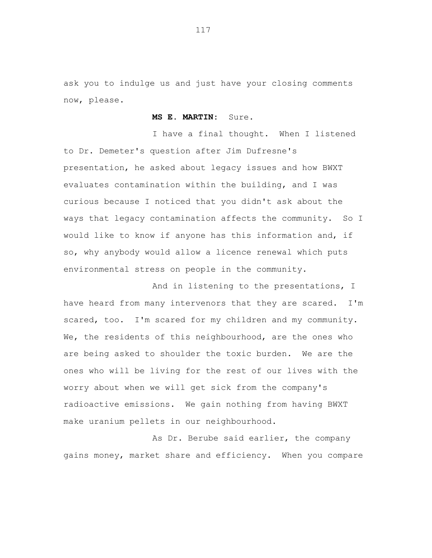ask you to indulge us and just have your closing comments now, please.

**MS E. MARTIN:** Sure.

I have a final thought. When I listened to Dr. Demeter's question after Jim Dufresne's presentation, he asked about legacy issues and how BWXT evaluates contamination within the building, and I was curious because I noticed that you didn't ask about the ways that legacy contamination affects the community. So I would like to know if anyone has this information and, if so, why anybody would allow a licence renewal which puts environmental stress on people in the community.

And in listening to the presentations, I have heard from many intervenors that they are scared. I'm scared, too. I'm scared for my children and my community. We, the residents of this neighbourhood, are the ones who are being asked to shoulder the toxic burden. We are the ones who will be living for the rest of our lives with the worry about when we will get sick from the company's radioactive emissions. We gain nothing from having BWXT make uranium pellets in our neighbourhood.

As Dr. Berube said earlier, the company gains money, market share and efficiency. When you compare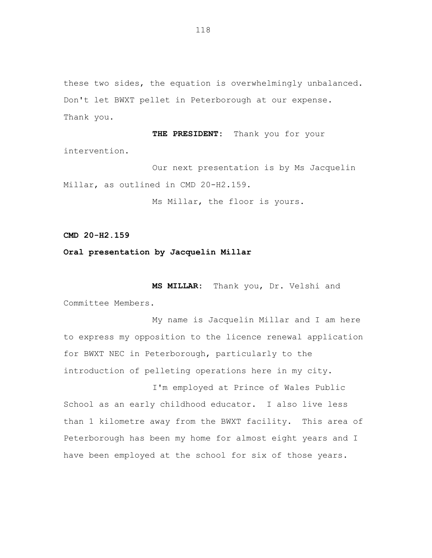these two sides, the equation is overwhelmingly unbalanced. Don't let BWXT pellet in Peterborough at our expense. Thank you.

**THE PRESIDENT:** Thank you for your intervention.

Our next presentation is by Ms Jacquelin Millar, as outlined in CMD 20-H2.159.

Ms Millar, the floor is yours.

**CMD 20-H2.159**

## **Oral presentation by Jacquelin Millar**

**MS MILLAR:** Thank you, Dr. Velshi and Committee Members.

My name is Jacquelin Millar and I am here to express my opposition to the licence renewal application for BWXT NEC in Peterborough, particularly to the introduction of pelleting operations here in my city.

I'm employed at Prince of Wales Public School as an early childhood educator. I also live less than 1 kilometre away from the BWXT facility. This area of Peterborough has been my home for almost eight years and I have been employed at the school for six of those years.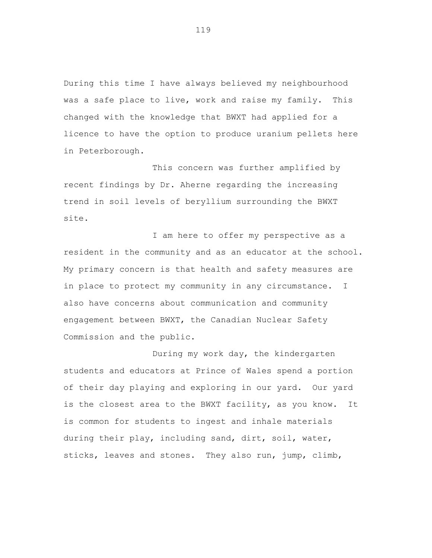During this time I have always believed my neighbourhood was a safe place to live, work and raise my family. This changed with the knowledge that BWXT had applied for a licence to have the option to produce uranium pellets here in Peterborough.

This concern was further amplified by recent findings by Dr. Aherne regarding the increasing trend in soil levels of beryllium surrounding the BWXT site.

I am here to offer my perspective as a resident in the community and as an educator at the school. My primary concern is that health and safety measures are in place to protect my community in any circumstance. I also have concerns about communication and community engagement between BWXT, the Canadian Nuclear Safety Commission and the public.

During my work day, the kindergarten students and educators at Prince of Wales spend a portion of their day playing and exploring in our yard. Our yard is the closest area to the BWXT facility, as you know. It is common for students to ingest and inhale materials during their play, including sand, dirt, soil, water, sticks, leaves and stones. They also run, jump, climb,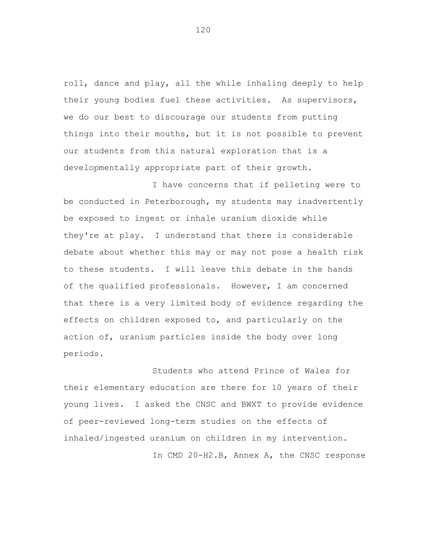roll, dance and play, all the while inhaling deeply to help their young bodies fuel these activities. As supervisors, we do our best to discourage our students from putting things into their mouths, but it is not possible to prevent our students from this natural exploration that is a developmentally appropriate part of their growth.

I have concerns that if pelleting were to be conducted in Peterborough, my students may inadvertently be exposed to ingest or inhale uranium dioxide while they're at play. I understand that there is considerable debate about whether this may or may not pose a health risk to these students. I will leave this debate in the hands of the qualified professionals. However, I am concerned that there is a very limited body of evidence regarding the effects on children exposed to, and particularly on the action of, uranium particles inside the body over long periods.

Students who attend Prince of Wales for their elementary education are there for 10 years of their young lives. I asked the CNSC and BWXT to provide evidence of peer-reviewed long-term studies on the effects of inhaled/ingested uranium on children in my intervention. In CMD 20-H2.B, Annex A, the CNSC response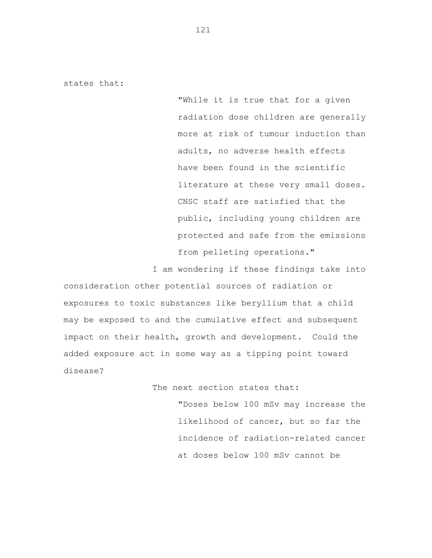states that:

"While it is true that for a given radiation dose children are generally more at risk of tumour induction than adults, no adverse health effects have been found in the scientific literature at these very small doses. CNSC staff are satisfied that the public, including young children are protected and safe from the emissions from pelleting operations."

I am wondering if these findings take into consideration other potential sources of radiation or exposures to toxic substances like beryllium that a child may be exposed to and the cumulative effect and subsequent impact on their health, growth and development. Could the added exposure act in some way as a tipping point toward disease?

The next section states that:

"Doses below 100 mSv may increase the likelihood of cancer, but so far the incidence of radiation-related cancer at doses below 100 mSv cannot be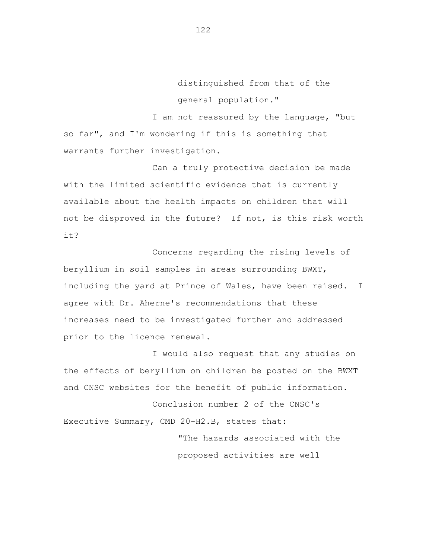distinguished from that of the general population."

I am not reassured by the language, "but so far", and I'm wondering if this is something that warrants further investigation.

Can a truly protective decision be made with the limited scientific evidence that is currently available about the health impacts on children that will not be disproved in the future? If not, is this risk worth it?

Concerns regarding the rising levels of beryllium in soil samples in areas surrounding BWXT, including the yard at Prince of Wales, have been raised. I agree with Dr. Aherne's recommendations that these increases need to be investigated further and addressed prior to the licence renewal.

I would also request that any studies on the effects of beryllium on children be posted on the BWXT and CNSC websites for the benefit of public information.

Conclusion number 2 of the CNSC's Executive Summary, CMD 20-H2.B, states that:

> "The hazards associated with the proposed activities are well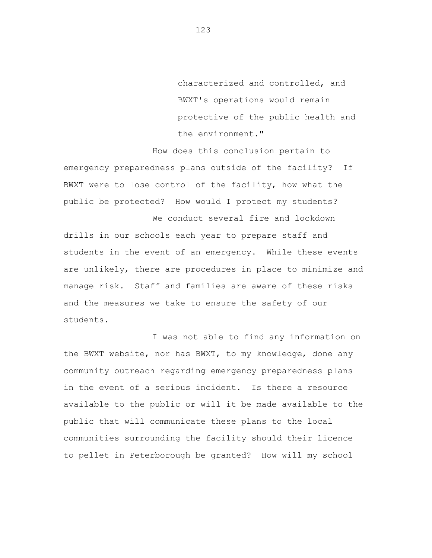characterized and controlled, and BWXT's operations would remain protective of the public health and the environment."

How does this conclusion pertain to emergency preparedness plans outside of the facility? If BWXT were to lose control of the facility, how what the public be protected? How would I protect my students?

drills in our schools each year to prepare staff and students in the event of an emergency. While these events are unlikely, there are procedures in place to minimize and manage risk. Staff and families are aware of these risks and the measures we take to ensure the safety of our students.

We conduct several fire and lockdown

I was not able to find any information on the BWXT website, nor has BWXT, to my knowledge, done any community outreach regarding emergency preparedness plans in the event of a serious incident. Is there a resource available to the public or will it be made available to the public that will communicate these plans to the local communities surrounding the facility should their licence to pellet in Peterborough be granted? How will my school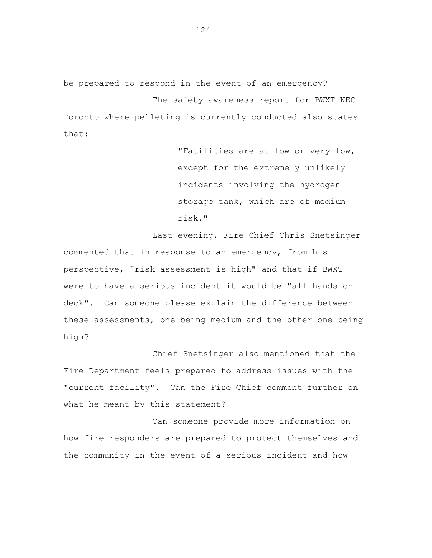be prepared to respond in the event of an emergency? The safety awareness report for BWXT NEC Toronto where pelleting is currently conducted also states that:

> "Facilities are at low or very low, except for the extremely unlikely incidents involving the hydrogen storage tank, which are of medium risk."

Last evening, Fire Chief Chris Snetsinger commented that in response to an emergency, from his perspective, "risk assessment is high" and that if BWXT were to have a serious incident it would be "all hands on deck". Can someone please explain the difference between these assessments, one being medium and the other one being high?

Chief Snetsinger also mentioned that the Fire Department feels prepared to address issues with the "current facility". Can the Fire Chief comment further on what he meant by this statement?

Can someone provide more information on how fire responders are prepared to protect themselves and the community in the event of a serious incident and how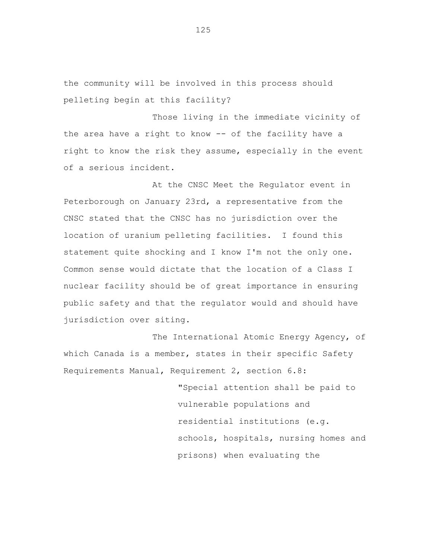the community will be involved in this process should pelleting begin at this facility?

Those living in the immediate vicinity of the area have a right to know -- of the facility have a right to know the risk they assume, especially in the event of a serious incident.

At the CNSC Meet the Regulator event in Peterborough on January 23rd, a representative from the CNSC stated that the CNSC has no jurisdiction over the location of uranium pelleting facilities. I found this statement quite shocking and I know I'm not the only one. Common sense would dictate that the location of a Class I nuclear facility should be of great importance in ensuring public safety and that the regulator would and should have jurisdiction over siting.

The International Atomic Energy Agency, of which Canada is a member, states in their specific Safety Requirements Manual, Requirement 2, section 6.8:

> "Special attention shall be paid to vulnerable populations and residential institutions (e.g. schools, hospitals, nursing homes and prisons) when evaluating the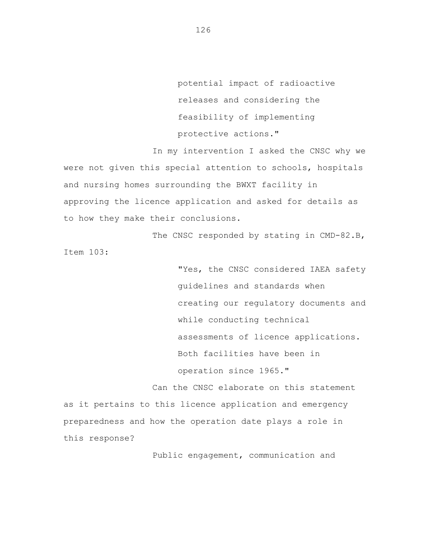potential impact of radioactive releases and considering the feasibility of implementing protective actions."

In my intervention I asked the CNSC why we were not given this special attention to schools, hospitals and nursing homes surrounding the BWXT facility in approving the licence application and asked for details as to how they make their conclusions.

The CNSC responded by stating in CMD-82.B, Item 103:

> "Yes, the CNSC considered IAEA safety guidelines and standards when creating our regulatory documents and while conducting technical assessments of licence applications. Both facilities have been in operation since 1965."

Can the CNSC elaborate on this statement as it pertains to this licence application and emergency preparedness and how the operation date plays a role in this response?

Public engagement, communication and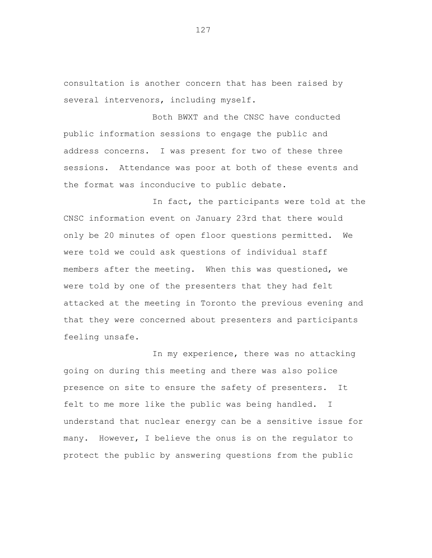consultation is another concern that has been raised by several intervenors, including myself.

Both BWXT and the CNSC have conducted public information sessions to engage the public and address concerns. I was present for two of these three sessions. Attendance was poor at both of these events and the format was inconducive to public debate.

In fact, the participants were told at the CNSC information event on January 23rd that there would only be 20 minutes of open floor questions permitted. We were told we could ask questions of individual staff members after the meeting. When this was questioned, we were told by one of the presenters that they had felt attacked at the meeting in Toronto the previous evening and that they were concerned about presenters and participants feeling unsafe.

In my experience, there was no attacking going on during this meeting and there was also police presence on site to ensure the safety of presenters. It felt to me more like the public was being handled. I understand that nuclear energy can be a sensitive issue for many. However, I believe the onus is on the regulator to protect the public by answering questions from the public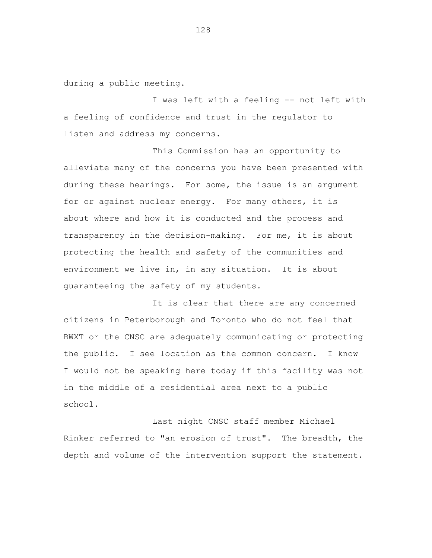during a public meeting.

I was left with a feeling -- not left with a feeling of confidence and trust in the regulator to listen and address my concerns.

This Commission has an opportunity to alleviate many of the concerns you have been presented with during these hearings. For some, the issue is an argument for or against nuclear energy. For many others, it is about where and how it is conducted and the process and transparency in the decision-making. For me, it is about protecting the health and safety of the communities and environment we live in, in any situation. It is about guaranteeing the safety of my students.

It is clear that there are any concerned citizens in Peterborough and Toronto who do not feel that BWXT or the CNSC are adequately communicating or protecting the public. I see location as the common concern. I know I would not be speaking here today if this facility was not in the middle of a residential area next to a public school.

Last night CNSC staff member Michael Rinker referred to "an erosion of trust". The breadth, the depth and volume of the intervention support the statement.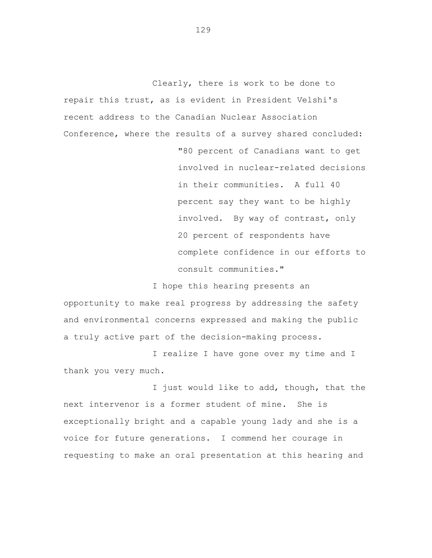Clearly, there is work to be done to repair this trust, as is evident in President Velshi's recent address to the Canadian Nuclear Association Conference, where the results of a survey shared concluded: "80 percent of Canadians want to get involved in nuclear-related decisions in their communities. A full 40 percent say they want to be highly involved. By way of contrast, only 20 percent of respondents have complete confidence in our efforts to consult communities."

I hope this hearing presents an opportunity to make real progress by addressing the safety and environmental concerns expressed and making the public a truly active part of the decision-making process.

I realize I have gone over my time and I thank you very much.

I just would like to add, though, that the next intervenor is a former student of mine. She is exceptionally bright and a capable young lady and she is a voice for future generations. I commend her courage in requesting to make an oral presentation at this hearing and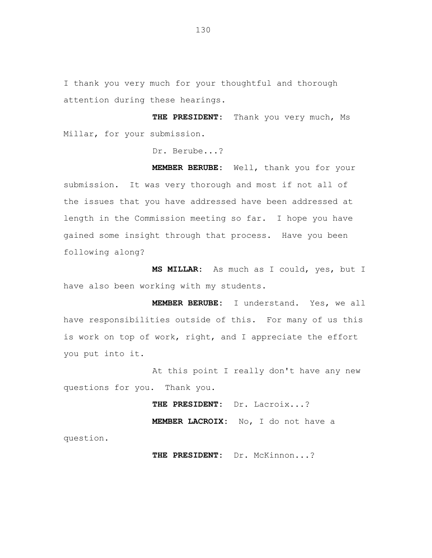I thank you very much for your thoughtful and thorough attention during these hearings.

**THE PRESIDENT:** Thank you very much, Ms Millar, for your submission.

Dr. Berube...?

**MEMBER BERUBE:** Well, thank you for your submission. It was very thorough and most if not all of the issues that you have addressed have been addressed at length in the Commission meeting so far. I hope you have gained some insight through that process. Have you been following along?

**MS MILLAR:** As much as I could, yes, but I have also been working with my students.

**MEMBER BERUBE:** I understand. Yes, we all have responsibilities outside of this. For many of us this is work on top of work, right, and I appreciate the effort you put into it.

At this point I really don't have any new questions for you. Thank you.

**THE PRESIDENT:** Dr. Lacroix...?

**MEMBER LACROIX:** No, I do not have a

question.

**THE PRESIDENT:** Dr. McKinnon...?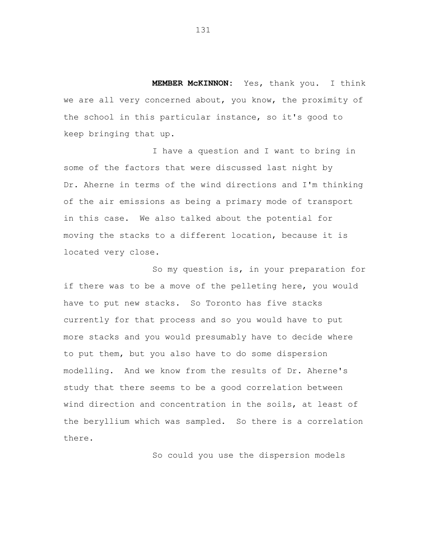**MEMBER McKINNON:** Yes, thank you. I think we are all very concerned about, you know, the proximity of the school in this particular instance, so it's good to keep bringing that up.

I have a question and I want to bring in some of the factors that were discussed last night by Dr. Aherne in terms of the wind directions and I'm thinking of the air emissions as being a primary mode of transport in this case. We also talked about the potential for moving the stacks to a different location, because it is located very close.

So my question is, in your preparation for if there was to be a move of the pelleting here, you would have to put new stacks. So Toronto has five stacks currently for that process and so you would have to put more stacks and you would presumably have to decide where to put them, but you also have to do some dispersion modelling. And we know from the results of Dr. Aherne's study that there seems to be a good correlation between wind direction and concentration in the soils, at least of the beryllium which was sampled. So there is a correlation there.

So could you use the dispersion models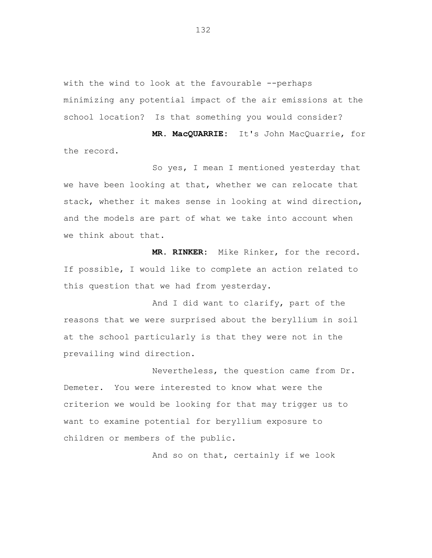with the wind to look at the favourable --perhaps minimizing any potential impact of the air emissions at the school location? Is that something you would consider?

**MR. MacQUARRIE:** It's John MacQuarrie, for the record.

So yes, I mean I mentioned yesterday that we have been looking at that, whether we can relocate that stack, whether it makes sense in looking at wind direction, and the models are part of what we take into account when we think about that.

**MR. RINKER:** Mike Rinker, for the record. If possible, I would like to complete an action related to this question that we had from yesterday.

And I did want to clarify, part of the reasons that we were surprised about the beryllium in soil at the school particularly is that they were not in the prevailing wind direction.

Nevertheless, the question came from Dr. Demeter. You were interested to know what were the criterion we would be looking for that may trigger us to want to examine potential for beryllium exposure to children or members of the public.

And so on that, certainly if we look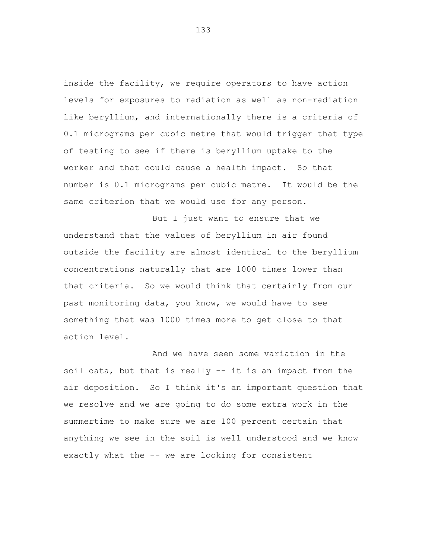inside the facility, we require operators to have action levels for exposures to radiation as well as non-radiation like beryllium, and internationally there is a criteria of 0.1 micrograms per cubic metre that would trigger that type of testing to see if there is beryllium uptake to the worker and that could cause a health impact. So that number is 0.1 micrograms per cubic metre. It would be the same criterion that we would use for any person.

But I just want to ensure that we understand that the values of beryllium in air found outside the facility are almost identical to the beryllium concentrations naturally that are 1000 times lower than that criteria. So we would think that certainly from our past monitoring data, you know, we would have to see something that was 1000 times more to get close to that action level.

And we have seen some variation in the soil data, but that is really -- it is an impact from the air deposition. So I think it's an important question that we resolve and we are going to do some extra work in the summertime to make sure we are 100 percent certain that anything we see in the soil is well understood and we know exactly what the -- we are looking for consistent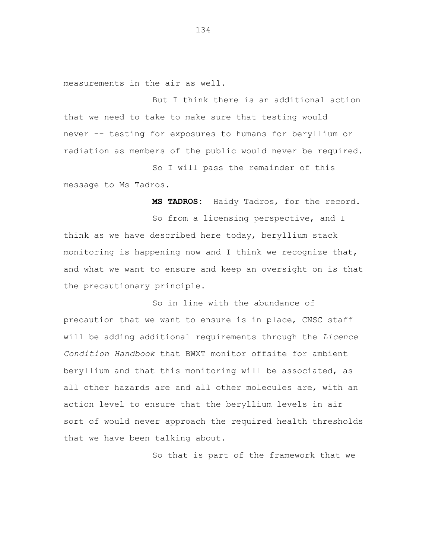measurements in the air as well.

But I think there is an additional action that we need to take to make sure that testing would never -- testing for exposures to humans for beryllium or radiation as members of the public would never be required.

So I will pass the remainder of this message to Ms Tadros.

**MS TADROS:** Haidy Tadros, for the record.

So from a licensing perspective, and I think as we have described here today, beryllium stack monitoring is happening now and I think we recognize that, and what we want to ensure and keep an oversight on is that the precautionary principle.

So in line with the abundance of precaution that we want to ensure is in place, CNSC staff will be adding additional requirements through the *Licence Condition Handbook* that BWXT monitor offsite for ambient beryllium and that this monitoring will be associated, as all other hazards are and all other molecules are, with an action level to ensure that the beryllium levels in air sort of would never approach the required health thresholds that we have been talking about.

So that is part of the framework that we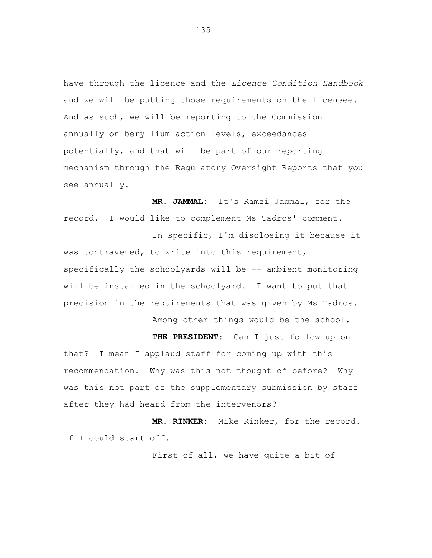have through the licence and the *Licence Condition Handbook* and we will be putting those requirements on the licensee. And as such, we will be reporting to the Commission annually on beryllium action levels, exceedances potentially, and that will be part of our reporting mechanism through the Regulatory Oversight Reports that you see annually.

**MR. JAMMAL:** It's Ramzi Jammal, for the record. I would like to complement Ms Tadros' comment.

In specific, I'm disclosing it because it was contravened, to write into this requirement, specifically the schoolyards will be -- ambient monitoring will be installed in the schoolyard. I want to put that precision in the requirements that was given by Ms Tadros.

Among other things would be the school.

**THE PRESIDENT:** Can I just follow up on that? I mean I applaud staff for coming up with this recommendation. Why was this not thought of before? Why was this not part of the supplementary submission by staff after they had heard from the intervenors?

**MR. RINKER:** Mike Rinker, for the record. If I could start off.

First of all, we have quite a bit of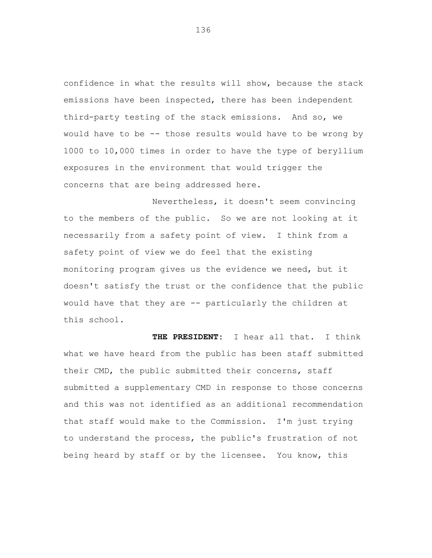confidence in what the results will show, because the stack emissions have been inspected, there has been independent third-party testing of the stack emissions. And so, we would have to be -- those results would have to be wrong by 1000 to 10,000 times in order to have the type of beryllium exposures in the environment that would trigger the concerns that are being addressed here.

Nevertheless, it doesn't seem convincing to the members of the public. So we are not looking at it necessarily from a safety point of view. I think from a safety point of view we do feel that the existing monitoring program gives us the evidence we need, but it doesn't satisfy the trust or the confidence that the public would have that they are -- particularly the children at this school.

**THE PRESIDENT:** I hear all that. I think what we have heard from the public has been staff submitted their CMD, the public submitted their concerns, staff submitted a supplementary CMD in response to those concerns and this was not identified as an additional recommendation that staff would make to the Commission. I'm just trying to understand the process, the public's frustration of not being heard by staff or by the licensee. You know, this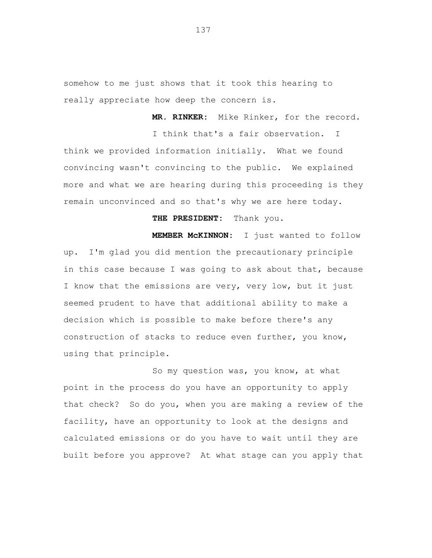somehow to me just shows that it took this hearing to really appreciate how deep the concern is.

**MR. RINKER:** Mike Rinker, for the record.

I think that's a fair observation. I think we provided information initially. What we found convincing wasn't convincing to the public. We explained more and what we are hearing during this proceeding is they remain unconvinced and so that's why we are here today.

## **THE PRESIDENT:** Thank you.

**MEMBER McKINNON:** I just wanted to follow up. I'm glad you did mention the precautionary principle in this case because I was going to ask about that, because I know that the emissions are very, very low, but it just seemed prudent to have that additional ability to make a decision which is possible to make before there's any construction of stacks to reduce even further, you know, using that principle.

So my question was, you know, at what point in the process do you have an opportunity to apply that check? So do you, when you are making a review of the facility, have an opportunity to look at the designs and calculated emissions or do you have to wait until they are built before you approve? At what stage can you apply that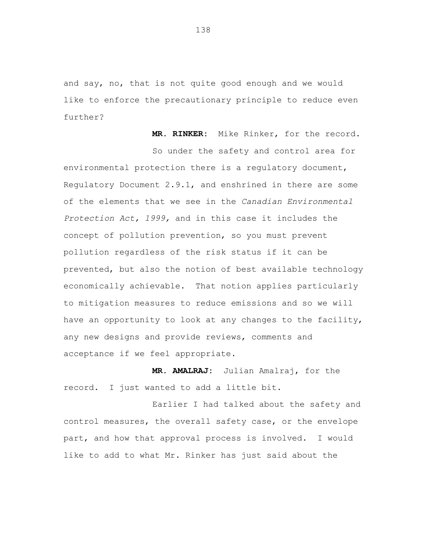and say, no, that is not quite good enough and we would like to enforce the precautionary principle to reduce even further?

**MR. RINKER:** Mike Rinker, for the record.

So under the safety and control area for environmental protection there is a regulatory document, Regulatory Document 2.9.1, and enshrined in there are some of the elements that we see in the *Canadian Environmental Protection Act, 1999,* and in this case it includes the concept of pollution prevention, so you must prevent pollution regardless of the risk status if it can be prevented, but also the notion of best available technology economically achievable. That notion applies particularly to mitigation measures to reduce emissions and so we will have an opportunity to look at any changes to the facility, any new designs and provide reviews, comments and acceptance if we feel appropriate.

**MR. AMALRAJ:** Julian Amalraj, for the record. I just wanted to add a little bit.

Earlier I had talked about the safety and control measures, the overall safety case, or the envelope part, and how that approval process is involved. I would like to add to what Mr. Rinker has just said about the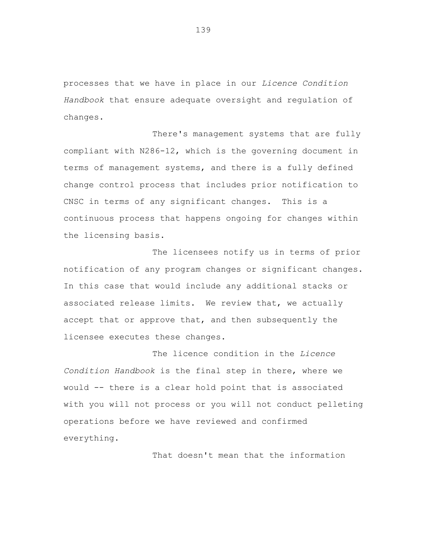processes that we have in place in our *Licence Condition Handbook* that ensure adequate oversight and regulation of changes.

There's management systems that are fully compliant with N286-12, which is the governing document in terms of management systems, and there is a fully defined change control process that includes prior notification to CNSC in terms of any significant changes. This is a continuous process that happens ongoing for changes within the licensing basis.

The licensees notify us in terms of prior notification of any program changes or significant changes. In this case that would include any additional stacks or associated release limits. We review that, we actually accept that or approve that, and then subsequently the licensee executes these changes.

The licence condition in the *Licence Condition Handbook* is the final step in there, where we would -- there is a clear hold point that is associated with you will not process or you will not conduct pelleting operations before we have reviewed and confirmed everything.

That doesn't mean that the information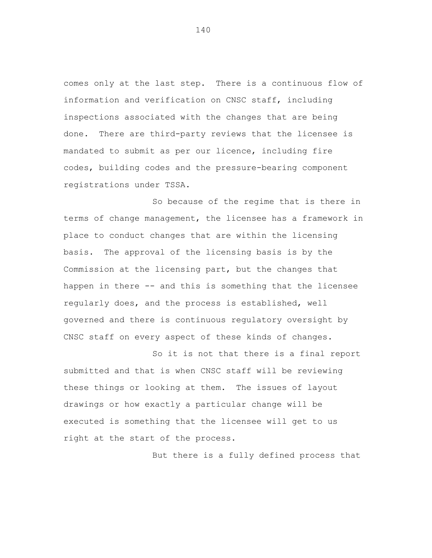comes only at the last step. There is a continuous flow of information and verification on CNSC staff, including inspections associated with the changes that are being done. There are third-party reviews that the licensee is mandated to submit as per our licence, including fire codes, building codes and the pressure-bearing component registrations under TSSA.

So because of the regime that is there in terms of change management, the licensee has a framework in place to conduct changes that are within the licensing basis. The approval of the licensing basis is by the Commission at the licensing part, but the changes that happen in there -- and this is something that the licensee regularly does, and the process is established, well governed and there is continuous regulatory oversight by CNSC staff on every aspect of these kinds of changes.

So it is not that there is a final report submitted and that is when CNSC staff will be reviewing these things or looking at them. The issues of layout drawings or how exactly a particular change will be executed is something that the licensee will get to us right at the start of the process.

But there is a fully defined process that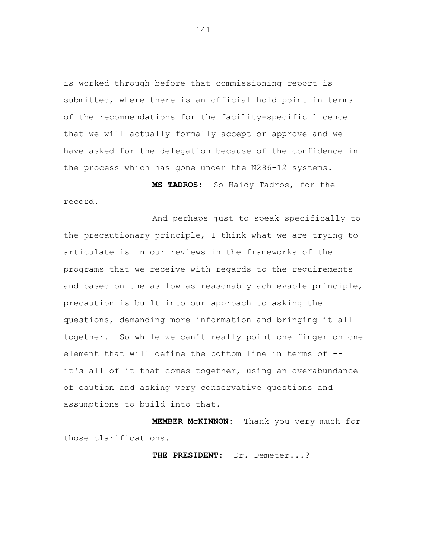is worked through before that commissioning report is submitted, where there is an official hold point in terms of the recommendations for the facility-specific licence that we will actually formally accept or approve and we have asked for the delegation because of the confidence in the process which has gone under the N286-12 systems.

**MS TADROS:** So Haidy Tadros, for the record.

And perhaps just to speak specifically to the precautionary principle, I think what we are trying to articulate is in our reviews in the frameworks of the programs that we receive with regards to the requirements and based on the as low as reasonably achievable principle, precaution is built into our approach to asking the questions, demanding more information and bringing it all together. So while we can't really point one finger on one element that will define the bottom line in terms of - it's all of it that comes together, using an overabundance of caution and asking very conservative questions and assumptions to build into that.

**MEMBER McKINNON:** Thank you very much for those clarifications.

**THE PRESIDENT:** Dr. Demeter...?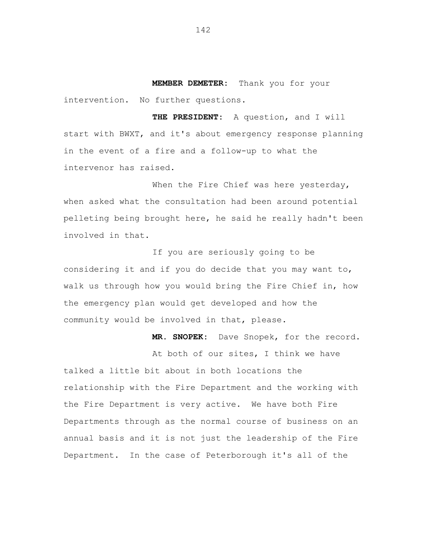**MEMBER DEMETER:** Thank you for your intervention. No further questions.

**THE PRESIDENT:** A question, and I will start with BWXT, and it's about emergency response planning in the event of a fire and a follow-up to what the intervenor has raised.

When the Fire Chief was here yesterday, when asked what the consultation had been around potential pelleting being brought here, he said he really hadn't been involved in that.

If you are seriously going to be considering it and if you do decide that you may want to, walk us through how you would bring the Fire Chief in, how the emergency plan would get developed and how the community would be involved in that, please.

**MR. SNOPEK:** Dave Snopek, for the record.

At both of our sites, I think we have talked a little bit about in both locations the relationship with the Fire Department and the working with the Fire Department is very active. We have both Fire Departments through as the normal course of business on an annual basis and it is not just the leadership of the Fire Department. In the case of Peterborough it's all of the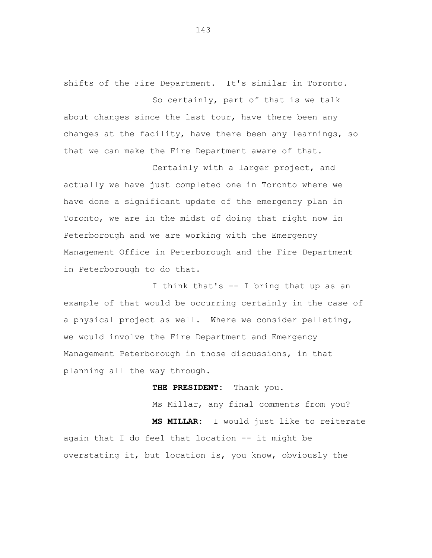shifts of the Fire Department. It's similar in Toronto. So certainly, part of that is we talk

about changes since the last tour, have there been any changes at the facility, have there been any learnings, so that we can make the Fire Department aware of that.

Certainly with a larger project, and actually we have just completed one in Toronto where we have done a significant update of the emergency plan in Toronto, we are in the midst of doing that right now in Peterborough and we are working with the Emergency Management Office in Peterborough and the Fire Department in Peterborough to do that.

I think that's -- I bring that up as an example of that would be occurring certainly in the case of a physical project as well. Where we consider pelleting, we would involve the Fire Department and Emergency Management Peterborough in those discussions, in that planning all the way through.

**THE PRESIDENT:** Thank you.

Ms Millar, any final comments from you? **MS MILLAR:** I would just like to reiterate again that I do feel that location -- it might be overstating it, but location is, you know, obviously the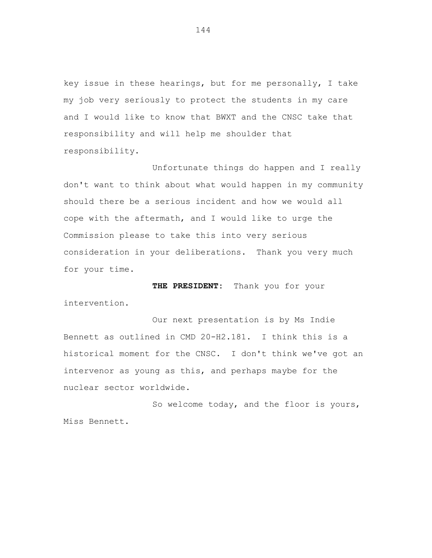key issue in these hearings, but for me personally, I take my job very seriously to protect the students in my care and I would like to know that BWXT and the CNSC take that responsibility and will help me shoulder that responsibility.

Unfortunate things do happen and I really don't want to think about what would happen in my community should there be a serious incident and how we would all cope with the aftermath, and I would like to urge the Commission please to take this into very serious consideration in your deliberations. Thank you very much for your time.

**THE PRESIDENT:** Thank you for your

intervention.

Our next presentation is by Ms Indie Bennett as outlined in CMD 20-H2.181. I think this is a historical moment for the CNSC. I don't think we've got an intervenor as young as this, and perhaps maybe for the nuclear sector worldwide.

So welcome today, and the floor is yours, Miss Bennett.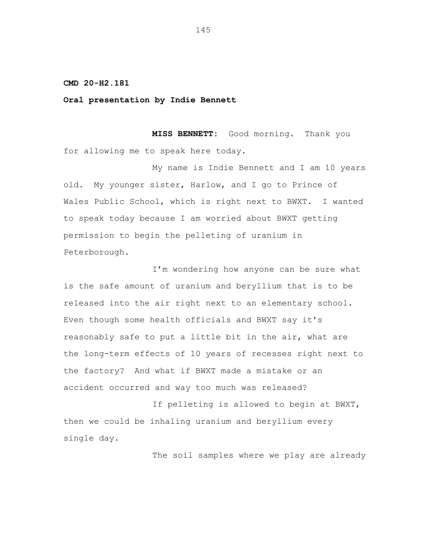**CMD 20-H2.181**

**Oral presentation by Indie Bennett**

**MISS BENNETT:** Good morning. Thank you for allowing me to speak here today.

My name is Indie Bennett and I am 10 years old. My younger sister, Harlow, and I go to Prince of Wales Public School, which is right next to BWXT. I wanted to speak today because I am worried about BWXT getting permission to begin the pelleting of uranium in Peterborough.

I'm wondering how anyone can be sure what is the safe amount of uranium and beryllium that is to be released into the air right next to an elementary school. Even though some health officials and BWXT say it's reasonably safe to put a little bit in the air, what are the long-term effects of 10 years of recesses right next to the factory? And what if BWXT made a mistake or an accident occurred and way too much was released?

If pelleting is allowed to begin at BWXT, then we could be inhaling uranium and beryllium every single day.

The soil samples where we play are already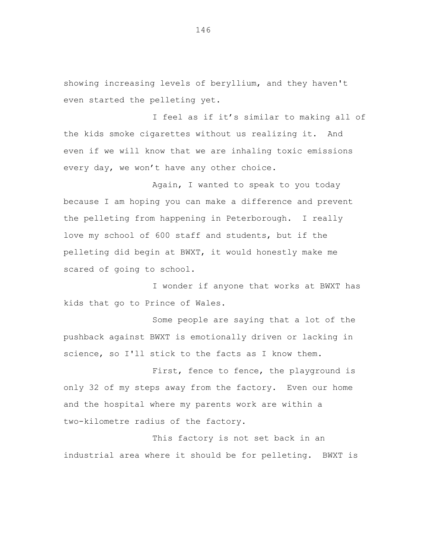showing increasing levels of beryllium, and they haven't even started the pelleting yet.

I feel as if it's similar to making all of the kids smoke cigarettes without us realizing it. And even if we will know that we are inhaling toxic emissions every day, we won't have any other choice.

Again, I wanted to speak to you today because I am hoping you can make a difference and prevent the pelleting from happening in Peterborough. I really love my school of 600 staff and students, but if the pelleting did begin at BWXT, it would honestly make me scared of going to school.

I wonder if anyone that works at BWXT has kids that go to Prince of Wales.

Some people are saying that a lot of the pushback against BWXT is emotionally driven or lacking in science, so I'll stick to the facts as I know them.

First, fence to fence, the playground is only 32 of my steps away from the factory. Even our home and the hospital where my parents work are within a two-kilometre radius of the factory.

This factory is not set back in an industrial area where it should be for pelleting. BWXT is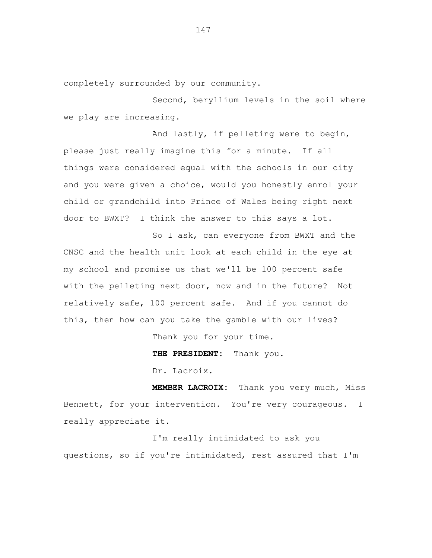completely surrounded by our community.

Second, beryllium levels in the soil where we play are increasing.

And lastly, if pelleting were to begin, please just really imagine this for a minute. If all things were considered equal with the schools in our city and you were given a choice, would you honestly enrol your child or grandchild into Prince of Wales being right next door to BWXT? I think the answer to this says a lot.

So I ask, can everyone from BWXT and the CNSC and the health unit look at each child in the eye at my school and promise us that we'll be 100 percent safe with the pelleting next door, now and in the future? Not relatively safe, 100 percent safe. And if you cannot do this, then how can you take the gamble with our lives?

Thank you for your time.

**THE PRESIDENT:** Thank you.

Dr. Lacroix.

**MEMBER LACROIX:** Thank you very much, Miss Bennett, for your intervention. You're very courageous. I really appreciate it.

I'm really intimidated to ask you questions, so if you're intimidated, rest assured that I'm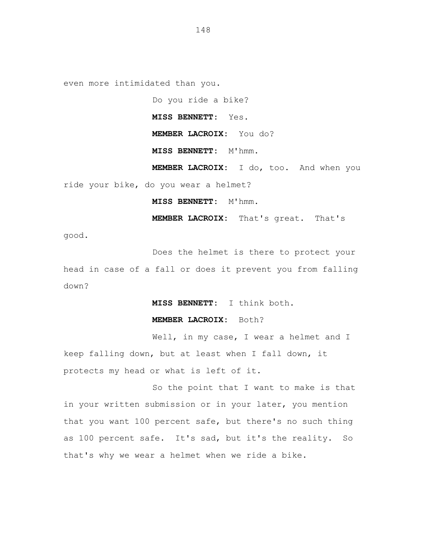even more intimidated than you.

Do you ride a bike?

**MISS BENNETT:** Yes.

**MEMBER LACROIX:** You do?

**MISS BENNETT:** M'hmm.

**MEMBER LACROIX:** I do, too. And when you

ride your bike, do you wear a helmet?

**MISS BENNETT:** M'hmm.

**MEMBER LACROIX:** That's great. That's

good.

Does the helmet is there to protect your

head in case of a fall or does it prevent you from falling down?

**MISS BENNETT:** I think both.

**MEMBER LACROIX:** Both?

Well, in my case, I wear a helmet and I keep falling down, but at least when I fall down, it protects my head or what is left of it.

So the point that I want to make is that in your written submission or in your later, you mention that you want 100 percent safe, but there's no such thing as 100 percent safe. It's sad, but it's the reality. So that's why we wear a helmet when we ride a bike.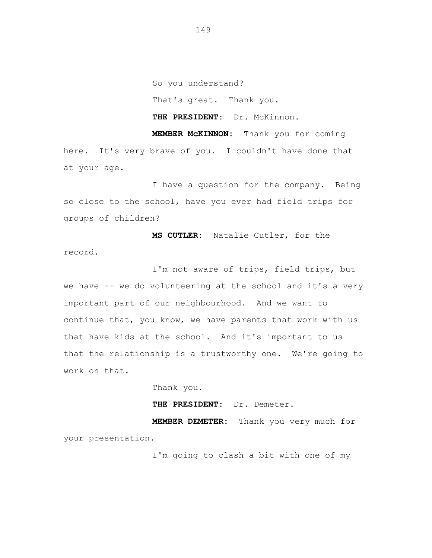So you understand? That's great. Thank you. THE PRESIDENT: Dr. McKinnon. **MEMBER McKINNON:** Thank you for coming

here. It's very brave of you. I couldn't have done that at your age.

I have a question for the company. Being so close to the school, have you ever had field trips for groups of children?

**MS CUTLER:** Natalie Cutler, for the record.

I'm not aware of trips, field trips, but we have -- we do volunteering at the school and it's a very important part of our neighbourhood. And we want to continue that, you know, we have parents that work with us that have kids at the school. And it's important to us that the relationship is a trustworthy one. We're going to work on that.

Thank you.

**THE PRESIDENT:** Dr. Demeter.

**MEMBER DEMETER:** Thank you very much for your presentation.

I'm going to clash a bit with one of my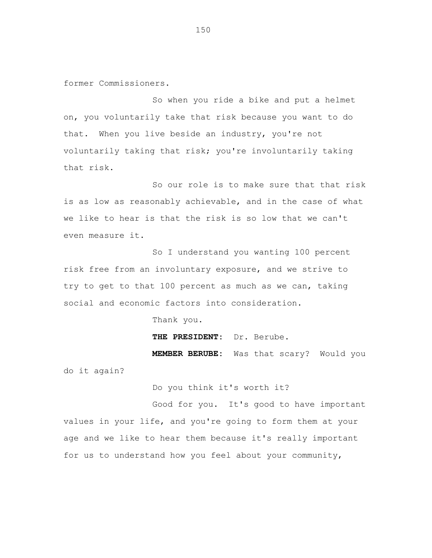former Commissioners.

So when you ride a bike and put a helmet on, you voluntarily take that risk because you want to do that. When you live beside an industry, you're not voluntarily taking that risk; you're involuntarily taking that risk.

So our role is to make sure that that risk is as low as reasonably achievable, and in the case of what we like to hear is that the risk is so low that we can't even measure it.

So I understand you wanting 100 percent risk free from an involuntary exposure, and we strive to try to get to that 100 percent as much as we can, taking social and economic factors into consideration.

Thank you.

**THE PRESIDENT:** Dr. Berube.

**MEMBER BERUBE:** Was that scary? Would you do it again?

Do you think it's worth it?

Good for you. It's good to have important values in your life, and you're going to form them at your age and we like to hear them because it's really important for us to understand how you feel about your community,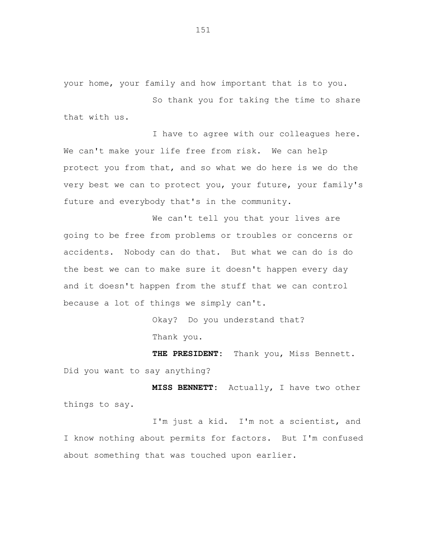your home, your family and how important that is to you.

So thank you for taking the time to share that with us.

I have to agree with our colleagues here. We can't make your life free from risk. We can help protect you from that, and so what we do here is we do the very best we can to protect you, your future, your family's future and everybody that's in the community.

We can't tell you that your lives are going to be free from problems or troubles or concerns or accidents. Nobody can do that. But what we can do is do the best we can to make sure it doesn't happen every day and it doesn't happen from the stuff that we can control because a lot of things we simply can't.

> Okay? Do you understand that? Thank you.

**THE PRESIDENT:** Thank you, Miss Bennett. Did you want to say anything?

**MISS BENNETT:** Actually, I have two other things to say.

I'm just a kid. I'm not a scientist, and I know nothing about permits for factors. But I'm confused about something that was touched upon earlier.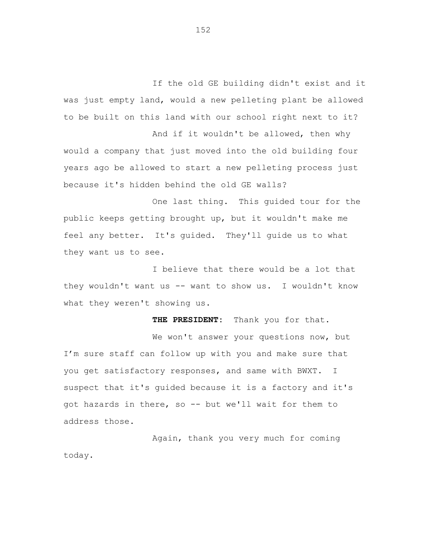If the old GE building didn't exist and it was just empty land, would a new pelleting plant be allowed to be built on this land with our school right next to it?

And if it wouldn't be allowed, then why would a company that just moved into the old building four years ago be allowed to start a new pelleting process just because it's hidden behind the old GE walls?

One last thing. This guided tour for the public keeps getting brought up, but it wouldn't make me feel any better. It's guided. They'll guide us to what they want us to see.

I believe that there would be a lot that they wouldn't want us -- want to show us. I wouldn't know what they weren't showing us.

**THE PRESIDENT:** Thank you for that.

We won't answer your questions now, but I'm sure staff can follow up with you and make sure that you get satisfactory responses, and same with BWXT. I suspect that it's guided because it is a factory and it's got hazards in there, so -- but we'll wait for them to address those.

Again, thank you very much for coming today.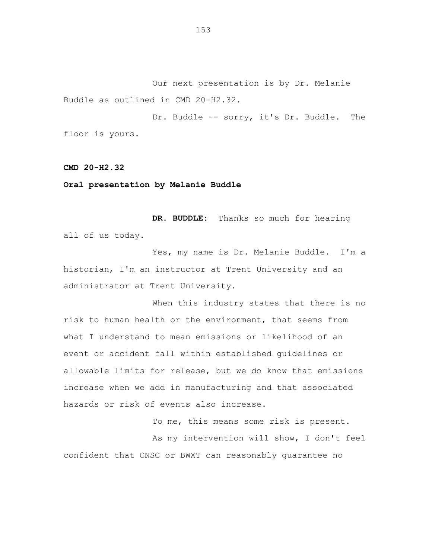Our next presentation is by Dr. Melanie Buddle as outlined in CMD 20-H2.32.

Dr. Buddle -- sorry, it's Dr. Buddle. The floor is yours.

**CMD 20-H2.32**

**Oral presentation by Melanie Buddle**

**DR. BUDDLE:** Thanks so much for hearing all of us today.

Yes, my name is Dr. Melanie Buddle. I'm a historian, I'm an instructor at Trent University and an administrator at Trent University.

When this industry states that there is no risk to human health or the environment, that seems from what I understand to mean emissions or likelihood of an event or accident fall within established guidelines or allowable limits for release, but we do know that emissions increase when we add in manufacturing and that associated hazards or risk of events also increase.

To me, this means some risk is present.

As my intervention will show, I don't feel confident that CNSC or BWXT can reasonably guarantee no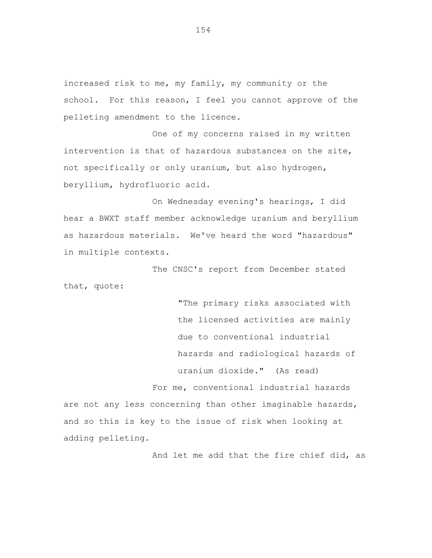increased risk to me, my family, my community or the school. For this reason, I feel you cannot approve of the pelleting amendment to the licence.

One of my concerns raised in my written intervention is that of hazardous substances on the site, not specifically or only uranium, but also hydrogen, beryllium, hydrofluoric acid.

On Wednesday evening's hearings, I did hear a BWXT staff member acknowledge uranium and beryllium as hazardous materials. We've heard the word "hazardous" in multiple contexts.

The CNSC's report from December stated that, quote:

> "The primary risks associated with the licensed activities are mainly due to conventional industrial hazards and radiological hazards of uranium dioxide." (As read)

For me, conventional industrial hazards are not any less concerning than other imaginable hazards, and so this is key to the issue of risk when looking at adding pelleting.

And let me add that the fire chief did, as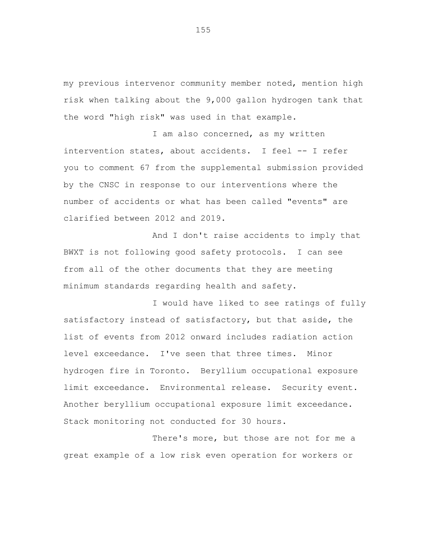my previous intervenor community member noted, mention high risk when talking about the 9,000 gallon hydrogen tank that the word "high risk" was used in that example.

I am also concerned, as my written intervention states, about accidents. I feel -- I refer you to comment 67 from the supplemental submission provided by the CNSC in response to our interventions where the number of accidents or what has been called "events" are clarified between 2012 and 2019.

And I don't raise accidents to imply that BWXT is not following good safety protocols. I can see from all of the other documents that they are meeting minimum standards regarding health and safety.

I would have liked to see ratings of fully satisfactory instead of satisfactory, but that aside, the list of events from 2012 onward includes radiation action level exceedance. I've seen that three times. Minor hydrogen fire in Toronto. Beryllium occupational exposure limit exceedance. Environmental release. Security event. Another beryllium occupational exposure limit exceedance. Stack monitoring not conducted for 30 hours.

There's more, but those are not for me a great example of a low risk even operation for workers or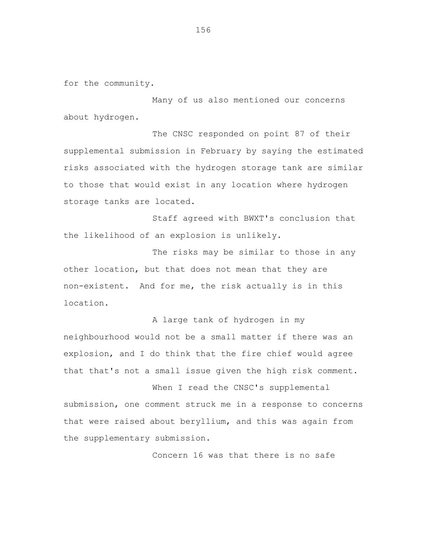for the community.

Many of us also mentioned our concerns about hydrogen.

The CNSC responded on point 87 of their supplemental submission in February by saying the estimated risks associated with the hydrogen storage tank are similar to those that would exist in any location where hydrogen storage tanks are located.

Staff agreed with BWXT's conclusion that the likelihood of an explosion is unlikely.

The risks may be similar to those in any other location, but that does not mean that they are non-existent. And for me, the risk actually is in this location.

A large tank of hydrogen in my neighbourhood would not be a small matter if there was an explosion, and I do think that the fire chief would agree that that's not a small issue given the high risk comment.

When I read the CNSC's supplemental submission, one comment struck me in a response to concerns that were raised about beryllium, and this was again from the supplementary submission.

Concern 16 was that there is no safe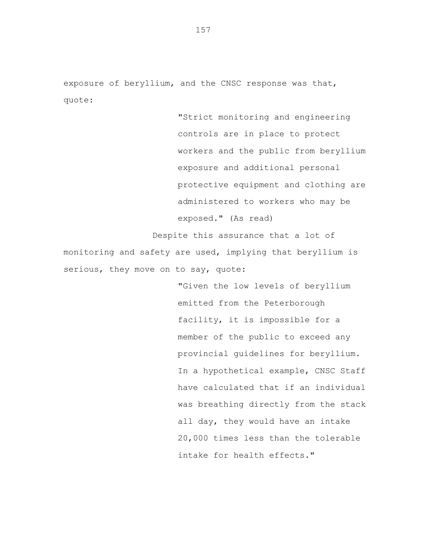exposure of beryllium, and the CNSC response was that, quote:

> "Strict monitoring and engineering controls are in place to protect workers and the public from beryllium exposure and additional personal protective equipment and clothing are administered to workers who may be exposed." (As read)

Despite this assurance that a lot of monitoring and safety are used, implying that beryllium is serious, they move on to say, quote:

> "Given the low levels of beryllium emitted from the Peterborough facility, it is impossible for a member of the public to exceed any provincial guidelines for beryllium. In a hypothetical example, CNSC Staff have calculated that if an individual was breathing directly from the stack all day, they would have an intake 20,000 times less than the tolerable intake for health effects."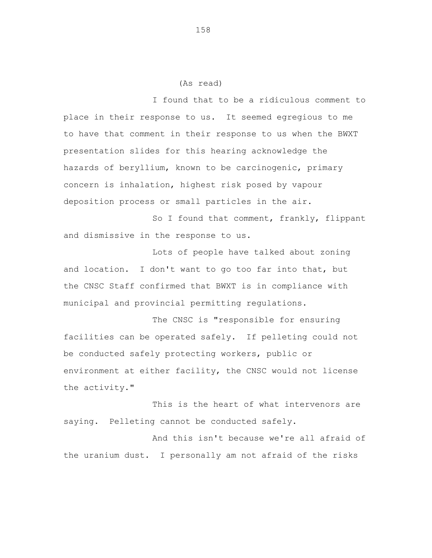## (As read)

I found that to be a ridiculous comment to place in their response to us. It seemed egregious to me to have that comment in their response to us when the BWXT presentation slides for this hearing acknowledge the hazards of beryllium, known to be carcinogenic, primary concern is inhalation, highest risk posed by vapour deposition process or small particles in the air.

So I found that comment, frankly, flippant and dismissive in the response to us.

Lots of people have talked about zoning and location. I don't want to go too far into that, but the CNSC Staff confirmed that BWXT is in compliance with municipal and provincial permitting regulations.

The CNSC is "responsible for ensuring facilities can be operated safely. If pelleting could not be conducted safely protecting workers, public or environment at either facility, the CNSC would not license the activity."

This is the heart of what intervenors are saying. Pelleting cannot be conducted safely.

And this isn't because we're all afraid of the uranium dust. I personally am not afraid of the risks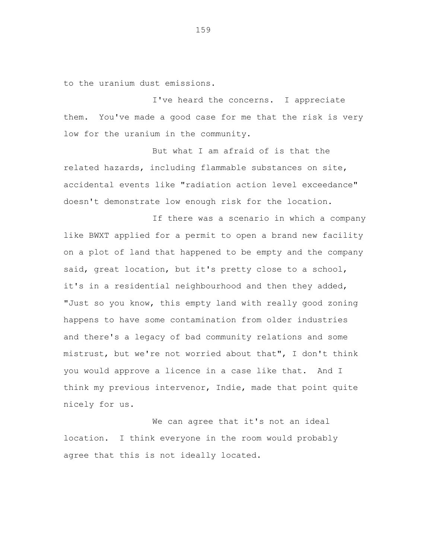to the uranium dust emissions.

I've heard the concerns. I appreciate them. You've made a good case for me that the risk is very low for the uranium in the community.

But what I am afraid of is that the related hazards, including flammable substances on site, accidental events like "radiation action level exceedance" doesn't demonstrate low enough risk for the location.

If there was a scenario in which a company like BWXT applied for a permit to open a brand new facility on a plot of land that happened to be empty and the company said, great location, but it's pretty close to a school, it's in a residential neighbourhood and then they added, "Just so you know, this empty land with really good zoning happens to have some contamination from older industries and there's a legacy of bad community relations and some mistrust, but we're not worried about that", I don't think you would approve a licence in a case like that. And I think my previous intervenor, Indie, made that point quite nicely for us.

We can agree that it's not an ideal location. I think everyone in the room would probably agree that this is not ideally located.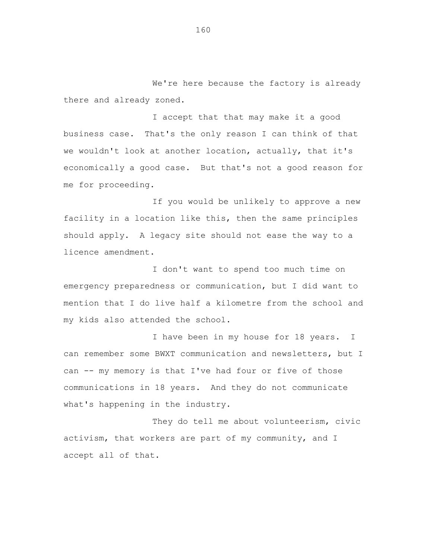We're here because the factory is already there and already zoned.

I accept that that may make it a good business case. That's the only reason I can think of that we wouldn't look at another location, actually, that it's economically a good case. But that's not a good reason for me for proceeding.

If you would be unlikely to approve a new facility in a location like this, then the same principles should apply. A legacy site should not ease the way to a licence amendment.

I don't want to spend too much time on emergency preparedness or communication, but I did want to mention that I do live half a kilometre from the school and my kids also attended the school.

I have been in my house for 18 years. I can remember some BWXT communication and newsletters, but I can -- my memory is that I've had four or five of those communications in 18 years. And they do not communicate what's happening in the industry.

They do tell me about volunteerism, civic activism, that workers are part of my community, and I accept all of that.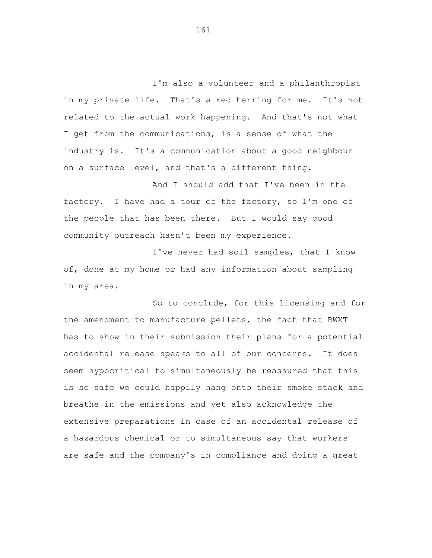I'm also a volunteer and a philanthropist in my private life. That's a red herring for me. It's not related to the actual work happening. And that's not what I get from the communications, is a sense of what the industry is. It's a communication about a good neighbour on a surface level, and that's a different thing.

And I should add that I've been in the factory. I have had a tour of the factory, so I'm one of the people that has been there. But I would say good community outreach hasn't been my experience.

I've never had soil samples, that I know of, done at my home or had any information about sampling in my area.

So to conclude, for this licensing and for the amendment to manufacture pellets, the fact that BWXT has to show in their submission their plans for a potential accidental release speaks to all of our concerns. It does seem hypocritical to simultaneously be reassured that this is so safe we could happily hang onto their smoke stack and breathe in the emissions and yet also acknowledge the extensive preparations in case of an accidental release of a hazardous chemical or to simultaneous say that workers are safe and the company's in compliance and doing a great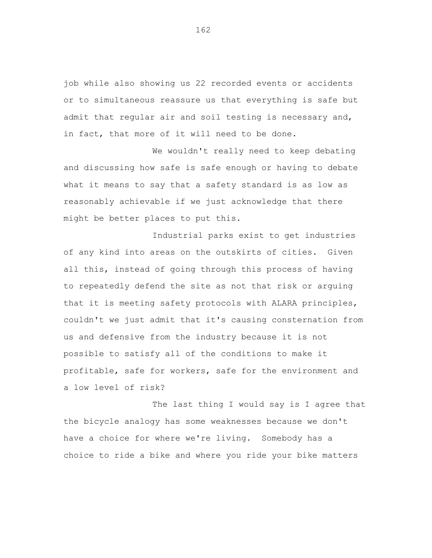job while also showing us 22 recorded events or accidents or to simultaneous reassure us that everything is safe but admit that regular air and soil testing is necessary and, in fact, that more of it will need to be done.

We wouldn't really need to keep debating and discussing how safe is safe enough or having to debate what it means to say that a safety standard is as low as reasonably achievable if we just acknowledge that there might be better places to put this.

Industrial parks exist to get industries of any kind into areas on the outskirts of cities. Given all this, instead of going through this process of having to repeatedly defend the site as not that risk or arguing that it is meeting safety protocols with ALARA principles, couldn't we just admit that it's causing consternation from us and defensive from the industry because it is not possible to satisfy all of the conditions to make it profitable, safe for workers, safe for the environment and a low level of risk?

The last thing I would say is I agree that the bicycle analogy has some weaknesses because we don't have a choice for where we're living. Somebody has a choice to ride a bike and where you ride your bike matters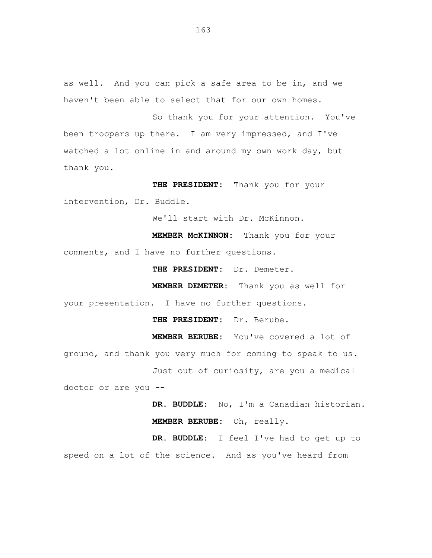as well. And you can pick a safe area to be in, and we haven't been able to select that for our own homes.

So thank you for your attention. You've been troopers up there. I am very impressed, and I've watched a lot online in and around my own work day, but thank you.

**THE PRESIDENT:** Thank you for your intervention, Dr. Buddle.

We'll start with Dr. McKinnon.

**MEMBER McKINNON:** Thank you for your comments, and I have no further questions.

**THE PRESIDENT:** Dr. Demeter.

**MEMBER DEMETER:** Thank you as well for your presentation. I have no further questions.

**THE PRESIDENT:** Dr. Berube.

**MEMBER BERUBE:** You've covered a lot of

ground, and thank you very much for coming to speak to us. Just out of curiosity, are you a medical

doctor or are you --

**DR. BUDDLE:** No, I'm a Canadian historian. **MEMBER BERUBE:** Oh, really.

**DR. BUDDLE:** I feel I've had to get up to speed on a lot of the science. And as you've heard from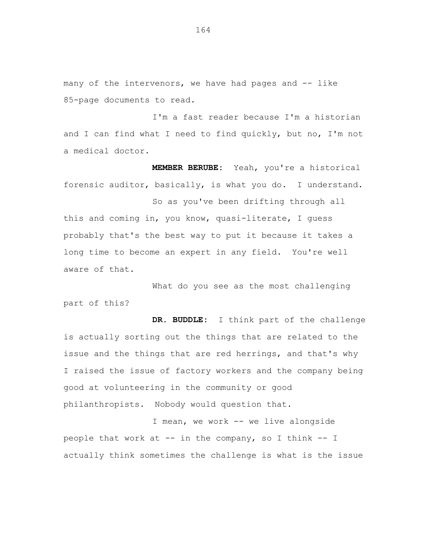many of the intervenors, we have had pages and -- like 85-page documents to read.

I'm a fast reader because I'm a historian and I can find what I need to find quickly, but no, I'm not a medical doctor.

**MEMBER BERUBE:** Yeah, you're a historical forensic auditor, basically, is what you do. I understand.

So as you've been drifting through all this and coming in, you know, quasi-literate, I guess probably that's the best way to put it because it takes a long time to become an expert in any field. You're well aware of that.

What do you see as the most challenging part of this?

**DR. BUDDLE:** I think part of the challenge is actually sorting out the things that are related to the issue and the things that are red herrings, and that's why I raised the issue of factory workers and the company being good at volunteering in the community or good philanthropists. Nobody would question that.

I mean, we work -- we live alongside people that work at -- in the company, so I think -- I actually think sometimes the challenge is what is the issue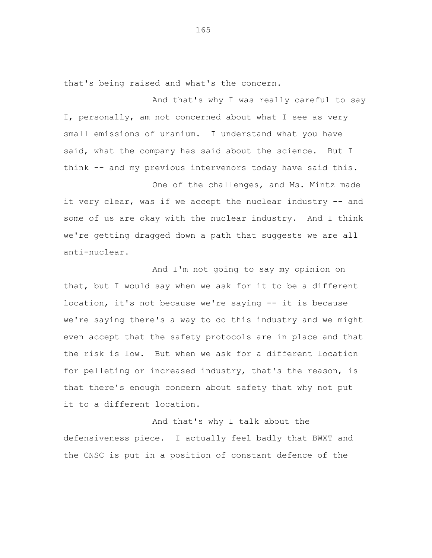that's being raised and what's the concern.

And that's why I was really careful to say I, personally, am not concerned about what I see as very small emissions of uranium. I understand what you have said, what the company has said about the science. But I think -- and my previous intervenors today have said this.

One of the challenges, and Ms. Mintz made it very clear, was if we accept the nuclear industry -- and some of us are okay with the nuclear industry. And I think we're getting dragged down a path that suggests we are all anti-nuclear.

And I'm not going to say my opinion on that, but I would say when we ask for it to be a different location, it's not because we're saying -- it is because we're saying there's a way to do this industry and we might even accept that the safety protocols are in place and that the risk is low. But when we ask for a different location for pelleting or increased industry, that's the reason, is that there's enough concern about safety that why not put it to a different location.

And that's why I talk about the defensiveness piece. I actually feel badly that BWXT and the CNSC is put in a position of constant defence of the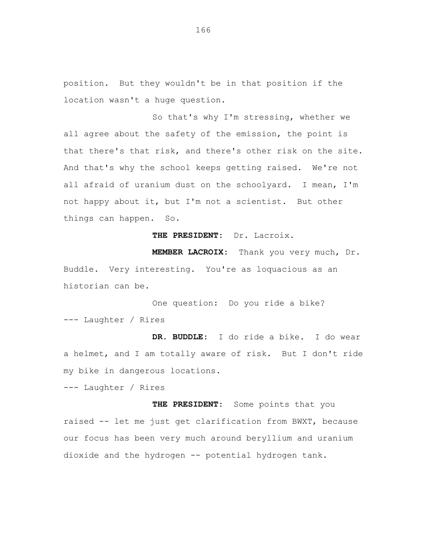position. But they wouldn't be in that position if the location wasn't a huge question.

So that's why I'm stressing, whether we all agree about the safety of the emission, the point is that there's that risk, and there's other risk on the site. And that's why the school keeps getting raised. We're not all afraid of uranium dust on the schoolyard. I mean, I'm not happy about it, but I'm not a scientist. But other things can happen. So.

**THE PRESIDENT:** Dr. Lacroix.

**MEMBER LACROIX:** Thank you very much, Dr. Buddle. Very interesting. You're as loquacious as an historian can be.

One question: Do you ride a bike? --- Laughter / Rires

**DR. BUDDLE:** I do ride a bike. I do wear a helmet, and I am totally aware of risk. But I don't ride my bike in dangerous locations.

--- Laughter / Rires

**THE PRESIDENT:** Some points that you raised -- let me just get clarification from BWXT, because our focus has been very much around beryllium and uranium dioxide and the hydrogen -- potential hydrogen tank.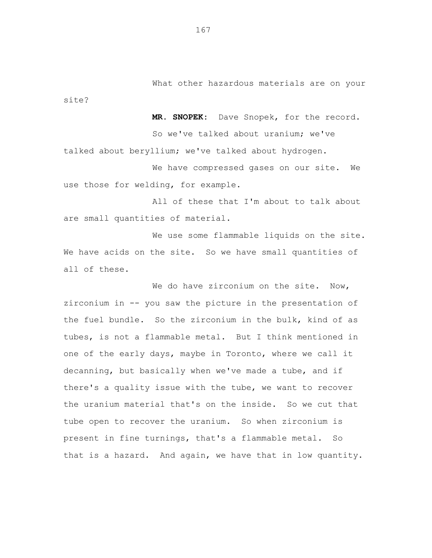What other hazardous materials are on your

**MR. SNOPEK:** Dave Snopek, for the record. So we've talked about uranium; we've talked about beryllium; we've talked about hydrogen.

We have compressed gases on our site. We use those for welding, for example.

All of these that I'm about to talk about are small quantities of material.

We use some flammable liquids on the site. We have acids on the site. So we have small quantities of all of these.

We do have zirconium on the site. Now, zirconium in -- you saw the picture in the presentation of the fuel bundle. So the zirconium in the bulk, kind of as tubes, is not a flammable metal. But I think mentioned in one of the early days, maybe in Toronto, where we call it decanning, but basically when we've made a tube, and if there's a quality issue with the tube, we want to recover the uranium material that's on the inside. So we cut that tube open to recover the uranium. So when zirconium is present in fine turnings, that's a flammable metal. So that is a hazard. And again, we have that in low quantity.

site?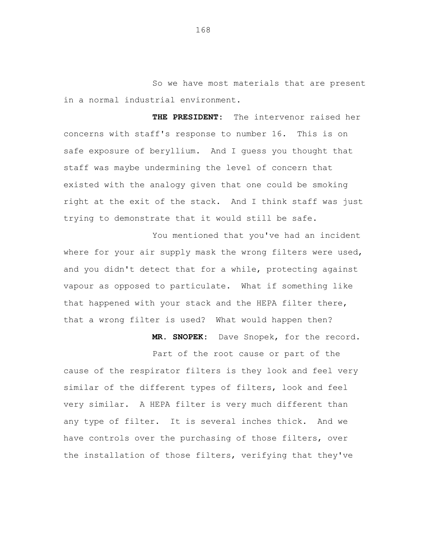So we have most materials that are present in a normal industrial environment.

**THE PRESIDENT:** The intervenor raised her concerns with staff's response to number 16. This is on safe exposure of beryllium. And I guess you thought that staff was maybe undermining the level of concern that existed with the analogy given that one could be smoking right at the exit of the stack. And I think staff was just trying to demonstrate that it would still be safe.

You mentioned that you've had an incident where for your air supply mask the wrong filters were used, and you didn't detect that for a while, protecting against vapour as opposed to particulate. What if something like that happened with your stack and the HEPA filter there, that a wrong filter is used? What would happen then?

**MR. SNOPEK:** Dave Snopek, for the record.

Part of the root cause or part of the cause of the respirator filters is they look and feel very similar of the different types of filters, look and feel very similar. A HEPA filter is very much different than any type of filter. It is several inches thick. And we have controls over the purchasing of those filters, over the installation of those filters, verifying that they've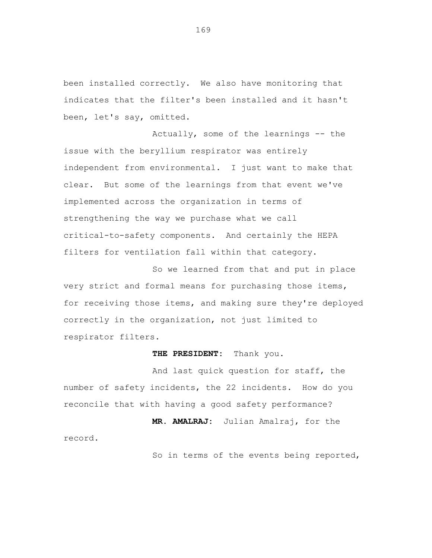been installed correctly. We also have monitoring that indicates that the filter's been installed and it hasn't been, let's say, omitted.

Actually, some of the learnings -- the issue with the beryllium respirator was entirely independent from environmental. I just want to make that clear. But some of the learnings from that event we've implemented across the organization in terms of strengthening the way we purchase what we call critical-to-safety components. And certainly the HEPA filters for ventilation fall within that category.

So we learned from that and put in place very strict and formal means for purchasing those items, for receiving those items, and making sure they're deployed correctly in the organization, not just limited to respirator filters.

## **THE PRESIDENT:** Thank you.

And last quick question for staff, the number of safety incidents, the 22 incidents. How do you reconcile that with having a good safety performance?

record.

**MR. AMALRAJ:** Julian Amalraj, for the

So in terms of the events being reported,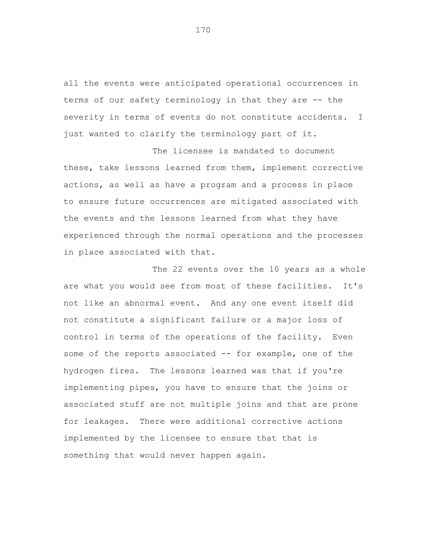all the events were anticipated operational occurrences in terms of our safety terminology in that they are -- the severity in terms of events do not constitute accidents. I just wanted to clarify the terminology part of it.

The licensee is mandated to document these, take lessons learned from them, implement corrective actions, as well as have a program and a process in place to ensure future occurrences are mitigated associated with the events and the lessons learned from what they have experienced through the normal operations and the processes in place associated with that.

The 22 events over the 10 years as a whole are what you would see from most of these facilities. It's not like an abnormal event. And any one event itself did not constitute a significant failure or a major loss of control in terms of the operations of the facility. Even some of the reports associated -- for example, one of the hydrogen fires. The lessons learned was that if you're implementing pipes, you have to ensure that the joins or associated stuff are not multiple joins and that are prone for leakages. There were additional corrective actions implemented by the licensee to ensure that that is something that would never happen again.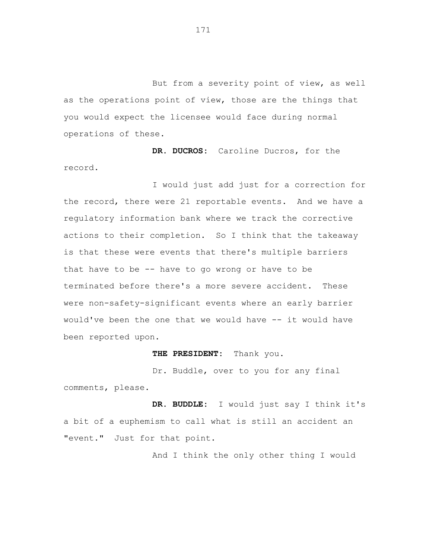But from a severity point of view, as well as the operations point of view, those are the things that you would expect the licensee would face during normal operations of these.

**DR. DUCROS:** Caroline Ducros, for the record.

I would just add just for a correction for the record, there were 21 reportable events. And we have a regulatory information bank where we track the corrective actions to their completion. So I think that the takeaway is that these were events that there's multiple barriers that have to be  $-$ - have to go wrong or have to be terminated before there's a more severe accident. These were non-safety-significant events where an early barrier would've been the one that we would have -- it would have been reported upon.

**THE PRESIDENT:** Thank you.

Dr. Buddle, over to you for any final comments, please.

**DR. BUDDLE:** I would just say I think it's a bit of a euphemism to call what is still an accident an "event." Just for that point.

And I think the only other thing I would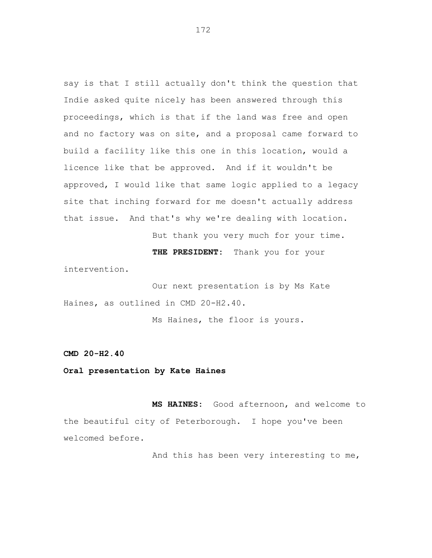say is that I still actually don't think the question that Indie asked quite nicely has been answered through this proceedings, which is that if the land was free and open and no factory was on site, and a proposal came forward to build a facility like this one in this location, would a licence like that be approved. And if it wouldn't be approved, I would like that same logic applied to a legacy site that inching forward for me doesn't actually address that issue. And that's why we're dealing with location.

But thank you very much for your time.

**THE PRESIDENT:** Thank you for your

intervention.

Our next presentation is by Ms Kate Haines, as outlined in CMD 20-H2.40.

Ms Haines, the floor is yours.

**CMD 20-H2.40**

**Oral presentation by Kate Haines**

**MS HAINES:** Good afternoon, and welcome to the beautiful city of Peterborough. I hope you've been welcomed before.

And this has been very interesting to me,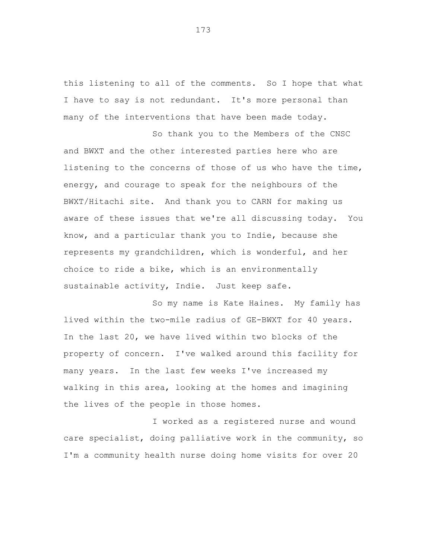this listening to all of the comments. So I hope that what I have to say is not redundant. It's more personal than many of the interventions that have been made today.

So thank you to the Members of the CNSC and BWXT and the other interested parties here who are listening to the concerns of those of us who have the time, energy, and courage to speak for the neighbours of the BWXT/Hitachi site. And thank you to CARN for making us aware of these issues that we're all discussing today. You know, and a particular thank you to Indie, because she represents my grandchildren, which is wonderful, and her choice to ride a bike, which is an environmentally sustainable activity, Indie. Just keep safe.

So my name is Kate Haines. My family has lived within the two-mile radius of GE-BWXT for 40 years. In the last 20, we have lived within two blocks of the property of concern. I've walked around this facility for many years. In the last few weeks I've increased my walking in this area, looking at the homes and imagining the lives of the people in those homes.

I worked as a registered nurse and wound care specialist, doing palliative work in the community, so I'm a community health nurse doing home visits for over 20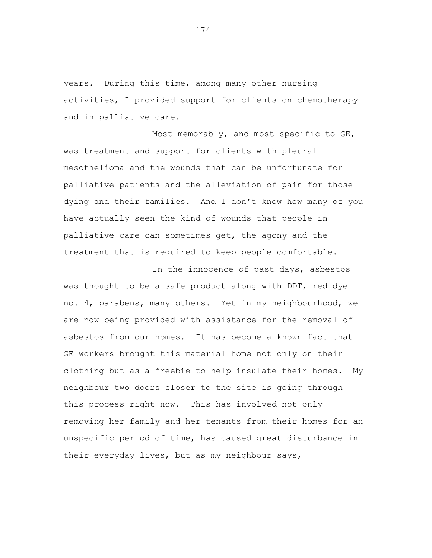years. During this time, among many other nursing activities, I provided support for clients on chemotherapy and in palliative care.

Most memorably, and most specific to GE, was treatment and support for clients with pleural mesothelioma and the wounds that can be unfortunate for palliative patients and the alleviation of pain for those dying and their families. And I don't know how many of you have actually seen the kind of wounds that people in palliative care can sometimes get, the agony and the treatment that is required to keep people comfortable.

In the innocence of past days, asbestos was thought to be a safe product along with DDT, red dye no. 4, parabens, many others. Yet in my neighbourhood, we are now being provided with assistance for the removal of asbestos from our homes. It has become a known fact that GE workers brought this material home not only on their clothing but as a freebie to help insulate their homes. My neighbour two doors closer to the site is going through this process right now. This has involved not only removing her family and her tenants from their homes for an unspecific period of time, has caused great disturbance in their everyday lives, but as my neighbour says,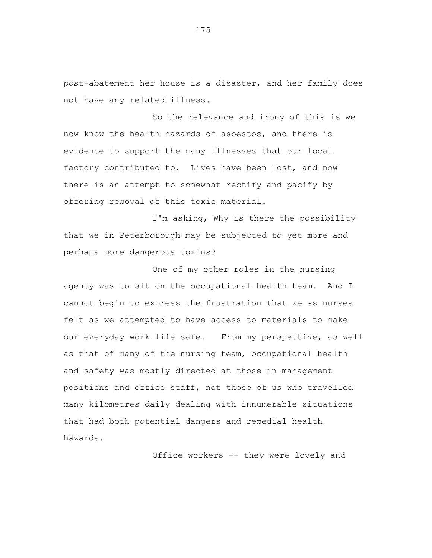post-abatement her house is a disaster, and her family does not have any related illness.

So the relevance and irony of this is we now know the health hazards of asbestos, and there is evidence to support the many illnesses that our local factory contributed to. Lives have been lost, and now there is an attempt to somewhat rectify and pacify by offering removal of this toxic material.

I'm asking, Why is there the possibility that we in Peterborough may be subjected to yet more and perhaps more dangerous toxins?

One of my other roles in the nursing agency was to sit on the occupational health team. And I cannot begin to express the frustration that we as nurses felt as we attempted to have access to materials to make our everyday work life safe. From my perspective, as well as that of many of the nursing team, occupational health and safety was mostly directed at those in management positions and office staff, not those of us who travelled many kilometres daily dealing with innumerable situations that had both potential dangers and remedial health hazards.

Office workers -- they were lovely and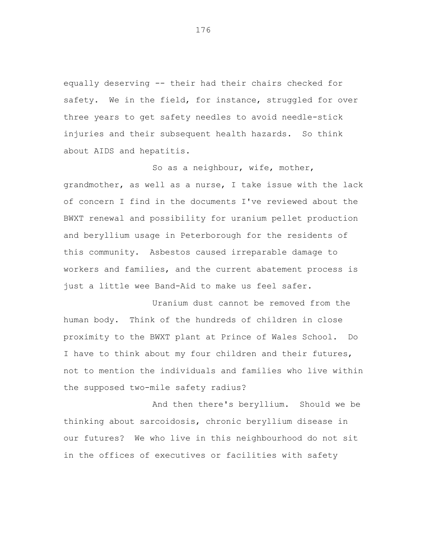equally deserving -- their had their chairs checked for safety. We in the field, for instance, struggled for over three years to get safety needles to avoid needle-stick injuries and their subsequent health hazards. So think about AIDS and hepatitis.

So as a neighbour, wife, mother, grandmother, as well as a nurse, I take issue with the lack of concern I find in the documents I've reviewed about the BWXT renewal and possibility for uranium pellet production and beryllium usage in Peterborough for the residents of this community. Asbestos caused irreparable damage to workers and families, and the current abatement process is just a little wee Band-Aid to make us feel safer.

Uranium dust cannot be removed from the human body. Think of the hundreds of children in close proximity to the BWXT plant at Prince of Wales School. Do I have to think about my four children and their futures, not to mention the individuals and families who live within the supposed two-mile safety radius?

And then there's beryllium. Should we be thinking about sarcoidosis, chronic beryllium disease in our futures? We who live in this neighbourhood do not sit in the offices of executives or facilities with safety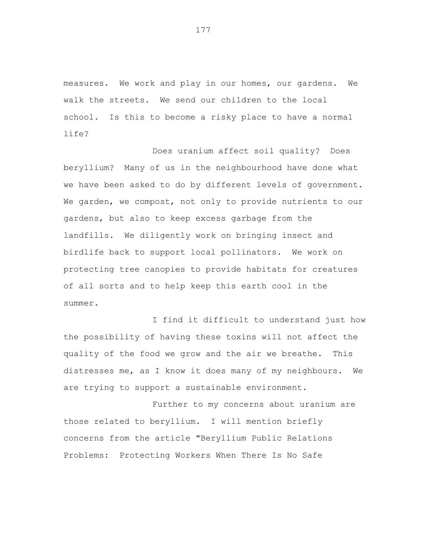measures. We work and play in our homes, our gardens. We walk the streets. We send our children to the local school. Is this to become a risky place to have a normal life?

Does uranium affect soil quality? Does beryllium? Many of us in the neighbourhood have done what we have been asked to do by different levels of government. We garden, we compost, not only to provide nutrients to our gardens, but also to keep excess garbage from the landfills. We diligently work on bringing insect and birdlife back to support local pollinators. We work on protecting tree canopies to provide habitats for creatures of all sorts and to help keep this earth cool in the summer.

I find it difficult to understand just how the possibility of having these toxins will not affect the quality of the food we grow and the air we breathe. This distresses me, as I know it does many of my neighbours. We are trying to support a sustainable environment.

Further to my concerns about uranium are those related to beryllium. I will mention briefly concerns from the article "Beryllium Public Relations Problems: Protecting Workers When There Is No Safe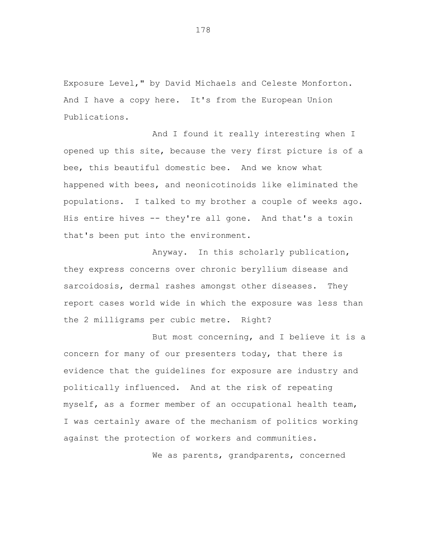Exposure Level," by David Michaels and Celeste Monforton. And I have a copy here. It's from the European Union Publications.

And I found it really interesting when I opened up this site, because the very first picture is of a bee, this beautiful domestic bee. And we know what happened with bees, and neonicotinoids like eliminated the populations. I talked to my brother a couple of weeks ago. His entire hives -- they're all gone. And that's a toxin that's been put into the environment.

Anyway. In this scholarly publication, they express concerns over chronic beryllium disease and sarcoidosis, dermal rashes amongst other diseases. They report cases world wide in which the exposure was less than the 2 milligrams per cubic metre. Right?

But most concerning, and I believe it is a concern for many of our presenters today, that there is evidence that the guidelines for exposure are industry and politically influenced. And at the risk of repeating myself, as a former member of an occupational health team, I was certainly aware of the mechanism of politics working against the protection of workers and communities.

We as parents, grandparents, concerned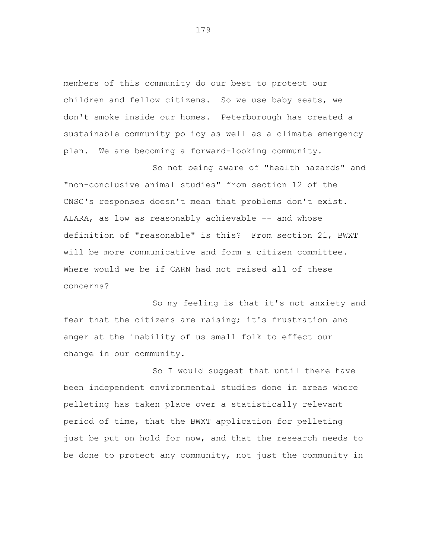members of this community do our best to protect our children and fellow citizens. So we use baby seats, we don't smoke inside our homes. Peterborough has created a sustainable community policy as well as a climate emergency plan. We are becoming a forward-looking community.

So not being aware of "health hazards" and "non-conclusive animal studies" from section 12 of the CNSC's responses doesn't mean that problems don't exist. ALARA, as low as reasonably achievable -- and whose definition of "reasonable" is this? From section 21, BWXT will be more communicative and form a citizen committee. Where would we be if CARN had not raised all of these concerns?

So my feeling is that it's not anxiety and fear that the citizens are raising; it's frustration and anger at the inability of us small folk to effect our change in our community.

So I would suggest that until there have been independent environmental studies done in areas where pelleting has taken place over a statistically relevant period of time, that the BWXT application for pelleting just be put on hold for now, and that the research needs to be done to protect any community, not just the community in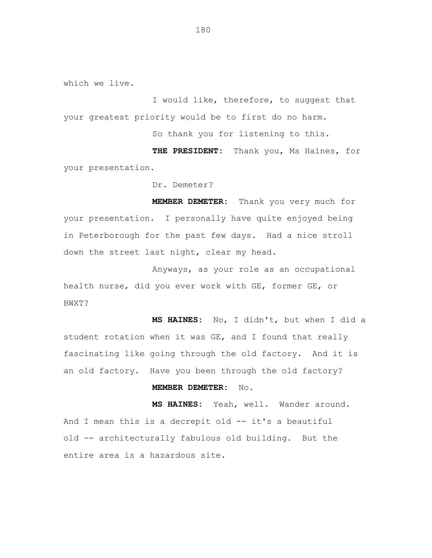which we live.

I would like, therefore, to suggest that your greatest priority would be to first do no harm.

So thank you for listening to this.

**THE PRESIDENT:** Thank you, Ms Haines, for your presentation.

Dr. Demeter?

**MEMBER DEMETER:** Thank you very much for your presentation. I personally have quite enjoyed being in Peterborough for the past few days. Had a nice stroll down the street last night, clear my head.

Anyways, as your role as an occupational health nurse, did you ever work with GE, former GE, or BWXT?

**MS HAINES:** No, I didn't, but when I did a student rotation when it was GE, and I found that really fascinating like going through the old factory. And it is an old factory. Have you been through the old factory?

## **MEMBER DEMETER:** No.

**MS HAINES:** Yeah, well. Wander around. And I mean this is a decrepit old -- it's a beautiful old -- architecturally fabulous old building. But the entire area is a hazardous site.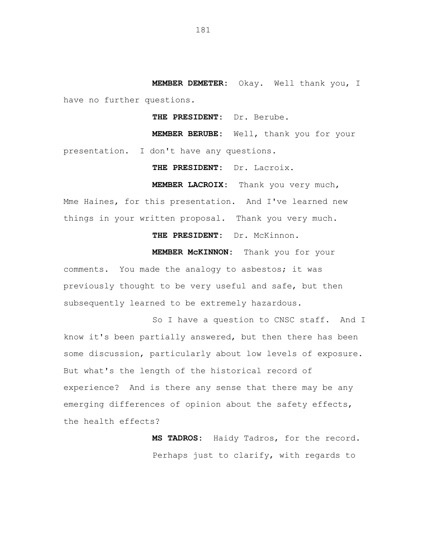**MEMBER DEMETER:** Okay. Well thank you, I have no further questions.

**THE PRESIDENT:** Dr. Berube.

**MEMBER BERUBE:** Well, thank you for your presentation. I don't have any questions.

**THE PRESIDENT:** Dr. Lacroix.

**MEMBER LACROIX:** Thank you very much,

Mme Haines, for this presentation. And I've learned new things in your written proposal. Thank you very much.

**THE PRESIDENT:** Dr. McKinnon.

**MEMBER McKINNON:** Thank you for your

comments. You made the analogy to asbestos; it was previously thought to be very useful and safe, but then subsequently learned to be extremely hazardous.

So I have a question to CNSC staff. And I know it's been partially answered, but then there has been some discussion, particularly about low levels of exposure. But what's the length of the historical record of experience? And is there any sense that there may be any emerging differences of opinion about the safety effects, the health effects?

> **MS TADROS:** Haidy Tadros, for the record. Perhaps just to clarify, with regards to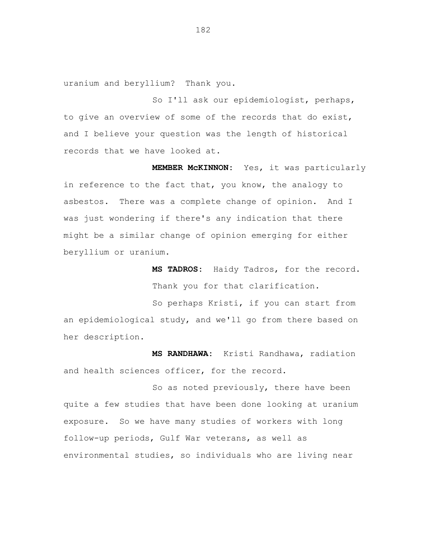uranium and beryllium? Thank you.

So I'll ask our epidemiologist, perhaps, to give an overview of some of the records that do exist, and I believe your question was the length of historical records that we have looked at.

**MEMBER McKINNON:** Yes, it was particularly in reference to the fact that, you know, the analogy to asbestos. There was a complete change of opinion. And I was just wondering if there's any indication that there might be a similar change of opinion emerging for either beryllium or uranium.

> **MS TADROS:** Haidy Tadros, for the record. Thank you for that clarification.

So perhaps Kristi, if you can start from an epidemiological study, and we'll go from there based on her description.

**MS RANDHAWA:** Kristi Randhawa, radiation and health sciences officer, for the record.

So as noted previously, there have been quite a few studies that have been done looking at uranium exposure. So we have many studies of workers with long follow-up periods, Gulf War veterans, as well as environmental studies, so individuals who are living near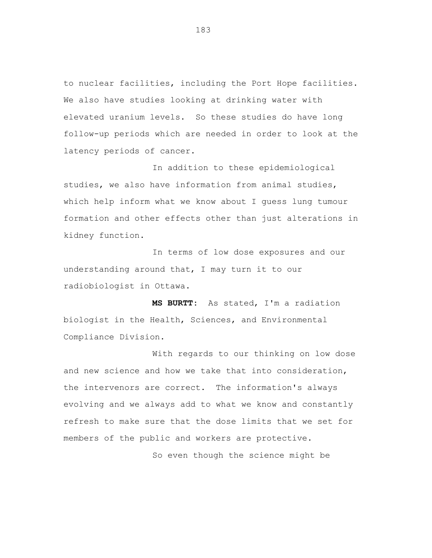to nuclear facilities, including the Port Hope facilities. We also have studies looking at drinking water with elevated uranium levels. So these studies do have long follow-up periods which are needed in order to look at the latency periods of cancer.

In addition to these epidemiological studies, we also have information from animal studies, which help inform what we know about I guess lung tumour formation and other effects other than just alterations in kidney function.

In terms of low dose exposures and our understanding around that, I may turn it to our radiobiologist in Ottawa.

**MS BURTT:** As stated, I'm a radiation biologist in the Health, Sciences, and Environmental Compliance Division.

With regards to our thinking on low dose and new science and how we take that into consideration, the intervenors are correct. The information's always evolving and we always add to what we know and constantly refresh to make sure that the dose limits that we set for members of the public and workers are protective.

So even though the science might be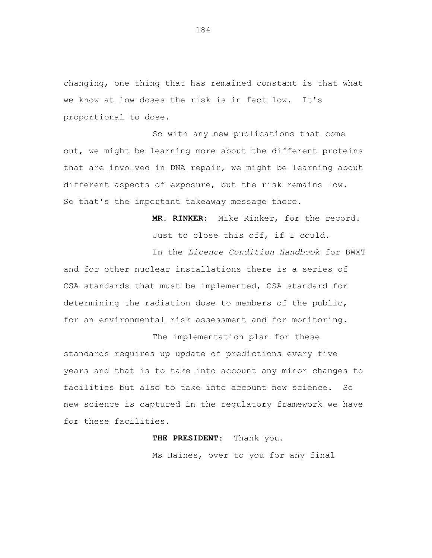changing, one thing that has remained constant is that what we know at low doses the risk is in fact low. It's proportional to dose.

So with any new publications that come out, we might be learning more about the different proteins that are involved in DNA repair, we might be learning about different aspects of exposure, but the risk remains low. So that's the important takeaway message there.

> **MR. RINKER:** Mike Rinker, for the record. Just to close this off, if I could.

In the *Licence Condition Handbook* for BWXT and for other nuclear installations there is a series of CSA standards that must be implemented, CSA standard for determining the radiation dose to members of the public, for an environmental risk assessment and for monitoring.

The implementation plan for these standards requires up update of predictions every five years and that is to take into account any minor changes to facilities but also to take into account new science. So new science is captured in the regulatory framework we have for these facilities.

## **THE PRESIDENT:** Thank you.

Ms Haines, over to you for any final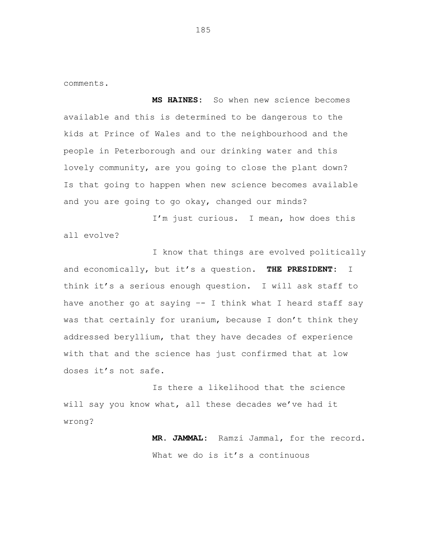comments.

**MS HAINES:** So when new science becomes available and this is determined to be dangerous to the kids at Prince of Wales and to the neighbourhood and the people in Peterborough and our drinking water and this lovely community, are you going to close the plant down? Is that going to happen when new science becomes available and you are going to go okay, changed our minds?

I'm just curious. I mean, how does this all evolve?

I know that things are evolved politically and economically, but it's a question. **THE PRESIDENT:** I think it's a serious enough question. I will ask staff to have another go at saying –- I think what I heard staff say was that certainly for uranium, because I don't think they addressed beryllium, that they have decades of experience with that and the science has just confirmed that at low doses it's not safe.

Is there a likelihood that the science will say you know what, all these decades we've had it wrong?

> **MR. JAMMAL:** Ramzi Jammal, for the record. What we do is it's a continuous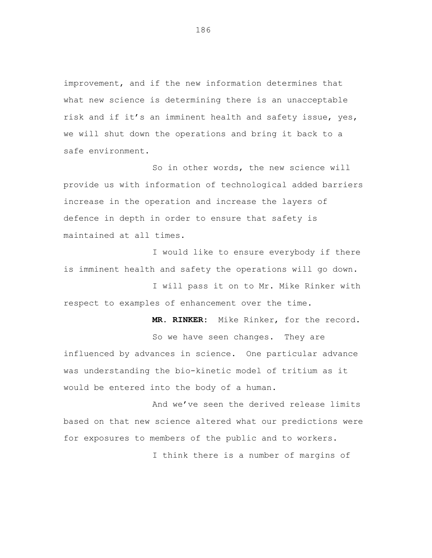improvement, and if the new information determines that what new science is determining there is an unacceptable risk and if it's an imminent health and safety issue, yes, we will shut down the operations and bring it back to a safe environment.

So in other words, the new science will provide us with information of technological added barriers increase in the operation and increase the layers of defence in depth in order to ensure that safety is maintained at all times.

I would like to ensure everybody if there is imminent health and safety the operations will go down.

I will pass it on to Mr. Mike Rinker with respect to examples of enhancement over the time.

**MR. RINKER:** Mike Rinker, for the record.

So we have seen changes. They are influenced by advances in science. One particular advance was understanding the bio-kinetic model of tritium as it would be entered into the body of a human.

And we've seen the derived release limits based on that new science altered what our predictions were for exposures to members of the public and to workers.

I think there is a number of margins of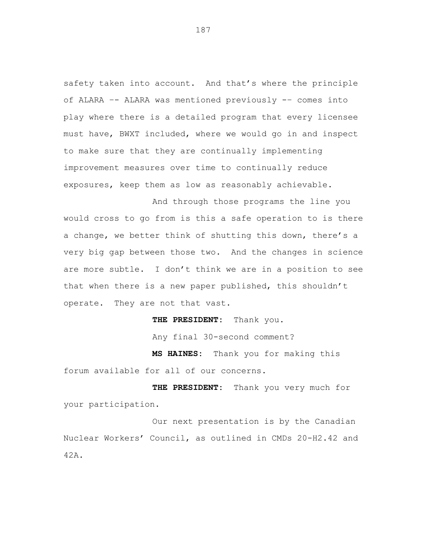safety taken into account. And that's where the principle of ALARA –- ALARA was mentioned previously -– comes into play where there is a detailed program that every licensee must have, BWXT included, where we would go in and inspect to make sure that they are continually implementing improvement measures over time to continually reduce exposures, keep them as low as reasonably achievable.

And through those programs the line you would cross to go from is this a safe operation to is there a change, we better think of shutting this down, there's a very big gap between those two. And the changes in science are more subtle. I don't think we are in a position to see that when there is a new paper published, this shouldn't operate. They are not that vast.

**THE PRESIDENT:** Thank you.

Any final 30-second comment?

**MS HAINES:** Thank you for making this forum available for all of our concerns.

**THE PRESIDENT:** Thank you very much for your participation.

Our next presentation is by the Canadian Nuclear Workers' Council, as outlined in CMDs 20-H2.42 and 42A.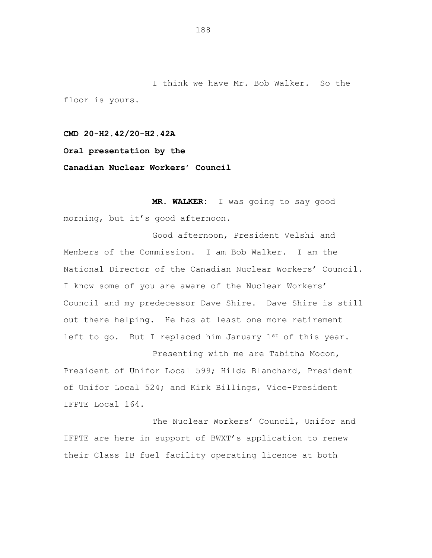I think we have Mr. Bob Walker. So the floor is yours.

**CMD 20-H2.42/20-H2.42A Oral presentation by the Canadian Nuclear Workers' Council**

**MR. WALKER:** I was going to say good morning, but it's good afternoon.

Good afternoon, President Velshi and Members of the Commission. I am Bob Walker. I am the National Director of the Canadian Nuclear Workers' Council. I know some of you are aware of the Nuclear Workers' Council and my predecessor Dave Shire. Dave Shire is still out there helping. He has at least one more retirement left to go. But I replaced him January 1st of this year.

Presenting with me are Tabitha Mocon, President of Unifor Local 599; Hilda Blanchard, President of Unifor Local 524; and Kirk Billings, Vice-President IFPTE Local 164.

The Nuclear Workers' Council, Unifor and IFPTE are here in support of BWXT's application to renew their Class 1B fuel facility operating licence at both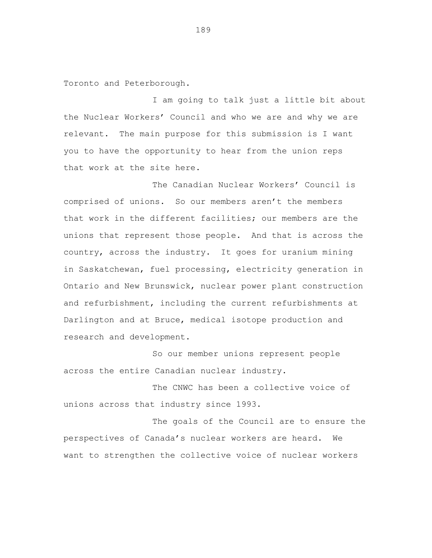Toronto and Peterborough.

I am going to talk just a little bit about the Nuclear Workers' Council and who we are and why we are relevant. The main purpose for this submission is I want you to have the opportunity to hear from the union reps that work at the site here.

The Canadian Nuclear Workers' Council is comprised of unions. So our members aren't the members that work in the different facilities; our members are the unions that represent those people. And that is across the country, across the industry. It goes for uranium mining in Saskatchewan, fuel processing, electricity generation in Ontario and New Brunswick, nuclear power plant construction and refurbishment, including the current refurbishments at Darlington and at Bruce, medical isotope production and research and development.

So our member unions represent people across the entire Canadian nuclear industry.

The CNWC has been a collective voice of unions across that industry since 1993.

The goals of the Council are to ensure the perspectives of Canada's nuclear workers are heard. We want to strengthen the collective voice of nuclear workers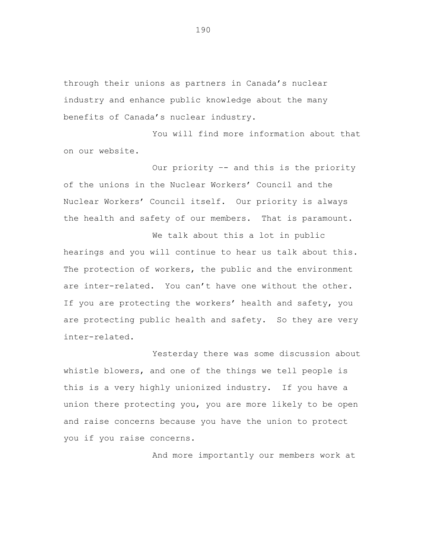through their unions as partners in Canada's nuclear industry and enhance public knowledge about the many benefits of Canada's nuclear industry.

You will find more information about that on our website.

Our priority –- and this is the priority of the unions in the Nuclear Workers' Council and the Nuclear Workers' Council itself. Our priority is always the health and safety of our members. That is paramount.

We talk about this a lot in public hearings and you will continue to hear us talk about this. The protection of workers, the public and the environment are inter-related. You can't have one without the other. If you are protecting the workers' health and safety, you are protecting public health and safety. So they are very inter-related.

Yesterday there was some discussion about whistle blowers, and one of the things we tell people is this is a very highly unionized industry. If you have a union there protecting you, you are more likely to be open and raise concerns because you have the union to protect you if you raise concerns.

And more importantly our members work at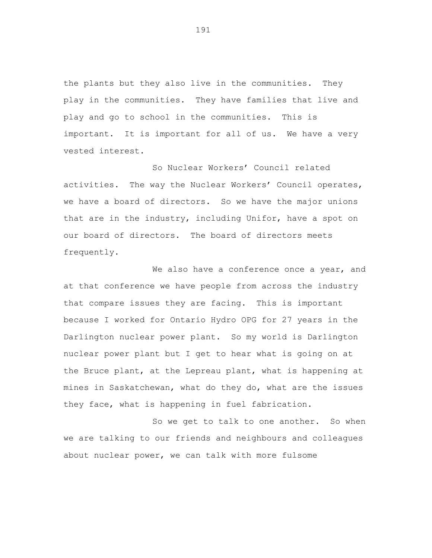the plants but they also live in the communities. They play in the communities. They have families that live and play and go to school in the communities. This is important. It is important for all of us. We have a very vested interest.

So Nuclear Workers' Council related activities. The way the Nuclear Workers' Council operates, we have a board of directors. So we have the major unions that are in the industry, including Unifor, have a spot on our board of directors. The board of directors meets frequently.

We also have a conference once a year, and at that conference we have people from across the industry that compare issues they are facing. This is important because I worked for Ontario Hydro OPG for 27 years in the Darlington nuclear power plant. So my world is Darlington nuclear power plant but I get to hear what is going on at the Bruce plant, at the Lepreau plant, what is happening at mines in Saskatchewan, what do they do, what are the issues they face, what is happening in fuel fabrication.

So we get to talk to one another. So when we are talking to our friends and neighbours and colleagues about nuclear power, we can talk with more fulsome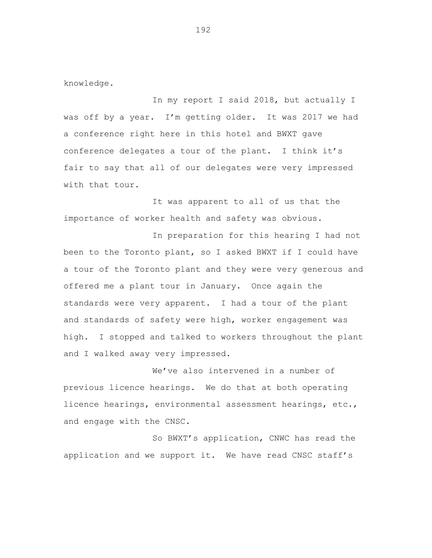knowledge.

In my report I said 2018, but actually I was off by a year. I'm getting older. It was 2017 we had a conference right here in this hotel and BWXT gave conference delegates a tour of the plant. I think it's fair to say that all of our delegates were very impressed with that tour.

It was apparent to all of us that the importance of worker health and safety was obvious.

In preparation for this hearing I had not been to the Toronto plant, so I asked BWXT if I could have a tour of the Toronto plant and they were very generous and offered me a plant tour in January. Once again the standards were very apparent. I had a tour of the plant and standards of safety were high, worker engagement was high. I stopped and talked to workers throughout the plant and I walked away very impressed.

We've also intervened in a number of previous licence hearings. We do that at both operating licence hearings, environmental assessment hearings, etc., and engage with the CNSC.

So BWXT's application, CNWC has read the application and we support it. We have read CNSC staff's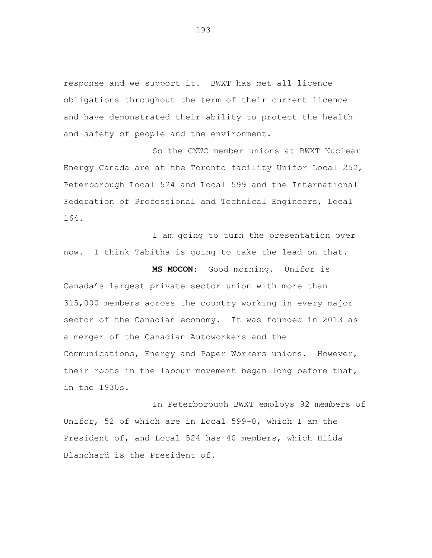response and we support it. BWXT has met all licence obligations throughout the term of their current licence and have demonstrated their ability to protect the health and safety of people and the environment.

So the CNWC member unions at BWXT Nuclear Energy Canada are at the Toronto facility Unifor Local 252, Peterborough Local 524 and Local 599 and the International Federation of Professional and Technical Engineers, Local 164.

I am going to turn the presentation over now. I think Tabitha is going to take the lead on that.

**MS MOCON:** Good morning. Unifor is Canada's largest private sector union with more than 315,000 members across the country working in every major sector of the Canadian economy. It was founded in 2013 as a merger of the Canadian Autoworkers and the Communications, Energy and Paper Workers unions. However, their roots in the labour movement began long before that, in the 1930s.

In Peterborough BWXT employs 92 members of Unifor, 52 of which are in Local 599-0, which I am the President of, and Local 524 has 40 members, which Hilda Blanchard is the President of.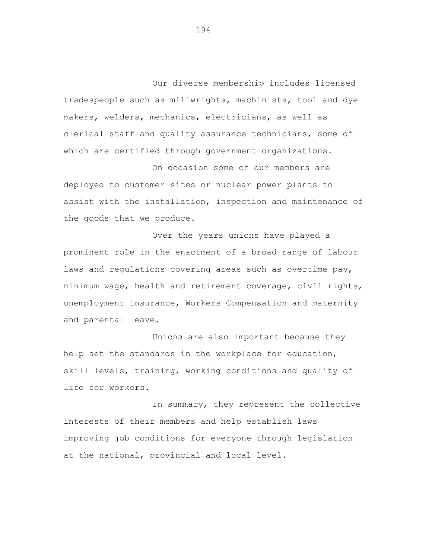Our diverse membership includes licensed tradespeople such as millwrights, machinists, tool and dye makers, welders, mechanics, electricians, as well as clerical staff and quality assurance technicians, some of which are certified through government organizations.

On occasion some of our members are deployed to customer sites or nuclear power plants to assist with the installation, inspection and maintenance of the goods that we produce.

Over the years unions have played a prominent role in the enactment of a broad range of labour laws and regulations covering areas such as overtime pay, minimum wage, health and retirement coverage, civil rights, unemployment insurance, Workers Compensation and maternity and parental leave.

Unions are also important because they help set the standards in the workplace for education, skill levels, training, working conditions and quality of life for workers.

In summary, they represent the collective interests of their members and help establish laws improving job conditions for everyone through legislation at the national, provincial and local level.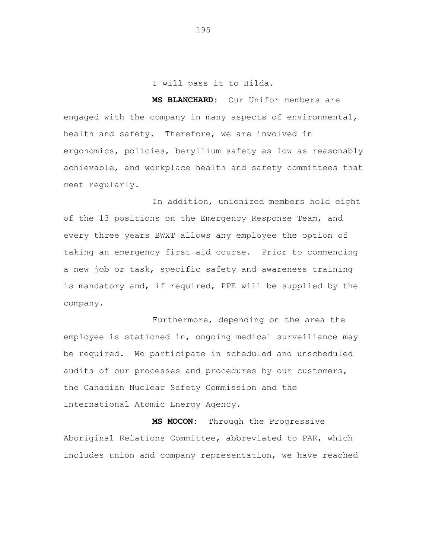I will pass it to Hilda.

**MS BLANCHARD:** Our Unifor members are engaged with the company in many aspects of environmental, health and safety. Therefore, we are involved in ergonomics, policies, beryllium safety as low as reasonably achievable, and workplace health and safety committees that meet regularly.

In addition, unionized members hold eight of the 13 positions on the Emergency Response Team, and every three years BWXT allows any employee the option of taking an emergency first aid course. Prior to commencing a new job or task, specific safety and awareness training is mandatory and, if required, PPE will be supplied by the company.

Furthermore, depending on the area the employee is stationed in, ongoing medical surveillance may be required. We participate in scheduled and unscheduled audits of our processes and procedures by our customers, the Canadian Nuclear Safety Commission and the International Atomic Energy Agency.

**MS MOCON:** Through the Progressive Aboriginal Relations Committee, abbreviated to PAR, which includes union and company representation, we have reached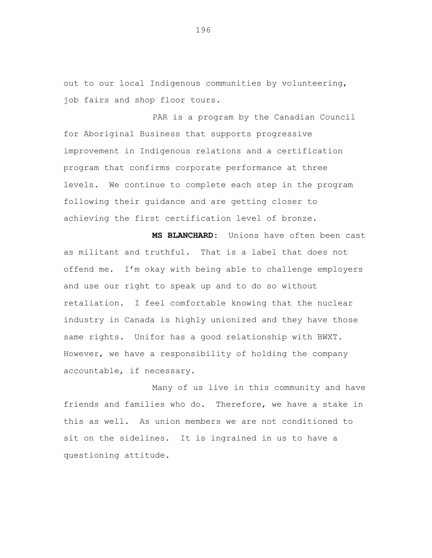out to our local Indigenous communities by volunteering, job fairs and shop floor tours.

PAR is a program by the Canadian Council for Aboriginal Business that supports progressive improvement in Indigenous relations and a certification program that confirms corporate performance at three levels. We continue to complete each step in the program following their guidance and are getting closer to achieving the first certification level of bronze.

**MS BLANCHARD:** Unions have often been cast as militant and truthful. That is a label that does not offend me. I'm okay with being able to challenge employers and use our right to speak up and to do so without retaliation. I feel comfortable knowing that the nuclear industry in Canada is highly unionized and they have those same rights. Unifor has a good relationship with BWXT. However, we have a responsibility of holding the company accountable, if necessary.

Many of us live in this community and have friends and families who do. Therefore, we have a stake in this as well. As union members we are not conditioned to sit on the sidelines. It is ingrained in us to have a questioning attitude.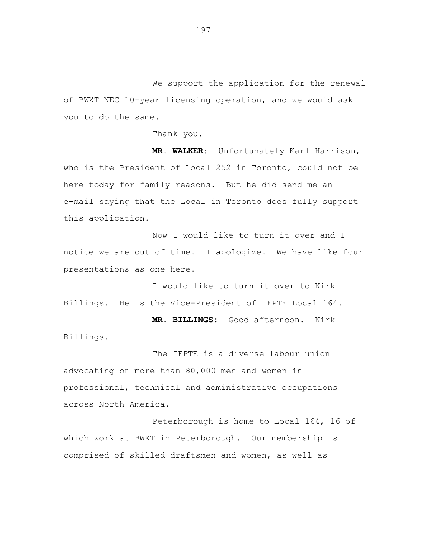We support the application for the renewal of BWXT NEC 10-year licensing operation, and we would ask you to do the same.

Thank you.

**MR. WALKER:** Unfortunately Karl Harrison, who is the President of Local 252 in Toronto, could not be here today for family reasons. But he did send me an e-mail saying that the Local in Toronto does fully support this application.

Now I would like to turn it over and I notice we are out of time. I apologize. We have like four presentations as one here.

I would like to turn it over to Kirk Billings. He is the Vice-President of IFPTE Local 164.

**MR. BILLINGS:** Good afternoon. Kirk Billings.

The IFPTE is a diverse labour union advocating on more than 80,000 men and women in professional, technical and administrative occupations across North America.

Peterborough is home to Local 164, 16 of which work at BWXT in Peterborough. Our membership is comprised of skilled draftsmen and women, as well as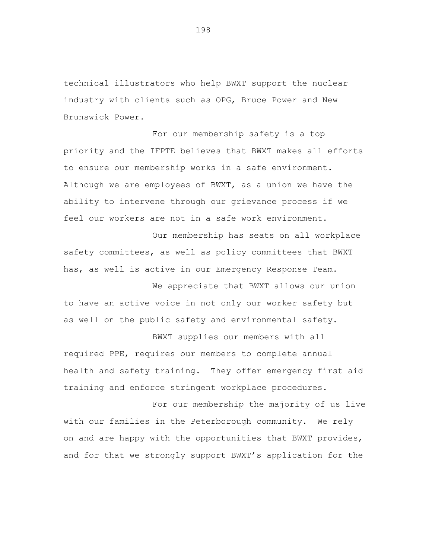technical illustrators who help BWXT support the nuclear industry with clients such as OPG, Bruce Power and New Brunswick Power.

For our membership safety is a top priority and the IFPTE believes that BWXT makes all efforts to ensure our membership works in a safe environment. Although we are employees of BWXT, as a union we have the ability to intervene through our grievance process if we feel our workers are not in a safe work environment.

Our membership has seats on all workplace safety committees, as well as policy committees that BWXT has, as well is active in our Emergency Response Team.

We appreciate that BWXT allows our union to have an active voice in not only our worker safety but as well on the public safety and environmental safety.

BWXT supplies our members with all required PPE, requires our members to complete annual health and safety training. They offer emergency first aid training and enforce stringent workplace procedures.

For our membership the majority of us live with our families in the Peterborough community. We rely on and are happy with the opportunities that BWXT provides, and for that we strongly support BWXT's application for the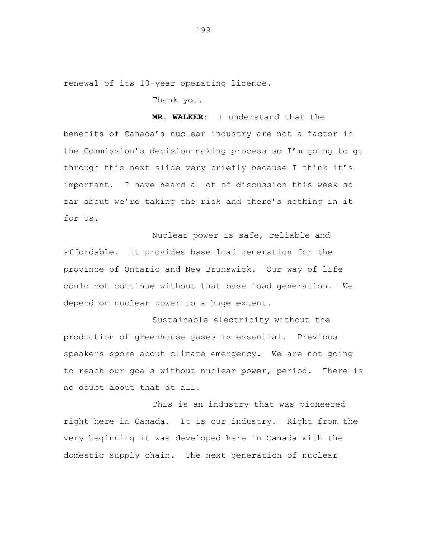renewal of its 10-year operating licence.

Thank you.

**MR. WALKER:** I understand that the benefits of Canada's nuclear industry are not a factor in the Commission's decision-making process so I'm going to go through this next slide very briefly because I think it's important. I have heard a lot of discussion this week so far about we're taking the risk and there's nothing in it for us.

Nuclear power is safe, reliable and affordable. It provides base load generation for the province of Ontario and New Brunswick. Our way of life could not continue without that base load generation. We depend on nuclear power to a huge extent.

Sustainable electricity without the production of greenhouse gases is essential. Previous speakers spoke about climate emergency. We are not going to reach our goals without nuclear power, period. There is no doubt about that at all.

This is an industry that was pioneered right here in Canada. It is our industry. Right from the very beginning it was developed here in Canada with the domestic supply chain. The next generation of nuclear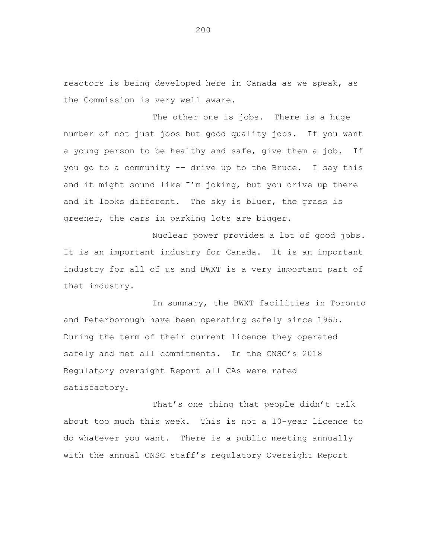reactors is being developed here in Canada as we speak, as the Commission is very well aware.

The other one is jobs. There is a huge number of not just jobs but good quality jobs. If you want a young person to be healthy and safe, give them a job. If you go to a community -– drive up to the Bruce. I say this and it might sound like  $I'm$  joking, but you drive up there and it looks different. The sky is bluer, the grass is greener, the cars in parking lots are bigger.

Nuclear power provides a lot of good jobs. It is an important industry for Canada. It is an important industry for all of us and BWXT is a very important part of that industry.

In summary, the BWXT facilities in Toronto and Peterborough have been operating safely since 1965. During the term of their current licence they operated safely and met all commitments. In the CNSC's 2018 Regulatory oversight Report all CAs were rated satisfactory.

That's one thing that people didn't talk about too much this week. This is not a 10-year licence to do whatever you want. There is a public meeting annually with the annual CNSC staff's regulatory Oversight Report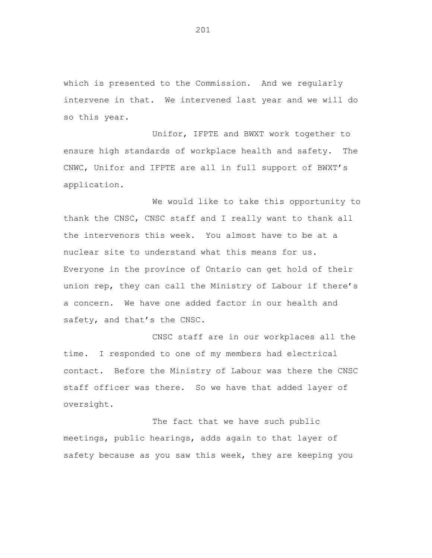which is presented to the Commission. And we regularly intervene in that. We intervened last year and we will do so this year.

Unifor, IFPTE and BWXT work together to ensure high standards of workplace health and safety. The CNWC, Unifor and IFPTE are all in full support of BWXT's application.

We would like to take this opportunity to thank the CNSC, CNSC staff and I really want to thank all the intervenors this week. You almost have to be at a nuclear site to understand what this means for us. Everyone in the province of Ontario can get hold of their union rep, they can call the Ministry of Labour if there's a concern. We have one added factor in our health and safety, and that's the CNSC.

CNSC staff are in our workplaces all the time. I responded to one of my members had electrical contact. Before the Ministry of Labour was there the CNSC staff officer was there. So we have that added layer of oversight.

The fact that we have such public meetings, public hearings, adds again to that layer of safety because as you saw this week, they are keeping you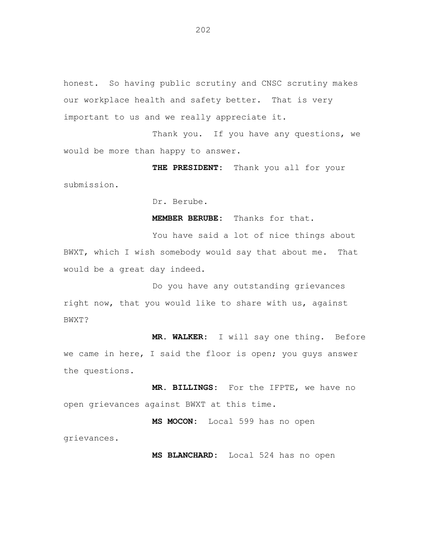honest. So having public scrutiny and CNSC scrutiny makes our workplace health and safety better. That is very important to us and we really appreciate it.

Thank you. If you have any questions, we would be more than happy to answer.

**THE PRESIDENT:** Thank you all for your submission.

Dr. Berube.

**MEMBER BERUBE:** Thanks for that.

You have said a lot of nice things about BWXT, which I wish somebody would say that about me. That would be a great day indeed.

Do you have any outstanding grievances right now, that you would like to share with us, against BWXT?

**MR. WALKER:** I will say one thing. Before we came in here, I said the floor is open; you guys answer the questions.

**MR. BILLINGS:** For the IFPTE, we have no open grievances against BWXT at this time.

**MS MOCON:** Local 599 has no open grievances.

**MS BLANCHARD:** Local 524 has no open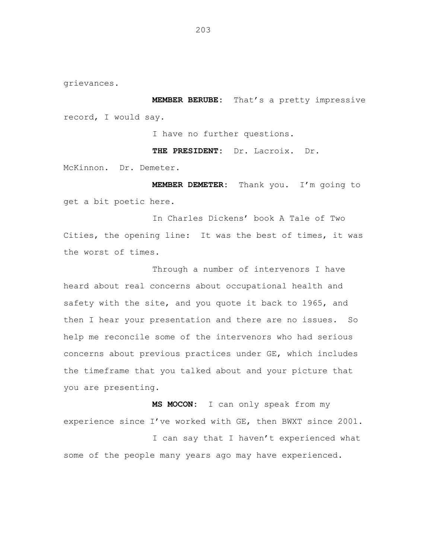grievances.

**MEMBER BERUBE:** That's a pretty impressive record, I would say.

I have no further questions.

**THE PRESIDENT:** Dr. Lacroix. Dr.

McKinnon. Dr. Demeter.

**MEMBER DEMETER:** Thank you. I'm going to get a bit poetic here.

In Charles Dickens' book A Tale of Two Cities, the opening line: It was the best of times, it was the worst of times.

Through a number of intervenors I have heard about real concerns about occupational health and safety with the site, and you quote it back to 1965, and then I hear your presentation and there are no issues. So help me reconcile some of the intervenors who had serious concerns about previous practices under GE, which includes the timeframe that you talked about and your picture that you are presenting.

**MS MOCON:** I can only speak from my experience since I've worked with GE, then BWXT since 2001. I can say that I haven't experienced what some of the people many years ago may have experienced.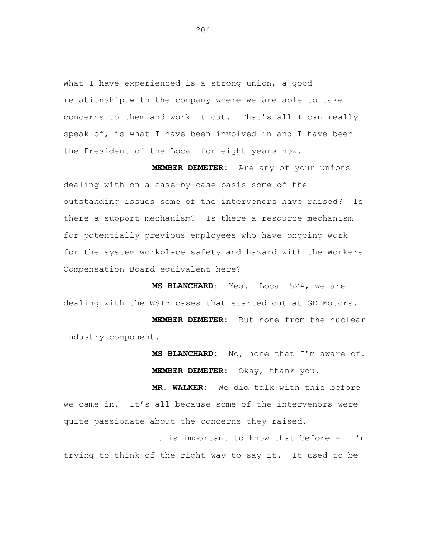What I have experienced is a strong union, a good relationship with the company where we are able to take concerns to them and work it out. That's all I can really speak of, is what I have been involved in and I have been the President of the Local for eight years now.

**MEMBER DEMETER:** Are any of your unions dealing with on a case-by-case basis some of the outstanding issues some of the intervenors have raised? Is there a support mechanism? Is there a resource mechanism for potentially previous employees who have ongoing work for the system workplace safety and hazard with the Workers Compensation Board equivalent here?

**MS BLANCHARD:** Yes. Local 524, we are dealing with the WSIB cases that started out at GE Motors.

**MEMBER DEMETER:** But none from the nuclear industry component.

> **MS BLANCHARD:** No, none that I'm aware of. **MEMBER DEMETER:** Okay, thank you.

**MR. WALKER:** We did talk with this before we came in. It's all because some of the intervenors were quite passionate about the concerns they raised.

It is important to know that before -– I'm trying to think of the right way to say it. It used to be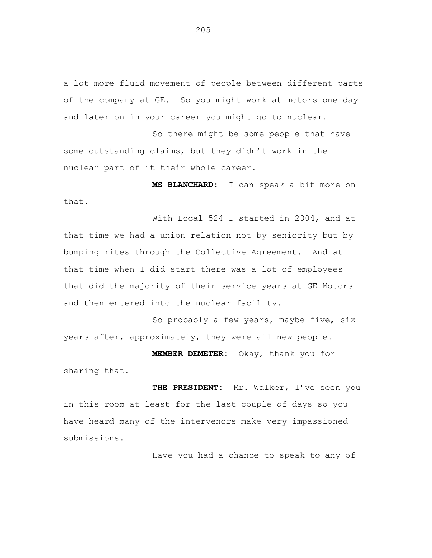a lot more fluid movement of people between different parts of the company at GE. So you might work at motors one day and later on in your career you might go to nuclear.

So there might be some people that have some outstanding claims, but they didn't work in the nuclear part of it their whole career.

**MS BLANCHARD:** I can speak a bit more on that.

With Local 524 I started in 2004, and at that time we had a union relation not by seniority but by bumping rites through the Collective Agreement. And at that time when I did start there was a lot of employees that did the majority of their service years at GE Motors and then entered into the nuclear facility.

So probably a few years, maybe five, six years after, approximately, they were all new people.

**MEMBER DEMETER:** Okay, thank you for sharing that.

**THE PRESIDENT:** Mr. Walker, I've seen you in this room at least for the last couple of days so you have heard many of the intervenors make very impassioned submissions.

Have you had a chance to speak to any of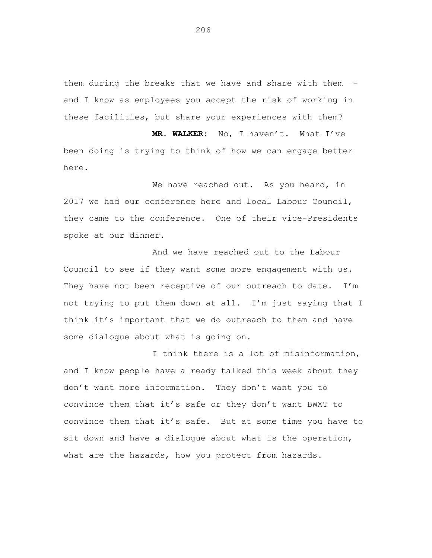them during the breaks that we have and share with them – and I know as employees you accept the risk of working in these facilities, but share your experiences with them?

**MR. WALKER:** No, I haven't. What I've been doing is trying to think of how we can engage better here.

We have reached out. As you heard, in 2017 we had our conference here and local Labour Council, they came to the conference. One of their vice-Presidents spoke at our dinner.

And we have reached out to the Labour Council to see if they want some more engagement with us. They have not been receptive of our outreach to date. I'm not trying to put them down at all. I'm just saying that I think it's important that we do outreach to them and have some dialogue about what is going on.

I think there is a lot of misinformation, and I know people have already talked this week about they don't want more information. They don't want you to convince them that it's safe or they don't want BWXT to convince them that it's safe. But at some time you have to sit down and have a dialogue about what is the operation, what are the hazards, how you protect from hazards.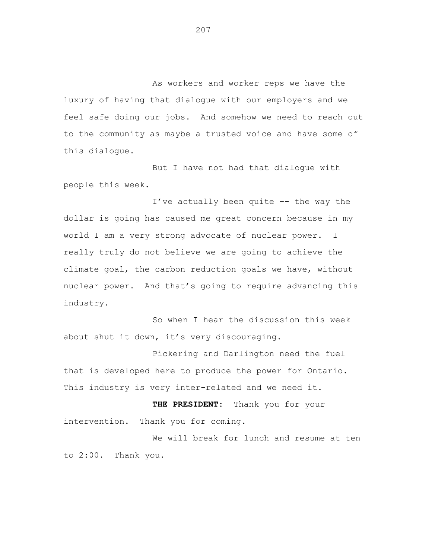As workers and worker reps we have the luxury of having that dialogue with our employers and we feel safe doing our jobs. And somehow we need to reach out to the community as maybe a trusted voice and have some of this dialogue.

But I have not had that dialogue with people this week.

I've actually been quite –- the way the dollar is going has caused me great concern because in my world I am a very strong advocate of nuclear power. I really truly do not believe we are going to achieve the climate goal, the carbon reduction goals we have, without nuclear power. And that's going to require advancing this industry.

So when I hear the discussion this week about shut it down, it's very discouraging.

Pickering and Darlington need the fuel that is developed here to produce the power for Ontario. This industry is very inter-related and we need it.

**THE PRESIDENT:** Thank you for your intervention. Thank you for coming.

We will break for lunch and resume at ten to 2:00. Thank you.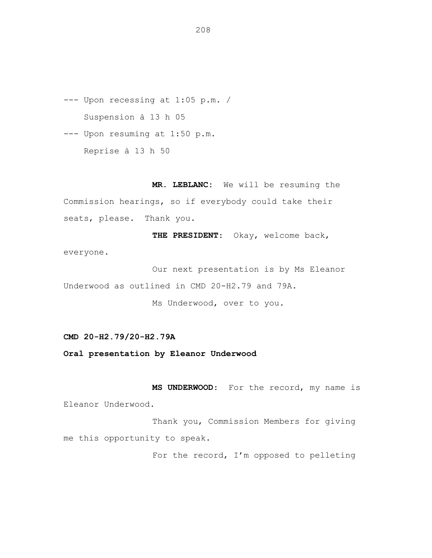--- Upon recessing at 1:05 p.m. / Suspension à 13 h 05

--- Upon resuming at 1:50 p.m. Reprise à 13 h 50

**MR. LEBLANC:** We will be resuming the Commission hearings, so if everybody could take their seats, please. Thank you.

**THE PRESIDENT**: Okay, welcome back, everyone.

Our next presentation is by Ms Eleanor Underwood as outlined in CMD 20-H2.79 and 79A.

Ms Underwood, over to you.

## **CMD 20-H2.79/20-H2.79A**

**Oral presentation by Eleanor Underwood**

**MS UNDERWOOD**: For the record, my name is Eleanor Underwood.

Thank you, Commission Members for giving me this opportunity to speak.

For the record, I'm opposed to pelleting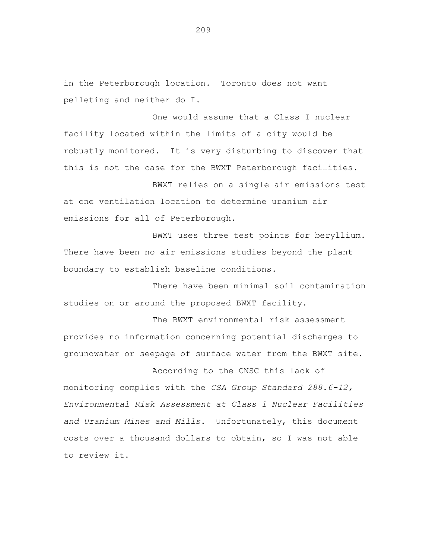in the Peterborough location. Toronto does not want pelleting and neither do I.

One would assume that a Class I nuclear facility located within the limits of a city would be robustly monitored. It is very disturbing to discover that this is not the case for the BWXT Peterborough facilities.

BWXT relies on a single air emissions test at one ventilation location to determine uranium air emissions for all of Peterborough.

BWXT uses three test points for beryllium. There have been no air emissions studies beyond the plant boundary to establish baseline conditions.

There have been minimal soil contamination studies on or around the proposed BWXT facility.

The BWXT environmental risk assessment provides no information concerning potential discharges to groundwater or seepage of surface water from the BWXT site.

According to the CNSC this lack of monitoring complies with the *CSA Group Standard 288.6-12, Environmental Risk Assessment at Class 1 Nuclear Facilities and Uranium Mines and Mills*. Unfortunately, this document costs over a thousand dollars to obtain, so I was not able to review it.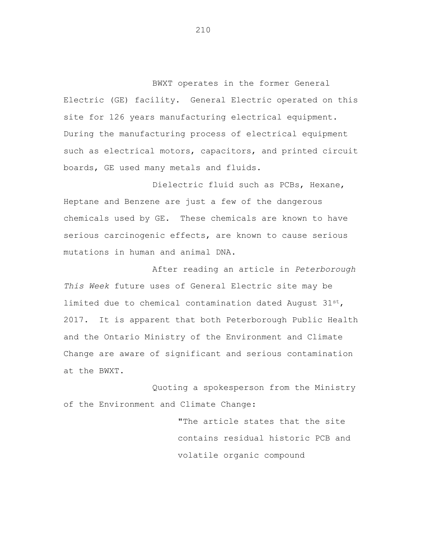BWXT operates in the former General Electric (GE) facility. General Electric operated on this site for 126 years manufacturing electrical equipment. During the manufacturing process of electrical equipment such as electrical motors, capacitors, and printed circuit boards, GE used many metals and fluids.

Dielectric fluid such as PCBs, Hexane, Heptane and Benzene are just a few of the dangerous chemicals used by GE. These chemicals are known to have serious carcinogenic effects, are known to cause serious mutations in human and animal DNA.

After reading an article in *Peterborough This Week* future uses of General Electric site may be limited due to chemical contamination dated August  $31^{st}$ , 2017. It is apparent that both Peterborough Public Health and the Ontario Ministry of the Environment and Climate Change are aware of significant and serious contamination at the BWXT.

Quoting a spokesperson from the Ministry of the Environment and Climate Change:

> "The article states that the site contains residual historic PCB and volatile organic compound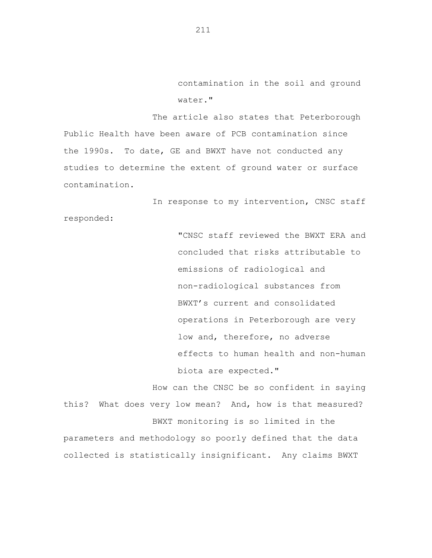contamination in the soil and ground water."

The article also states that Peterborough Public Health have been aware of PCB contamination since the 1990s. To date, GE and BWXT have not conducted any studies to determine the extent of ground water or surface contamination.

In response to my intervention, CNSC staff

responded:

"CNSC staff reviewed the BWXT ERA and concluded that risks attributable to emissions of radiological and non-radiological substances from BWXT's current and consolidated operations in Peterborough are very low and, therefore, no adverse effects to human health and non-human biota are expected."

How can the CNSC be so confident in saying this? What does very low mean? And, how is that measured? BWXT monitoring is so limited in the parameters and methodology so poorly defined that the data collected is statistically insignificant. Any claims BWXT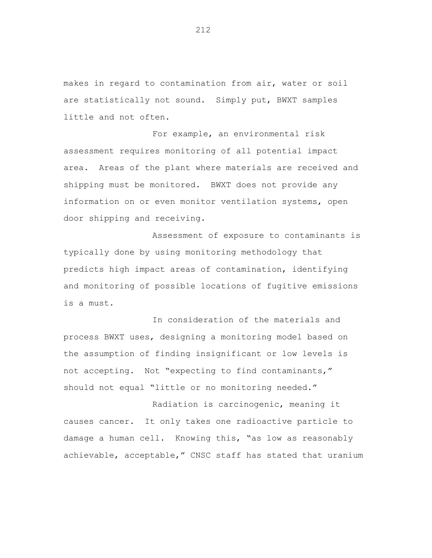makes in regard to contamination from air, water or soil are statistically not sound. Simply put, BWXT samples little and not often.

For example, an environmental risk assessment requires monitoring of all potential impact area. Areas of the plant where materials are received and shipping must be monitored. BWXT does not provide any information on or even monitor ventilation systems, open door shipping and receiving.

Assessment of exposure to contaminants is typically done by using monitoring methodology that predicts high impact areas of contamination, identifying and monitoring of possible locations of fugitive emissions is a must.

In consideration of the materials and process BWXT uses, designing a monitoring model based on the assumption of finding insignificant or low levels is not accepting. Not "expecting to find contaminants," should not equal "little or no monitoring needed."

Radiation is carcinogenic, meaning it causes cancer. It only takes one radioactive particle to damage a human cell. Knowing this, "as low as reasonably achievable, acceptable," CNSC staff has stated that uranium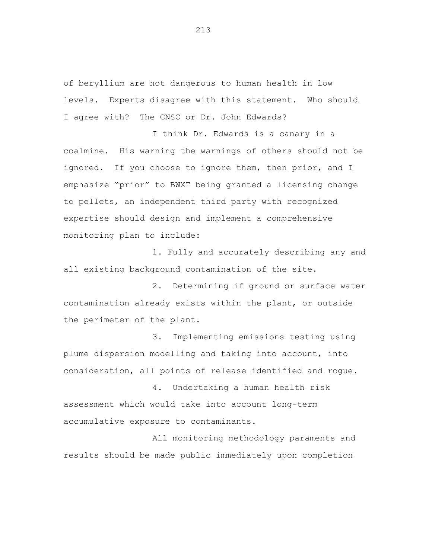of beryllium are not dangerous to human health in low levels. Experts disagree with this statement. Who should I agree with? The CNSC or Dr. John Edwards?

I think Dr. Edwards is a canary in a coalmine. His warning the warnings of others should not be ignored. If you choose to ignore them, then prior, and I emphasize "prior" to BWXT being granted a licensing change to pellets, an independent third party with recognized expertise should design and implement a comprehensive monitoring plan to include:

1. Fully and accurately describing any and all existing background contamination of the site.

2. Determining if ground or surface water contamination already exists within the plant, or outside the perimeter of the plant.

3. Implementing emissions testing using plume dispersion modelling and taking into account, into consideration, all points of release identified and rogue.

4. Undertaking a human health risk assessment which would take into account long-term accumulative exposure to contaminants.

All monitoring methodology paraments and results should be made public immediately upon completion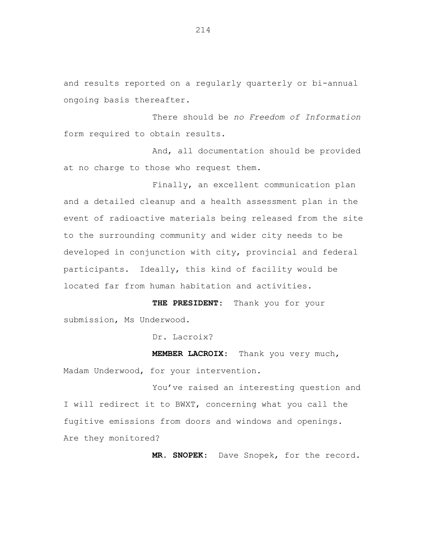and results reported on a regularly quarterly or bi-annual ongoing basis thereafter.

There should be *no Freedom of Information*  form required to obtain results.

And, all documentation should be provided at no charge to those who request them.

Finally, an excellent communication plan and a detailed cleanup and a health assessment plan in the event of radioactive materials being released from the site to the surrounding community and wider city needs to be developed in conjunction with city, provincial and federal participants. Ideally, this kind of facility would be located far from human habitation and activities.

**THE PRESIDENT**: Thank you for your submission, Ms Underwood.

Dr. Lacroix?

**MEMBER LACROIX**: Thank you very much, Madam Underwood, for your intervention.

You've raised an interesting question and I will redirect it to BWXT, concerning what you call the fugitive emissions from doors and windows and openings. Are they monitored?

**MR. SNOPEK**: Dave Snopek, for the record.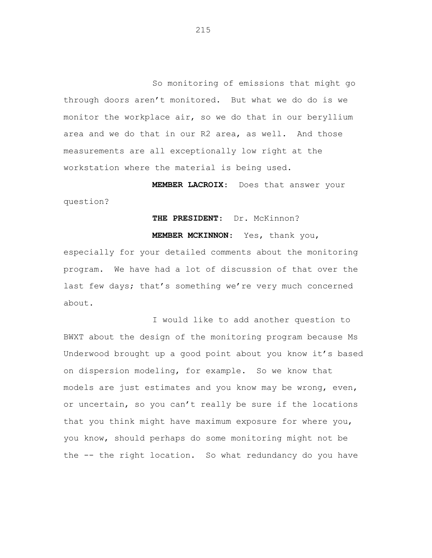So monitoring of emissions that might go through doors aren't monitored. But what we do do is we monitor the workplace air, so we do that in our beryllium area and we do that in our R2 area, as well. And those measurements are all exceptionally low right at the workstation where the material is being used.

**MEMBER LACROIX**: Does that answer your question?

# **THE PRESIDENT**: Dr. McKinnon?

**MEMBER MCKINNON**: Yes, thank you,

especially for your detailed comments about the monitoring program. We have had a lot of discussion of that over the last few days; that's something we're very much concerned about.

I would like to add another question to BWXT about the design of the monitoring program because Ms Underwood brought up a good point about you know it's based on dispersion modeling, for example. So we know that models are just estimates and you know may be wrong, even, or uncertain, so you can't really be sure if the locations that you think might have maximum exposure for where you, you know, should perhaps do some monitoring might not be the -- the right location. So what redundancy do you have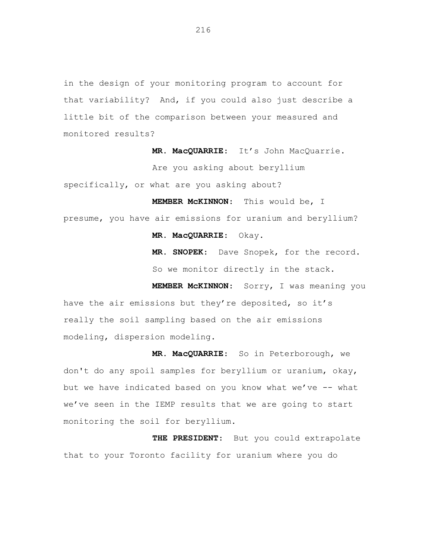in the design of your monitoring program to account for that variability? And, if you could also just describe a little bit of the comparison between your measured and monitored results?

> **MR. MacQUARRIE**: It's John MacQuarrie. Are you asking about beryllium

specifically, or what are you asking about?

**MEMBER McKINNON**: This would be, I presume, you have air emissions for uranium and beryllium?

**MR. MacQUARRIE**: Okay.

**MR. SNOPEK**: Dave Snopek, for the record. So we monitor directly in the stack.

**MEMBER McKINNON**: Sorry, I was meaning you have the air emissions but they're deposited, so it's really the soil sampling based on the air emissions modeling, dispersion modeling.

**MR. MacQUARRIE**: So in Peterborough, we don't do any spoil samples for beryllium or uranium, okay, but we have indicated based on you know what we've -- what we've seen in the IEMP results that we are going to start monitoring the soil for beryllium.

**THE PRESIDENT**: But you could extrapolate that to your Toronto facility for uranium where you do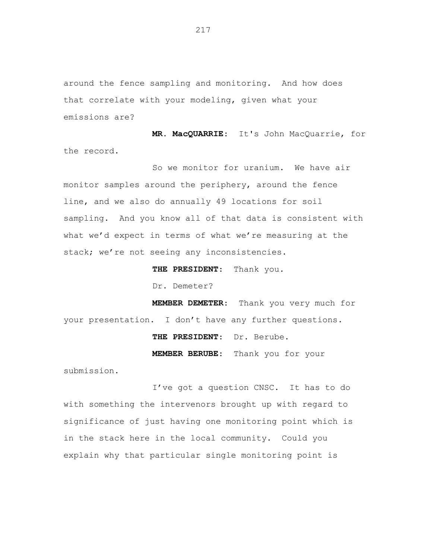around the fence sampling and monitoring. And how does that correlate with your modeling, given what your emissions are?

**MR. MacQUARRIE**: It's John MacQuarrie, for the record.

So we monitor for uranium. We have air monitor samples around the periphery, around the fence line, and we also do annually 49 locations for soil sampling. And you know all of that data is consistent with what we'd expect in terms of what we're measuring at the stack; we're not seeing any inconsistencies.

**THE PRESIDENT**: Thank you.

Dr. Demeter?

**MEMBER DEMETER**: Thank you very much for your presentation. I don't have any further questions.

**THE PRESIDENT**: Dr. Berube.

**MEMBER BERUBE**: Thank you for your

submission.

I've got a question CNSC. It has to do with something the intervenors brought up with regard to significance of just having one monitoring point which is in the stack here in the local community. Could you explain why that particular single monitoring point is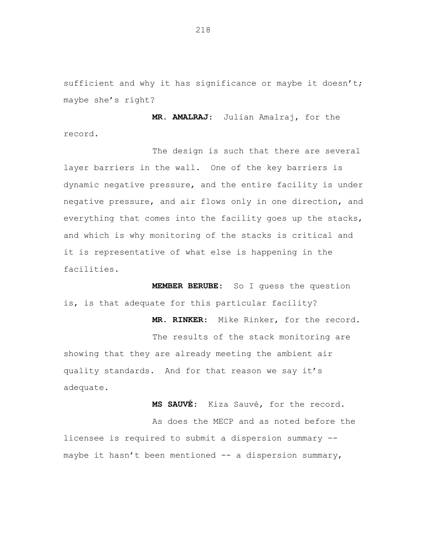sufficient and why it has significance or maybe it doesn't; maybe she's right?

**MR. AMALRAJ**: Julian Amalraj, for the record.

The design is such that there are several layer barriers in the wall. One of the key barriers is dynamic negative pressure, and the entire facility is under negative pressure, and air flows only in one direction, and everything that comes into the facility goes up the stacks, and which is why monitoring of the stacks is critical and it is representative of what else is happening in the facilities.

**MEMBER BERUBE**: So I guess the question is, is that adequate for this particular facility?

**MR. RINKER**: Mike Rinker, for the record. The results of the stack monitoring are showing that they are already meeting the ambient air quality standards. And for that reason we say it's adequate.

**MS SAUVÉ**: Kiza Sauvé, for the record.

As does the MECP and as noted before the licensee is required to submit a dispersion summary - maybe it hasn't been mentioned -- a dispersion summary,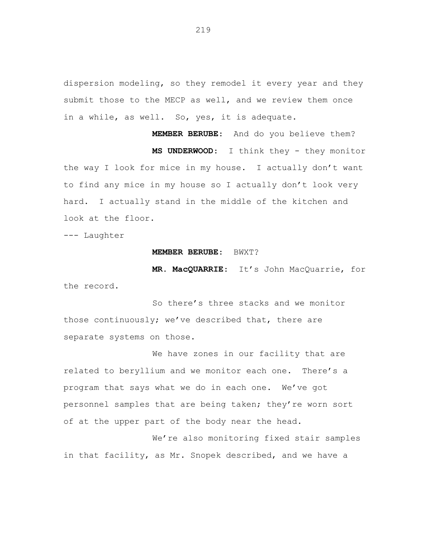dispersion modeling, so they remodel it every year and they submit those to the MECP as well, and we review them once in a while, as well. So, yes, it is adequate.

**MEMBER BERUBE**: And do you believe them? **MS UNDERWOOD**: I think they - they monitor the way I look for mice in my house. I actually don't want to find any mice in my house so I actually don't look very hard. I actually stand in the middle of the kitchen and look at the floor.

--- Laughter

#### **MEMBER BERUBE**: BWXT?

**MR. MacQUARRIE**: It's John MacQuarrie, for the record.

So there's three stacks and we monitor those continuously; we've described that, there are separate systems on those.

We have zones in our facility that are related to beryllium and we monitor each one. There's a program that says what we do in each one. We've got personnel samples that are being taken; they're worn sort of at the upper part of the body near the head.

We're also monitoring fixed stair samples in that facility, as Mr. Snopek described, and we have a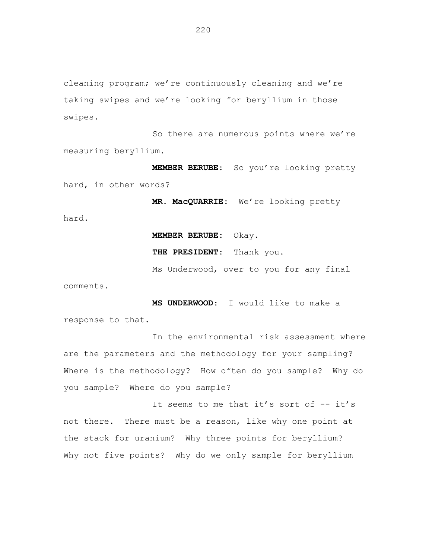cleaning program; we're continuously cleaning and we're taking swipes and we're looking for beryllium in those swipes.

So there are numerous points where we're measuring beryllium.

**MEMBER BERUBE**: So you're looking pretty hard, in other words?

**MR. MacQUARRIE**: We're looking pretty

**MEMBER BERUBE:** Okay.

**THE PRESIDENT**: Thank you.

Ms Underwood, over to you for any final

comments.

hard.

**MS UNDERWOOD**: I would like to make a response to that.

In the environmental risk assessment where are the parameters and the methodology for your sampling? Where is the methodology? How often do you sample? Why do you sample? Where do you sample?

It seems to me that it's sort of -- it's not there. There must be a reason, like why one point at the stack for uranium? Why three points for beryllium? Why not five points? Why do we only sample for beryllium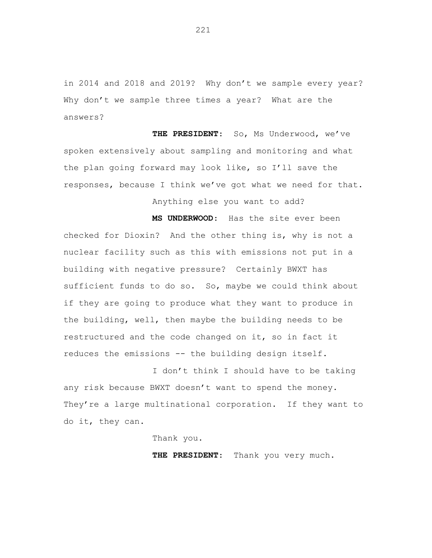in 2014 and 2018 and 2019? Why don't we sample every year? Why don't we sample three times a year? What are the answers?

**THE PRESIDENT**: So, Ms Underwood, we've spoken extensively about sampling and monitoring and what the plan going forward may look like, so I'll save the responses, because I think we've got what we need for that.

Anything else you want to add?

**MS UNDERWOOD**: Has the site ever been checked for Dioxin? And the other thing is, why is not a nuclear facility such as this with emissions not put in a building with negative pressure? Certainly BWXT has sufficient funds to do so. So, maybe we could think about if they are going to produce what they want to produce in the building, well, then maybe the building needs to be restructured and the code changed on it, so in fact it reduces the emissions -- the building design itself.

I don't think I should have to be taking any risk because BWXT doesn't want to spend the money. They're a large multinational corporation. If they want to do it, they can.

Thank you.

**THE PRESIDENT**: Thank you very much.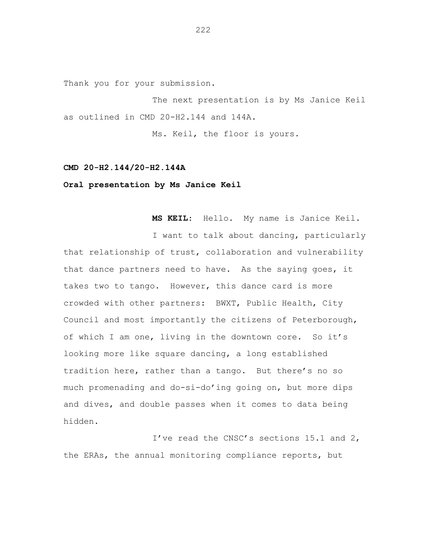Thank you for your submission.

The next presentation is by Ms Janice Keil as outlined in CMD 20-H2.144 and 144A.

Ms. Keil, the floor is yours.

## **CMD 20-H2.144/20-H2.144A**

## **Oral presentation by Ms Janice Keil**

**MS KEIL**: Hello. My name is Janice Keil.

I want to talk about dancing, particularly that relationship of trust, collaboration and vulnerability that dance partners need to have. As the saying goes, it takes two to tango. However, this dance card is more crowded with other partners: BWXT, Public Health, City Council and most importantly the citizens of Peterborough, of which I am one, living in the downtown core. So it's looking more like square dancing, a long established tradition here, rather than a tango. But there's no so much promenading and do-si-do'ing going on, but more dips and dives, and double passes when it comes to data being hidden.

I've read the CNSC's sections 15.1 and 2, the ERAs, the annual monitoring compliance reports, but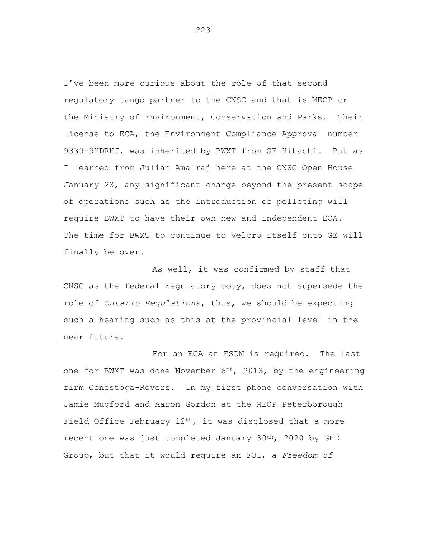I've been more curious about the role of that second regulatory tango partner to the CNSC and that is MECP or the Ministry of Environment, Conservation and Parks. Their license to ECA, the Environment Compliance Approval number 9339-9HDRHJ, was inherited by BWXT from GE Hitachi. But as I learned from Julian Amalraj here at the CNSC Open House January 23, any significant change beyond the present scope of operations such as the introduction of pelleting will require BWXT to have their own new and independent ECA. The time for BWXT to continue to Velcro itself onto GE will finally be over.

As well, it was confirmed by staff that CNSC as the federal regulatory body, does not supersede the role of *Ontario Regulations*, thus, we should be expecting such a hearing such as this at the provincial level in the near future.

For an ECA an ESDM is required. The last one for BWXT was done November 6th, 2013, by the engineering firm Conestoga-Rovers. In my first phone conversation with Jamie Mugford and Aaron Gordon at the MECP Peterborough Field Office February  $12<sup>th</sup>$ , it was disclosed that a more recent one was just completed January 30th, 2020 by GHD Group, but that it would require an FOI, a *Freedom of*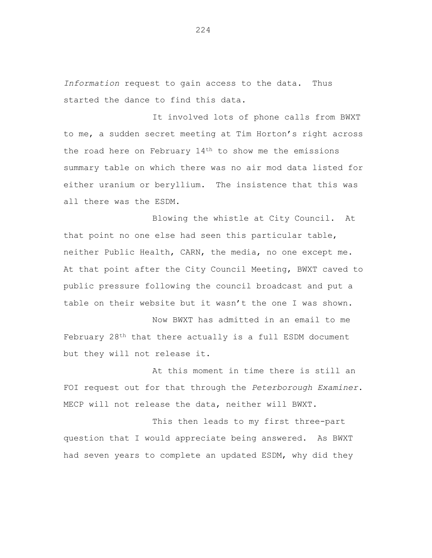*Information* request to gain access to the data. Thus started the dance to find this data.

It involved lots of phone calls from BWXT to me, a sudden secret meeting at Tim Horton's right across the road here on February 14th to show me the emissions summary table on which there was no air mod data listed for either uranium or beryllium. The insistence that this was all there was the ESDM.

Blowing the whistle at City Council. At that point no one else had seen this particular table, neither Public Health, CARN, the media, no one except me. At that point after the City Council Meeting, BWXT caved to public pressure following the council broadcast and put a table on their website but it wasn't the one I was shown.

Now BWXT has admitted in an email to me February 28th that there actually is a full ESDM document but they will not release it.

At this moment in time there is still an FOI request out for that through the *Peterborough Examiner*. MECP will not release the data, neither will BWXT.

This then leads to my first three-part question that I would appreciate being answered. As BWXT had seven years to complete an updated ESDM, why did they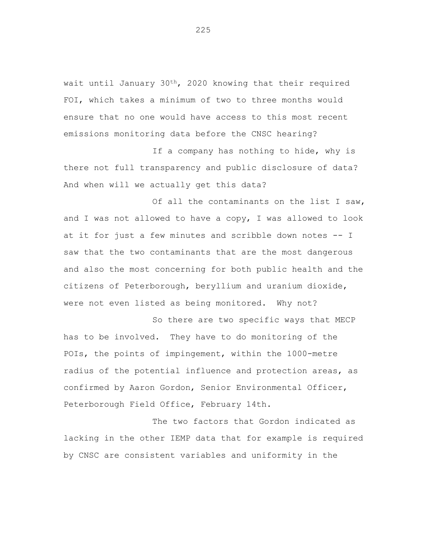wait until January 30th, 2020 knowing that their required FOI, which takes a minimum of two to three months would ensure that no one would have access to this most recent emissions monitoring data before the CNSC hearing?

If a company has nothing to hide, why is there not full transparency and public disclosure of data? And when will we actually get this data?

Of all the contaminants on the list I saw, and I was not allowed to have a copy, I was allowed to look at it for just a few minutes and scribble down notes -- I saw that the two contaminants that are the most dangerous and also the most concerning for both public health and the citizens of Peterborough, beryllium and uranium dioxide, were not even listed as being monitored. Why not?

So there are two specific ways that MECP has to be involved. They have to do monitoring of the POIs, the points of impingement, within the 1000-metre radius of the potential influence and protection areas, as confirmed by Aaron Gordon, Senior Environmental Officer, Peterborough Field Office, February 14th.

The two factors that Gordon indicated as lacking in the other IEMP data that for example is required by CNSC are consistent variables and uniformity in the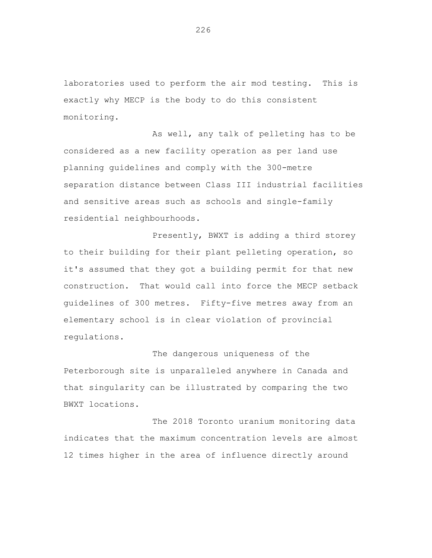laboratories used to perform the air mod testing. This is exactly why MECP is the body to do this consistent monitoring.

As well, any talk of pelleting has to be considered as a new facility operation as per land use planning guidelines and comply with the 300-metre separation distance between Class III industrial facilities and sensitive areas such as schools and single-family residential neighbourhoods.

Presently, BWXT is adding a third storey to their building for their plant pelleting operation, so it's assumed that they got a building permit for that new construction. That would call into force the MECP setback guidelines of 300 metres. Fifty-five metres away from an elementary school is in clear violation of provincial regulations.

The dangerous uniqueness of the Peterborough site is unparalleled anywhere in Canada and that singularity can be illustrated by comparing the two BWXT locations.

The 2018 Toronto uranium monitoring data indicates that the maximum concentration levels are almost 12 times higher in the area of influence directly around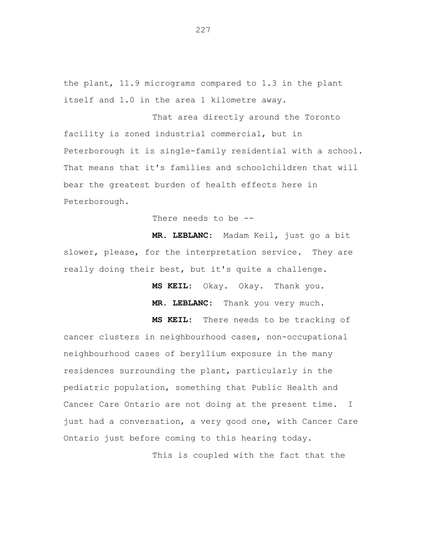the plant, 11.9 micrograms compared to 1.3 in the plant itself and 1.0 in the area 1 kilometre away.

That area directly around the Toronto facility is zoned industrial commercial, but in Peterborough it is single-family residential with a school. That means that it's families and schoolchildren that will bear the greatest burden of health effects here in Peterborough.

There needs to be --

**MR. LEBLANC:** Madam Keil, just go a bit slower, please, for the interpretation service. They are really doing their best, but it's quite a challenge.

**MS KEIL:** Okay. Okay. Thank you.

**MR. LEBLANC:** Thank you very much.

**MS KEIL:** There needs to be tracking of cancer clusters in neighbourhood cases, non-occupational neighbourhood cases of beryllium exposure in the many residences surrounding the plant, particularly in the pediatric population, something that Public Health and Cancer Care Ontario are not doing at the present time. I just had a conversation, a very good one, with Cancer Care Ontario just before coming to this hearing today.

This is coupled with the fact that the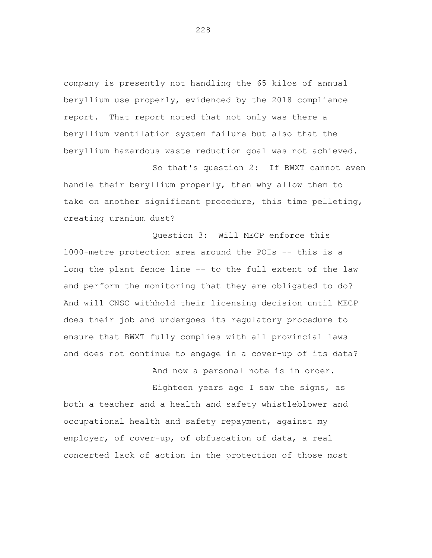company is presently not handling the 65 kilos of annual beryllium use properly, evidenced by the 2018 compliance report. That report noted that not only was there a beryllium ventilation system failure but also that the beryllium hazardous waste reduction goal was not achieved.

So that's question 2: If BWXT cannot even handle their beryllium properly, then why allow them to take on another significant procedure, this time pelleting, creating uranium dust?

Question 3: Will MECP enforce this 1000-metre protection area around the POIs -- this is a long the plant fence line -- to the full extent of the law and perform the monitoring that they are obligated to do? And will CNSC withhold their licensing decision until MECP does their job and undergoes its regulatory procedure to ensure that BWXT fully complies with all provincial laws and does not continue to engage in a cover-up of its data?

And now a personal note is in order.

Eighteen years ago I saw the signs, as both a teacher and a health and safety whistleblower and occupational health and safety repayment, against my employer, of cover-up, of obfuscation of data, a real concerted lack of action in the protection of those most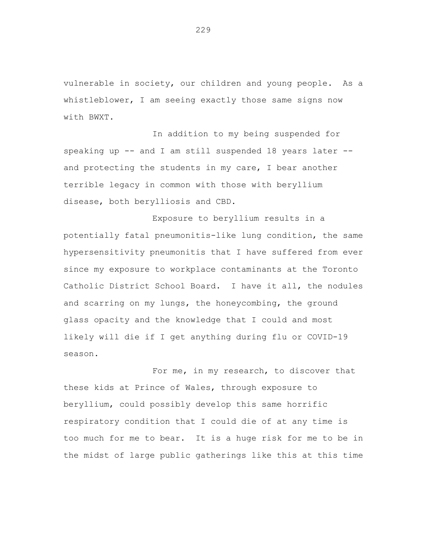vulnerable in society, our children and young people. As a whistleblower, I am seeing exactly those same signs now with BWXT.

In addition to my being suspended for speaking up -- and I am still suspended 18 years later - and protecting the students in my care, I bear another terrible legacy in common with those with beryllium disease, both berylliosis and CBD.

Exposure to beryllium results in a potentially fatal pneumonitis-like lung condition, the same hypersensitivity pneumonitis that I have suffered from ever since my exposure to workplace contaminants at the Toronto Catholic District School Board. I have it all, the nodules and scarring on my lungs, the honeycombing, the ground glass opacity and the knowledge that I could and most likely will die if I get anything during flu or COVID-19 season.

For me, in my research, to discover that these kids at Prince of Wales, through exposure to beryllium, could possibly develop this same horrific respiratory condition that I could die of at any time is too much for me to bear. It is a huge risk for me to be in the midst of large public gatherings like this at this time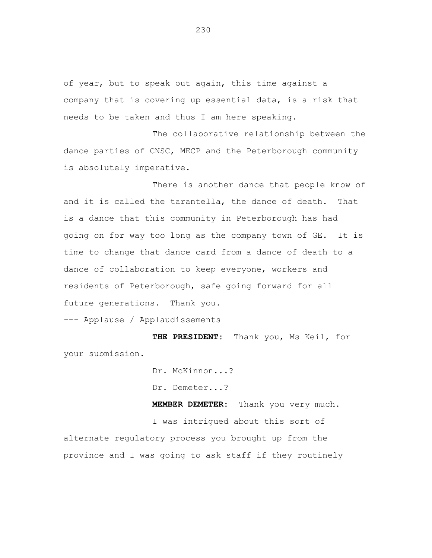of year, but to speak out again, this time against a company that is covering up essential data, is a risk that needs to be taken and thus I am here speaking.

The collaborative relationship between the dance parties of CNSC, MECP and the Peterborough community is absolutely imperative.

There is another dance that people know of and it is called the tarantella, the dance of death. That is a dance that this community in Peterborough has had going on for way too long as the company town of GE. It is time to change that dance card from a dance of death to a dance of collaboration to keep everyone, workers and residents of Peterborough, safe going forward for all future generations. Thank you.

--- Applause / Applaudissements

**THE PRESIDENT:** Thank you, Ms Keil, for your submission.

Dr. McKinnon...?

Dr. Demeter...?

**MEMBER DEMETER:** Thank you very much.

I was intrigued about this sort of alternate regulatory process you brought up from the province and I was going to ask staff if they routinely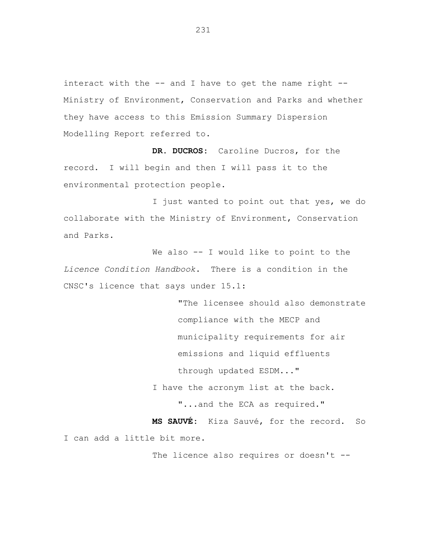interact with the  $--$  and I have to get the name right  $--$ Ministry of Environment, Conservation and Parks and whether they have access to this Emission Summary Dispersion Modelling Report referred to.

**DR. DUCROS:** Caroline Ducros, for the record. I will begin and then I will pass it to the environmental protection people.

I just wanted to point out that yes, we do collaborate with the Ministry of Environment, Conservation and Parks.

We also -- I would like to point to the *Licence Condition Handbook*. There is a condition in the CNSC's licence that says under 15.1:

> "The licensee should also demonstrate compliance with the MECP and municipality requirements for air emissions and liquid effluents through updated ESDM..."

I have the acronym list at the back.

"...and the ECA as required."

**MS SAUVÉ:** Kiza Sauvé, for the record. So I can add a little bit more.

The licence also requires or doesn't --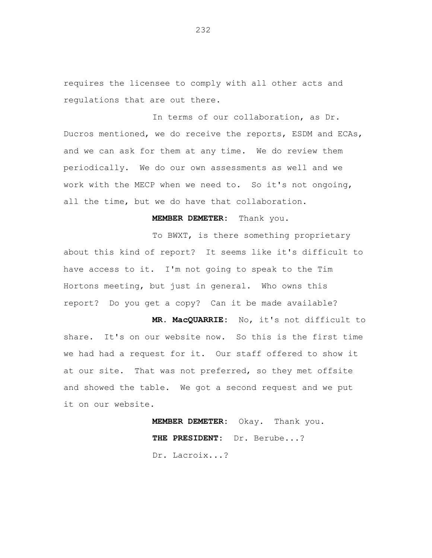requires the licensee to comply with all other acts and regulations that are out there.

In terms of our collaboration, as Dr. Ducros mentioned, we do receive the reports, ESDM and ECAs, and we can ask for them at any time. We do review them periodically. We do our own assessments as well and we work with the MECP when we need to. So it's not ongoing, all the time, but we do have that collaboration.

## **MEMBER DEMETER:** Thank you.

To BWXT, is there something proprietary about this kind of report? It seems like it's difficult to have access to it. I'm not going to speak to the Tim Hortons meeting, but just in general. Who owns this report? Do you get a copy? Can it be made available?

**MR. MacQUARRIE:** No, it's not difficult to share. It's on our website now. So this is the first time we had had a request for it. Our staff offered to show it at our site. That was not preferred, so they met offsite and showed the table. We got a second request and we put it on our website.

> **MEMBER DEMETER:** Okay. Thank you. **THE PRESIDENT:** Dr. Berube...? Dr. Lacroix...?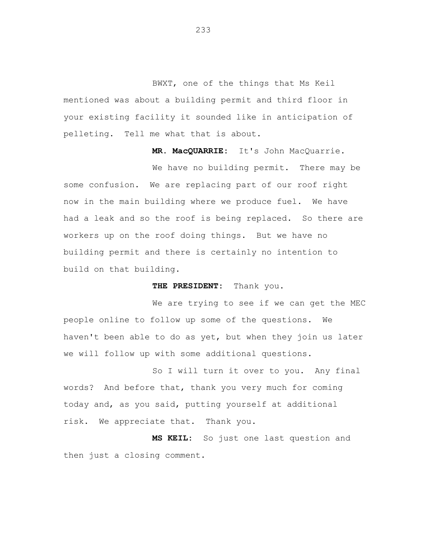BWXT, one of the things that Ms Keil mentioned was about a building permit and third floor in your existing facility it sounded like in anticipation of pelleting. Tell me what that is about.

**MR. MacQUARRIE:** It's John MacQuarrie.

We have no building permit. There may be some confusion. We are replacing part of our roof right now in the main building where we produce fuel. We have had a leak and so the roof is being replaced. So there are workers up on the roof doing things. But we have no building permit and there is certainly no intention to build on that building.

**THE PRESIDENT:** Thank you.

We are trying to see if we can get the MEC people online to follow up some of the questions. We haven't been able to do as yet, but when they join us later we will follow up with some additional questions.

So I will turn it over to you. Any final words? And before that, thank you very much for coming today and, as you said, putting yourself at additional risk. We appreciate that. Thank you.

**MS KEIL:** So just one last question and then just a closing comment.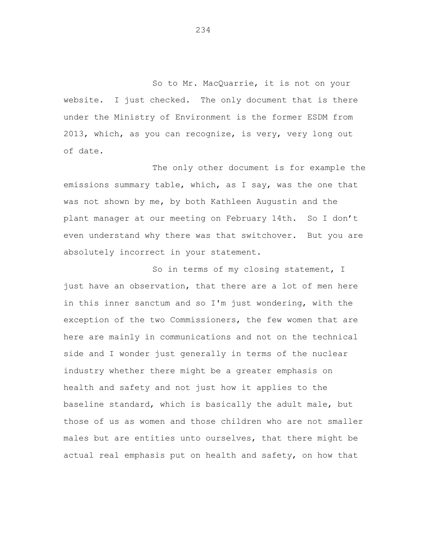So to Mr. MacQuarrie, it is not on your website. I just checked. The only document that is there under the Ministry of Environment is the former ESDM from 2013, which, as you can recognize, is very, very long out of date.

The only other document is for example the emissions summary table, which, as I say, was the one that was not shown by me, by both Kathleen Augustin and the plant manager at our meeting on February 14th. So I don't even understand why there was that switchover. But you are absolutely incorrect in your statement.

So in terms of my closing statement, I just have an observation, that there are a lot of men here in this inner sanctum and so I'm just wondering, with the exception of the two Commissioners, the few women that are here are mainly in communications and not on the technical side and I wonder just generally in terms of the nuclear industry whether there might be a greater emphasis on health and safety and not just how it applies to the baseline standard, which is basically the adult male, but those of us as women and those children who are not smaller males but are entities unto ourselves, that there might be actual real emphasis put on health and safety, on how that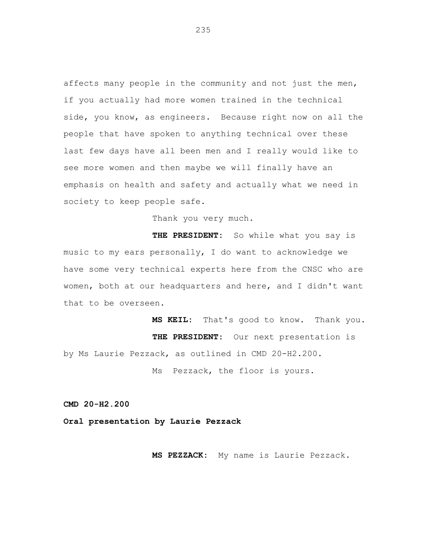affects many people in the community and not just the men, if you actually had more women trained in the technical side, you know, as engineers. Because right now on all the people that have spoken to anything technical over these last few days have all been men and I really would like to see more women and then maybe we will finally have an emphasis on health and safety and actually what we need in society to keep people safe.

Thank you very much.

**THE PRESIDENT:** So while what you say is music to my ears personally, I do want to acknowledge we have some very technical experts here from the CNSC who are women, both at our headquarters and here, and I didn't want that to be overseen.

**MS KEIL:** That's good to know. Thank you. **THE PRESIDENT:** Our next presentation is by Ms Laurie Pezzack, as outlined in CMD 20-H2.200.

Ms Pezzack, the floor is yours.

**CMD 20-H2.200**

**Oral presentation by Laurie Pezzack**

**MS PEZZACK:** My name is Laurie Pezzack.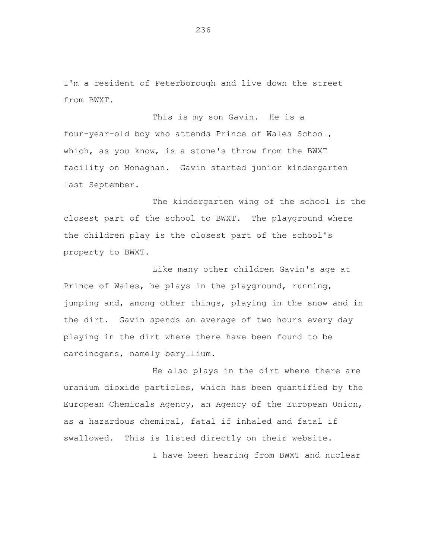I'm a resident of Peterborough and live down the street from BWXT.

This is my son Gavin. He is a four-year-old boy who attends Prince of Wales School, which, as you know, is a stone's throw from the BWXT facility on Monaghan. Gavin started junior kindergarten last September.

The kindergarten wing of the school is the closest part of the school to BWXT. The playground where the children play is the closest part of the school's property to BWXT.

Like many other children Gavin's age at Prince of Wales, he plays in the playground, running, jumping and, among other things, playing in the snow and in the dirt. Gavin spends an average of two hours every day playing in the dirt where there have been found to be carcinogens, namely beryllium.

He also plays in the dirt where there are uranium dioxide particles, which has been quantified by the European Chemicals Agency, an Agency of the European Union, as a hazardous chemical, fatal if inhaled and fatal if swallowed. This is listed directly on their website.

I have been hearing from BWXT and nuclear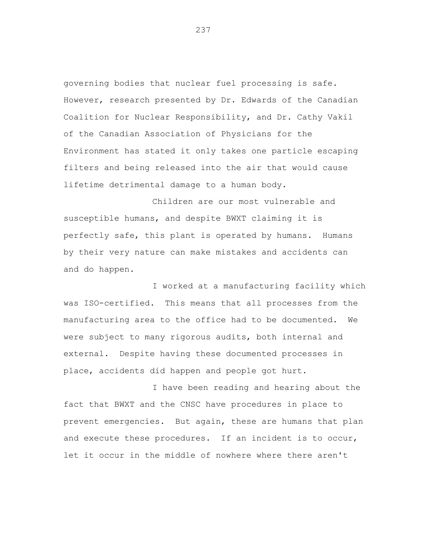governing bodies that nuclear fuel processing is safe. However, research presented by Dr. Edwards of the Canadian Coalition for Nuclear Responsibility, and Dr. Cathy Vakil of the Canadian Association of Physicians for the Environment has stated it only takes one particle escaping filters and being released into the air that would cause lifetime detrimental damage to a human body.

Children are our most vulnerable and susceptible humans, and despite BWXT claiming it is perfectly safe, this plant is operated by humans. Humans by their very nature can make mistakes and accidents can and do happen.

I worked at a manufacturing facility which was ISO-certified. This means that all processes from the manufacturing area to the office had to be documented. We were subject to many rigorous audits, both internal and external. Despite having these documented processes in place, accidents did happen and people got hurt.

I have been reading and hearing about the fact that BWXT and the CNSC have procedures in place to prevent emergencies. But again, these are humans that plan and execute these procedures. If an incident is to occur, let it occur in the middle of nowhere where there aren't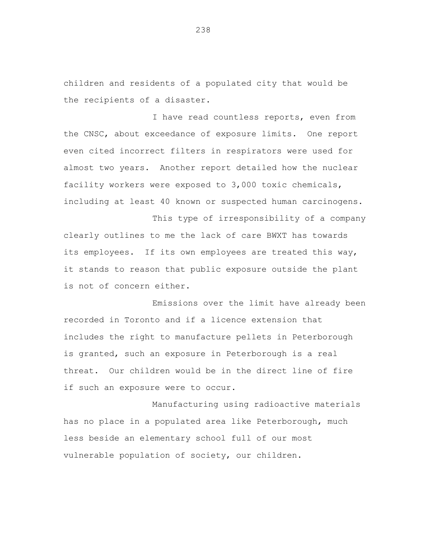children and residents of a populated city that would be the recipients of a disaster.

I have read countless reports, even from the CNSC, about exceedance of exposure limits. One report even cited incorrect filters in respirators were used for almost two years. Another report detailed how the nuclear facility workers were exposed to 3,000 toxic chemicals, including at least 40 known or suspected human carcinogens.

This type of irresponsibility of a company clearly outlines to me the lack of care BWXT has towards its employees. If its own employees are treated this way, it stands to reason that public exposure outside the plant is not of concern either.

Emissions over the limit have already been recorded in Toronto and if a licence extension that includes the right to manufacture pellets in Peterborough is granted, such an exposure in Peterborough is a real threat. Our children would be in the direct line of fire if such an exposure were to occur.

Manufacturing using radioactive materials has no place in a populated area like Peterborough, much less beside an elementary school full of our most vulnerable population of society, our children.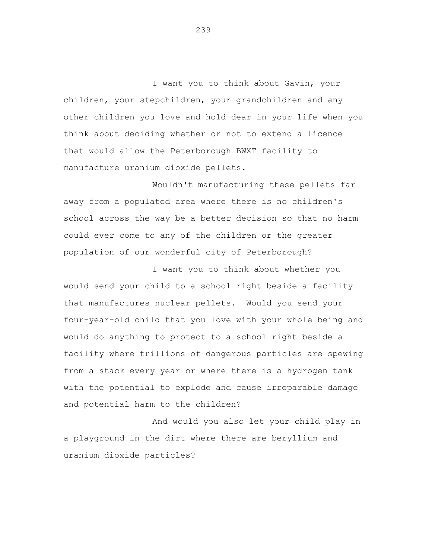I want you to think about Gavin, your children, your stepchildren, your grandchildren and any other children you love and hold dear in your life when you think about deciding whether or not to extend a licence that would allow the Peterborough BWXT facility to manufacture uranium dioxide pellets.

Wouldn't manufacturing these pellets far away from a populated area where there is no children's school across the way be a better decision so that no harm could ever come to any of the children or the greater population of our wonderful city of Peterborough?

I want you to think about whether you would send your child to a school right beside a facility that manufactures nuclear pellets. Would you send your four-year-old child that you love with your whole being and would do anything to protect to a school right beside a facility where trillions of dangerous particles are spewing from a stack every year or where there is a hydrogen tank with the potential to explode and cause irreparable damage and potential harm to the children?

And would you also let your child play in a playground in the dirt where there are beryllium and uranium dioxide particles?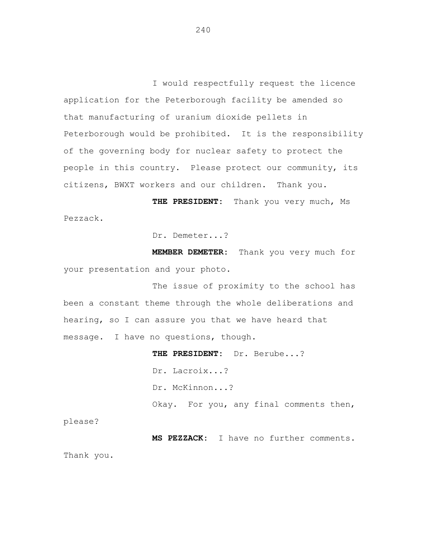I would respectfully request the licence application for the Peterborough facility be amended so that manufacturing of uranium dioxide pellets in Peterborough would be prohibited. It is the responsibility of the governing body for nuclear safety to protect the people in this country. Please protect our community, its citizens, BWXT workers and our children. Thank you.

**THE PRESIDENT:** Thank you very much, Ms Pezzack.

Dr. Demeter...?

**MEMBER DEMETER:** Thank you very much for your presentation and your photo.

The issue of proximity to the school has been a constant theme through the whole deliberations and hearing, so I can assure you that we have heard that message. I have no questions, though.

# **THE PRESIDENT:** Dr. Berube...? Dr. Lacroix...? Dr. McKinnon...?

Okay. For you, any final comments then,

please?

**MS PEZZACK:** I have no further comments. Thank you.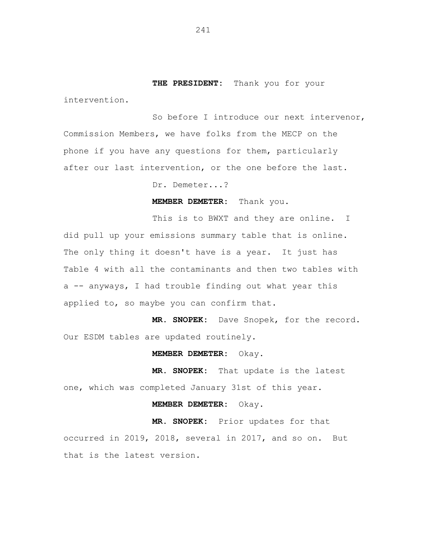**THE PRESIDENT:** Thank you for your

intervention.

So before I introduce our next intervenor, Commission Members, we have folks from the MECP on the phone if you have any questions for them, particularly after our last intervention, or the one before the last.

Dr. Demeter...?

**MEMBER DEMETER:** Thank you.

This is to BWXT and they are online. I did pull up your emissions summary table that is online. The only thing it doesn't have is a year. It just has Table 4 with all the contaminants and then two tables with a -- anyways, I had trouble finding out what year this applied to, so maybe you can confirm that.

**MR. SNOPEK:** Dave Snopek, for the record. Our ESDM tables are updated routinely.

**MEMBER DEMETER:** Okay.

**MR. SNOPEK:** That update is the latest one, which was completed January 31st of this year.

**MEMBER DEMETER:** Okay.

**MR. SNOPEK:** Prior updates for that occurred in 2019, 2018, several in 2017, and so on. But that is the latest version.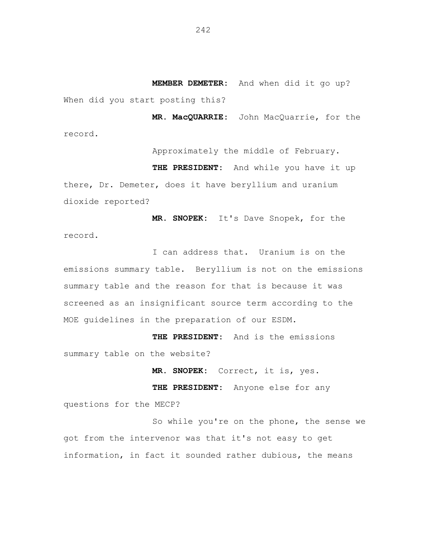**MEMBER DEMETER:** And when did it go up? When did you start posting this?

**MR. MacQUARRIE:** John MacQuarrie, for the record.

Approximately the middle of February. **THE PRESIDENT:** And while you have it up there, Dr. Demeter, does it have beryllium and uranium dioxide reported?

**MR. SNOPEK:** It's Dave Snopek, for the record.

I can address that. Uranium is on the emissions summary table. Beryllium is not on the emissions summary table and the reason for that is because it was screened as an insignificant source term according to the MOE guidelines in the preparation of our ESDM.

**THE PRESIDENT:** And is the emissions summary table on the website?

**MR. SNOPEK:** Correct, it is, yes.

**THE PRESIDENT:** Anyone else for any

questions for the MECP?

So while you're on the phone, the sense we got from the intervenor was that it's not easy to get information, in fact it sounded rather dubious, the means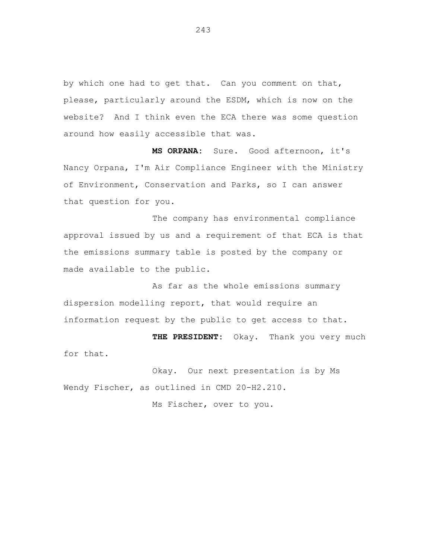by which one had to get that. Can you comment on that, please, particularly around the ESDM, which is now on the website? And I think even the ECA there was some question around how easily accessible that was.

**MS ORPANA:** Sure. Good afternoon, it's Nancy Orpana, I'm Air Compliance Engineer with the Ministry of Environment, Conservation and Parks, so I can answer that question for you.

The company has environmental compliance approval issued by us and a requirement of that ECA is that the emissions summary table is posted by the company or made available to the public.

As far as the whole emissions summary dispersion modelling report, that would require an information request by the public to get access to that.

**THE PRESIDENT:** Okay. Thank you very much for that.

Okay. Our next presentation is by Ms Wendy Fischer, as outlined in CMD 20-H2.210.

Ms Fischer, over to you.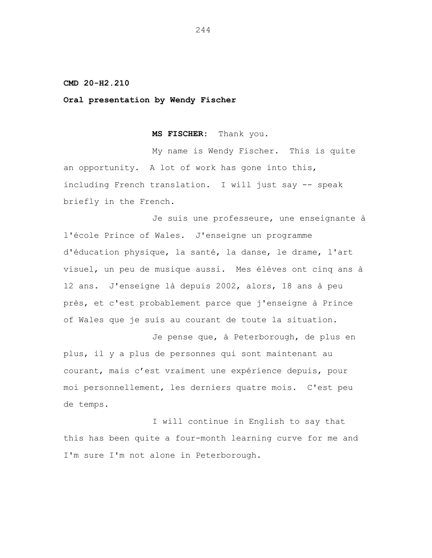# **CMD 20-H2.210**

# **Oral presentation by Wendy Fischer**

**MS FISCHER:** Thank you.

My name is Wendy Fischer. This is quite an opportunity. A lot of work has gone into this, including French translation. I will just say -- speak briefly in the French.

Je suis une professeure, une enseignante à l'école Prince of Wales. J'enseigne un programme d'éducation physique, la santé, la danse, le drame, l'art visuel, un peu de musique aussi. Mes élèves ont cinq ans à 12 ans. J'enseigne là depuis 2002, alors, 18 ans à peu près, et c'est probablement parce que j'enseigne à Prince of Wales que je suis au courant de toute la situation.

Je pense que, à Peterborough, de plus en plus, il y a plus de personnes qui sont maintenant au courant, mais c'est vraiment une expérience depuis, pour moi personnellement, les derniers quatre mois. C'est peu de temps.

I will continue in English to say that this has been quite a four-month learning curve for me and I'm sure I'm not alone in Peterborough.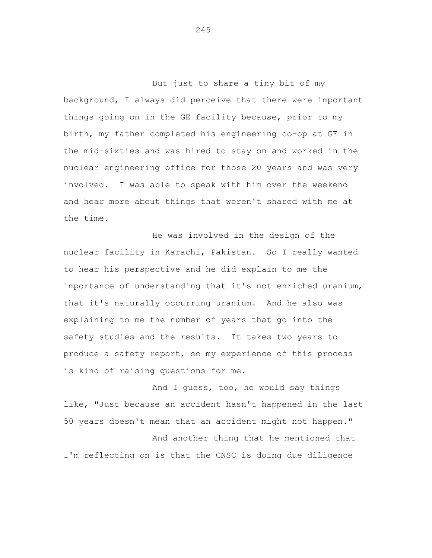But just to share a tiny bit of my background, I always did perceive that there were important things going on in the GE facility because, prior to my birth, my father completed his engineering co-op at GE in the mid-sixties and was hired to stay on and worked in the nuclear engineering office for those 20 years and was very involved. I was able to speak with him over the weekend and hear more about things that weren't shared with me at the time.

He was involved in the design of the nuclear facility in Karachi, Pakistan. So I really wanted to hear his perspective and he did explain to me the importance of understanding that it's not enriched uranium, that it's naturally occurring uranium. And he also was explaining to me the number of years that go into the safety studies and the results. It takes two years to produce a safety report, so my experience of this process is kind of raising questions for me.

And I guess, too, he would say things like, "Just because an accident hasn't happened in the last 50 years doesn't mean that an accident might not happen." And another thing that he mentioned that

I'm reflecting on is that the CNSC is doing due diligence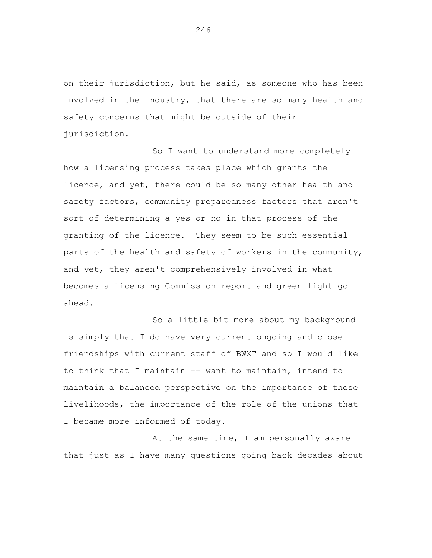on their jurisdiction, but he said, as someone who has been involved in the industry, that there are so many health and safety concerns that might be outside of their jurisdiction.

So I want to understand more completely how a licensing process takes place which grants the licence, and yet, there could be so many other health and safety factors, community preparedness factors that aren't sort of determining a yes or no in that process of the granting of the licence. They seem to be such essential parts of the health and safety of workers in the community, and yet, they aren't comprehensively involved in what becomes a licensing Commission report and green light go ahead.

So a little bit more about my background is simply that I do have very current ongoing and close friendships with current staff of BWXT and so I would like to think that I maintain -- want to maintain, intend to maintain a balanced perspective on the importance of these livelihoods, the importance of the role of the unions that I became more informed of today.

At the same time, I am personally aware that just as I have many questions going back decades about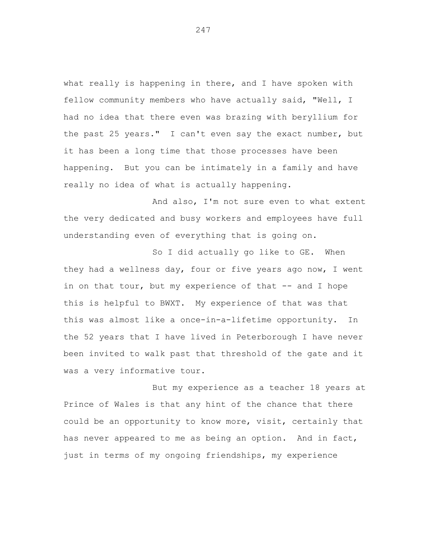what really is happening in there, and I have spoken with fellow community members who have actually said, "Well, I had no idea that there even was brazing with beryllium for the past 25 years." I can't even say the exact number, but it has been a long time that those processes have been happening. But you can be intimately in a family and have really no idea of what is actually happening.

And also, I'm not sure even to what extent the very dedicated and busy workers and employees have full understanding even of everything that is going on.

So I did actually go like to GE. When they had a wellness day, four or five years ago now, I went in on that tour, but my experience of that -- and I hope this is helpful to BWXT. My experience of that was that this was almost like a once-in-a-lifetime opportunity. In the 52 years that I have lived in Peterborough I have never been invited to walk past that threshold of the gate and it was a very informative tour.

But my experience as a teacher 18 years at Prince of Wales is that any hint of the chance that there could be an opportunity to know more, visit, certainly that has never appeared to me as being an option. And in fact, just in terms of my ongoing friendships, my experience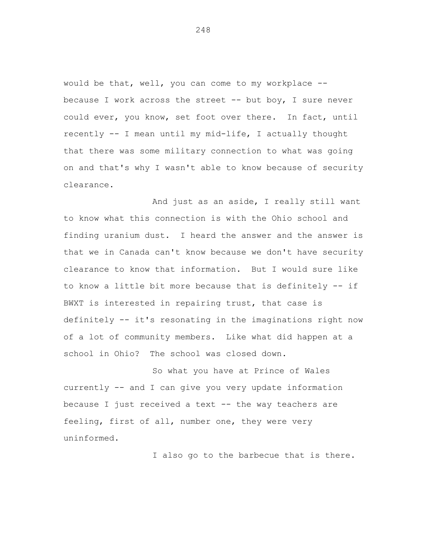would be that, well, you can come to my workplace - because I work across the street -- but boy, I sure never could ever, you know, set foot over there. In fact, until recently -- I mean until my mid-life, I actually thought that there was some military connection to what was going on and that's why I wasn't able to know because of security clearance.

And just as an aside, I really still want to know what this connection is with the Ohio school and finding uranium dust. I heard the answer and the answer is that we in Canada can't know because we don't have security clearance to know that information. But I would sure like to know a little bit more because that is definitely -- if BWXT is interested in repairing trust, that case is definitely -- it's resonating in the imaginations right now of a lot of community members. Like what did happen at a school in Ohio? The school was closed down.

So what you have at Prince of Wales currently -- and I can give you very update information because I just received a text -- the way teachers are feeling, first of all, number one, they were very uninformed.

I also go to the barbecue that is there.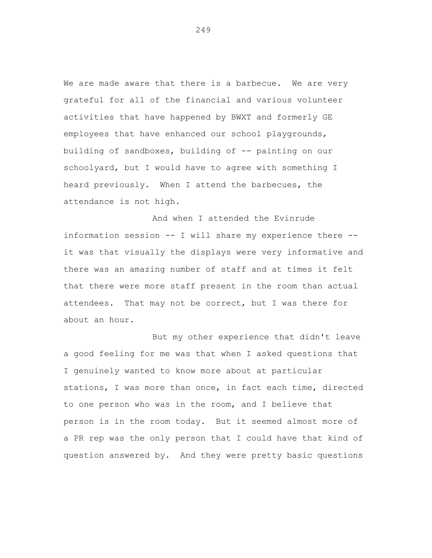We are made aware that there is a barbecue. We are very grateful for all of the financial and various volunteer activities that have happened by BWXT and formerly GE employees that have enhanced our school playgrounds, building of sandboxes, building of -- painting on our schoolyard, but I would have to agree with something I heard previously. When I attend the barbecues, the attendance is not high.

And when I attended the Evinrude information session -- I will share my experience there - it was that visually the displays were very informative and there was an amazing number of staff and at times it felt that there were more staff present in the room than actual attendees. That may not be correct, but I was there for about an hour.

But my other experience that didn't leave a good feeling for me was that when I asked questions that I genuinely wanted to know more about at particular stations, I was more than once, in fact each time, directed to one person who was in the room, and I believe that person is in the room today. But it seemed almost more of a PR rep was the only person that I could have that kind of question answered by. And they were pretty basic questions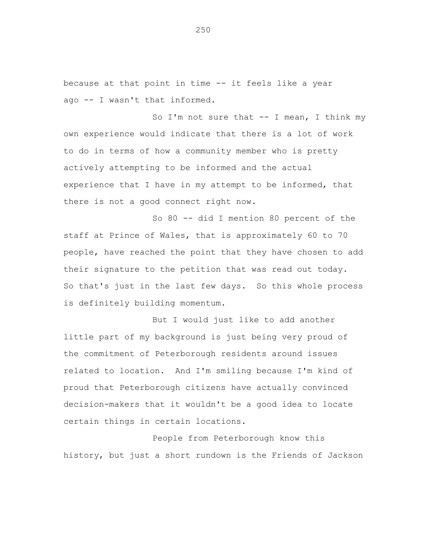because at that point in time -- it feels like a year ago -- I wasn't that informed.

So I'm not sure that  $--$  I mean, I think my own experience would indicate that there is a lot of work to do in terms of how a community member who is pretty actively attempting to be informed and the actual experience that I have in my attempt to be informed, that there is not a good connect right now.

So 80 -- did I mention 80 percent of the staff at Prince of Wales, that is approximately 60 to 70 people, have reached the point that they have chosen to add their signature to the petition that was read out today. So that's just in the last few days. So this whole process is definitely building momentum.

But I would just like to add another little part of my background is just being very proud of the commitment of Peterborough residents around issues related to location. And I'm smiling because I'm kind of proud that Peterborough citizens have actually convinced decision-makers that it wouldn't be a good idea to locate certain things in certain locations.

People from Peterborough know this history, but just a short rundown is the Friends of Jackson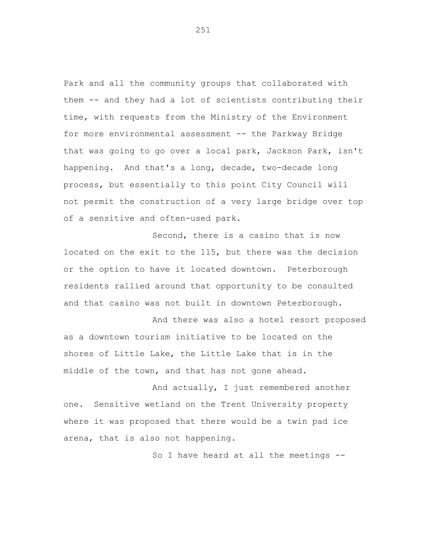Park and all the community groups that collaborated with them -- and they had a lot of scientists contributing their time, with requests from the Ministry of the Environment for more environmental assessment -- the Parkway Bridge that was going to go over a local park, Jackson Park, isn't happening. And that's a long, decade, two-decade long process, but essentially to this point City Council will not permit the construction of a very large bridge over top of a sensitive and often-used park.

Second, there is a casino that is now located on the exit to the 115, but there was the decision or the option to have it located downtown. Peterborough residents rallied around that opportunity to be consulted and that casino was not built in downtown Peterborough.

And there was also a hotel resort proposed as a downtown tourism initiative to be located on the shores of Little Lake, the Little Lake that is in the middle of the town, and that has not gone ahead.

And actually, I just remembered another one. Sensitive wetland on the Trent University property where it was proposed that there would be a twin pad ice arena, that is also not happening.

So I have heard at all the meetings --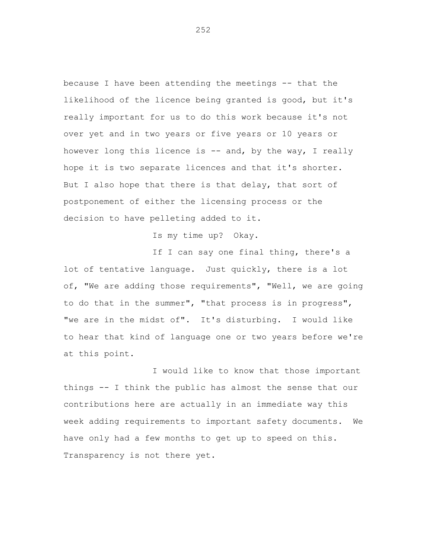because I have been attending the meetings -- that the likelihood of the licence being granted is good, but it's really important for us to do this work because it's not over yet and in two years or five years or 10 years or however long this licence is -- and, by the way, I really hope it is two separate licences and that it's shorter. But I also hope that there is that delay, that sort of postponement of either the licensing process or the decision to have pelleting added to it.

Is my time up? Okay.

If I can say one final thing, there's a lot of tentative language. Just quickly, there is a lot of, "We are adding those requirements", "Well, we are going to do that in the summer", "that process is in progress", "we are in the midst of". It's disturbing. I would like to hear that kind of language one or two years before we're at this point.

I would like to know that those important things -- I think the public has almost the sense that our contributions here are actually in an immediate way this week adding requirements to important safety documents. We have only had a few months to get up to speed on this. Transparency is not there yet.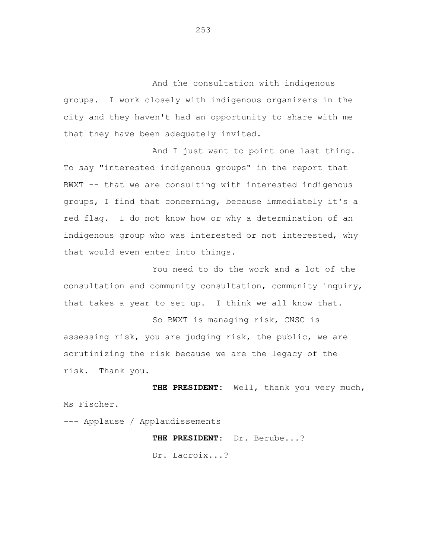And the consultation with indigenous groups. I work closely with indigenous organizers in the city and they haven't had an opportunity to share with me that they have been adequately invited.

And I just want to point one last thing. To say "interested indigenous groups" in the report that BWXT -- that we are consulting with interested indigenous groups, I find that concerning, because immediately it's a red flag. I do not know how or why a determination of an indigenous group who was interested or not interested, why that would even enter into things.

You need to do the work and a lot of the consultation and community consultation, community inquiry, that takes a year to set up. I think we all know that.

So BWXT is managing risk, CNSC is assessing risk, you are judging risk, the public, we are scrutinizing the risk because we are the legacy of the risk. Thank you.

**THE PRESIDENT:** Well, thank you very much, Ms Fischer.

--- Applause / Applaudissements

**THE PRESIDENT:** Dr. Berube...?

Dr. Lacroix...?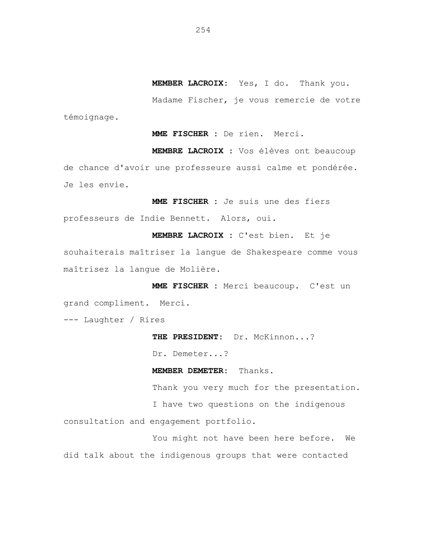**MEMBER LACROIX:** Yes, I do. Thank you.

Madame Fischer, je vous remercie de votre témoignage.

**MME FISCHER :** De rien. Merci.

**MEMBRE LACROIX :** Vos élèves ont beaucoup de chance d'avoir une professeure aussi calme et pondérée. Je les envie.

**MME FISCHER :** Je suis une des fiers professeurs de Indie Bennett. Alors, oui.

**MEMBRE LACROIX :** C'est bien. Et je souhaiterais maîtriser la langue de Shakespeare comme vous maîtrisez la langue de Molière.

**MME FISCHER :** Merci beaucoup. C'est un grand compliment. Merci.

--- Laughter / Rires

**THE PRESIDENT:** Dr. McKinnon...?

Dr. Demeter...?

**MEMBER DEMETER:** Thanks.

Thank you very much for the presentation. I have two questions on the indigenous consultation and engagement portfolio.

You might not have been here before. We did talk about the indigenous groups that were contacted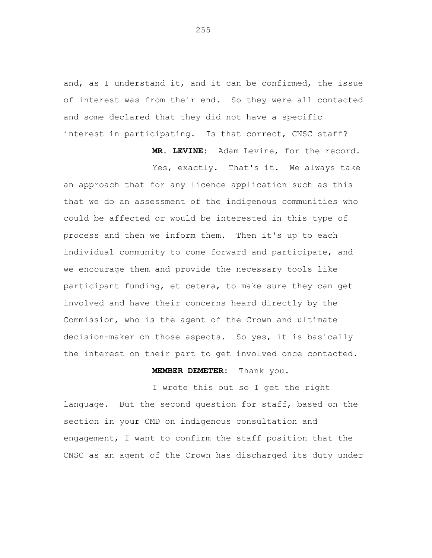and, as I understand it, and it can be confirmed, the issue of interest was from their end. So they were all contacted and some declared that they did not have a specific interest in participating. Is that correct, CNSC staff?

> **MR. LEVINE:** Adam Levine, for the record. Yes, exactly. That's it. We always take

an approach that for any licence application such as this that we do an assessment of the indigenous communities who could be affected or would be interested in this type of process and then we inform them. Then it's up to each individual community to come forward and participate, and we encourage them and provide the necessary tools like participant funding, et cetera, to make sure they can get involved and have their concerns heard directly by the Commission, who is the agent of the Crown and ultimate decision-maker on those aspects. So yes, it is basically the interest on their part to get involved once contacted.

## **MEMBER DEMETER:** Thank you.

I wrote this out so I get the right language. But the second question for staff, based on the section in your CMD on indigenous consultation and engagement, I want to confirm the staff position that the CNSC as an agent of the Crown has discharged its duty under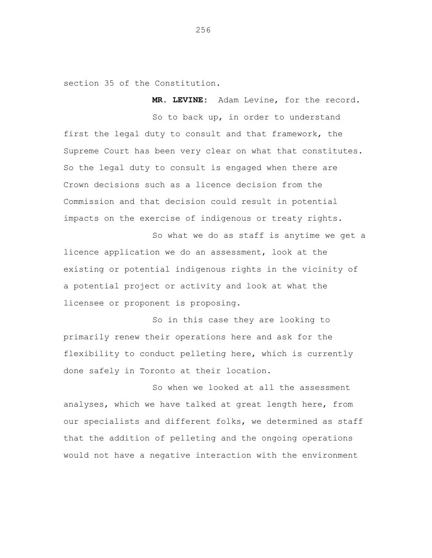section 35 of the Constitution.

**MR. LEVINE:** Adam Levine, for the record.

So to back up, in order to understand first the legal duty to consult and that framework, the Supreme Court has been very clear on what that constitutes. So the legal duty to consult is engaged when there are Crown decisions such as a licence decision from the Commission and that decision could result in potential impacts on the exercise of indigenous or treaty rights.

So what we do as staff is anytime we get a licence application we do an assessment, look at the existing or potential indigenous rights in the vicinity of a potential project or activity and look at what the licensee or proponent is proposing.

So in this case they are looking to primarily renew their operations here and ask for the flexibility to conduct pelleting here, which is currently done safely in Toronto at their location.

So when we looked at all the assessment analyses, which we have talked at great length here, from our specialists and different folks, we determined as staff that the addition of pelleting and the ongoing operations would not have a negative interaction with the environment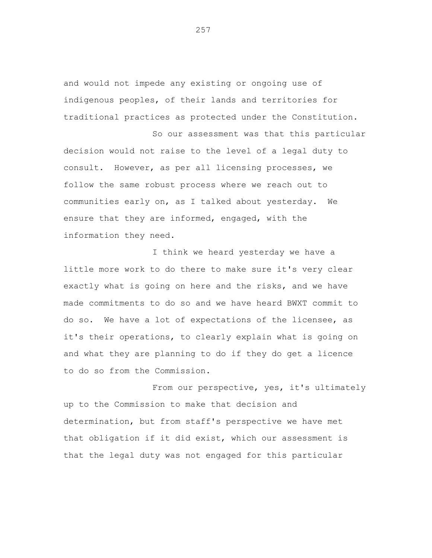and would not impede any existing or ongoing use of indigenous peoples, of their lands and territories for traditional practices as protected under the Constitution.

So our assessment was that this particular decision would not raise to the level of a legal duty to consult. However, as per all licensing processes, we follow the same robust process where we reach out to communities early on, as I talked about yesterday. We ensure that they are informed, engaged, with the information they need.

I think we heard yesterday we have a little more work to do there to make sure it's very clear exactly what is going on here and the risks, and we have made commitments to do so and we have heard BWXT commit to do so. We have a lot of expectations of the licensee, as it's their operations, to clearly explain what is going on and what they are planning to do if they do get a licence to do so from the Commission.

From our perspective, yes, it's ultimately up to the Commission to make that decision and determination, but from staff's perspective we have met that obligation if it did exist, which our assessment is that the legal duty was not engaged for this particular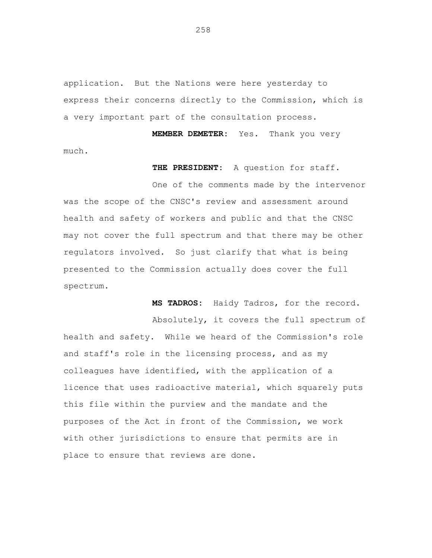application. But the Nations were here yesterday to express their concerns directly to the Commission, which is a very important part of the consultation process.

**MEMBER DEMETER:** Yes. Thank you very much.

**THE PRESIDENT:** A question for staff.

One of the comments made by the intervenor was the scope of the CNSC's review and assessment around health and safety of workers and public and that the CNSC may not cover the full spectrum and that there may be other regulators involved. So just clarify that what is being presented to the Commission actually does cover the full spectrum.

**MS TADROS:** Haidy Tadros, for the record.

Absolutely, it covers the full spectrum of health and safety. While we heard of the Commission's role and staff's role in the licensing process, and as my colleagues have identified, with the application of a licence that uses radioactive material, which squarely puts this file within the purview and the mandate and the purposes of the Act in front of the Commission, we work with other jurisdictions to ensure that permits are in place to ensure that reviews are done.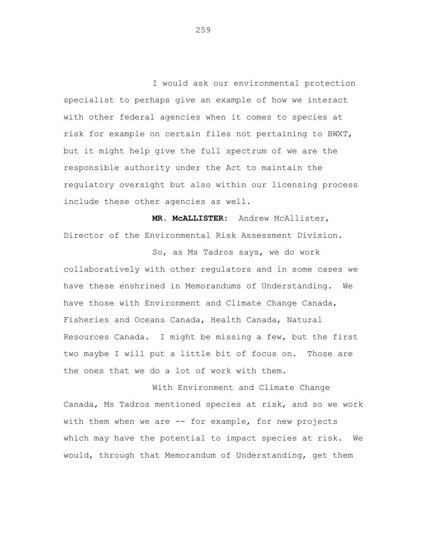I would ask our environmental protection specialist to perhaps give an example of how we interact with other federal agencies when it comes to species at risk for example on certain files not pertaining to BWXT, but it might help give the full spectrum of we are the responsible authority under the Act to maintain the regulatory oversight but also within our licensing process include these other agencies as well.

**MR. McALLISTER:** Andrew McAllister, Director of the Environmental Risk Assessment Division.

So, as Ms Tadros says, we do work collaboratively with other regulators and in some cases we have these enshrined in Memorandums of Understanding. We have those with Environment and Climate Change Canada, Fisheries and Oceans Canada, Health Canada, Natural Resources Canada. I might be missing a few, but the first two maybe I will put a little bit of focus on. Those are the ones that we do a lot of work with them.

With Environment and Climate Change Canada, Ms Tadros mentioned species at risk, and so we work with them when we are -- for example, for new projects which may have the potential to impact species at risk. We would, through that Memorandum of Understanding, get them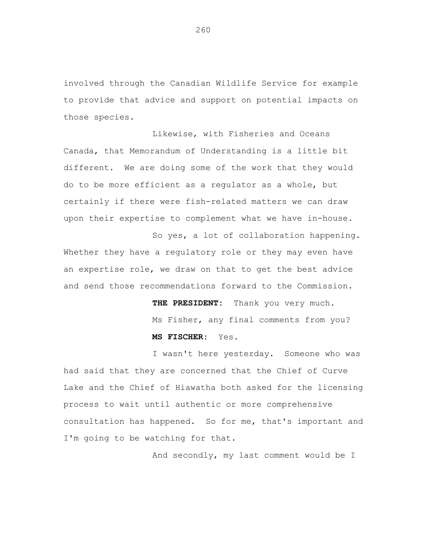involved through the Canadian Wildlife Service for example to provide that advice and support on potential impacts on those species.

Likewise, with Fisheries and Oceans Canada, that Memorandum of Understanding is a little bit different. We are doing some of the work that they would do to be more efficient as a regulator as a whole, but certainly if there were fish-related matters we can draw upon their expertise to complement what we have in-house.

So yes, a lot of collaboration happening. Whether they have a regulatory role or they may even have an expertise role, we draw on that to get the best advice and send those recommendations forward to the Commission.

> **THE PRESIDENT:** Thank you very much. Ms Fisher, any final comments from you? **MS FISCHER:** Yes.

I wasn't here yesterday. Someone who was had said that they are concerned that the Chief of Curve Lake and the Chief of Hiawatha both asked for the licensing process to wait until authentic or more comprehensive consultation has happened. So for me, that's important and I'm going to be watching for that.

And secondly, my last comment would be I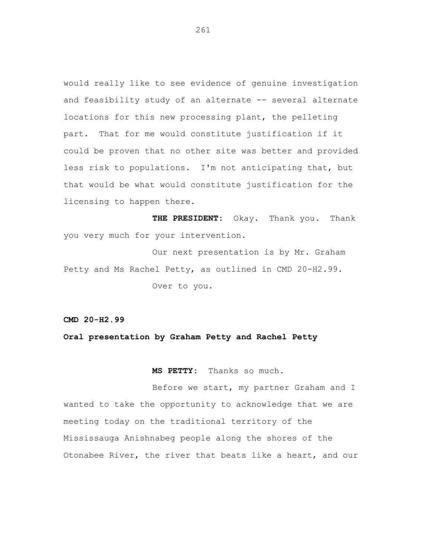would really like to see evidence of genuine investigation and feasibility study of an alternate -- several alternate locations for this new processing plant, the pelleting part. That for me would constitute justification if it could be proven that no other site was better and provided less risk to populations. I'm not anticipating that, but that would be what would constitute justification for the licensing to happen there.

**THE PRESIDENT:** Okay. Thank you. Thank you very much for your intervention.

Our next presentation is by Mr. Graham Petty and Ms Rachel Petty, as outlined in CMD 20-H2.99. Over to you.

**CMD 20-H2.99**

**Oral presentation by Graham Petty and Rachel Petty**

**MS PETTY:** Thanks so much.

Before we start, my partner Graham and I wanted to take the opportunity to acknowledge that we are meeting today on the traditional territory of the Mississauga Anishnabeg people along the shores of the Otonabee River, the river that beats like a heart, and our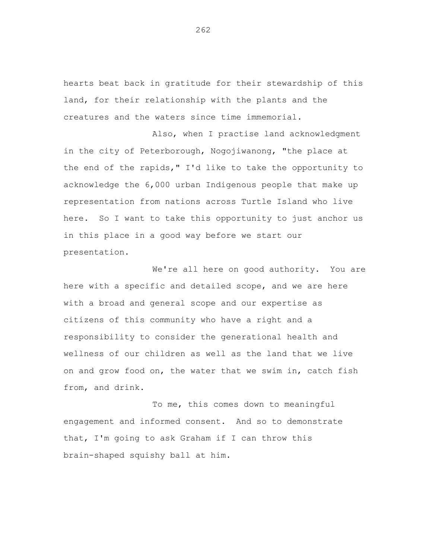hearts beat back in gratitude for their stewardship of this land, for their relationship with the plants and the creatures and the waters since time immemorial.

Also, when I practise land acknowledgment in the city of Peterborough, Nogojiwanong, "the place at the end of the rapids," I'd like to take the opportunity to acknowledge the 6,000 urban Indigenous people that make up representation from nations across Turtle Island who live here. So I want to take this opportunity to just anchor us in this place in a good way before we start our presentation.

We're all here on good authority. You are here with a specific and detailed scope, and we are here with a broad and general scope and our expertise as citizens of this community who have a right and a responsibility to consider the generational health and wellness of our children as well as the land that we live on and grow food on, the water that we swim in, catch fish from, and drink.

To me, this comes down to meaningful engagement and informed consent. And so to demonstrate that, I'm going to ask Graham if I can throw this brain-shaped squishy ball at him.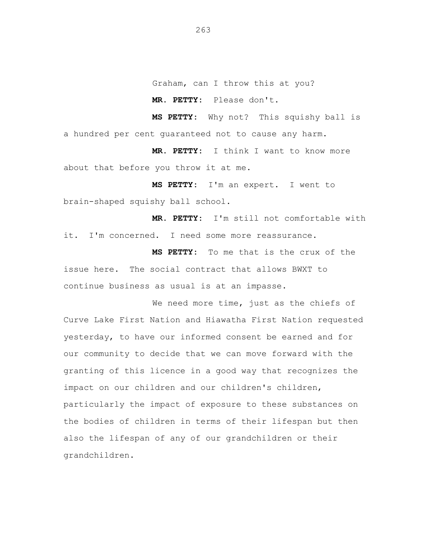Graham, can I throw this at you?

**MR. PETTY:** Please don't.

**MS PETTY:** Why not? This squishy ball is a hundred per cent guaranteed not to cause any harm.

**MR. PETTY:** I think I want to know more about that before you throw it at me.

**MS PETTY:** I'm an expert. I went to brain-shaped squishy ball school.

**MR. PETTY:** I'm still not comfortable with it. I'm concerned. I need some more reassurance.

**MS PETTY:** To me that is the crux of the issue here. The social contract that allows BWXT to continue business as usual is at an impasse.

We need more time, just as the chiefs of Curve Lake First Nation and Hiawatha First Nation requested yesterday, to have our informed consent be earned and for our community to decide that we can move forward with the granting of this licence in a good way that recognizes the impact on our children and our children's children, particularly the impact of exposure to these substances on the bodies of children in terms of their lifespan but then also the lifespan of any of our grandchildren or their grandchildren.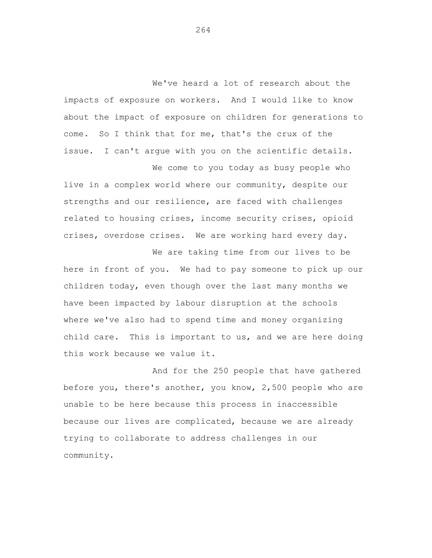We've heard a lot of research about the impacts of exposure on workers. And I would like to know about the impact of exposure on children for generations to come. So I think that for me, that's the crux of the issue. I can't argue with you on the scientific details.

We come to you today as busy people who live in a complex world where our community, despite our strengths and our resilience, are faced with challenges related to housing crises, income security crises, opioid crises, overdose crises. We are working hard every day.

We are taking time from our lives to be here in front of you. We had to pay someone to pick up our children today, even though over the last many months we have been impacted by labour disruption at the schools where we've also had to spend time and money organizing child care. This is important to us, and we are here doing this work because we value it.

And for the 250 people that have gathered before you, there's another, you know, 2,500 people who are unable to be here because this process in inaccessible because our lives are complicated, because we are already trying to collaborate to address challenges in our community.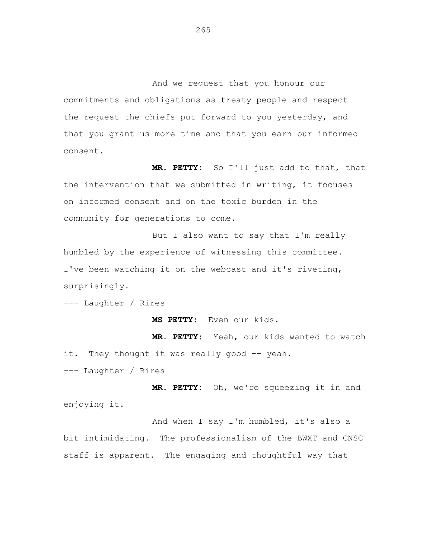And we request that you honour our commitments and obligations as treaty people and respect the request the chiefs put forward to you yesterday, and that you grant us more time and that you earn our informed consent.

**MR. PETTY:** So I'll just add to that, that the intervention that we submitted in writing, it focuses on informed consent and on the toxic burden in the community for generations to come.

But I also want to say that I'm really humbled by the experience of witnessing this committee. I've been watching it on the webcast and it's riveting, surprisingly.

--- Laughter / Rires

**MS PETTY:** Even our kids.

**MR. PETTY:** Yeah, our kids wanted to watch it. They thought it was really good -- yeah. --- Laughter / Rires

**MR. PETTY:** Oh, we're squeezing it in and enjoying it.

And when I say I'm humbled, it's also a bit intimidating. The professionalism of the BWXT and CNSC staff is apparent. The engaging and thoughtful way that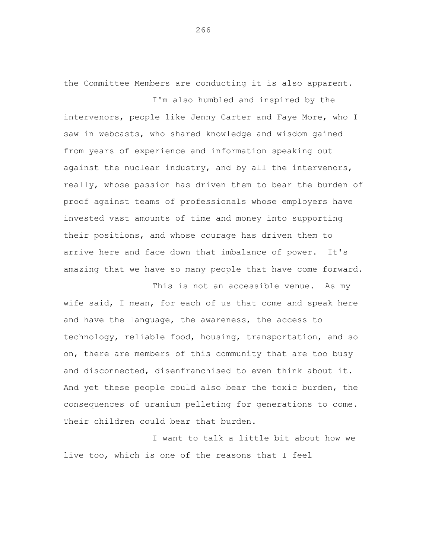the Committee Members are conducting it is also apparent. I'm also humbled and inspired by the

intervenors, people like Jenny Carter and Faye More, who I saw in webcasts, who shared knowledge and wisdom gained from years of experience and information speaking out against the nuclear industry, and by all the intervenors, really, whose passion has driven them to bear the burden of proof against teams of professionals whose employers have invested vast amounts of time and money into supporting their positions, and whose courage has driven them to arrive here and face down that imbalance of power. It's amazing that we have so many people that have come forward.

This is not an accessible venue. As my wife said, I mean, for each of us that come and speak here and have the language, the awareness, the access to technology, reliable food, housing, transportation, and so on, there are members of this community that are too busy and disconnected, disenfranchised to even think about it. And yet these people could also bear the toxic burden, the consequences of uranium pelleting for generations to come. Their children could bear that burden.

I want to talk a little bit about how we live too, which is one of the reasons that I feel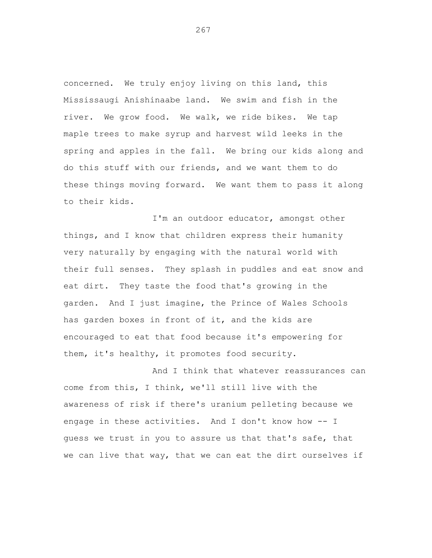concerned. We truly enjoy living on this land, this Mississaugi Anishinaabe land. We swim and fish in the river. We grow food. We walk, we ride bikes. We tap maple trees to make syrup and harvest wild leeks in the spring and apples in the fall. We bring our kids along and do this stuff with our friends, and we want them to do these things moving forward. We want them to pass it along to their kids.

I'm an outdoor educator, amongst other things, and I know that children express their humanity very naturally by engaging with the natural world with their full senses. They splash in puddles and eat snow and eat dirt. They taste the food that's growing in the garden. And I just imagine, the Prince of Wales Schools has garden boxes in front of it, and the kids are encouraged to eat that food because it's empowering for them, it's healthy, it promotes food security.

And I think that whatever reassurances can come from this, I think, we'll still live with the awareness of risk if there's uranium pelleting because we engage in these activities. And I don't know how -- I guess we trust in you to assure us that that's safe, that we can live that way, that we can eat the dirt ourselves if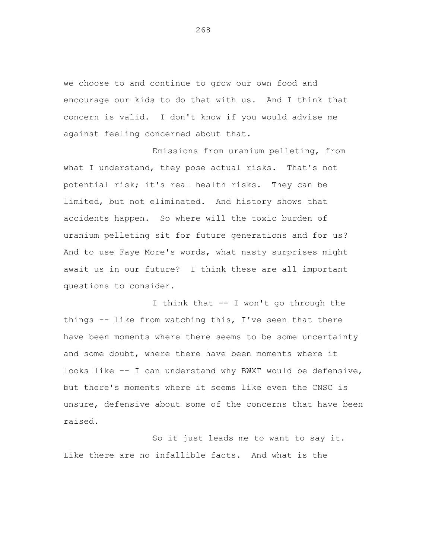we choose to and continue to grow our own food and encourage our kids to do that with us. And I think that concern is valid. I don't know if you would advise me against feeling concerned about that.

Emissions from uranium pelleting, from what I understand, they pose actual risks. That's not potential risk; it's real health risks. They can be limited, but not eliminated. And history shows that accidents happen. So where will the toxic burden of uranium pelleting sit for future generations and for us? And to use Faye More's words, what nasty surprises might await us in our future? I think these are all important questions to consider.

I think that -- I won't go through the things -- like from watching this, I've seen that there have been moments where there seems to be some uncertainty and some doubt, where there have been moments where it looks like -- I can understand why BWXT would be defensive, but there's moments where it seems like even the CNSC is unsure, defensive about some of the concerns that have been raised.

So it just leads me to want to say it. Like there are no infallible facts. And what is the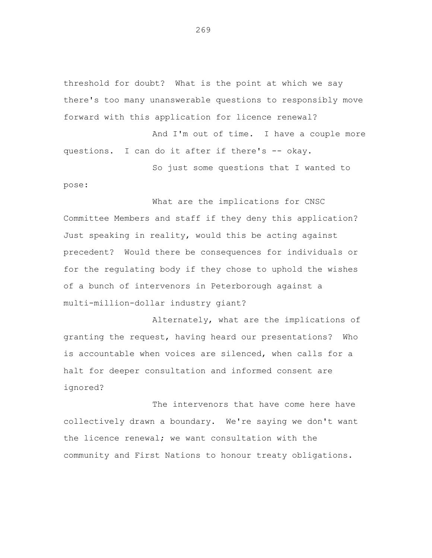threshold for doubt? What is the point at which we say there's too many unanswerable questions to responsibly move forward with this application for licence renewal?

And I'm out of time. I have a couple more questions. I can do it after if there's -- okay.

So just some questions that I wanted to pose:

What are the implications for CNSC Committee Members and staff if they deny this application? Just speaking in reality, would this be acting against precedent? Would there be consequences for individuals or for the regulating body if they chose to uphold the wishes of a bunch of intervenors in Peterborough against a multi-million-dollar industry giant?

Alternately, what are the implications of granting the request, having heard our presentations? Who is accountable when voices are silenced, when calls for a halt for deeper consultation and informed consent are ignored?

The intervenors that have come here have collectively drawn a boundary. We're saying we don't want the licence renewal; we want consultation with the community and First Nations to honour treaty obligations.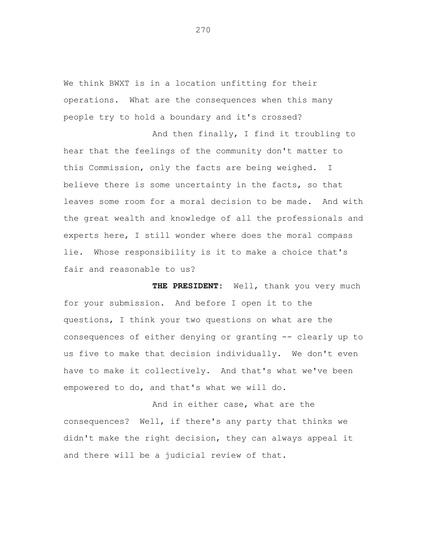We think BWXT is in a location unfitting for their operations. What are the consequences when this many people try to hold a boundary and it's crossed?

And then finally, I find it troubling to hear that the feelings of the community don't matter to this Commission, only the facts are being weighed. I believe there is some uncertainty in the facts, so that leaves some room for a moral decision to be made. And with the great wealth and knowledge of all the professionals and experts here, I still wonder where does the moral compass lie. Whose responsibility is it to make a choice that's fair and reasonable to us?

**THE PRESIDENT:** Well, thank you very much for your submission. And before I open it to the questions, I think your two questions on what are the consequences of either denying or granting -- clearly up to us five to make that decision individually. We don't even have to make it collectively. And that's what we've been empowered to do, and that's what we will do.

And in either case, what are the consequences? Well, if there's any party that thinks we didn't make the right decision, they can always appeal it and there will be a judicial review of that.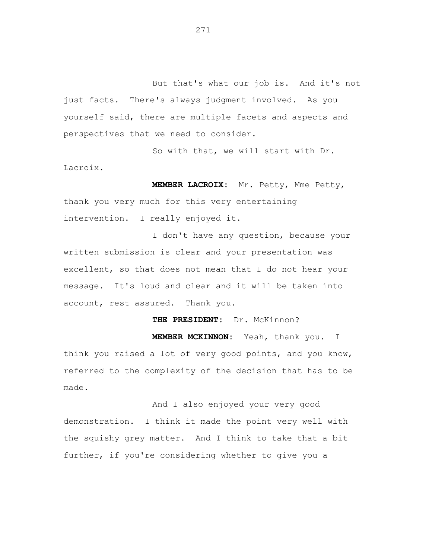But that's what our job is. And it's not just facts. There's always judgment involved. As you yourself said, there are multiple facets and aspects and perspectives that we need to consider.

So with that, we will start with Dr. Lacroix.

**MEMBER LACROIX:** Mr. Petty, Mme Petty, thank you very much for this very entertaining intervention. I really enjoyed it.

I don't have any question, because your written submission is clear and your presentation was excellent, so that does not mean that I do not hear your message. It's loud and clear and it will be taken into account, rest assured. Thank you.

**THE PRESIDENT:** Dr. McKinnon? **MEMBER MCKINNON:** Yeah, thank you. I think you raised a lot of very good points, and you know, referred to the complexity of the decision that has to be made.

And I also enjoyed your very good demonstration. I think it made the point very well with the squishy grey matter. And I think to take that a bit further, if you're considering whether to give you a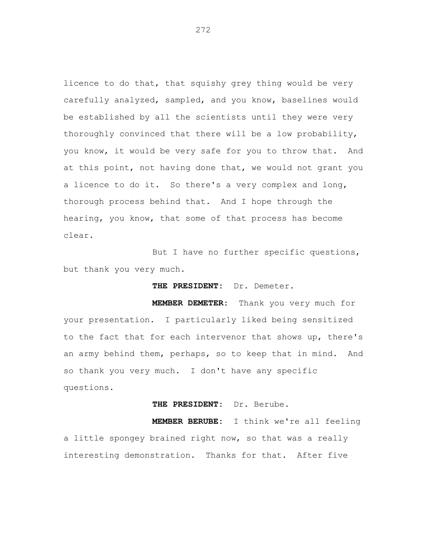licence to do that, that squishy grey thing would be very carefully analyzed, sampled, and you know, baselines would be established by all the scientists until they were very thoroughly convinced that there will be a low probability, you know, it would be very safe for you to throw that. And at this point, not having done that, we would not grant you a licence to do it. So there's a very complex and long, thorough process behind that. And I hope through the hearing, you know, that some of that process has become clear.

But I have no further specific questions, but thank you very much.

**THE PRESIDENT:** Dr. Demeter.

**MEMBER DEMETER:** Thank you very much for your presentation. I particularly liked being sensitized to the fact that for each intervenor that shows up, there's an army behind them, perhaps, so to keep that in mind. And so thank you very much. I don't have any specific questions.

**THE PRESIDENT:** Dr. Berube.

**MEMBER BERUBE:** I think we're all feeling a little spongey brained right now, so that was a really interesting demonstration. Thanks for that. After five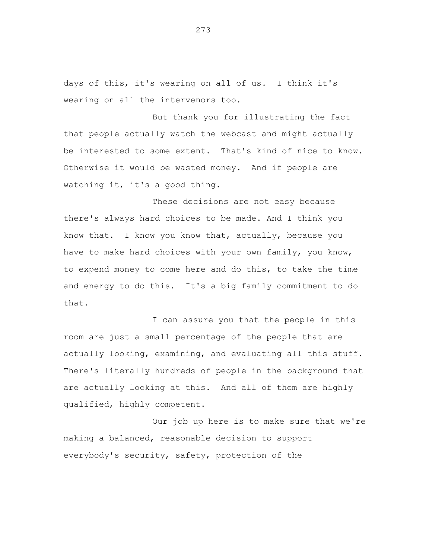days of this, it's wearing on all of us. I think it's wearing on all the intervenors too.

But thank you for illustrating the fact that people actually watch the webcast and might actually be interested to some extent. That's kind of nice to know. Otherwise it would be wasted money. And if people are watching it, it's a good thing.

These decisions are not easy because there's always hard choices to be made. And I think you know that. I know you know that, actually, because you have to make hard choices with your own family, you know, to expend money to come here and do this, to take the time and energy to do this. It's a big family commitment to do that.

I can assure you that the people in this room are just a small percentage of the people that are actually looking, examining, and evaluating all this stuff. There's literally hundreds of people in the background that are actually looking at this. And all of them are highly qualified, highly competent.

Our job up here is to make sure that we're making a balanced, reasonable decision to support everybody's security, safety, protection of the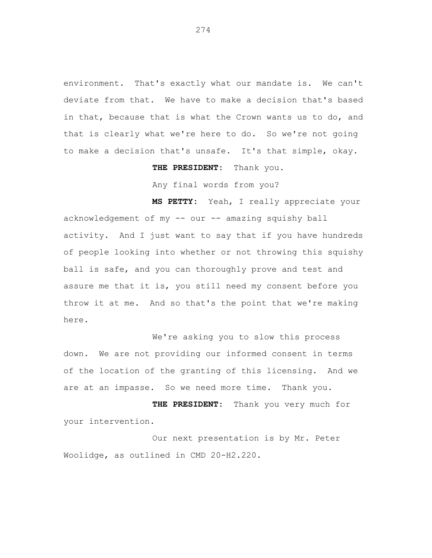environment. That's exactly what our mandate is. We can't deviate from that. We have to make a decision that's based in that, because that is what the Crown wants us to do, and that is clearly what we're here to do. So we're not going to make a decision that's unsafe. It's that simple, okay.

**THE PRESIDENT:** Thank you.

Any final words from you?

**MS PETTY:** Yeah, I really appreciate your acknowledgement of my -- our -- amazing squishy ball activity. And I just want to say that if you have hundreds of people looking into whether or not throwing this squishy ball is safe, and you can thoroughly prove and test and assure me that it is, you still need my consent before you throw it at me. And so that's the point that we're making here.

We're asking you to slow this process down. We are not providing our informed consent in terms of the location of the granting of this licensing. And we are at an impasse. So we need more time. Thank you.

**THE PRESIDENT:** Thank you very much for your intervention.

Our next presentation is by Mr. Peter Woolidge, as outlined in CMD 20-H2.220.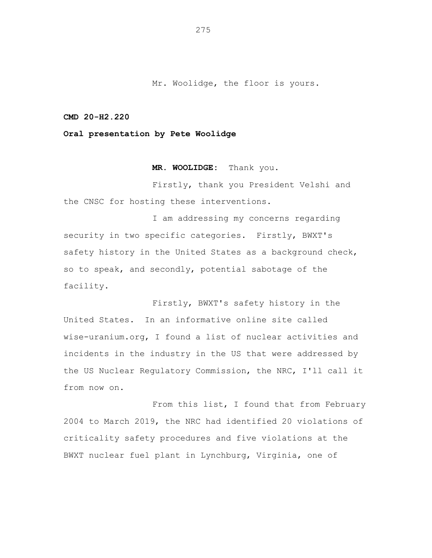Mr. Woolidge, the floor is yours.

**CMD 20-H2.220**

**Oral presentation by Pete Woolidge**

**MR. WOOLIDGE:** Thank you.

Firstly, thank you President Velshi and the CNSC for hosting these interventions.

I am addressing my concerns regarding security in two specific categories. Firstly, BWXT's safety history in the United States as a background check, so to speak, and secondly, potential sabotage of the facility.

Firstly, BWXT's safety history in the United States. In an informative online site called wise-uranium.org, I found a list of nuclear activities and incidents in the industry in the US that were addressed by the US Nuclear Regulatory Commission, the NRC, I'll call it from now on.

From this list, I found that from February 2004 to March 2019, the NRC had identified 20 violations of criticality safety procedures and five violations at the BWXT nuclear fuel plant in Lynchburg, Virginia, one of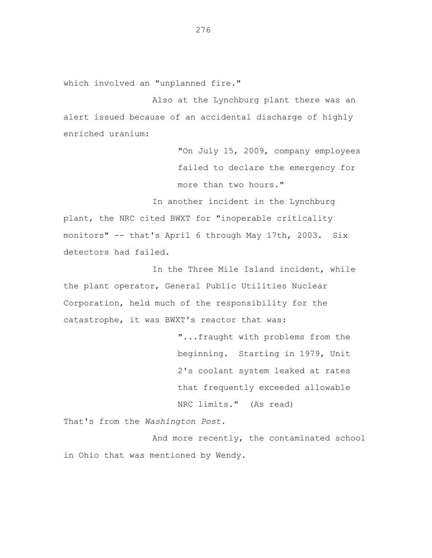which involved an "unplanned fire."

Also at the Lynchburg plant there was an alert issued because of an accidental discharge of highly enriched uranium:

> "On July 15, 2009, company employees failed to declare the emergency for more than two hours."

In another incident in the Lynchburg plant, the NRC cited BWXT for "inoperable criticality monitors" -- that's April 6 through May 17th, 2003. Six detectors had failed.

In the Three Mile Island incident, while the plant operator, General Public Utilities Nuclear Corporation, held much of the responsibility for the catastrophe, it was BWXT's reactor that was:

> "...fraught with problems from the beginning. Starting in 1979, Unit 2's coolant system leaked at rates that frequently exceeded allowable NRC limits." (As read)

That's from the *Washington Post*.

And more recently, the contaminated school in Ohio that was mentioned by Wendy.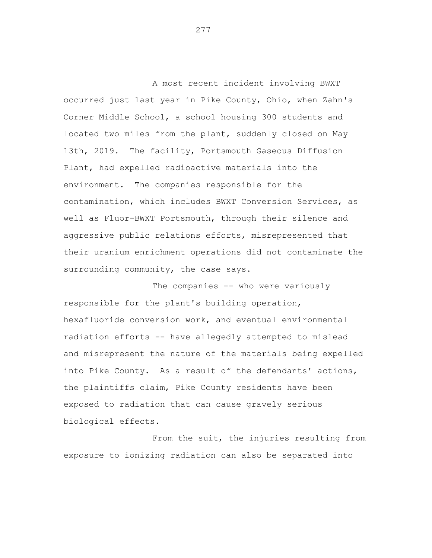A most recent incident involving BWXT occurred just last year in Pike County, Ohio, when Zahn's Corner Middle School, a school housing 300 students and located two miles from the plant, suddenly closed on May 13th, 2019. The facility, Portsmouth Gaseous Diffusion Plant, had expelled radioactive materials into the environment. The companies responsible for the contamination, which includes BWXT Conversion Services, as well as Fluor-BWXT Portsmouth, through their silence and aggressive public relations efforts, misrepresented that their uranium enrichment operations did not contaminate the surrounding community, the case says.

The companies -- who were variously responsible for the plant's building operation, hexafluoride conversion work, and eventual environmental radiation efforts -- have allegedly attempted to mislead and misrepresent the nature of the materials being expelled into Pike County. As a result of the defendants' actions, the plaintiffs claim, Pike County residents have been exposed to radiation that can cause gravely serious biological effects.

From the suit, the injuries resulting from exposure to ionizing radiation can also be separated into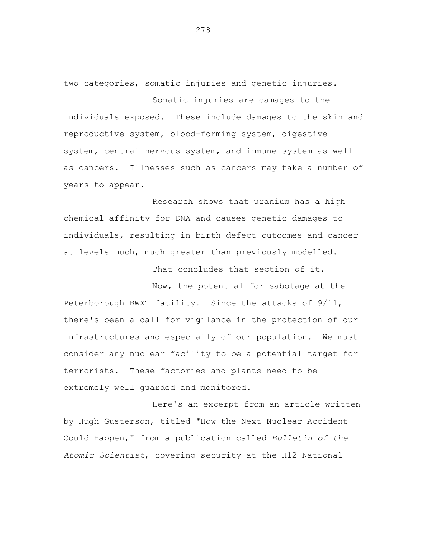two categories, somatic injuries and genetic injuries.

Somatic injuries are damages to the individuals exposed. These include damages to the skin and reproductive system, blood-forming system, digestive system, central nervous system, and immune system as well as cancers. Illnesses such as cancers may take a number of years to appear.

Research shows that uranium has a high chemical affinity for DNA and causes genetic damages to individuals, resulting in birth defect outcomes and cancer at levels much, much greater than previously modelled.

That concludes that section of it.

Now, the potential for sabotage at the Peterborough BWXT facility. Since the attacks of 9/11, there's been a call for vigilance in the protection of our infrastructures and especially of our population. We must consider any nuclear facility to be a potential target for terrorists. These factories and plants need to be extremely well guarded and monitored.

Here's an excerpt from an article written by Hugh Gusterson, titled "How the Next Nuclear Accident Could Happen," from a publication called *Bulletin of the Atomic Scientist*, covering security at the H12 National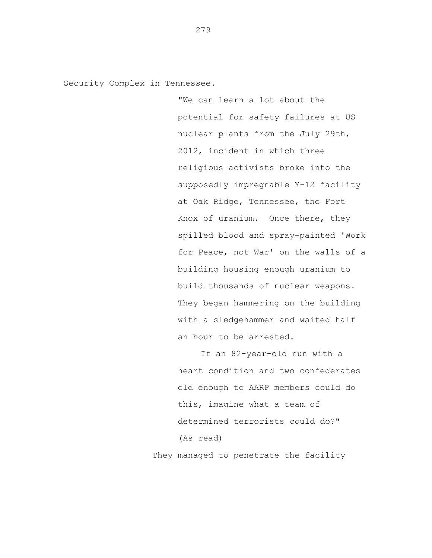Security Complex in Tennessee.

"We can learn a lot about the potential for safety failures at US nuclear plants from the July 29th, 2012, incident in which three religious activists broke into the supposedly impregnable Y-12 facility at Oak Ridge, Tennessee, the Fort Knox of uranium. Once there, they spilled blood and spray-painted 'Work for Peace, not War' on the walls of a building housing enough uranium to build thousands of nuclear weapons. They began hammering on the building with a sledgehammer and waited half an hour to be arrested.

If an 82-year-old nun with a heart condition and two confederates old enough to AARP members could do this, imagine what a team of determined terrorists could do?" (As read)

They managed to penetrate the facility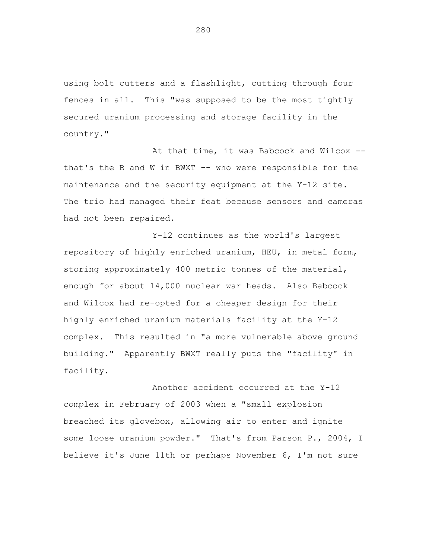using bolt cutters and a flashlight, cutting through four fences in all. This "was supposed to be the most tightly secured uranium processing and storage facility in the country."

At that time, it was Babcock and Wilcox - that's the B and W in BWXT -- who were responsible for the maintenance and the security equipment at the Y-12 site. The trio had managed their feat because sensors and cameras had not been repaired.

Y-12 continues as the world's largest repository of highly enriched uranium, HEU, in metal form, storing approximately 400 metric tonnes of the material, enough for about 14,000 nuclear war heads. Also Babcock and Wilcox had re-opted for a cheaper design for their highly enriched uranium materials facility at the Y-12 complex. This resulted in "a more vulnerable above ground building." Apparently BWXT really puts the "facility" in facility.

Another accident occurred at the Y-12 complex in February of 2003 when a "small explosion breached its glovebox, allowing air to enter and ignite some loose uranium powder." That's from Parson P., 2004, I believe it's June 11th or perhaps November 6, I'm not sure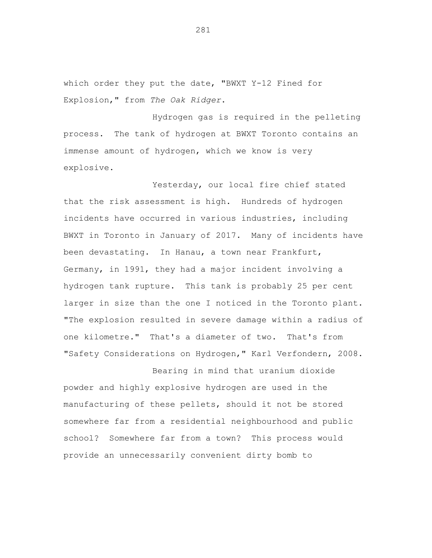which order they put the date, "BWXT Y-12 Fined for Explosion," from *The Oak Ridger*.

Hydrogen gas is required in the pelleting process. The tank of hydrogen at BWXT Toronto contains an immense amount of hydrogen, which we know is very explosive.

Yesterday, our local fire chief stated that the risk assessment is high. Hundreds of hydrogen incidents have occurred in various industries, including BWXT in Toronto in January of 2017. Many of incidents have been devastating. In Hanau, a town near Frankfurt, Germany, in 1991, they had a major incident involving a hydrogen tank rupture. This tank is probably 25 per cent larger in size than the one I noticed in the Toronto plant. "The explosion resulted in severe damage within a radius of one kilometre." That's a diameter of two. That's from "Safety Considerations on Hydrogen," Karl Verfondern, 2008.

Bearing in mind that uranium dioxide powder and highly explosive hydrogen are used in the manufacturing of these pellets, should it not be stored somewhere far from a residential neighbourhood and public school? Somewhere far from a town? This process would provide an unnecessarily convenient dirty bomb to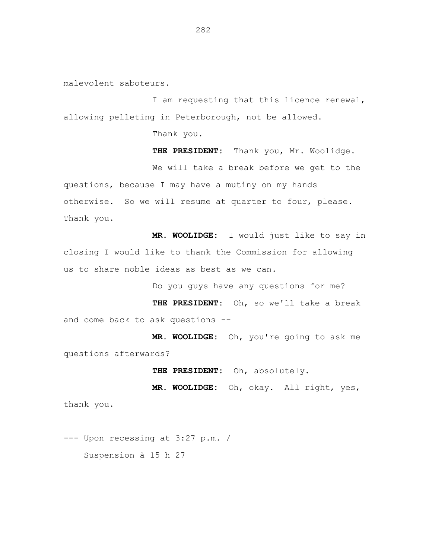malevolent saboteurs.

I am requesting that this licence renewal, allowing pelleting in Peterborough, not be allowed.

Thank you.

**THE PRESIDENT:** Thank you, Mr. Woolidge. We will take a break before we get to the questions, because I may have a mutiny on my hands otherwise. So we will resume at quarter to four, please. Thank you.

**MR. WOOLIDGE:** I would just like to say in closing I would like to thank the Commission for allowing us to share noble ideas as best as we can.

Do you guys have any questions for me?

**THE PRESIDENT:** Oh, so we'll take a break and come back to ask questions --

**MR. WOOLIDGE:** Oh, you're going to ask me questions afterwards?

**THE PRESIDENT:** Oh, absolutely.

**MR. WOOLIDGE:** Oh, okay. All right, yes, thank you.

--- Upon recessing at 3:27 p.m. / Suspension à 15 h 27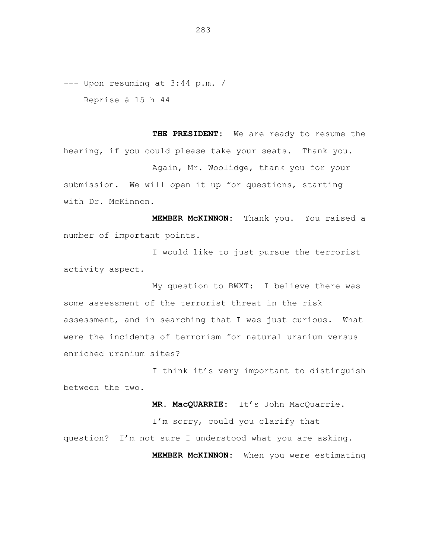--- Upon resuming at 3:44 p.m. / Reprise à 15 h 44

**THE PRESIDENT:** We are ready to resume the hearing, if you could please take your seats. Thank you. Again, Mr. Woolidge, thank you for your submission. We will open it up for questions, starting with Dr. McKinnon.

**MEMBER McKINNON:** Thank you. You raised a number of important points.

I would like to just pursue the terrorist activity aspect.

My question to BWXT: I believe there was some assessment of the terrorist threat in the risk assessment, and in searching that I was just curious. What were the incidents of terrorism for natural uranium versus enriched uranium sites?

I think it's very important to distinguish between the two.

**MR. MacQUARRIE:** It's John MacQuarrie.

I'm sorry, could you clarify that question? I'm not sure I understood what you are asking. **MEMBER McKINNON:** When you were estimating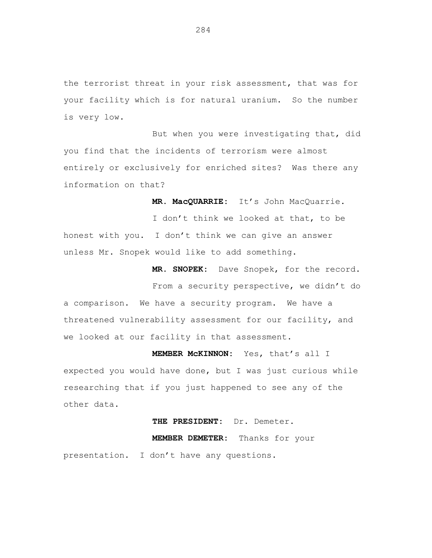the terrorist threat in your risk assessment, that was for your facility which is for natural uranium. So the number is very low.

But when you were investigating that, did you find that the incidents of terrorism were almost entirely or exclusively for enriched sites? Was there any information on that?

**MR. MacQUARRIE:** It's John MacQuarrie.

I don't think we looked at that, to be honest with you. I don't think we can give an answer unless Mr. Snopek would like to add something.

> **MR. SNOPEK:** Dave Snopek, for the record. From a security perspective, we didn't do

a comparison. We have a security program. We have a threatened vulnerability assessment for our facility, and we looked at our facility in that assessment.

**MEMBER McKINNON:** Yes, that's all I expected you would have done, but I was just curious while researching that if you just happened to see any of the other data.

## **THE PRESIDENT:** Dr. Demeter.

**MEMBER DEMETER:** Thanks for your

presentation. I don't have any questions.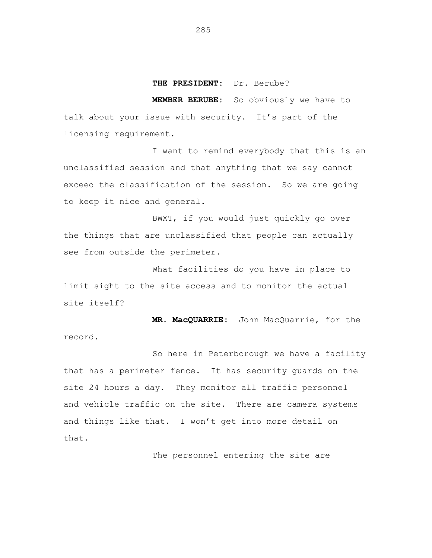## **THE PRESIDENT:** Dr. Berube?

**MEMBER BERUBE:** So obviously we have to talk about your issue with security. It's part of the licensing requirement.

I want to remind everybody that this is an unclassified session and that anything that we say cannot exceed the classification of the session. So we are going to keep it nice and general.

BWXT, if you would just quickly go over the things that are unclassified that people can actually see from outside the perimeter.

What facilities do you have in place to limit sight to the site access and to monitor the actual site itself?

**MR. MacQUARRIE:** John MacQuarrie, for the record.

So here in Peterborough we have a facility that has a perimeter fence. It has security guards on the site 24 hours a day. They monitor all traffic personnel and vehicle traffic on the site. There are camera systems and things like that. I won't get into more detail on that.

The personnel entering the site are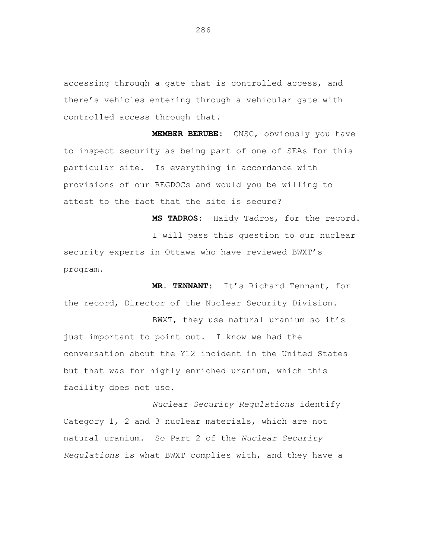accessing through a gate that is controlled access, and there's vehicles entering through a vehicular gate with controlled access through that.

**MEMBER BERUBE:** CNSC, obviously you have to inspect security as being part of one of SEAs for this particular site. Is everything in accordance with provisions of our REGDOCs and would you be willing to attest to the fact that the site is secure?

**MS TADROS:** Haidy Tadros, for the record. I will pass this question to our nuclear security experts in Ottawa who have reviewed BWXT's program.

**MR. TENNANT:** It's Richard Tennant, for the record, Director of the Nuclear Security Division.

BWXT, they use natural uranium so it's just important to point out. I know we had the conversation about the Y12 incident in the United States but that was for highly enriched uranium, which this facility does not use.

*Nuclear Security Regulations* identify Category 1, 2 and 3 nuclear materials, which are not natural uranium. So Part 2 of the *Nuclear Security Regulations* is what BWXT complies with, and they have a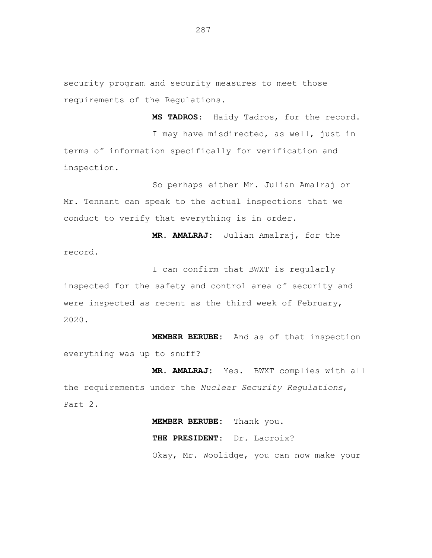security program and security measures to meet those requirements of the Regulations.

**MS TADROS:** Haidy Tadros, for the record. I may have misdirected, as well, just in terms of information specifically for verification and inspection.

So perhaps either Mr. Julian Amalraj or Mr. Tennant can speak to the actual inspections that we conduct to verify that everything is in order.

record.

**MR. AMALRAJ:** Julian Amalraj, for the

I can confirm that BWXT is regularly inspected for the safety and control area of security and were inspected as recent as the third week of February, 2020.

**MEMBER BERUBE:** And as of that inspection everything was up to snuff?

**MR. AMALRAJ:** Yes. BWXT complies with all the requirements under the *Nuclear Security Regulations*, Part 2.

> **MEMBER BERUBE:** Thank you. **THE PRESIDENT:** Dr. Lacroix? Okay, Mr. Woolidge, you can now make your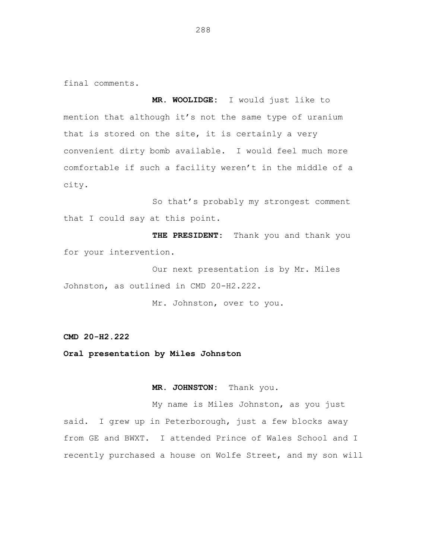final comments.

**MR. WOOLIDGE:** I would just like to mention that although it's not the same type of uranium that is stored on the site, it is certainly a very convenient dirty bomb available. I would feel much more comfortable if such a facility weren't in the middle of a city.

So that's probably my strongest comment that I could say at this point.

**THE PRESIDENT:** Thank you and thank you for your intervention.

Our next presentation is by Mr. Miles Johnston, as outlined in CMD 20-H2.222.

Mr. Johnston, over to you.

**CMD 20-H2.222**

**Oral presentation by Miles Johnston**

**MR. JOHNSTON:** Thank you.

My name is Miles Johnston, as you just said. I grew up in Peterborough, just a few blocks away from GE and BWXT. I attended Prince of Wales School and I recently purchased a house on Wolfe Street, and my son will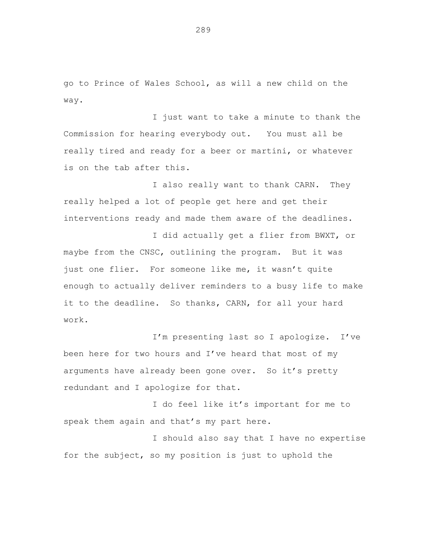go to Prince of Wales School, as will a new child on the way.

I just want to take a minute to thank the Commission for hearing everybody out. You must all be really tired and ready for a beer or martini, or whatever is on the tab after this.

I also really want to thank CARN. They really helped a lot of people get here and get their interventions ready and made them aware of the deadlines.

I did actually get a flier from BWXT, or maybe from the CNSC, outlining the program. But it was just one flier. For someone like me, it wasn't quite enough to actually deliver reminders to a busy life to make it to the deadline. So thanks, CARN, for all your hard work.

I'm presenting last so I apologize. I've been here for two hours and I've heard that most of my arguments have already been gone over. So it's pretty redundant and I apologize for that.

I do feel like it's important for me to speak them again and that's my part here.

I should also say that I have no expertise for the subject, so my position is just to uphold the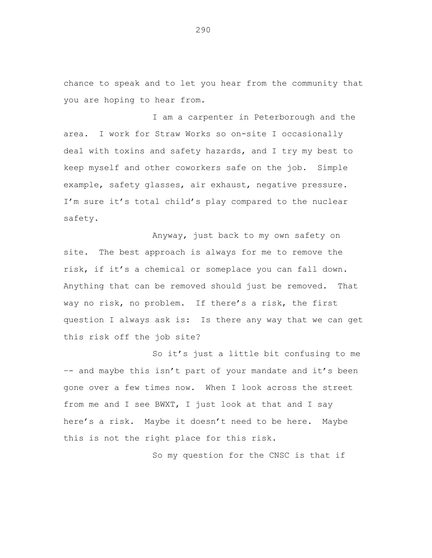chance to speak and to let you hear from the community that you are hoping to hear from.

I am a carpenter in Peterborough and the area. I work for Straw Works so on-site I occasionally deal with toxins and safety hazards, and I try my best to keep myself and other coworkers safe on the job. Simple example, safety glasses, air exhaust, negative pressure. I'm sure it's total child's play compared to the nuclear safety.

Anyway, just back to my own safety on site. The best approach is always for me to remove the risk, if it's a chemical or someplace you can fall down. Anything that can be removed should just be removed. That way no risk, no problem. If there's a risk, the first question I always ask is: Is there any way that we can get this risk off the job site?

So it's just a little bit confusing to me –- and maybe this isn't part of your mandate and it's been gone over a few times now. When I look across the street from me and I see BWXT, I just look at that and I say here's a risk. Maybe it doesn't need to be here. Maybe this is not the right place for this risk.

So my question for the CNSC is that if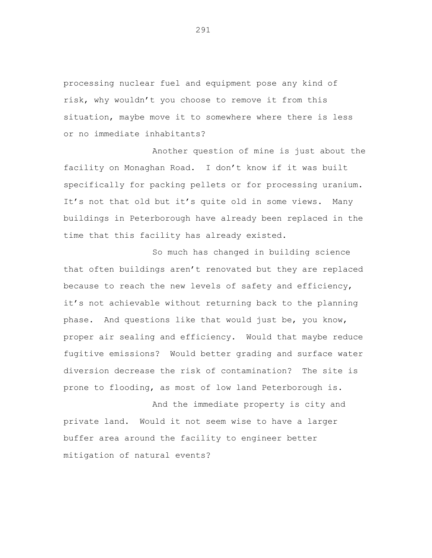processing nuclear fuel and equipment pose any kind of risk, why wouldn't you choose to remove it from this situation, maybe move it to somewhere where there is less or no immediate inhabitants?

Another question of mine is just about the facility on Monaghan Road. I don't know if it was built specifically for packing pellets or for processing uranium. It's not that old but it's quite old in some views. Many buildings in Peterborough have already been replaced in the time that this facility has already existed.

So much has changed in building science that often buildings aren't renovated but they are replaced because to reach the new levels of safety and efficiency, it's not achievable without returning back to the planning phase. And questions like that would just be, you know, proper air sealing and efficiency. Would that maybe reduce fugitive emissions? Would better grading and surface water diversion decrease the risk of contamination? The site is prone to flooding, as most of low land Peterborough is.

And the immediate property is city and private land. Would it not seem wise to have a larger buffer area around the facility to engineer better mitigation of natural events?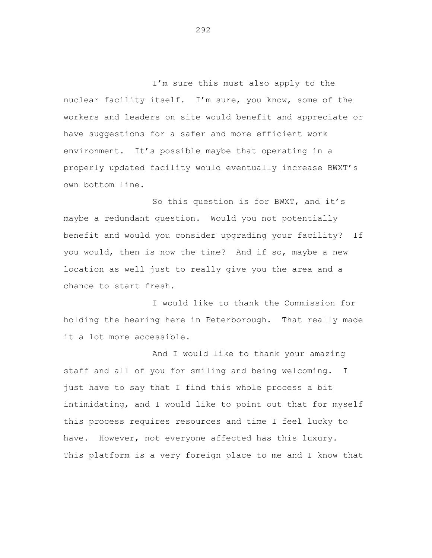I'm sure this must also apply to the nuclear facility itself. I'm sure, you know, some of the workers and leaders on site would benefit and appreciate or have suggestions for a safer and more efficient work environment. It's possible maybe that operating in a properly updated facility would eventually increase BWXT's own bottom line.

So this question is for BWXT, and it's maybe a redundant question. Would you not potentially benefit and would you consider upgrading your facility? If you would, then is now the time? And if so, maybe a new location as well just to really give you the area and a chance to start fresh.

I would like to thank the Commission for holding the hearing here in Peterborough. That really made it a lot more accessible.

And I would like to thank your amazing staff and all of you for smiling and being welcoming. I just have to say that I find this whole process a bit intimidating, and I would like to point out that for myself this process requires resources and time I feel lucky to have. However, not everyone affected has this luxury. This platform is a very foreign place to me and I know that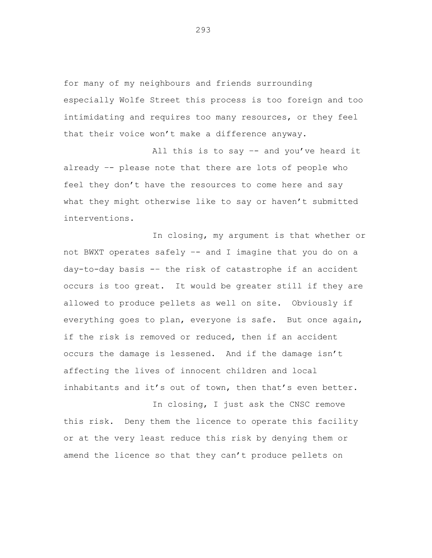for many of my neighbours and friends surrounding especially Wolfe Street this process is too foreign and too intimidating and requires too many resources, or they feel that their voice won't make a difference anyway.

All this is to say –- and you've heard it already –- please note that there are lots of people who feel they don't have the resources to come here and say what they might otherwise like to say or haven't submitted interventions.

In closing, my argument is that whether or not BWXT operates safely –- and I imagine that you do on a day-to-day basis -– the risk of catastrophe if an accident occurs is too great. It would be greater still if they are allowed to produce pellets as well on site. Obviously if everything goes to plan, everyone is safe. But once again, if the risk is removed or reduced, then if an accident occurs the damage is lessened. And if the damage isn't affecting the lives of innocent children and local inhabitants and it's out of town, then that's even better.

In closing, I just ask the CNSC remove this risk. Deny them the licence to operate this facility or at the very least reduce this risk by denying them or amend the licence so that they can't produce pellets on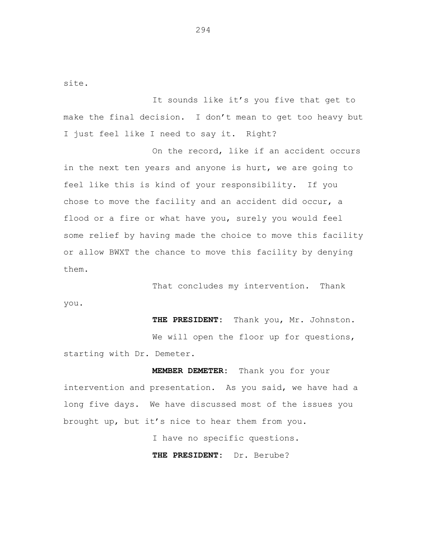site.

It sounds like it's you five that get to make the final decision. I don't mean to get too heavy but I just feel like I need to say it. Right?

On the record, like if an accident occurs in the next ten years and anyone is hurt, we are going to feel like this is kind of your responsibility. If you chose to move the facility and an accident did occur, a flood or a fire or what have you, surely you would feel some relief by having made the choice to move this facility or allow BWXT the chance to move this facility by denying them.

That concludes my intervention. Thank you.

**THE PRESIDENT:** Thank you, Mr. Johnston. We will open the floor up for questions, starting with Dr. Demeter.

**MEMBER DEMETER:** Thank you for your intervention and presentation. As you said, we have had a long five days. We have discussed most of the issues you brought up, but it's nice to hear them from you.

I have no specific questions.

**THE PRESIDENT:** Dr. Berube?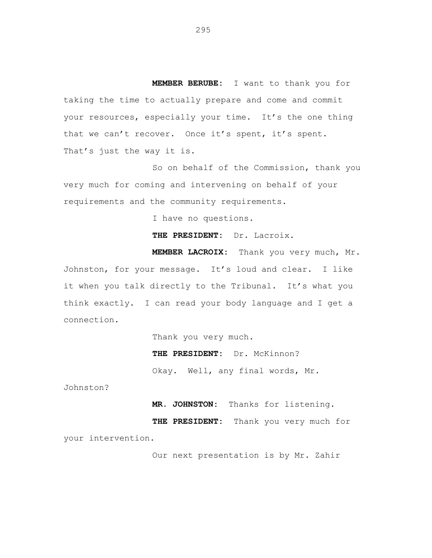**MEMBER BERUBE:** I want to thank you for taking the time to actually prepare and come and commit your resources, especially your time. It's the one thing that we can't recover. Once it's spent, it's spent. That's just the way it is.

So on behalf of the Commission, thank you very much for coming and intervening on behalf of your requirements and the community requirements.

I have no questions.

**THE PRESIDENT:** Dr. Lacroix.

**MEMBER LACROIX:** Thank you very much, Mr. Johnston, for your message. It's loud and clear. I like it when you talk directly to the Tribunal. It's what you think exactly. I can read your body language and I get a connection.

Thank you very much.

**THE PRESIDENT:** Dr. McKinnon?

Okay. Well, any final words, Mr.

Johnston?

**MR. JOHNSTON:** Thanks for listening.

**THE PRESIDENT:** Thank you very much for your intervention.

Our next presentation is by Mr. Zahir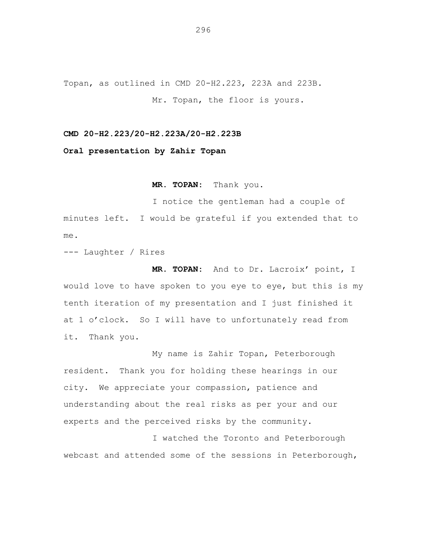Topan, as outlined in CMD 20-H2.223, 223A and 223B. Mr. Topan, the floor is yours.

**CMD 20-H2.223/20-H2.223A/20-H2.223B**

**Oral presentation by Zahir Topan**

**MR. TOPAN:** Thank you.

I notice the gentleman had a couple of minutes left. I would be grateful if you extended that to me.

--- Laughter / Rires

**MR. TOPAN:** And to Dr. Lacroix' point, I would love to have spoken to you eye to eye, but this is my tenth iteration of my presentation and I just finished it at 1 o'clock. So I will have to unfortunately read from it. Thank you.

My name is Zahir Topan, Peterborough resident. Thank you for holding these hearings in our city. We appreciate your compassion, patience and understanding about the real risks as per your and our experts and the perceived risks by the community.

I watched the Toronto and Peterborough webcast and attended some of the sessions in Peterborough,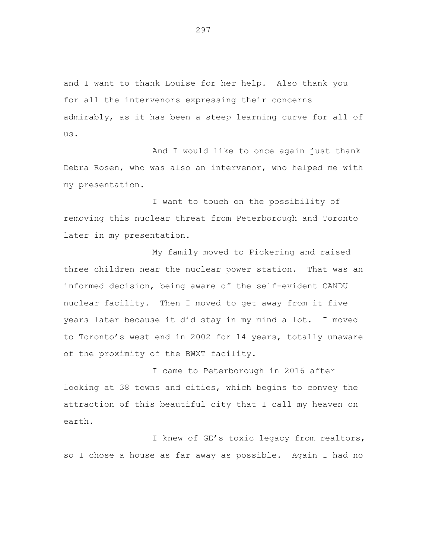and I want to thank Louise for her help. Also thank you for all the intervenors expressing their concerns admirably, as it has been a steep learning curve for all of us.

And I would like to once again just thank Debra Rosen, who was also an intervenor, who helped me with my presentation.

I want to touch on the possibility of removing this nuclear threat from Peterborough and Toronto later in my presentation.

My family moved to Pickering and raised three children near the nuclear power station. That was an informed decision, being aware of the self-evident CANDU nuclear facility. Then I moved to get away from it five years later because it did stay in my mind a lot. I moved to Toronto's west end in 2002 for 14 years, totally unaware of the proximity of the BWXT facility.

I came to Peterborough in 2016 after looking at 38 towns and cities, which begins to convey the attraction of this beautiful city that I call my heaven on earth.

I knew of GE's toxic legacy from realtors, so I chose a house as far away as possible. Again I had no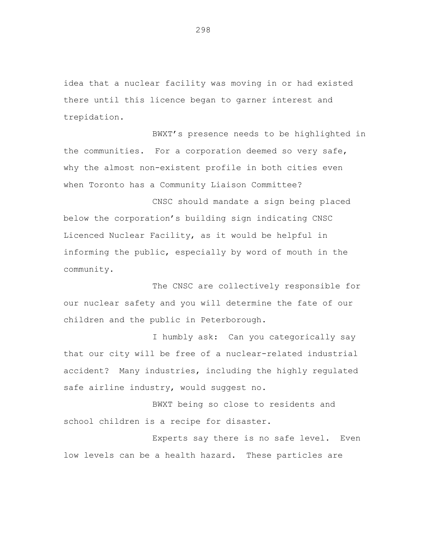idea that a nuclear facility was moving in or had existed there until this licence began to garner interest and trepidation.

BWXT's presence needs to be highlighted in the communities. For a corporation deemed so very safe, why the almost non-existent profile in both cities even when Toronto has a Community Liaison Committee?

CNSC should mandate a sign being placed below the corporation's building sign indicating CNSC Licenced Nuclear Facility, as it would be helpful in informing the public, especially by word of mouth in the community.

The CNSC are collectively responsible for our nuclear safety and you will determine the fate of our children and the public in Peterborough.

I humbly ask: Can you categorically say that our city will be free of a nuclear-related industrial accident? Many industries, including the highly regulated safe airline industry, would suggest no.

BWXT being so close to residents and school children is a recipe for disaster.

Experts say there is no safe level. Even low levels can be a health hazard. These particles are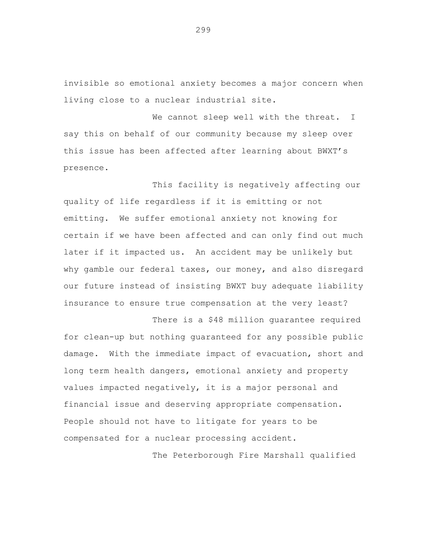invisible so emotional anxiety becomes a major concern when living close to a nuclear industrial site.

We cannot sleep well with the threat. I say this on behalf of our community because my sleep over this issue has been affected after learning about BWXT's presence.

This facility is negatively affecting our quality of life regardless if it is emitting or not emitting. We suffer emotional anxiety not knowing for certain if we have been affected and can only find out much later if it impacted us. An accident may be unlikely but why gamble our federal taxes, our money, and also disregard our future instead of insisting BWXT buy adequate liability insurance to ensure true compensation at the very least?

There is a \$48 million quarantee required for clean-up but nothing guaranteed for any possible public damage. With the immediate impact of evacuation, short and long term health dangers, emotional anxiety and property values impacted negatively, it is a major personal and financial issue and deserving appropriate compensation. People should not have to litigate for years to be compensated for a nuclear processing accident.

The Peterborough Fire Marshall qualified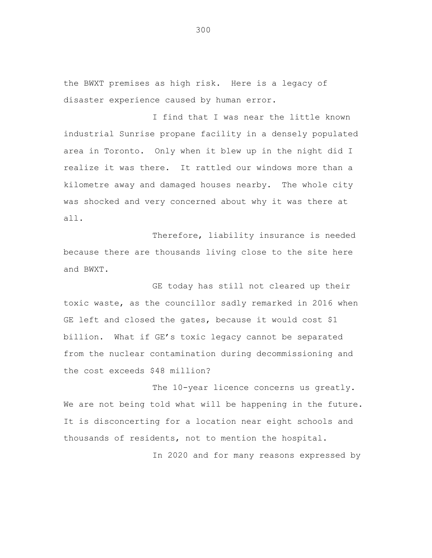the BWXT premises as high risk. Here is a legacy of disaster experience caused by human error.

I find that I was near the little known industrial Sunrise propane facility in a densely populated area in Toronto. Only when it blew up in the night did I realize it was there. It rattled our windows more than a kilometre away and damaged houses nearby. The whole city was shocked and very concerned about why it was there at all.

Therefore, liability insurance is needed because there are thousands living close to the site here and BWXT.

GE today has still not cleared up their toxic waste, as the councillor sadly remarked in 2016 when GE left and closed the gates, because it would cost \$1 billion. What if GE's toxic legacy cannot be separated from the nuclear contamination during decommissioning and the cost exceeds \$48 million?

The 10-year licence concerns us greatly. We are not being told what will be happening in the future. It is disconcerting for a location near eight schools and thousands of residents, not to mention the hospital.

In 2020 and for many reasons expressed by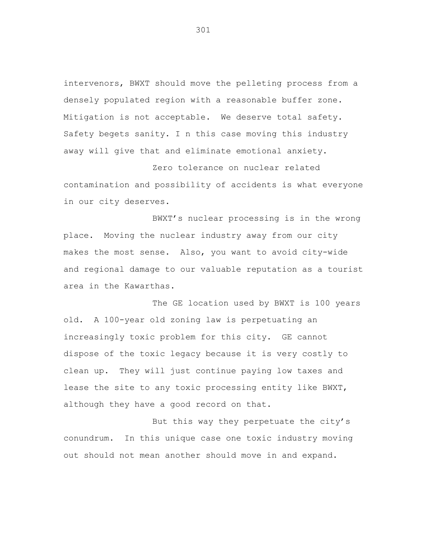intervenors, BWXT should move the pelleting process from a densely populated region with a reasonable buffer zone. Mitigation is not acceptable. We deserve total safety. Safety begets sanity. I n this case moving this industry away will give that and eliminate emotional anxiety.

Zero tolerance on nuclear related contamination and possibility of accidents is what everyone in our city deserves.

BWXT's nuclear processing is in the wrong place. Moving the nuclear industry away from our city makes the most sense. Also, you want to avoid city-wide and regional damage to our valuable reputation as a tourist area in the Kawarthas.

The GE location used by BWXT is 100 years old. A 100-year old zoning law is perpetuating an increasingly toxic problem for this city. GE cannot dispose of the toxic legacy because it is very costly to clean up. They will just continue paying low taxes and lease the site to any toxic processing entity like BWXT, although they have a good record on that.

But this way they perpetuate the city's conundrum. In this unique case one toxic industry moving out should not mean another should move in and expand.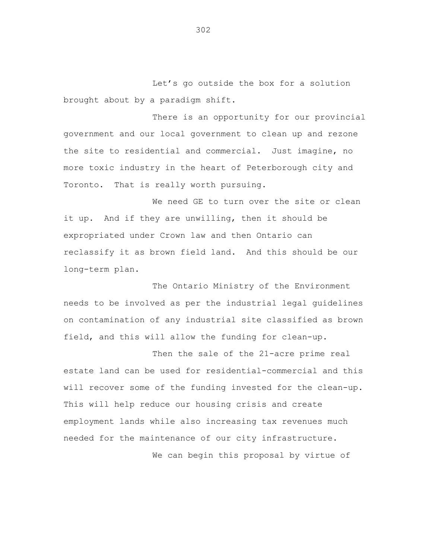Let's go outside the box for a solution brought about by a paradigm shift.

There is an opportunity for our provincial government and our local government to clean up and rezone the site to residential and commercial. Just imagine, no more toxic industry in the heart of Peterborough city and Toronto. That is really worth pursuing.

We need GE to turn over the site or clean it up. And if they are unwilling, then it should be expropriated under Crown law and then Ontario can reclassify it as brown field land. And this should be our long-term plan.

The Ontario Ministry of the Environment needs to be involved as per the industrial legal guidelines on contamination of any industrial site classified as brown field, and this will allow the funding for clean-up.

Then the sale of the 21-acre prime real estate land can be used for residential-commercial and this will recover some of the funding invested for the clean-up. This will help reduce our housing crisis and create employment lands while also increasing tax revenues much needed for the maintenance of our city infrastructure.

We can begin this proposal by virtue of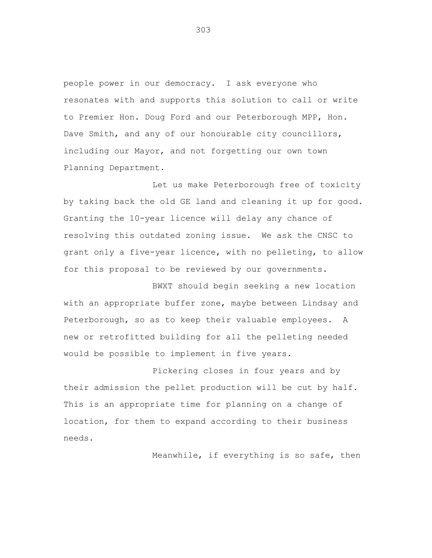people power in our democracy. I ask everyone who resonates with and supports this solution to call or write to Premier Hon. Doug Ford and our Peterborough MPP, Hon. Dave Smith, and any of our honourable city councillors, including our Mayor, and not forgetting our own town Planning Department.

Let us make Peterborough free of toxicity by taking back the old GE land and cleaning it up for good. Granting the 10-year licence will delay any chance of resolving this outdated zoning issue. We ask the CNSC to grant only a five-year licence, with no pelleting, to allow for this proposal to be reviewed by our governments.

BWXT should begin seeking a new location with an appropriate buffer zone, maybe between Lindsay and Peterborough, so as to keep their valuable employees. A new or retrofitted building for all the pelleting needed would be possible to implement in five years.

Pickering closes in four years and by their admission the pellet production will be cut by half. This is an appropriate time for planning on a change of location, for them to expand according to their business needs.

Meanwhile, if everything is so safe, then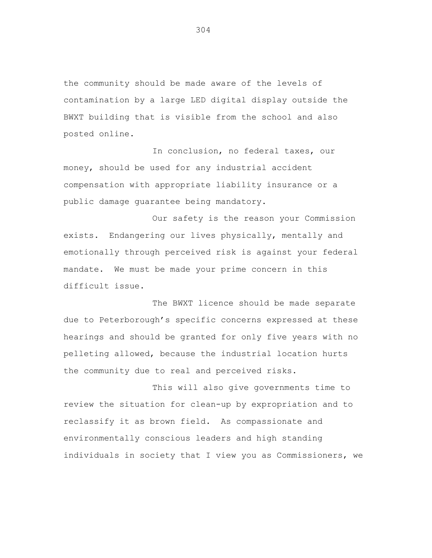the community should be made aware of the levels of contamination by a large LED digital display outside the BWXT building that is visible from the school and also posted online.

In conclusion, no federal taxes, our money, should be used for any industrial accident compensation with appropriate liability insurance or a public damage guarantee being mandatory.

Our safety is the reason your Commission exists. Endangering our lives physically, mentally and emotionally through perceived risk is against your federal mandate. We must be made your prime concern in this difficult issue.

The BWXT licence should be made separate due to Peterborough's specific concerns expressed at these hearings and should be granted for only five years with no pelleting allowed, because the industrial location hurts the community due to real and perceived risks.

This will also give governments time to review the situation for clean-up by expropriation and to reclassify it as brown field. As compassionate and environmentally conscious leaders and high standing individuals in society that I view you as Commissioners, we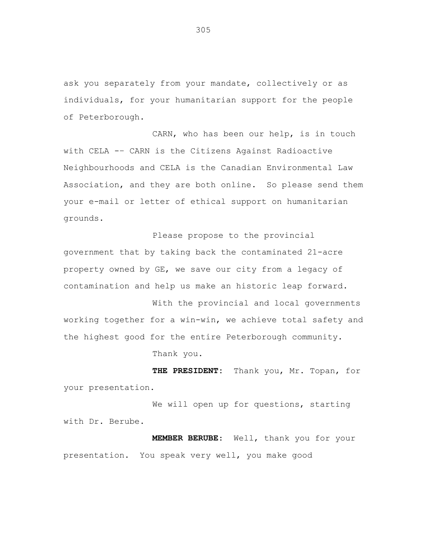ask you separately from your mandate, collectively or as individuals, for your humanitarian support for the people of Peterborough.

CARN, who has been our help, is in touch with CELA -– CARN is the Citizens Against Radioactive Neighbourhoods and CELA is the Canadian Environmental Law Association, and they are both online. So please send them your e-mail or letter of ethical support on humanitarian grounds.

Please propose to the provincial government that by taking back the contaminated 21-acre property owned by GE, we save our city from a legacy of contamination and help us make an historic leap forward.

With the provincial and local governments working together for a win-win, we achieve total safety and the highest good for the entire Peterborough community. Thank you.

**THE PRESIDENT:** Thank you, Mr. Topan, for your presentation.

We will open up for questions, starting with Dr. Berube.

**MEMBER BERUBE**: Well, thank you for your presentation. You speak very well, you make good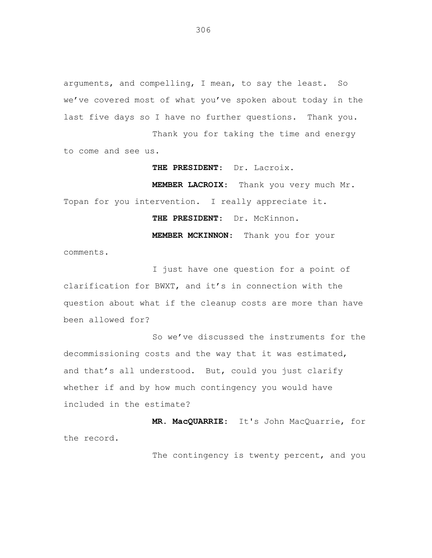arguments, and compelling, I mean, to say the least. So we've covered most of what you've spoken about today in the last five days so I have no further questions. Thank you. Thank you for taking the time and energy

to come and see us.

**THE PRESIDENT**: Dr. Lacroix.

**MEMBER LACROIX**: Thank you very much Mr. Topan for you intervention. I really appreciate it.

**THE PRESIDENT**: Dr. McKinnon.

**MEMBER MCKINNON**: Thank you for your

comments.

I just have one question for a point of clarification for BWXT, and it's in connection with the question about what if the cleanup costs are more than have been allowed for?

So we've discussed the instruments for the decommissioning costs and the way that it was estimated, and that's all understood. But, could you just clarify whether if and by how much contingency you would have included in the estimate?

**MR. MacQUARRIE**: It's John MacQuarrie, for the record.

The contingency is twenty percent, and you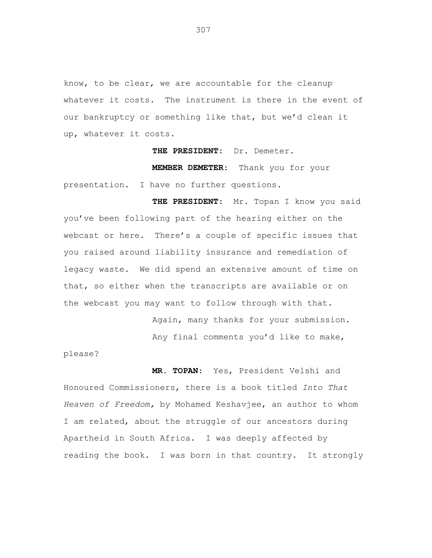know, to be clear, we are accountable for the cleanup whatever it costs. The instrument is there in the event of our bankruptcy or something like that, but we'd clean it up, whatever it costs.

**THE PRESIDENT**: Dr. Demeter.

**MEMBER DEMETER**: Thank you for your presentation. I have no further questions.

**THE PRESIDENT**: Mr. Topan I know you said you've been following part of the hearing either on the webcast or here. There's a couple of specific issues that you raised around liability insurance and remediation of legacy waste. We did spend an extensive amount of time on that, so either when the transcripts are available or on the webcast you may want to follow through with that.

> Again, many thanks for your submission. Any final comments you'd like to make,

please?

**MR. TOPAN**: Yes, President Velshi and Honoured Commissioners, there is a book titled *Into That Heaven of Freedom,* by Mohamed Keshavjee, an author to whom I am related, about the struggle of our ancestors during Apartheid in South Africa. I was deeply affected by reading the book. I was born in that country. It strongly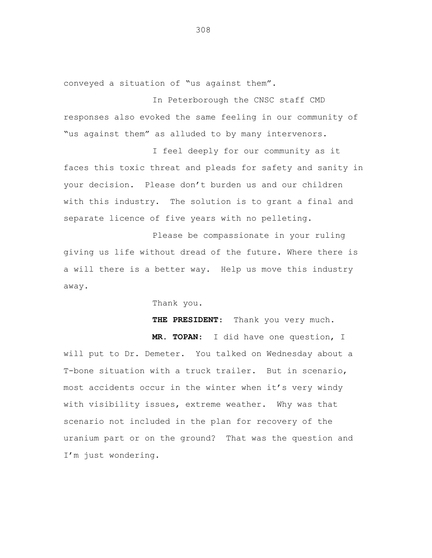conveyed a situation of "us against them".

In Peterborough the CNSC staff CMD responses also evoked the same feeling in our community of "us against them" as alluded to by many intervenors.

I feel deeply for our community as it faces this toxic threat and pleads for safety and sanity in your decision. Please don't burden us and our children with this industry. The solution is to grant a final and separate licence of five years with no pelleting.

Please be compassionate in your ruling giving us life without dread of the future. Where there is a will there is a better way. Help us move this industry away.

Thank you.

**THE PRESIDENT**: Thank you very much.

**MR. TOPAN**: I did have one question, I will put to Dr. Demeter. You talked on Wednesday about a T-bone situation with a truck trailer. But in scenario, most accidents occur in the winter when it's very windy with visibility issues, extreme weather. Why was that scenario not included in the plan for recovery of the uranium part or on the ground? That was the question and I'm just wondering.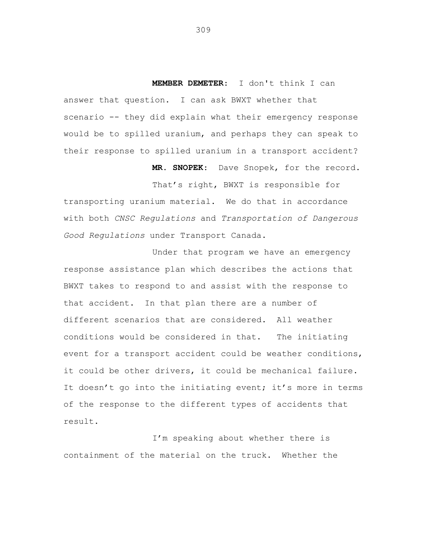**MEMBER DEMETER**: I don't think I can answer that question. I can ask BWXT whether that scenario -- they did explain what their emergency response would be to spilled uranium, and perhaps they can speak to their response to spilled uranium in a transport accident?

**MR. SNOPEK**: Dave Snopek, for the record.

That's right, BWXT is responsible for transporting uranium material. We do that in accordance with both *CNSC Regulations* and *Transportation of Dangerous Good Regulations* under Transport Canada.

Under that program we have an emergency response assistance plan which describes the actions that BWXT takes to respond to and assist with the response to that accident. In that plan there are a number of different scenarios that are considered. All weather conditions would be considered in that. The initiating event for a transport accident could be weather conditions, it could be other drivers, it could be mechanical failure. It doesn't go into the initiating event; it's more in terms of the response to the different types of accidents that result.

I'm speaking about whether there is containment of the material on the truck. Whether the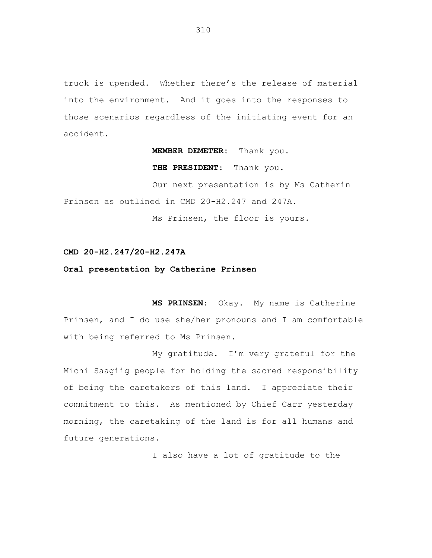truck is upended. Whether there's the release of material into the environment. And it goes into the responses to those scenarios regardless of the initiating event for an accident.

## **MEMBER DEMETER:** Thank you.

**THE PRESIDENT**: Thank you.

Our next presentation is by Ms Catherin Prinsen as outlined in CMD 20-H2.247 and 247A.

Ms Prinsen, the floor is yours.

## **CMD 20-H2.247/20-H2.247A**

## **Oral presentation by Catherine Prinsen**

**MS PRINSEN**: Okay. My name is Catherine Prinsen, and I do use she/her pronouns and I am comfortable with being referred to Ms Prinsen.

My gratitude. I'm very grateful for the Michi Saagiig people for holding the sacred responsibility of being the caretakers of this land. I appreciate their commitment to this. As mentioned by Chief Carr yesterday morning, the caretaking of the land is for all humans and future generations.

I also have a lot of gratitude to the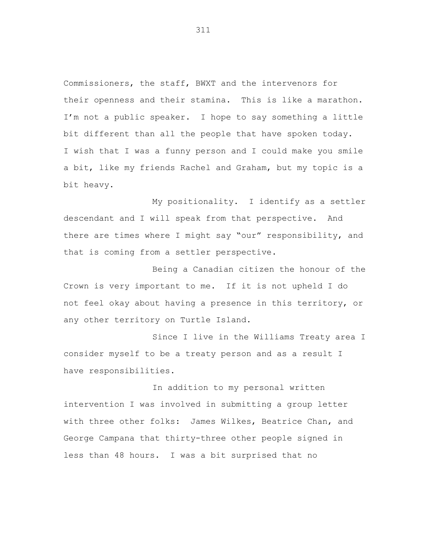Commissioners, the staff, BWXT and the intervenors for their openness and their stamina. This is like a marathon. I'm not a public speaker. I hope to say something a little bit different than all the people that have spoken today. I wish that I was a funny person and I could make you smile a bit, like my friends Rachel and Graham, but my topic is a bit heavy.

My positionality. I identify as a settler descendant and I will speak from that perspective. And there are times where I might say "our" responsibility, and that is coming from a settler perspective.

Being a Canadian citizen the honour of the Crown is very important to me. If it is not upheld I do not feel okay about having a presence in this territory, or any other territory on Turtle Island.

Since I live in the Williams Treaty area I consider myself to be a treaty person and as a result I have responsibilities.

In addition to my personal written intervention I was involved in submitting a group letter with three other folks: James Wilkes, Beatrice Chan, and George Campana that thirty-three other people signed in less than 48 hours. I was a bit surprised that no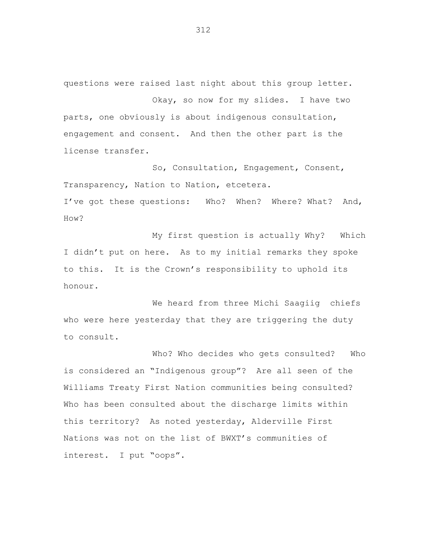questions were raised last night about this group letter.

Okay, so now for my slides. I have two parts, one obviously is about indigenous consultation, engagement and consent. And then the other part is the license transfer.

So, Consultation, Engagement, Consent, Transparency, Nation to Nation, etcetera. I've got these questions: Who? When? Where? What? And, How?

My first question is actually Why? Which I didn't put on here. As to my initial remarks they spoke to this. It is the Crown's responsibility to uphold its honour.

We heard from three Michi Saagiig chiefs who were here yesterday that they are triggering the duty to consult.

Who? Who decides who gets consulted? Who is considered an "Indigenous group"? Are all seen of the Williams Treaty First Nation communities being consulted? Who has been consulted about the discharge limits within this territory? As noted yesterday, Alderville First Nations was not on the list of BWXT's communities of interest. I put "oops".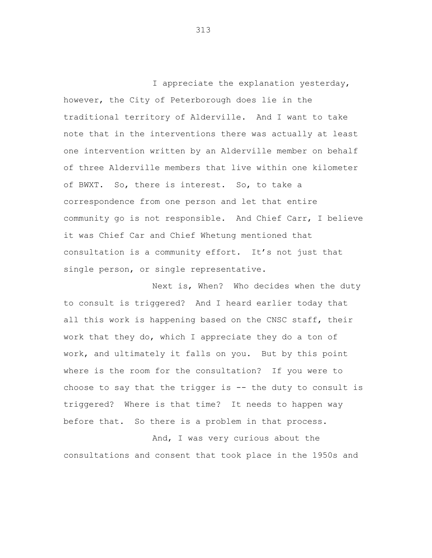I appreciate the explanation yesterday, however, the City of Peterborough does lie in the traditional territory of Alderville. And I want to take note that in the interventions there was actually at least one intervention written by an Alderville member on behalf of three Alderville members that live within one kilometer of BWXT. So, there is interest. So, to take a correspondence from one person and let that entire community go is not responsible. And Chief Carr, I believe it was Chief Car and Chief Whetung mentioned that consultation is a community effort. It's not just that single person, or single representative.

Next is, When? Who decides when the duty to consult is triggered? And I heard earlier today that all this work is happening based on the CNSC staff, their work that they do, which I appreciate they do a ton of work, and ultimately it falls on you. But by this point where is the room for the consultation? If you were to choose to say that the trigger is  $-$  the duty to consult is triggered? Where is that time? It needs to happen way before that. So there is a problem in that process.

And, I was very curious about the consultations and consent that took place in the 1950s and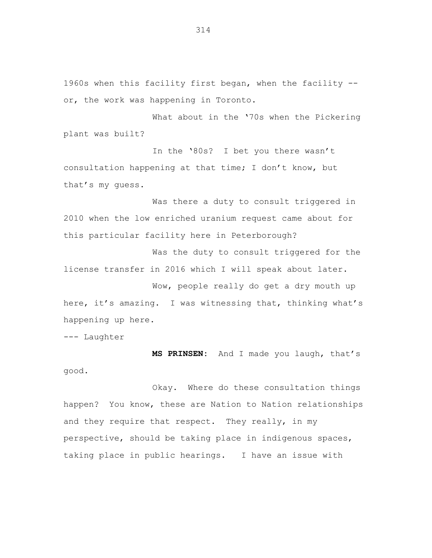1960s when this facility first began, when the facility - or, the work was happening in Toronto.

What about in the '70s when the Pickering plant was built?

In the '80s? I bet you there wasn't consultation happening at that time; I don't know, but that's my guess.

Was there a duty to consult triggered in 2010 when the low enriched uranium request came about for this particular facility here in Peterborough?

Was the duty to consult triggered for the license transfer in 2016 which I will speak about later.

Wow, people really do get a dry mouth up here, it's amazing. I was witnessing that, thinking what's happening up here.

--- Laughter

**MS PRINSEN:** And I made you laugh, that's good.

Okay. Where do these consultation things happen? You know, these are Nation to Nation relationships and they require that respect. They really, in my perspective, should be taking place in indigenous spaces, taking place in public hearings. I have an issue with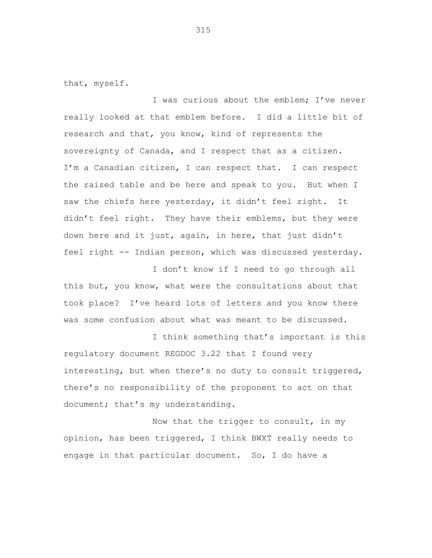that, myself.

I was curious about the emblem; I've never really looked at that emblem before. I did a little bit of research and that, you know, kind of represents the sovereignty of Canada, and I respect that as a citizen. I'm a Canadian citizen, I can respect that. I can respect the raised table and be here and speak to you. But when I saw the chiefs here yesterday, it didn't feel right. It didn't feel right. They have their emblems, but they were down here and it just, again, in here, that just didn't feel right -- Indian person, which was discussed yesterday.

I don't know if I need to go through all this but, you know, what were the consultations about that took place? I've heard lots of letters and you know there was some confusion about what was meant to be discussed.

I think something that's important is this regulatory document REGDOC 3.22 that I found very interesting, but when there's no duty to consult triggered, there's no responsibility of the proponent to act on that document; that's my understanding.

Now that the trigger to consult, in my opinion, has been triggered, I think BWXT really needs to engage in that particular document. So, I do have a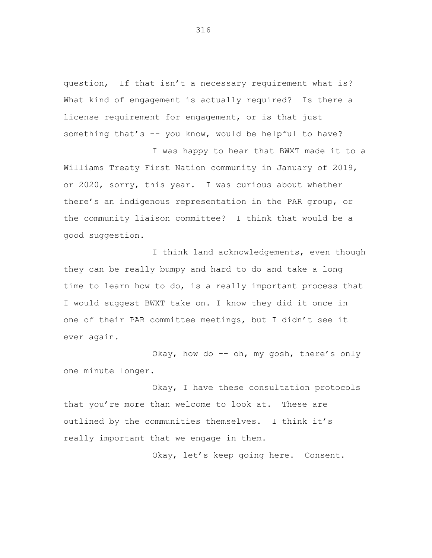question, If that isn't a necessary requirement what is? What kind of engagement is actually required? Is there a license requirement for engagement, or is that just something that's -- you know, would be helpful to have?

I was happy to hear that BWXT made it to a Williams Treaty First Nation community in January of 2019, or 2020, sorry, this year. I was curious about whether there's an indigenous representation in the PAR group, or the community liaison committee? I think that would be a good suggestion.

I think land acknowledgements, even though they can be really bumpy and hard to do and take a long time to learn how to do, is a really important process that I would suggest BWXT take on. I know they did it once in one of their PAR committee meetings, but I didn't see it ever again.

Okay, how do -- oh, my gosh, there's only one minute longer.

Okay, I have these consultation protocols that you're more than welcome to look at. These are outlined by the communities themselves. I think it's really important that we engage in them.

Okay, let's keep going here. Consent.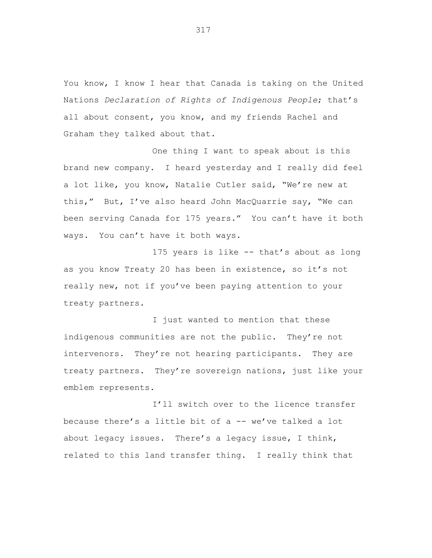You know, I know I hear that Canada is taking on the United Nations *Declaration of Rights of Indigenous People*; that's all about consent, you know, and my friends Rachel and Graham they talked about that.

One thing I want to speak about is this brand new company. I heard yesterday and I really did feel a lot like, you know, Natalie Cutler said, "We're new at this," But, I've also heard John MacQuarrie say, "We can been serving Canada for 175 years." You can't have it both ways. You can't have it both ways.

175 years is like -- that's about as long as you know Treaty 20 has been in existence, so it's not really new, not if you've been paying attention to your treaty partners.

I just wanted to mention that these indigenous communities are not the public. They're not intervenors. They're not hearing participants. They are treaty partners. They're sovereign nations, just like your emblem represents.

I'll switch over to the licence transfer because there's a little bit of a -- we've talked a lot about legacy issues. There's a legacy issue, I think, related to this land transfer thing. I really think that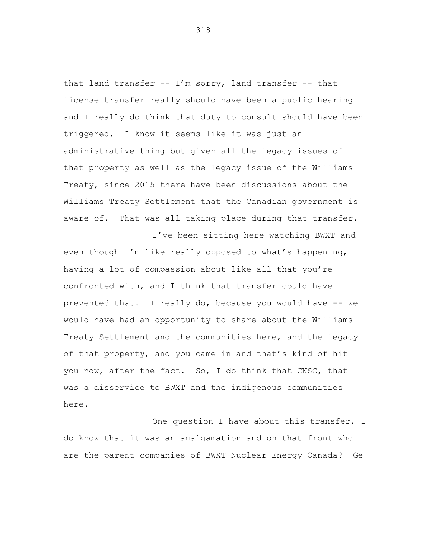that land transfer  $--$  I'm sorry, land transfer  $--$  that license transfer really should have been a public hearing and I really do think that duty to consult should have been triggered. I know it seems like it was just an administrative thing but given all the legacy issues of that property as well as the legacy issue of the Williams Treaty, since 2015 there have been discussions about the Williams Treaty Settlement that the Canadian government is aware of. That was all taking place during that transfer.

I've been sitting here watching BWXT and even though I'm like really opposed to what's happening, having a lot of compassion about like all that you're confronted with, and I think that transfer could have prevented that. I really do, because you would have -- we would have had an opportunity to share about the Williams Treaty Settlement and the communities here, and the legacy of that property, and you came in and that's kind of hit you now, after the fact. So, I do think that CNSC, that was a disservice to BWXT and the indigenous communities here.

One question I have about this transfer, I do know that it was an amalgamation and on that front who are the parent companies of BWXT Nuclear Energy Canada? Ge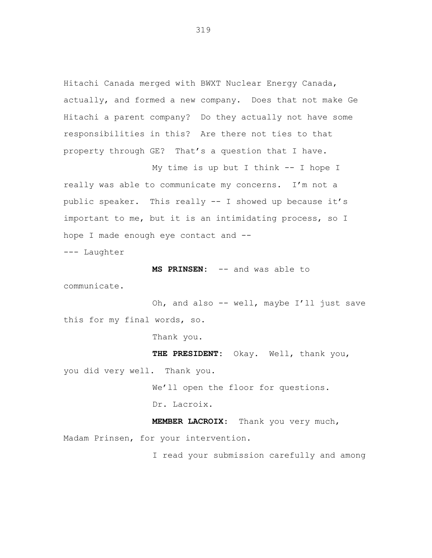Hitachi Canada merged with BWXT Nuclear Energy Canada, actually, and formed a new company. Does that not make Ge Hitachi a parent company? Do they actually not have some responsibilities in this? Are there not ties to that property through GE? That's a question that I have.

My time is up but I think -- I hope I really was able to communicate my concerns. I'm not a public speaker. This really -- I showed up because it's important to me, but it is an intimidating process, so I hope I made enough eye contact and --

--- Laughter

**MS PRINSEN:** -- and was able to

communicate.

Oh, and also -- well, maybe I'll just save this for my final words, so.

Thank you.

**THE PRESIDENT:** Okay. Well, thank you,

you did very well. Thank you.

We'll open the floor for questions.

Dr. Lacroix.

**MEMBER LACROIX**: Thank you very much, Madam Prinsen, for your intervention.

I read your submission carefully and among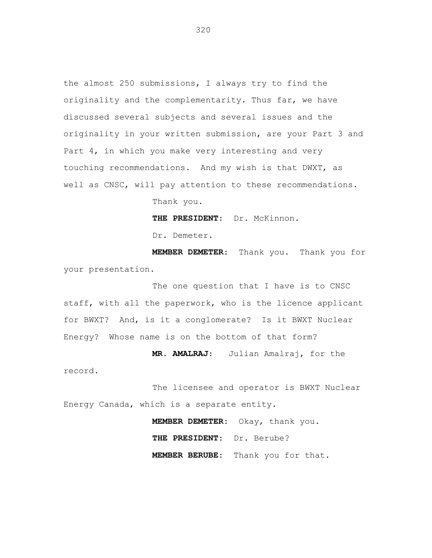the almost 250 submissions, I always try to find the originality and the complementarity. Thus far, we have discussed several subjects and several issues and the originality in your written submission, are your Part 3 and Part 4, in which you make very interesting and very touching recommendations. And my wish is that DWXT, as well as CNSC, will pay attention to these recommendations.

Thank you.

**THE PRESIDENT**: Dr. McKinnon.

Dr. Demeter.

record.

**MEMBER DEMETER**: Thank you. Thank you for your presentation.

The one question that I have is to CNSC staff, with all the paperwork, who is the licence applicant for BWXT? And, is it a conglomerate? Is it BWXT Nuclear Energy? Whose name is on the bottom of that form?

**MR. AMALRAJ**: Julian Amalraj, for the

The licensee and operator is BWXT Nuclear Energy Canada, which is a separate entity.

> **MEMBER DEMETER**: Okay, thank you. **THE PRESIDENT**: Dr. Berube? **MEMBER BERUBE**: Thank you for that.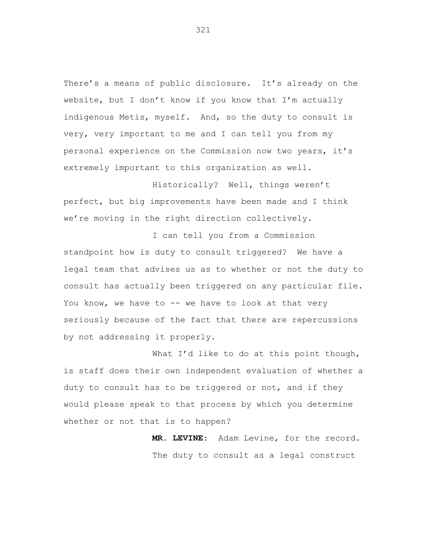There's a means of public disclosure. It's already on the website, but I don't know if you know that I'm actually indigenous Metis, myself. And, so the duty to consult is very, very important to me and I can tell you from my personal experience on the Commission now two years, it's extremely important to this organization as well.

Historically? Well, things weren't perfect, but big improvements have been made and I think we're moving in the right direction collectively.

I can tell you from a Commission standpoint how is duty to consult triggered? We have a legal team that advises us as to whether or not the duty to consult has actually been triggered on any particular file. You know, we have to -- we have to look at that very seriously because of the fact that there are repercussions by not addressing it properly.

What I'd like to do at this point though, is staff does their own independent evaluation of whether a duty to consult has to be triggered or not, and if they would please speak to that process by which you determine whether or not that is to happen?

> **MR. LEVINE**: Adam Levine, for the record. The duty to consult as a legal construct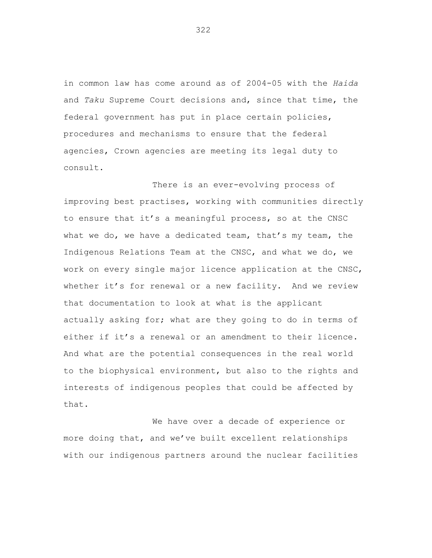in common law has come around as of 2004-05 with the *Haida* and *Taku* Supreme Court decisions and, since that time, the federal government has put in place certain policies, procedures and mechanisms to ensure that the federal agencies, Crown agencies are meeting its legal duty to consult.

There is an ever-evolving process of improving best practises, working with communities directly to ensure that it's a meaningful process, so at the CNSC what we do, we have a dedicated team, that's my team, the Indigenous Relations Team at the CNSC, and what we do, we work on every single major licence application at the CNSC, whether it's for renewal or a new facility. And we review that documentation to look at what is the applicant actually asking for; what are they going to do in terms of either if it's a renewal or an amendment to their licence. And what are the potential consequences in the real world to the biophysical environment, but also to the rights and interests of indigenous peoples that could be affected by that.

We have over a decade of experience or more doing that, and we've built excellent relationships with our indigenous partners around the nuclear facilities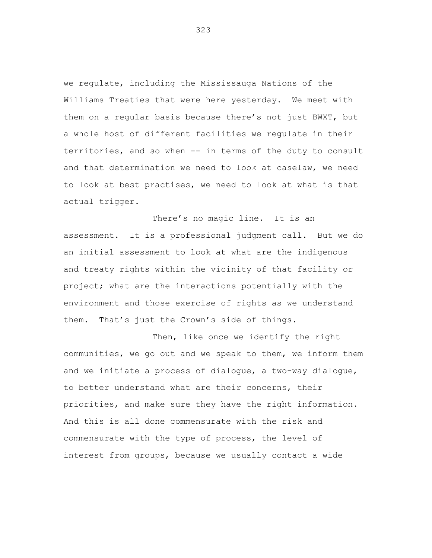we regulate, including the Mississauga Nations of the Williams Treaties that were here yesterday. We meet with them on a regular basis because there's not just BWXT, but a whole host of different facilities we regulate in their territories, and so when -- in terms of the duty to consult and that determination we need to look at caselaw, we need to look at best practises, we need to look at what is that actual trigger.

There's no magic line. It is an assessment. It is a professional judgment call. But we do an initial assessment to look at what are the indigenous and treaty rights within the vicinity of that facility or project; what are the interactions potentially with the environment and those exercise of rights as we understand them. That's just the Crown's side of things.

Then, like once we identify the right communities, we go out and we speak to them, we inform them and we initiate a process of dialogue, a two-way dialogue, to better understand what are their concerns, their priorities, and make sure they have the right information. And this is all done commensurate with the risk and commensurate with the type of process, the level of interest from groups, because we usually contact a wide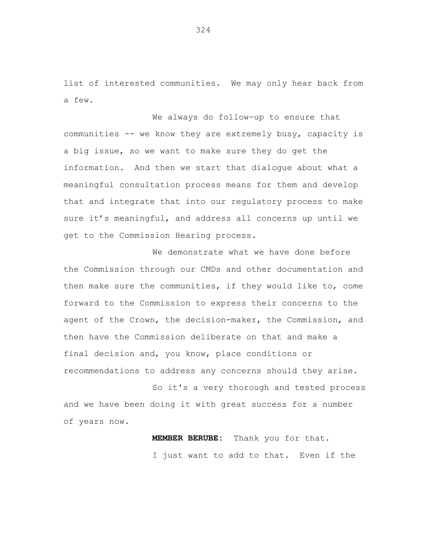list of interested communities. We may only hear back from a few.

We always do follow-up to ensure that communities -- we know they are extremely busy, capacity is a big issue, so we want to make sure they do get the information. And then we start that dialogue about what a meaningful consultation process means for them and develop that and integrate that into our regulatory process to make sure it's meaningful, and address all concerns up until we get to the Commission Hearing process.

We demonstrate what we have done before the Commission through our CMDs and other documentation and then make sure the communities, if they would like to, come forward to the Commission to express their concerns to the agent of the Crown, the decision-maker, the Commission, and then have the Commission deliberate on that and make a final decision and, you know, place conditions or recommendations to address any concerns should they arise.

So it's a very thorough and tested process and we have been doing it with great success for a number of years now.

> **MEMBER BERUBE:** Thank you for that. I just want to add to that. Even if the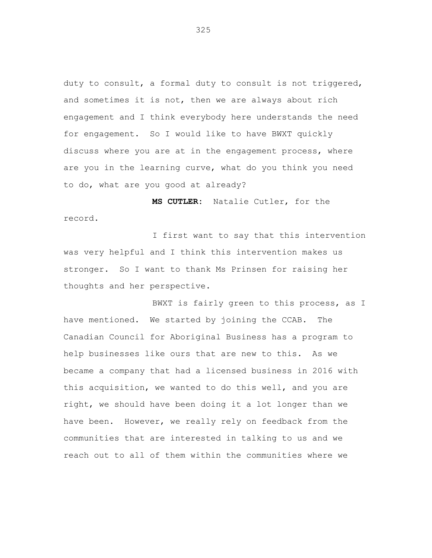duty to consult, a formal duty to consult is not triggered, and sometimes it is not, then we are always about rich engagement and I think everybody here understands the need for engagement. So I would like to have BWXT quickly discuss where you are at in the engagement process, where are you in the learning curve, what do you think you need to do, what are you good at already?

**MS CUTLER:** Natalie Cutler, for the record.

I first want to say that this intervention was very helpful and I think this intervention makes us stronger. So I want to thank Ms Prinsen for raising her thoughts and her perspective.

BWXT is fairly green to this process, as I have mentioned. We started by joining the CCAB. The Canadian Council for Aboriginal Business has a program to help businesses like ours that are new to this. As we became a company that had a licensed business in 2016 with this acquisition, we wanted to do this well, and you are right, we should have been doing it a lot longer than we have been. However, we really rely on feedback from the communities that are interested in talking to us and we reach out to all of them within the communities where we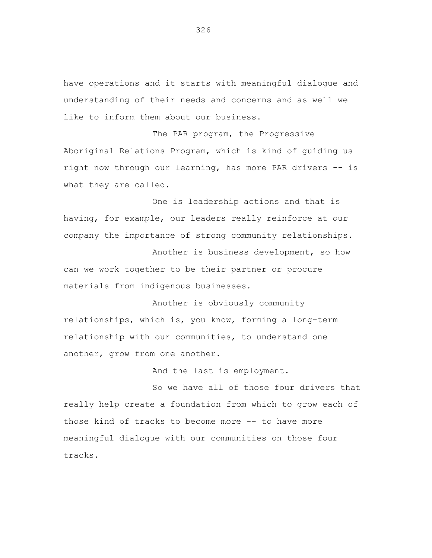have operations and it starts with meaningful dialogue and understanding of their needs and concerns and as well we like to inform them about our business.

The PAR program, the Progressive Aboriginal Relations Program, which is kind of guiding us right now through our learning, has more PAR drivers -- is what they are called.

One is leadership actions and that is having, for example, our leaders really reinforce at our company the importance of strong community relationships.

Another is business development, so how can we work together to be their partner or procure materials from indigenous businesses.

Another is obviously community relationships, which is, you know, forming a long-term relationship with our communities, to understand one another, grow from one another.

And the last is employment.

So we have all of those four drivers that really help create a foundation from which to grow each of those kind of tracks to become more -- to have more meaningful dialogue with our communities on those four tracks.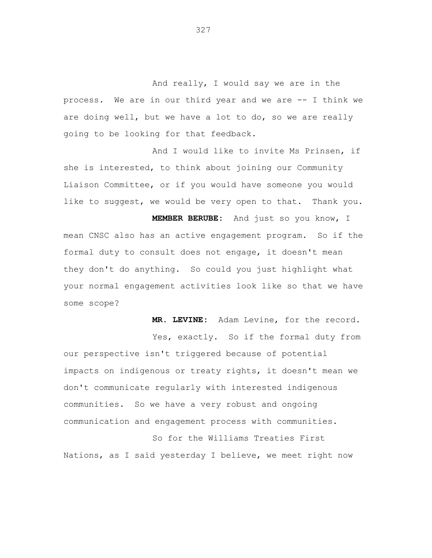And really, I would say we are in the process. We are in our third year and we are -- I think we are doing well, but we have a lot to do, so we are really going to be looking for that feedback.

And I would like to invite Ms Prinsen, if she is interested, to think about joining our Community Liaison Committee, or if you would have someone you would like to suggest, we would be very open to that. Thank you.

**MEMBER BERUBE:** And just so you know, I mean CNSC also has an active engagement program. So if the formal duty to consult does not engage, it doesn't mean they don't do anything. So could you just highlight what your normal engagement activities look like so that we have some scope?

**MR. LEVINE:** Adam Levine, for the record. Yes, exactly. So if the formal duty from our perspective isn't triggered because of potential impacts on indigenous or treaty rights, it doesn't mean we don't communicate regularly with interested indigenous communities. So we have a very robust and ongoing communication and engagement process with communities.

So for the Williams Treaties First Nations, as I said yesterday I believe, we meet right now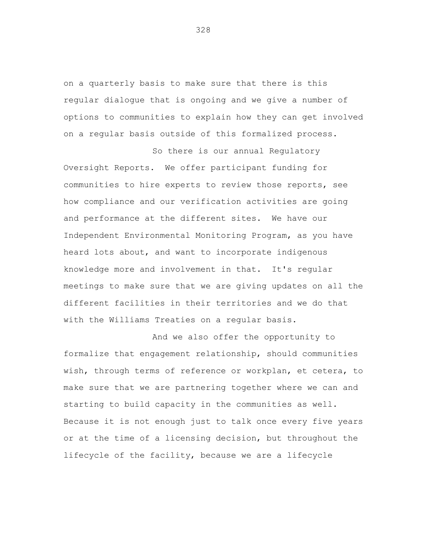on a quarterly basis to make sure that there is this regular dialogue that is ongoing and we give a number of options to communities to explain how they can get involved on a regular basis outside of this formalized process.

So there is our annual Regulatory Oversight Reports. We offer participant funding for communities to hire experts to review those reports, see how compliance and our verification activities are going and performance at the different sites. We have our Independent Environmental Monitoring Program, as you have heard lots about, and want to incorporate indigenous knowledge more and involvement in that. It's regular meetings to make sure that we are giving updates on all the different facilities in their territories and we do that with the Williams Treaties on a regular basis.

And we also offer the opportunity to formalize that engagement relationship, should communities wish, through terms of reference or workplan, et cetera, to make sure that we are partnering together where we can and starting to build capacity in the communities as well. Because it is not enough just to talk once every five years or at the time of a licensing decision, but throughout the lifecycle of the facility, because we are a lifecycle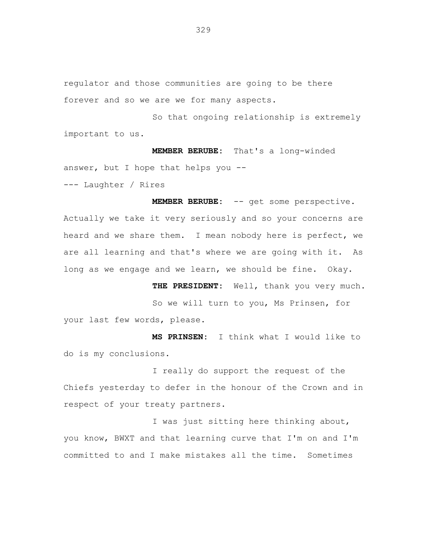regulator and those communities are going to be there forever and so we are we for many aspects.

So that ongoing relationship is extremely important to us.

**MEMBER BERUBE:** That's a long-winded answer, but I hope that helps you -- --- Laughter / Rires

**MEMBER BERUBE:** -- get some perspective. Actually we take it very seriously and so your concerns are heard and we share them. I mean nobody here is perfect, we are all learning and that's where we are going with it. As long as we engage and we learn, we should be fine. Okay.

**THE PRESIDENT:** Well, thank you very much. So we will turn to you, Ms Prinsen, for your last few words, please.

**MS PRINSEN:** I think what I would like to do is my conclusions.

I really do support the request of the Chiefs yesterday to defer in the honour of the Crown and in respect of your treaty partners.

I was just sitting here thinking about, you know, BWXT and that learning curve that I'm on and I'm committed to and I make mistakes all the time. Sometimes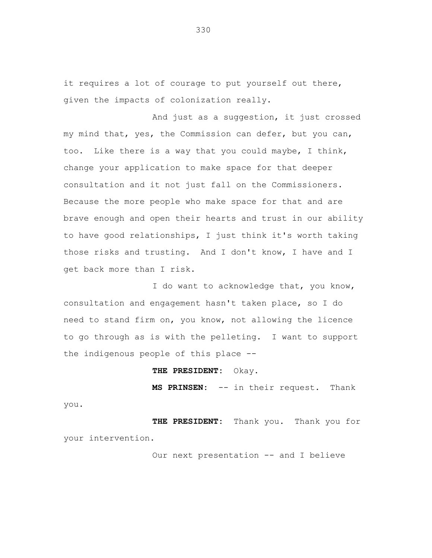it requires a lot of courage to put yourself out there, given the impacts of colonization really.

And just as a suggestion, it just crossed my mind that, yes, the Commission can defer, but you can, too. Like there is a way that you could maybe, I think, change your application to make space for that deeper consultation and it not just fall on the Commissioners. Because the more people who make space for that and are brave enough and open their hearts and trust in our ability to have good relationships, I just think it's worth taking those risks and trusting. And I don't know, I have and I get back more than I risk.

I do want to acknowledge that, you know, consultation and engagement hasn't taken place, so I do need to stand firm on, you know, not allowing the licence to go through as is with the pelleting. I want to support the indigenous people of this place --

#### **THE PRESIDENT:** Okay.

you.

**MS PRINSEN:** -- in their request. Thank

**THE PRESIDENT:** Thank you. Thank you for your intervention.

Our next presentation -- and I believe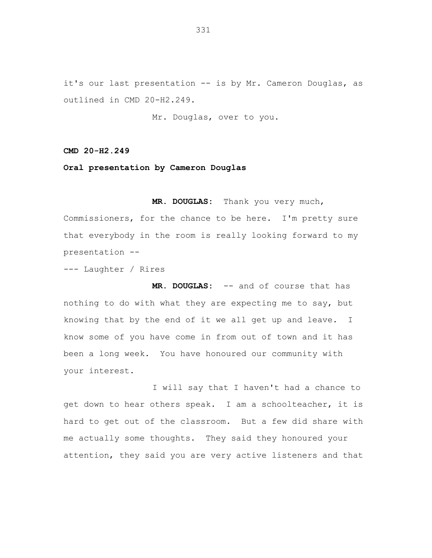it's our last presentation -- is by Mr. Cameron Douglas, as outlined in CMD 20-H2.249.

Mr. Douglas, over to you.

**CMD 20-H2.249**

**Oral presentation by Cameron Douglas**

**MR. DOUGLAS:** Thank you very much, Commissioners, for the chance to be here. I'm pretty sure that everybody in the room is really looking forward to my presentation --

--- Laughter / Rires

**MR. DOUGLAS:** -- and of course that has nothing to do with what they are expecting me to say, but knowing that by the end of it we all get up and leave. I know some of you have come in from out of town and it has been a long week. You have honoured our community with your interest.

I will say that I haven't had a chance to get down to hear others speak. I am a schoolteacher, it is hard to get out of the classroom. But a few did share with me actually some thoughts. They said they honoured your attention, they said you are very active listeners and that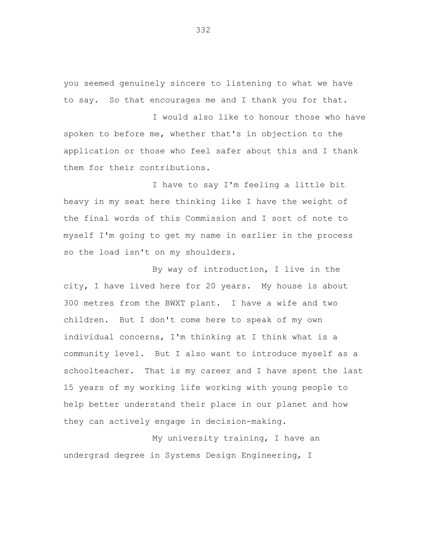you seemed genuinely sincere to listening to what we have to say. So that encourages me and I thank you for that.

I would also like to honour those who have spoken to before me, whether that's in objection to the application or those who feel safer about this and I thank them for their contributions.

I have to say I'm feeling a little bit heavy in my seat here thinking like I have the weight of the final words of this Commission and I sort of note to myself I'm going to get my name in earlier in the process so the load isn't on my shoulders.

By way of introduction, I live in the city, I have lived here for 20 years. My house is about 300 metres from the BWXT plant. I have a wife and two children. But I don't come here to speak of my own individual concerns, I'm thinking at I think what is a community level. But I also want to introduce myself as a schoolteacher. That is my career and I have spent the last 15 years of my working life working with young people to help better understand their place in our planet and how they can actively engage in decision-making.

My university training, I have an undergrad degree in Systems Design Engineering, I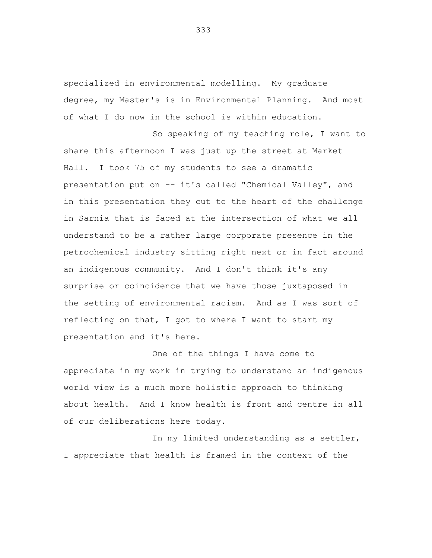specialized in environmental modelling. My graduate degree, my Master's is in Environmental Planning. And most of what I do now in the school is within education.

So speaking of my teaching role, I want to share this afternoon I was just up the street at Market Hall. I took 75 of my students to see a dramatic presentation put on -- it's called "Chemical Valley", and in this presentation they cut to the heart of the challenge in Sarnia that is faced at the intersection of what we all understand to be a rather large corporate presence in the petrochemical industry sitting right next or in fact around an indigenous community. And I don't think it's any surprise or coincidence that we have those juxtaposed in the setting of environmental racism. And as I was sort of reflecting on that, I got to where I want to start my presentation and it's here.

One of the things I have come to appreciate in my work in trying to understand an indigenous world view is a much more holistic approach to thinking about health. And I know health is front and centre in all of our deliberations here today.

In my limited understanding as a settler, I appreciate that health is framed in the context of the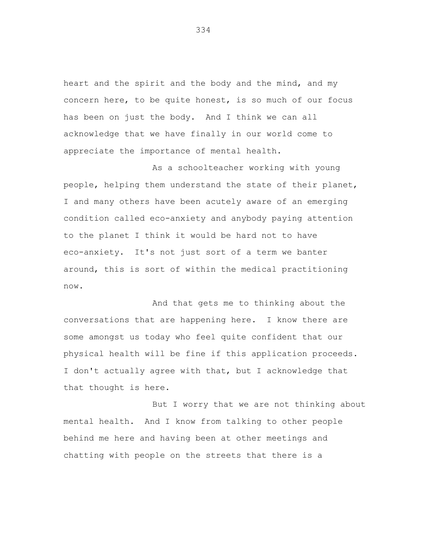heart and the spirit and the body and the mind, and my concern here, to be quite honest, is so much of our focus has been on just the body. And I think we can all acknowledge that we have finally in our world come to appreciate the importance of mental health.

As a schoolteacher working with young people, helping them understand the state of their planet, I and many others have been acutely aware of an emerging condition called eco-anxiety and anybody paying attention to the planet I think it would be hard not to have eco-anxiety. It's not just sort of a term we banter around, this is sort of within the medical practitioning now.

And that gets me to thinking about the conversations that are happening here. I know there are some amongst us today who feel quite confident that our physical health will be fine if this application proceeds. I don't actually agree with that, but I acknowledge that that thought is here.

But I worry that we are not thinking about mental health. And I know from talking to other people behind me here and having been at other meetings and chatting with people on the streets that there is a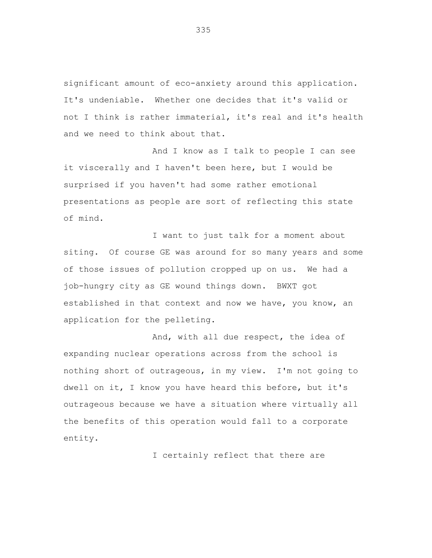significant amount of eco-anxiety around this application. It's undeniable. Whether one decides that it's valid or not I think is rather immaterial, it's real and it's health and we need to think about that.

And I know as I talk to people I can see it viscerally and I haven't been here, but I would be surprised if you haven't had some rather emotional presentations as people are sort of reflecting this state of mind.

I want to just talk for a moment about siting. Of course GE was around for so many years and some of those issues of pollution cropped up on us. We had a job-hungry city as GE wound things down. BWXT got established in that context and now we have, you know, an application for the pelleting.

And, with all due respect, the idea of expanding nuclear operations across from the school is nothing short of outrageous, in my view. I'm not going to dwell on it, I know you have heard this before, but it's outrageous because we have a situation where virtually all the benefits of this operation would fall to a corporate entity.

I certainly reflect that there are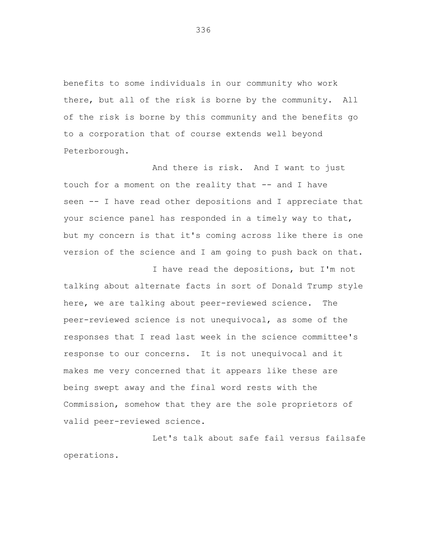benefits to some individuals in our community who work there, but all of the risk is borne by the community. All of the risk is borne by this community and the benefits go to a corporation that of course extends well beyond Peterborough.

And there is risk. And I want to just touch for a moment on the reality that -- and I have seen -- I have read other depositions and I appreciate that your science panel has responded in a timely way to that, but my concern is that it's coming across like there is one version of the science and I am going to push back on that.

I have read the depositions, but I'm not talking about alternate facts in sort of Donald Trump style here, we are talking about peer-reviewed science. The peer-reviewed science is not unequivocal, as some of the responses that I read last week in the science committee's response to our concerns. It is not unequivocal and it makes me very concerned that it appears like these are being swept away and the final word rests with the Commission, somehow that they are the sole proprietors of valid peer-reviewed science.

Let's talk about safe fail versus failsafe operations.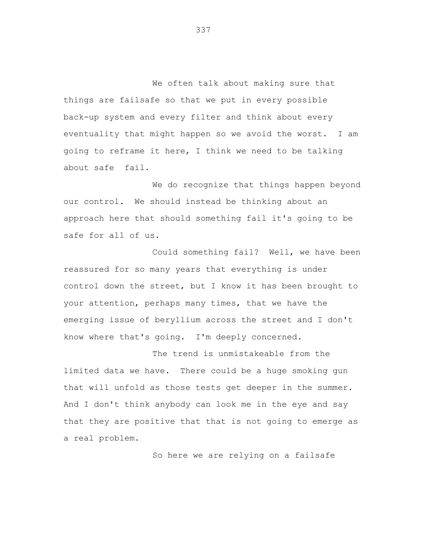We often talk about making sure that things are failsafe so that we put in every possible back-up system and every filter and think about every eventuality that might happen so we avoid the worst. I am going to reframe it here, I think we need to be talking about safe fail.

We do recognize that things happen beyond our control. We should instead be thinking about an approach here that should something fail it's going to be safe for all of us.

Could something fail? Well, we have been reassured for so many years that everything is under control down the street, but I know it has been brought to your attention, perhaps many times, that we have the emerging issue of beryllium across the street and I don't know where that's going. I'm deeply concerned.

The trend is unmistakeable from the limited data we have. There could be a huge smoking gun that will unfold as those tests get deeper in the summer. And I don't think anybody can look me in the eye and say that they are positive that that is not going to emerge as a real problem.

So here we are relying on a failsafe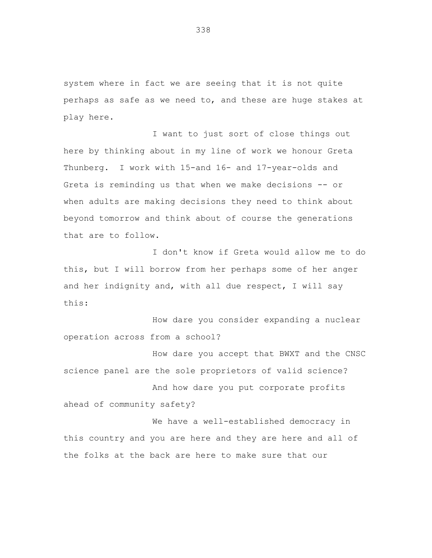system where in fact we are seeing that it is not quite perhaps as safe as we need to, and these are huge stakes at play here.

I want to just sort of close things out here by thinking about in my line of work we honour Greta Thunberg. I work with 15-and 16- and 17-year-olds and Greta is reminding us that when we make decisions -- or when adults are making decisions they need to think about beyond tomorrow and think about of course the generations that are to follow.

I don't know if Greta would allow me to do this, but I will borrow from her perhaps some of her anger and her indignity and, with all due respect, I will say this:

How dare you consider expanding a nuclear operation across from a school?

How dare you accept that BWXT and the CNSC science panel are the sole proprietors of valid science?

And how dare you put corporate profits ahead of community safety?

We have a well-established democracy in this country and you are here and they are here and all of the folks at the back are here to make sure that our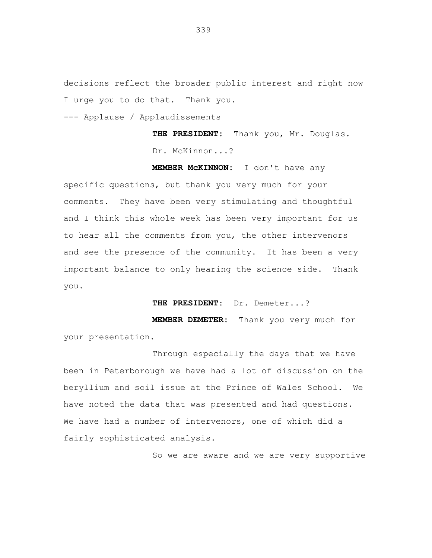decisions reflect the broader public interest and right now I urge you to do that. Thank you.

--- Applause / Applaudissements

**THE PRESIDENT:** Thank you, Mr. Douglas. Dr. McKinnon...?

**MEMBER McKINNON:** I don't have any specific questions, but thank you very much for your comments. They have been very stimulating and thoughtful and I think this whole week has been very important for us to hear all the comments from you, the other intervenors and see the presence of the community. It has been a very important balance to only hearing the science side. Thank you.

**THE PRESIDENT:** Dr. Demeter...?

**MEMBER DEMETER:** Thank you very much for your presentation.

Through especially the days that we have been in Peterborough we have had a lot of discussion on the beryllium and soil issue at the Prince of Wales School. We have noted the data that was presented and had questions. We have had a number of intervenors, one of which did a fairly sophisticated analysis.

So we are aware and we are very supportive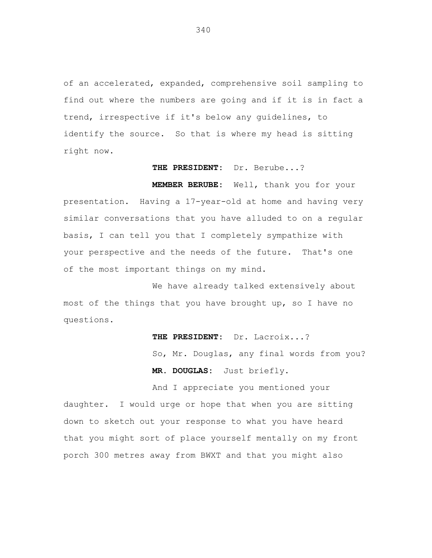of an accelerated, expanded, comprehensive soil sampling to find out where the numbers are going and if it is in fact a trend, irrespective if it's below any guidelines, to identify the source. So that is where my head is sitting right now.

#### **THE PRESIDENT:** Dr. Berube...?

**MEMBER BERUBE:** Well, thank you for your presentation. Having a 17-year-old at home and having very similar conversations that you have alluded to on a regular basis, I can tell you that I completely sympathize with your perspective and the needs of the future. That's one of the most important things on my mind.

We have already talked extensively about most of the things that you have brought up, so I have no questions.

> **THE PRESIDENT:** Dr. Lacroix...? So, Mr. Douglas, any final words from you? **MR. DOUGLAS:** Just briefly.

And I appreciate you mentioned your daughter. I would urge or hope that when you are sitting down to sketch out your response to what you have heard that you might sort of place yourself mentally on my front porch 300 metres away from BWXT and that you might also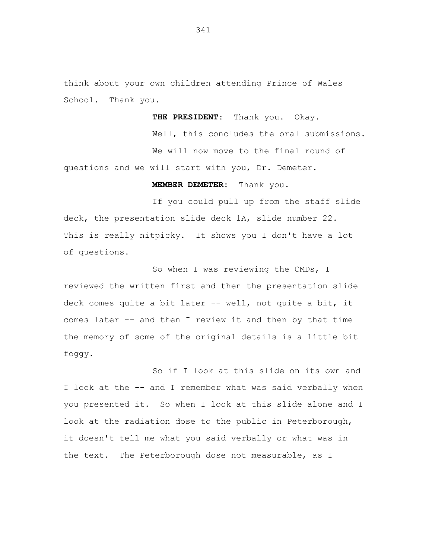think about your own children attending Prince of Wales School. Thank you.

**THE PRESIDENT:** Thank you. Okay.

Well, this concludes the oral submissions. We will now move to the final round of questions and we will start with you, Dr. Demeter.

**MEMBER DEMETER:** Thank you.

If you could pull up from the staff slide deck, the presentation slide deck 1A, slide number 22. This is really nitpicky. It shows you I don't have a lot of questions.

So when I was reviewing the CMDs, I reviewed the written first and then the presentation slide deck comes quite a bit later -- well, not quite a bit, it comes later -- and then I review it and then by that time the memory of some of the original details is a little bit foggy.

So if I look at this slide on its own and I look at the -- and I remember what was said verbally when you presented it. So when I look at this slide alone and I look at the radiation dose to the public in Peterborough, it doesn't tell me what you said verbally or what was in the text. The Peterborough dose not measurable, as I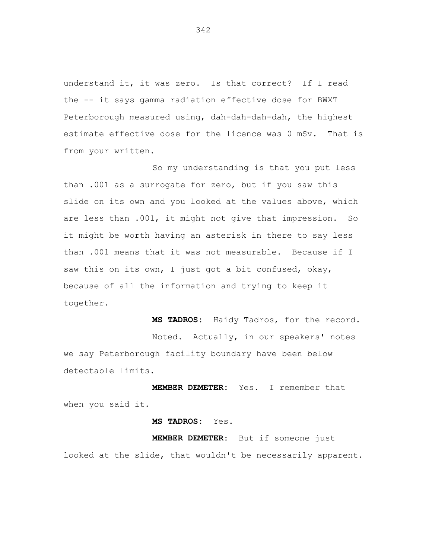understand it, it was zero. Is that correct? If I read the -- it says gamma radiation effective dose for BWXT Peterborough measured using, dah-dah-dah-dah, the highest estimate effective dose for the licence was 0 mSv. That is from your written.

So my understanding is that you put less than .001 as a surrogate for zero, but if you saw this slide on its own and you looked at the values above, which are less than .001, it might not give that impression. So it might be worth having an asterisk in there to say less than .001 means that it was not measurable. Because if I saw this on its own, I just got a bit confused, okay, because of all the information and trying to keep it together.

**MS TADROS:** Haidy Tadros, for the record.

Noted. Actually, in our speakers' notes we say Peterborough facility boundary have been below detectable limits.

**MEMBER DEMETER:** Yes. I remember that when you said it.

**MS TADROS:** Yes.

**MEMBER DEMETER:** But if someone just looked at the slide, that wouldn't be necessarily apparent.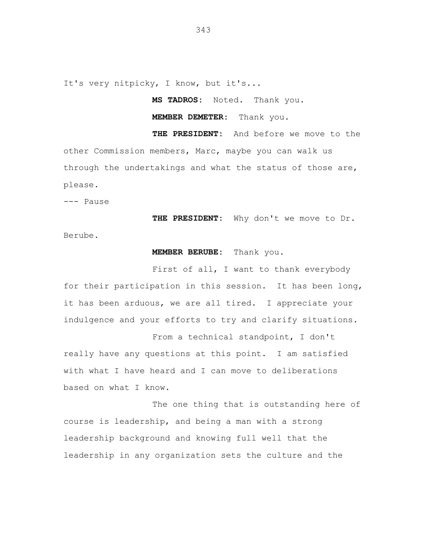It's very nitpicky, I know, but it's...

**MS TADROS:** Noted. Thank you.

**MEMBER DEMETER:** Thank you.

**THE PRESIDENT:** And before we move to the other Commission members, Marc, maybe you can walk us through the undertakings and what the status of those are, please.

--- Pause

**THE PRESIDENT:** Why don't we move to Dr. Berube.

## **MEMBER BERUBE:** Thank you.

First of all, I want to thank everybody for their participation in this session. It has been long, it has been arduous, we are all tired. I appreciate your indulgence and your efforts to try and clarify situations.

From a technical standpoint, I don't really have any questions at this point. I am satisfied with what I have heard and I can move to deliberations based on what I know.

The one thing that is outstanding here of course is leadership, and being a man with a strong leadership background and knowing full well that the leadership in any organization sets the culture and the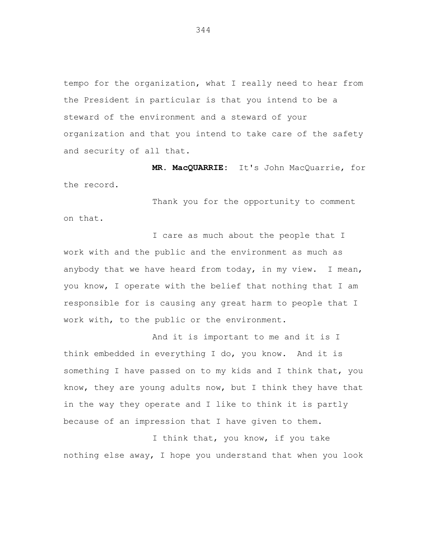tempo for the organization, what I really need to hear from the President in particular is that you intend to be a steward of the environment and a steward of your organization and that you intend to take care of the safety and security of all that.

**MR. MacQUARRIE:** It's John MacQuarrie, for the record.

Thank you for the opportunity to comment on that.

I care as much about the people that I work with and the public and the environment as much as anybody that we have heard from today, in my view. I mean, you know, I operate with the belief that nothing that I am responsible for is causing any great harm to people that I work with, to the public or the environment.

And it is important to me and it is I think embedded in everything I do, you know. And it is something I have passed on to my kids and I think that, you know, they are young adults now, but I think they have that in the way they operate and I like to think it is partly because of an impression that I have given to them.

I think that, you know, if you take nothing else away, I hope you understand that when you look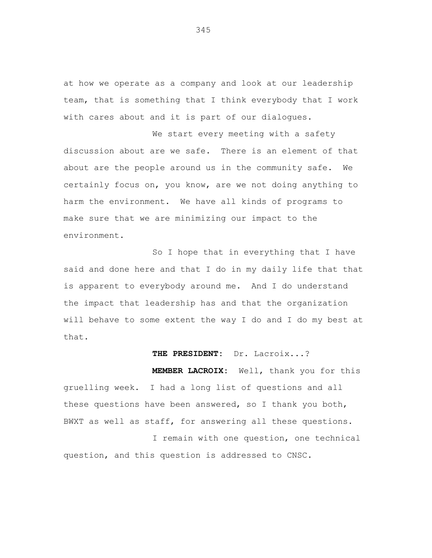at how we operate as a company and look at our leadership team, that is something that I think everybody that I work with cares about and it is part of our dialogues.

We start every meeting with a safety discussion about are we safe. There is an element of that about are the people around us in the community safe. We certainly focus on, you know, are we not doing anything to harm the environment. We have all kinds of programs to make sure that we are minimizing our impact to the environment.

So I hope that in everything that I have said and done here and that I do in my daily life that that is apparent to everybody around me. And I do understand the impact that leadership has and that the organization will behave to some extent the way I do and I do my best at that.

# **THE PRESIDENT:** Dr. Lacroix...?

**MEMBER LACROIX:** Well, thank you for this gruelling week. I had a long list of questions and all these questions have been answered, so I thank you both, BWXT as well as staff, for answering all these questions.

I remain with one question, one technical question, and this question is addressed to CNSC.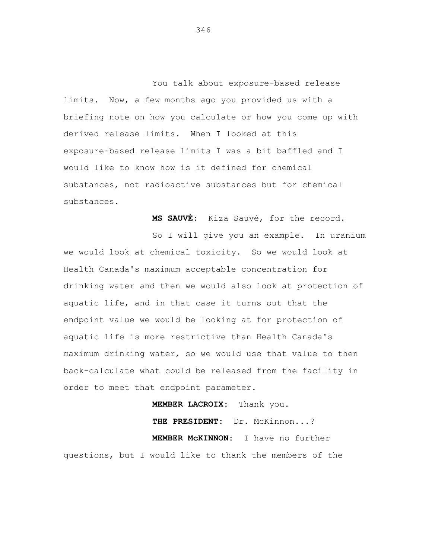You talk about exposure-based release limits. Now, a few months ago you provided us with a briefing note on how you calculate or how you come up with derived release limits. When I looked at this exposure-based release limits I was a bit baffled and I would like to know how is it defined for chemical substances, not radioactive substances but for chemical substances.

**MS SAUVÉ:** Kiza Sauvé, for the record.

So I will give you an example. In uranium we would look at chemical toxicity. So we would look at Health Canada's maximum acceptable concentration for drinking water and then we would also look at protection of aquatic life, and in that case it turns out that the endpoint value we would be looking at for protection of aquatic life is more restrictive than Health Canada's maximum drinking water, so we would use that value to then back-calculate what could be released from the facility in order to meet that endpoint parameter.

**MEMBER LACROIX:** Thank you. **THE PRESIDENT:** Dr. McKinnon...? **MEMBER McKINNON:** I have no further questions, but I would like to thank the members of the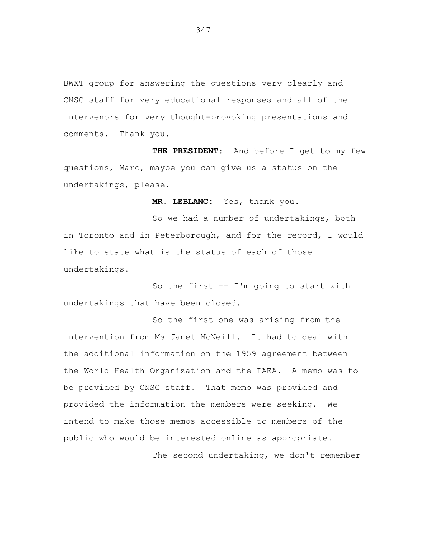BWXT group for answering the questions very clearly and CNSC staff for very educational responses and all of the intervenors for very thought-provoking presentations and comments. Thank you.

**THE PRESIDENT:** And before I get to my few questions, Marc, maybe you can give us a status on the undertakings, please.

**MR. LEBLANC:** Yes, thank you.

So we had a number of undertakings, both in Toronto and in Peterborough, and for the record, I would like to state what is the status of each of those undertakings.

So the first  $-$  I'm going to start with undertakings that have been closed.

So the first one was arising from the intervention from Ms Janet McNeill. It had to deal with the additional information on the 1959 agreement between the World Health Organization and the IAEA. A memo was to be provided by CNSC staff. That memo was provided and provided the information the members were seeking. We intend to make those memos accessible to members of the public who would be interested online as appropriate. The second undertaking, we don't remember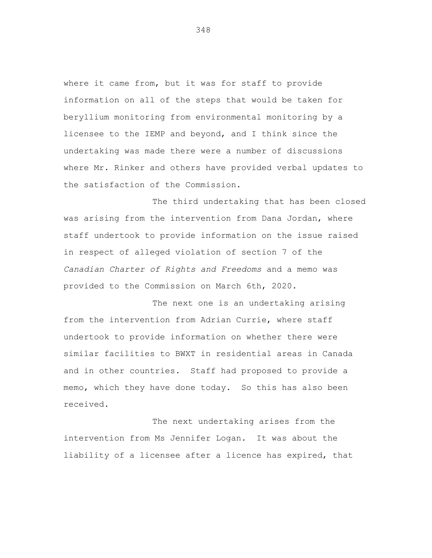where it came from, but it was for staff to provide information on all of the steps that would be taken for beryllium monitoring from environmental monitoring by a licensee to the IEMP and beyond, and I think since the undertaking was made there were a number of discussions where Mr. Rinker and others have provided verbal updates to the satisfaction of the Commission.

The third undertaking that has been closed was arising from the intervention from Dana Jordan, where staff undertook to provide information on the issue raised in respect of alleged violation of section 7 of the *Canadian Charter of Rights and Freedoms* and a memo was provided to the Commission on March 6th, 2020.

The next one is an undertaking arising from the intervention from Adrian Currie, where staff undertook to provide information on whether there were similar facilities to BWXT in residential areas in Canada and in other countries. Staff had proposed to provide a memo, which they have done today. So this has also been received.

The next undertaking arises from the intervention from Ms Jennifer Logan. It was about the liability of a licensee after a licence has expired, that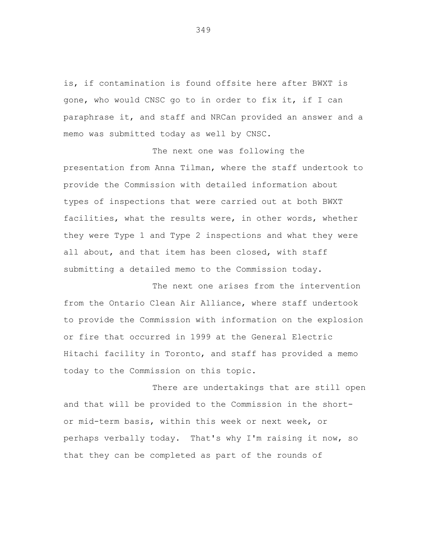is, if contamination is found offsite here after BWXT is gone, who would CNSC go to in order to fix it, if I can paraphrase it, and staff and NRCan provided an answer and a memo was submitted today as well by CNSC.

The next one was following the presentation from Anna Tilman, where the staff undertook to provide the Commission with detailed information about types of inspections that were carried out at both BWXT facilities, what the results were, in other words, whether they were Type 1 and Type 2 inspections and what they were all about, and that item has been closed, with staff submitting a detailed memo to the Commission today.

The next one arises from the intervention from the Ontario Clean Air Alliance, where staff undertook to provide the Commission with information on the explosion or fire that occurred in 1999 at the General Electric Hitachi facility in Toronto, and staff has provided a memo today to the Commission on this topic.

There are undertakings that are still open and that will be provided to the Commission in the shortor mid-term basis, within this week or next week, or perhaps verbally today. That's why I'm raising it now, so that they can be completed as part of the rounds of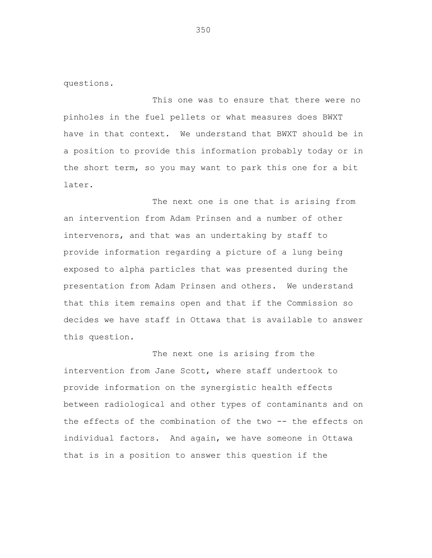questions.

This one was to ensure that there were no pinholes in the fuel pellets or what measures does BWXT have in that context. We understand that BWXT should be in a position to provide this information probably today or in the short term, so you may want to park this one for a bit later.

The next one is one that is arising from an intervention from Adam Prinsen and a number of other intervenors, and that was an undertaking by staff to provide information regarding a picture of a lung being exposed to alpha particles that was presented during the presentation from Adam Prinsen and others. We understand that this item remains open and that if the Commission so decides we have staff in Ottawa that is available to answer this question.

The next one is arising from the intervention from Jane Scott, where staff undertook to provide information on the synergistic health effects between radiological and other types of contaminants and on the effects of the combination of the two -- the effects on individual factors. And again, we have someone in Ottawa that is in a position to answer this question if the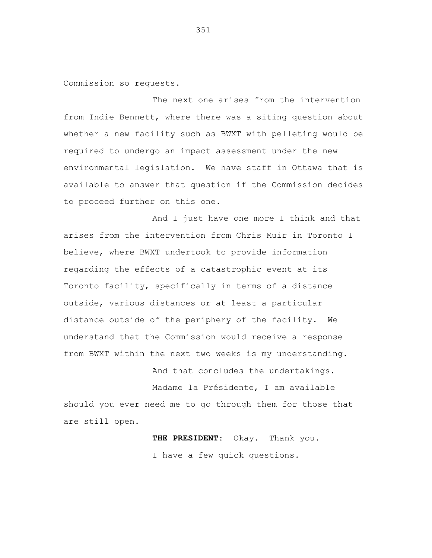Commission so requests.

The next one arises from the intervention from Indie Bennett, where there was a siting question about whether a new facility such as BWXT with pelleting would be required to undergo an impact assessment under the new environmental legislation. We have staff in Ottawa that is available to answer that question if the Commission decides to proceed further on this one.

And I just have one more I think and that arises from the intervention from Chris Muir in Toronto I believe, where BWXT undertook to provide information regarding the effects of a catastrophic event at its Toronto facility, specifically in terms of a distance outside, various distances or at least a particular distance outside of the periphery of the facility. We understand that the Commission would receive a response from BWXT within the next two weeks is my understanding.

And that concludes the undertakings.

Madame la Présidente, I am available should you ever need me to go through them for those that are still open.

> **THE PRESIDENT:** Okay. Thank you. I have a few quick questions.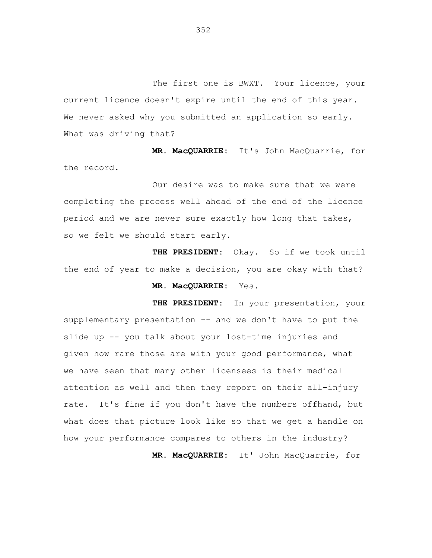The first one is BWXT. Your licence, your current licence doesn't expire until the end of this year. We never asked why you submitted an application so early. What was driving that?

**MR. MacQUARRIE:** It's John MacQuarrie, for the record.

Our desire was to make sure that we were completing the process well ahead of the end of the licence period and we are never sure exactly how long that takes, so we felt we should start early.

**THE PRESIDENT:** Okay. So if we took until the end of year to make a decision, you are okay with that?

# **MR. MacQUARRIE:** Yes.

**THE PRESIDENT:** In your presentation, your supplementary presentation -- and we don't have to put the slide up -- you talk about your lost-time injuries and given how rare those are with your good performance, what we have seen that many other licensees is their medical attention as well and then they report on their all-injury rate. It's fine if you don't have the numbers offhand, but what does that picture look like so that we get a handle on how your performance compares to others in the industry? **MR. MacQUARRIE:** It' John MacQuarrie, for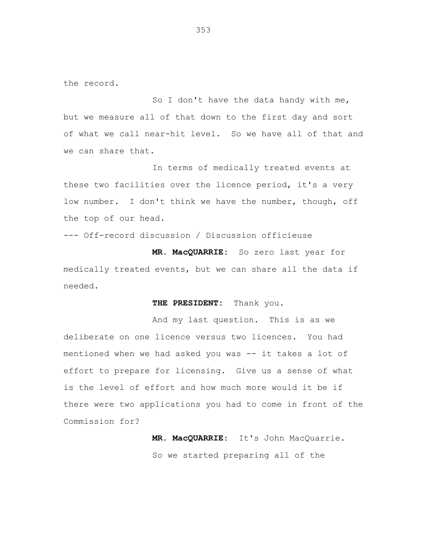the record.

So I don't have the data handy with me, but we measure all of that down to the first day and sort of what we call near-hit level. So we have all of that and we can share that.

In terms of medically treated events at these two facilities over the licence period, it's a very low number. I don't think we have the number, though, off the top of our head.

--- Off-record discussion / Discussion officieuse

**MR. MacQUARRIE:** So zero last year for medically treated events, but we can share all the data if needed.

#### **THE PRESIDENT:** Thank you.

And my last question. This is as we deliberate on one licence versus two licences. You had mentioned when we had asked you was -- it takes a lot of effort to prepare for licensing. Give us a sense of what is the level of effort and how much more would it be if there were two applications you had to come in front of the Commission for?

> **MR. MacQUARRIE:** It's John MacQuarrie. So we started preparing all of the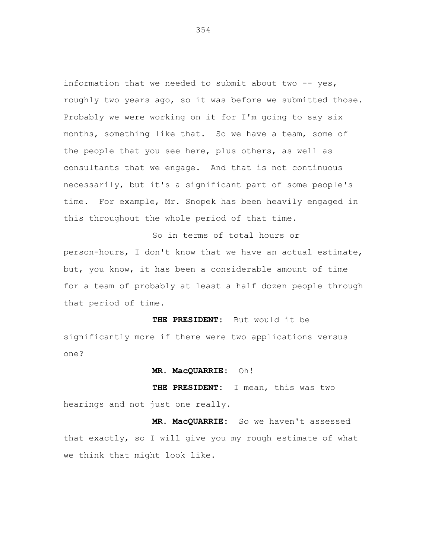information that we needed to submit about two -- yes, roughly two years ago, so it was before we submitted those. Probably we were working on it for I'm going to say six months, something like that. So we have a team, some of the people that you see here, plus others, as well as consultants that we engage. And that is not continuous necessarily, but it's a significant part of some people's time. For example, Mr. Snopek has been heavily engaged in this throughout the whole period of that time.

So in terms of total hours or person-hours, I don't know that we have an actual estimate, but, you know, it has been a considerable amount of time for a team of probably at least a half dozen people through that period of time.

**THE PRESIDENT:** But would it be significantly more if there were two applications versus one?

**MR. MacQUARRIE:** Oh!

**THE PRESIDENT:** I mean, this was two hearings and not just one really.

**MR. MacQUARRIE:** So we haven't assessed that exactly, so I will give you my rough estimate of what we think that might look like.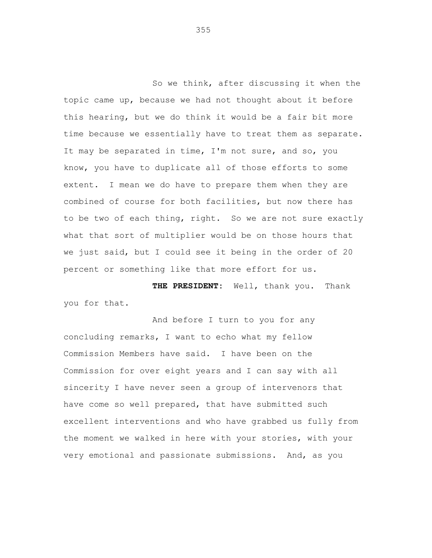So we think, after discussing it when the topic came up, because we had not thought about it before this hearing, but we do think it would be a fair bit more time because we essentially have to treat them as separate. It may be separated in time, I'm not sure, and so, you know, you have to duplicate all of those efforts to some extent. I mean we do have to prepare them when they are combined of course for both facilities, but now there has to be two of each thing, right. So we are not sure exactly what that sort of multiplier would be on those hours that we just said, but I could see it being in the order of 20 percent or something like that more effort for us.

**THE PRESIDENT:** Well, thank you. Thank you for that.

And before I turn to you for any concluding remarks, I want to echo what my fellow Commission Members have said. I have been on the Commission for over eight years and I can say with all sincerity I have never seen a group of intervenors that have come so well prepared, that have submitted such excellent interventions and who have grabbed us fully from the moment we walked in here with your stories, with your very emotional and passionate submissions. And, as you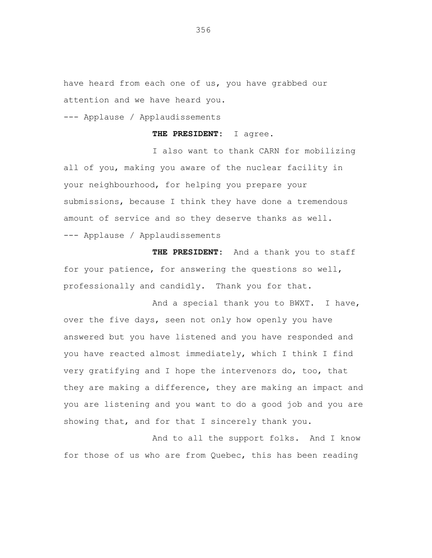have heard from each one of us, you have grabbed our attention and we have heard you.

--- Applause / Applaudissements

## **THE PRESIDENT:** I agree.

I also want to thank CARN for mobilizing all of you, making you aware of the nuclear facility in your neighbourhood, for helping you prepare your submissions, because I think they have done a tremendous amount of service and so they deserve thanks as well. --- Applause / Applaudissements

**THE PRESIDENT:** And a thank you to staff for your patience, for answering the questions so well, professionally and candidly. Thank you for that.

And a special thank you to BWXT. I have, over the five days, seen not only how openly you have answered but you have listened and you have responded and you have reacted almost immediately, which I think I find very gratifying and I hope the intervenors do, too, that they are making a difference, they are making an impact and you are listening and you want to do a good job and you are showing that, and for that I sincerely thank you.

And to all the support folks. And I know for those of us who are from Quebec, this has been reading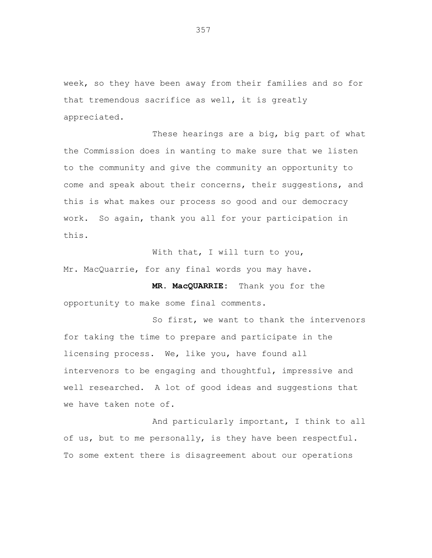week, so they have been away from their families and so for that tremendous sacrifice as well, it is greatly appreciated.

These hearings are a big, big part of what the Commission does in wanting to make sure that we listen to the community and give the community an opportunity to come and speak about their concerns, their suggestions, and this is what makes our process so good and our democracy work. So again, thank you all for your participation in this.

With that, I will turn to you, Mr. MacQuarrie, for any final words you may have.

**MR. MacQUARRIE:** Thank you for the opportunity to make some final comments.

So first, we want to thank the intervenors for taking the time to prepare and participate in the licensing process. We, like you, have found all intervenors to be engaging and thoughtful, impressive and well researched. A lot of good ideas and suggestions that we have taken note of.

And particularly important, I think to all of us, but to me personally, is they have been respectful. To some extent there is disagreement about our operations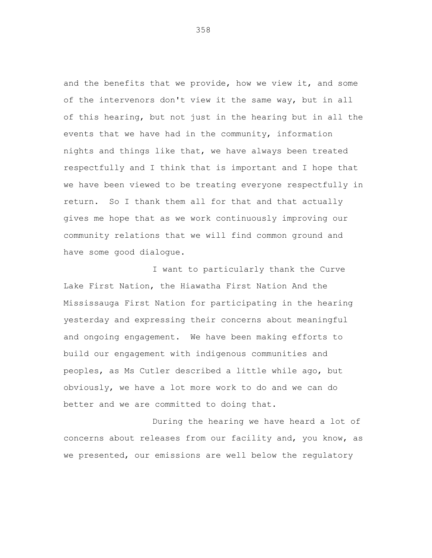and the benefits that we provide, how we view it, and some of the intervenors don't view it the same way, but in all of this hearing, but not just in the hearing but in all the events that we have had in the community, information nights and things like that, we have always been treated respectfully and I think that is important and I hope that we have been viewed to be treating everyone respectfully in return. So I thank them all for that and that actually gives me hope that as we work continuously improving our community relations that we will find common ground and have some good dialogue.

I want to particularly thank the Curve Lake First Nation, the Hiawatha First Nation And the Mississauga First Nation for participating in the hearing yesterday and expressing their concerns about meaningful and ongoing engagement. We have been making efforts to build our engagement with indigenous communities and peoples, as Ms Cutler described a little while ago, but obviously, we have a lot more work to do and we can do better and we are committed to doing that.

During the hearing we have heard a lot of concerns about releases from our facility and, you know, as we presented, our emissions are well below the regulatory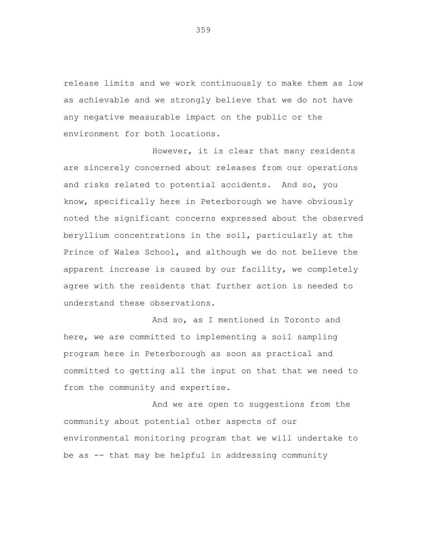release limits and we work continuously to make them as low as achievable and we strongly believe that we do not have any negative measurable impact on the public or the environment for both locations.

However, it is clear that many residents are sincerely concerned about releases from our operations and risks related to potential accidents. And so, you know, specifically here in Peterborough we have obviously noted the significant concerns expressed about the observed beryllium concentrations in the soil, particularly at the Prince of Wales School, and although we do not believe the apparent increase is caused by our facility, we completely agree with the residents that further action is needed to understand these observations.

And so, as I mentioned in Toronto and here, we are committed to implementing a soil sampling program here in Peterborough as soon as practical and committed to getting all the input on that that we need to from the community and expertise.

And we are open to suggestions from the community about potential other aspects of our environmental monitoring program that we will undertake to be as -- that may be helpful in addressing community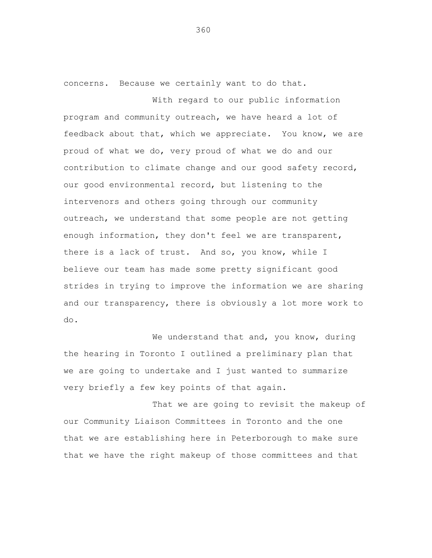concerns. Because we certainly want to do that.

With regard to our public information program and community outreach, we have heard a lot of feedback about that, which we appreciate. You know, we are proud of what we do, very proud of what we do and our contribution to climate change and our good safety record, our good environmental record, but listening to the intervenors and others going through our community outreach, we understand that some people are not getting enough information, they don't feel we are transparent, there is a lack of trust. And so, you know, while I believe our team has made some pretty significant good strides in trying to improve the information we are sharing and our transparency, there is obviously a lot more work to do.

We understand that and, you know, during the hearing in Toronto I outlined a preliminary plan that we are going to undertake and I just wanted to summarize very briefly a few key points of that again.

That we are going to revisit the makeup of our Community Liaison Committees in Toronto and the one that we are establishing here in Peterborough to make sure that we have the right makeup of those committees and that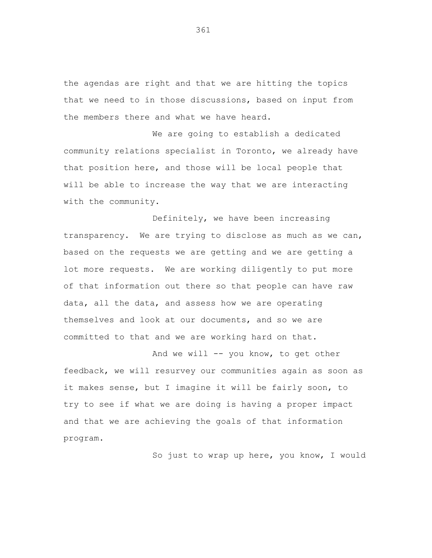the agendas are right and that we are hitting the topics that we need to in those discussions, based on input from the members there and what we have heard.

We are going to establish a dedicated community relations specialist in Toronto, we already have that position here, and those will be local people that will be able to increase the way that we are interacting with the community.

Definitely, we have been increasing transparency. We are trying to disclose as much as we can, based on the requests we are getting and we are getting a lot more requests. We are working diligently to put more of that information out there so that people can have raw data, all the data, and assess how we are operating themselves and look at our documents, and so we are committed to that and we are working hard on that.

And we will -- you know, to get other feedback, we will resurvey our communities again as soon as it makes sense, but I imagine it will be fairly soon, to try to see if what we are doing is having a proper impact and that we are achieving the goals of that information program.

So just to wrap up here, you know, I would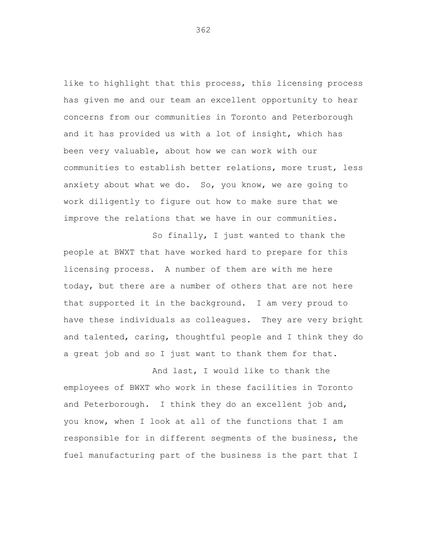like to highlight that this process, this licensing process has given me and our team an excellent opportunity to hear concerns from our communities in Toronto and Peterborough and it has provided us with a lot of insight, which has been very valuable, about how we can work with our communities to establish better relations, more trust, less anxiety about what we do. So, you know, we are going to work diligently to figure out how to make sure that we improve the relations that we have in our communities.

So finally, I just wanted to thank the people at BWXT that have worked hard to prepare for this licensing process. A number of them are with me here today, but there are a number of others that are not here that supported it in the background. I am very proud to have these individuals as colleagues. They are very bright and talented, caring, thoughtful people and I think they do a great job and so I just want to thank them for that.

And last, I would like to thank the employees of BWXT who work in these facilities in Toronto and Peterborough. I think they do an excellent job and, you know, when I look at all of the functions that I am responsible for in different segments of the business, the fuel manufacturing part of the business is the part that I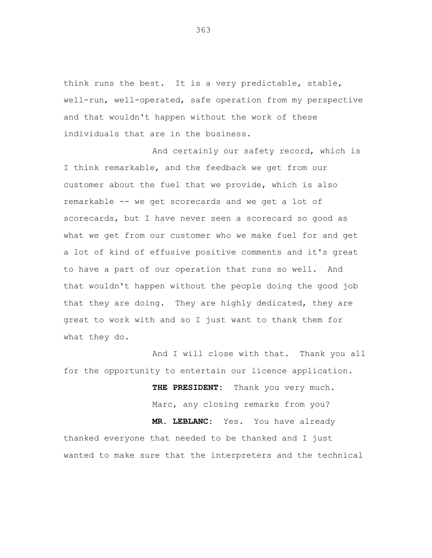think runs the best. It is a very predictable, stable, well-run, well-operated, safe operation from my perspective and that wouldn't happen without the work of these individuals that are in the business.

And certainly our safety record, which is I think remarkable, and the feedback we get from our customer about the fuel that we provide, which is also remarkable -- we get scorecards and we get a lot of scorecards, but I have never seen a scorecard so good as what we get from our customer who we make fuel for and get a lot of kind of effusive positive comments and it's great to have a part of our operation that runs so well. And that wouldn't happen without the people doing the good job that they are doing. They are highly dedicated, they are great to work with and so I just want to thank them for what they do.

And I will close with that. Thank you all for the opportunity to entertain our licence application.

**THE PRESIDENT:** Thank you very much. Marc, any closing remarks from you? **MR. LEBLANC:** Yes. You have already thanked everyone that needed to be thanked and I just wanted to make sure that the interpreters and the technical